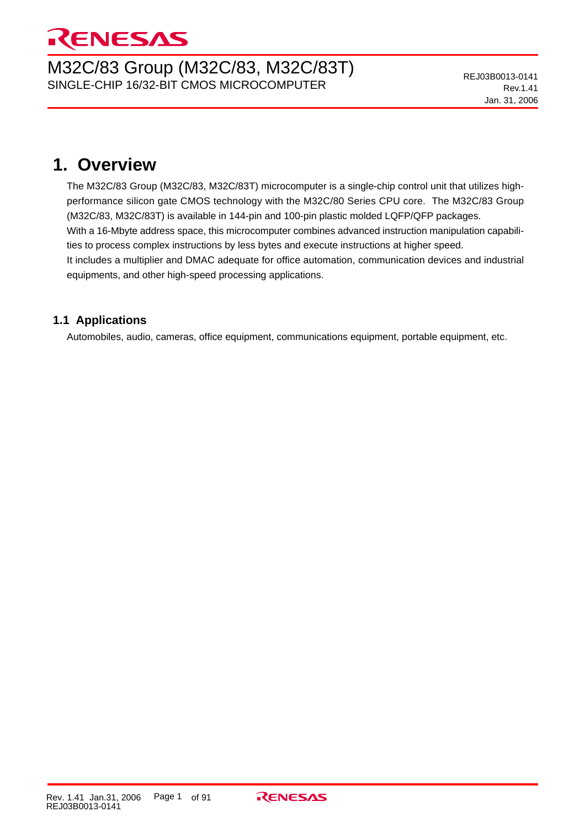# RENESAS

# M32C/83 Group (M32C/83, M32C/83T) SINGLE-CHIP 16/32-BIT CMOS MICROCOMPUTER

# **1. Overview**

The M32C/83 Group (M32C/83, M32C/83T) microcomputer is a single-chip control unit that utilizes highperformance silicon gate CMOS technology with the M32C/80 Series CPU core. The M32C/83 Group (M32C/83, M32C/83T) is available in 144-pin and 100-pin plastic molded LQFP/QFP packages. With a 16-Mbyte address space, this microcomputer combines advanced instruction manipulation capabilities to process complex instructions by less bytes and execute instructions at higher speed. It includes a multiplier and DMAC adequate for office automation, communication devices and industrial equipments, and other high-speed processing applications.

# **1.1 Applications**

Automobiles, audio, cameras, office equipment, communications equipment, portable equipment, etc.

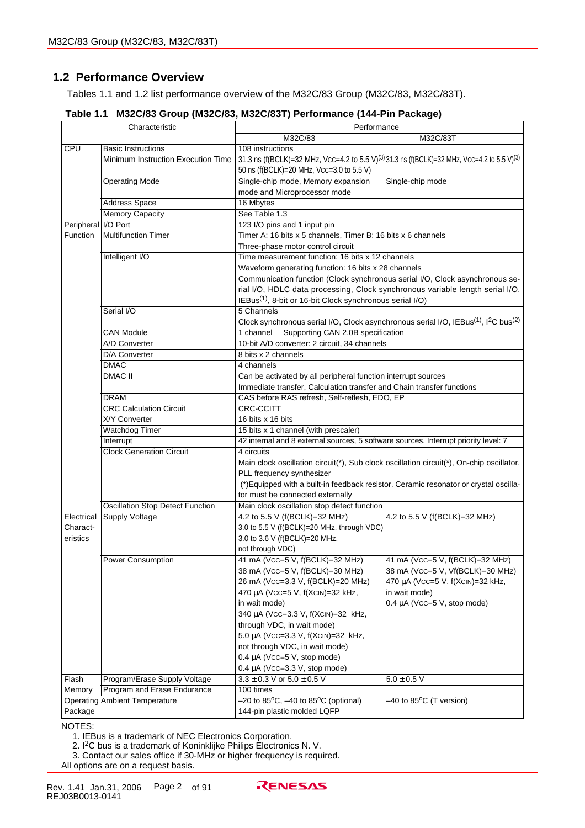# **1.2 Performance Overview**

Tables 1.1 and 1.2 list performance overview of the M32C/83 Group (M32C/83, M32C/83T).

|  | Table 1.1 M32C/83 Group (M32C/83, M32C/83T) Performance (144-Pin Package) |  |  |  |  |  |
|--|---------------------------------------------------------------------------|--|--|--|--|--|
|--|---------------------------------------------------------------------------|--|--|--|--|--|

|                     | Characteristic                          | Performance                                                                                                             |                                                   |  |  |  |  |
|---------------------|-----------------------------------------|-------------------------------------------------------------------------------------------------------------------------|---------------------------------------------------|--|--|--|--|
|                     |                                         | M32C/83<br>M32C/83T                                                                                                     |                                                   |  |  |  |  |
| CPU                 | <b>Basic Instructions</b>               | 108 instructions                                                                                                        |                                                   |  |  |  |  |
|                     | Minimum Instruction Execution Time      | 31.3 ns (f(BCLK)=32 MHz, Vcc=4.2 to 5.5 V) <sup>(3)</sup> (31.3 ns (f(BCLK)=32 MHz, Vcc=4.2 to 5.5 V) <sup>(3)</sup>    |                                                   |  |  |  |  |
|                     |                                         | 50 ns (f(BCLK)=20 MHz, Vcc=3.0 to 5.5 V)                                                                                |                                                   |  |  |  |  |
|                     | <b>Operating Mode</b>                   | Single-chip mode, Memory expansion<br>Single-chip mode                                                                  |                                                   |  |  |  |  |
|                     |                                         | mode and Microprocessor mode                                                                                            |                                                   |  |  |  |  |
|                     | <b>Address Space</b>                    | 16 Mbytes                                                                                                               |                                                   |  |  |  |  |
|                     | <b>Memory Capacity</b>                  | See Table 1.3                                                                                                           |                                                   |  |  |  |  |
| Peripheral I/O Port |                                         | 123 I/O pins and 1 input pin                                                                                            |                                                   |  |  |  |  |
| Function            | <b>Multifunction Timer</b>              | Timer A: 16 bits x 5 channels, Timer B: 16 bits x 6 channels                                                            |                                                   |  |  |  |  |
|                     |                                         | Three-phase motor control circuit                                                                                       |                                                   |  |  |  |  |
|                     | Intelligent I/O                         | Time measurement function: 16 bits x 12 channels                                                                        |                                                   |  |  |  |  |
|                     |                                         | Waveform generating function: 16 bits x 28 channels                                                                     |                                                   |  |  |  |  |
|                     |                                         | Communication function (Clock synchronous serial I/O, Clock asynchronous se-                                            |                                                   |  |  |  |  |
|                     |                                         | rial I/O, HDLC data processing, Clock synchronous variable length serial I/O,                                           |                                                   |  |  |  |  |
|                     |                                         | IEBus <sup>(1)</sup> , 8-bit or 16-bit Clock synchronous serial I/O)                                                    |                                                   |  |  |  |  |
|                     | Serial I/O                              | 5 Channels                                                                                                              |                                                   |  |  |  |  |
|                     |                                         | Clock synchronous serial I/O, Clock asynchronous serial I/O, IEBus <sup>(1)</sup> , I <sup>2</sup> C bus <sup>(2)</sup> |                                                   |  |  |  |  |
|                     | <b>CAN Module</b>                       | Supporting CAN 2.0B specification<br>1 channel                                                                          |                                                   |  |  |  |  |
|                     | A/D Converter                           | 10-bit A/D converter: 2 circuit, 34 channels                                                                            |                                                   |  |  |  |  |
|                     | D/A Converter                           | 8 bits x 2 channels                                                                                                     |                                                   |  |  |  |  |
|                     | <b>DMAC</b>                             | 4 channels                                                                                                              |                                                   |  |  |  |  |
|                     | DMAC <sup>II</sup>                      | Can be activated by all peripheral function interrupt sources                                                           |                                                   |  |  |  |  |
|                     |                                         | Immediate transfer, Calculation transfer and Chain transfer functions                                                   |                                                   |  |  |  |  |
|                     | <b>DRAM</b>                             | CAS before RAS refresh, Self-reflesh, EDO, EP                                                                           |                                                   |  |  |  |  |
|                     | <b>CRC Calculation Circuit</b>          | <b>CRC-CCITT</b>                                                                                                        |                                                   |  |  |  |  |
|                     | X/Y Converter                           | 16 bits x 16 bits                                                                                                       |                                                   |  |  |  |  |
|                     | <b>Watchdog Timer</b>                   | 15 bits x 1 channel (with prescaler)                                                                                    |                                                   |  |  |  |  |
|                     | Interrupt                               | 42 internal and 8 external sources, 5 software sources, Interrupt priority level: 7                                     |                                                   |  |  |  |  |
|                     | <b>Clock Generation Circuit</b>         | 4 circuits                                                                                                              |                                                   |  |  |  |  |
|                     |                                         | Main clock oscillation circuit(*), Sub clock oscillation circuit(*), On-chip oscillator,                                |                                                   |  |  |  |  |
|                     |                                         | PLL frequency synthesizer                                                                                               |                                                   |  |  |  |  |
|                     |                                         | (*) Equipped with a built-in feedback resistor. Ceramic resonator or crystal oscilla-                                   |                                                   |  |  |  |  |
|                     |                                         | tor must be connected externally                                                                                        |                                                   |  |  |  |  |
|                     | <b>Oscillation Stop Detect Function</b> | Main clock oscillation stop detect function                                                                             |                                                   |  |  |  |  |
| Electrical          | <b>Supply Voltage</b>                   | 4.2 to 5.5 V (f(BCLK)=32 MHz)                                                                                           | 4.2 to 5.5 V (f(BCLK)=32 MHz)                     |  |  |  |  |
| Charact-            |                                         | 3.0 to 5.5 V (f(BCLK)=20 MHz, through VDC)                                                                              |                                                   |  |  |  |  |
| eristics            |                                         | 3.0 to 3.6 V (f(BCLK)=20 MHz,                                                                                           |                                                   |  |  |  |  |
|                     |                                         | not through VDC)                                                                                                        |                                                   |  |  |  |  |
|                     | <b>Power Consumption</b>                | 41 mA (Vcc=5 V, f(BCLK)=32 MHz)                                                                                         | 41 mA (Vcc=5 V, f(BCLK)=32 MHz)                   |  |  |  |  |
|                     |                                         | 38 mA (Vcc=5 V, f(BCLK)=30 MHz)<br>26 mA (Vcc=3.3 V, f(BCLK)=20 MHz)                                                    | 38 mA (Vcc=5 V, Vf(BCLK)=30 MHz)                  |  |  |  |  |
|                     |                                         |                                                                                                                         | 470 μA (Vcc=5 V, f(XcιN)=32 kHz,<br>in wait mode) |  |  |  |  |
|                     |                                         | 470 μA (Vcc=5 V, f(XclN)=32 kHz,                                                                                        |                                                   |  |  |  |  |
|                     |                                         | in wait mode)<br>340 µA (Vcc=3.3 V, f(XcIN)=32 kHz,                                                                     | $0.4 \mu A$ (Vcc=5 V, stop mode)                  |  |  |  |  |
|                     |                                         |                                                                                                                         |                                                   |  |  |  |  |
|                     |                                         | through VDC, in wait mode)<br>5.0 µA (VCC=3.3 V, f(XCIN)=32 kHz,                                                        |                                                   |  |  |  |  |
|                     |                                         | not through VDC, in wait mode)                                                                                          |                                                   |  |  |  |  |
|                     |                                         | $0.4 \mu A$ (Vcc=5 V, stop mode)                                                                                        |                                                   |  |  |  |  |
|                     |                                         |                                                                                                                         |                                                   |  |  |  |  |
| Flash               | Program/Erase Supply Voltage            | $0.4 \mu A$ (Vcc=3.3 V, stop mode)<br>$3.3 \pm 0.3$ V or $5.0 \pm 0.5$ V                                                | $5.0 \pm 0.5$ V                                   |  |  |  |  |
| Memory              | Program and Erase Endurance             | 100 times                                                                                                               |                                                   |  |  |  |  |
|                     | <b>Operating Ambient Temperature</b>    | $-20$ to $85^{\circ}$ C, $-40$ to $85^{\circ}$ C (optional)                                                             | -40 to 85°C (T version)                           |  |  |  |  |
| Package             |                                         | 144-pin plastic molded LQFP                                                                                             |                                                   |  |  |  |  |
|                     |                                         |                                                                                                                         |                                                   |  |  |  |  |

NOTES:

1. IEBus is a trademark of NEC Electronics Corporation.

2. I<sup>2</sup>C bus is a trademark of Koninklijke Philips Electronics N. V.

3. Contact our sales office if 30-MHz or higher frequency is required.

All options are on a request basis.

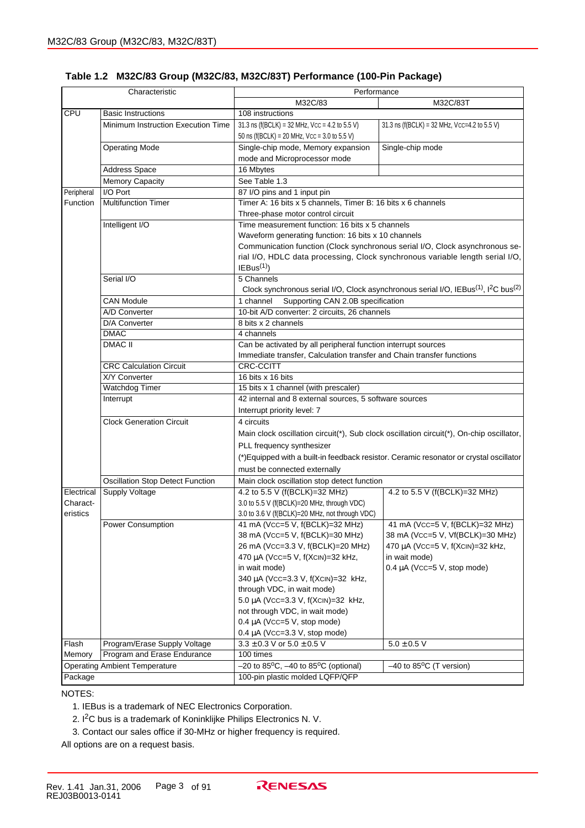|            | Characteristic                          | Performance                                                           |                                                                                                                         |  |  |  |
|------------|-----------------------------------------|-----------------------------------------------------------------------|-------------------------------------------------------------------------------------------------------------------------|--|--|--|
|            |                                         | M32C/83<br>M32C/83T                                                   |                                                                                                                         |  |  |  |
| CPU        | <b>Basic Instructions</b>               | 108 instructions                                                      |                                                                                                                         |  |  |  |
|            | Minimum Instruction Execution Time      | 31.3 ns (f(BCLK) = 32 MHz, $VCC = 4.2$ to 5.5 V)                      | 31.3 ns ( $f(BCLK) = 32 MHz$ , Vcc=4.2 to 5.5 V)                                                                        |  |  |  |
|            |                                         | 50 ns ( $f(BCLK) = 20$ MHz, $VCC = 3.0$ to 5.5 V)                     |                                                                                                                         |  |  |  |
|            | <b>Operating Mode</b>                   | Single-chip mode, Memory expansion                                    | Single-chip mode                                                                                                        |  |  |  |
|            |                                         | mode and Microprocessor mode                                          |                                                                                                                         |  |  |  |
|            | Address Space                           | 16 Mbytes                                                             |                                                                                                                         |  |  |  |
|            | <b>Memory Capacity</b>                  | See Table 1.3                                                         |                                                                                                                         |  |  |  |
| Peripheral | I/O Port                                | 87 I/O pins and 1 input pin                                           |                                                                                                                         |  |  |  |
| Function   | <b>Multifunction Timer</b>              | Timer A: 16 bits x 5 channels, Timer B: 16 bits x 6 channels          |                                                                                                                         |  |  |  |
|            |                                         | Three-phase motor control circuit                                     |                                                                                                                         |  |  |  |
|            | Intelligent I/O                         | Time measurement function: 16 bits x 5 channels                       |                                                                                                                         |  |  |  |
|            |                                         | Waveform generating function: 16 bits x 10 channels                   |                                                                                                                         |  |  |  |
|            |                                         |                                                                       | Communication function (Clock synchronous serial I/O, Clock asynchronous se-                                            |  |  |  |
|            |                                         |                                                                       | rial I/O, HDLC data processing, Clock synchronous variable length serial I/O,                                           |  |  |  |
|            |                                         | IEBus <sup>(1)</sup>                                                  |                                                                                                                         |  |  |  |
|            | Serial I/O                              | 5 Channels                                                            |                                                                                                                         |  |  |  |
|            |                                         |                                                                       | Clock synchronous serial I/O, Clock asynchronous serial I/O, IEBus <sup>(1)</sup> , I <sup>2</sup> C bus <sup>(2)</sup> |  |  |  |
|            | <b>CAN Module</b>                       | Supporting CAN 2.0B specification<br>1 channel                        |                                                                                                                         |  |  |  |
|            | A/D Converter                           | 10-bit A/D converter: 2 circuits, 26 channels                         |                                                                                                                         |  |  |  |
|            | D/A Converter                           | 8 bits x 2 channels                                                   |                                                                                                                         |  |  |  |
|            | <b>DMAC</b>                             | 4 channels                                                            |                                                                                                                         |  |  |  |
|            | <b>DMAC II</b>                          | Can be activated by all peripheral function interrupt sources         |                                                                                                                         |  |  |  |
|            |                                         | Immediate transfer, Calculation transfer and Chain transfer functions |                                                                                                                         |  |  |  |
|            | <b>CRC Calculation Circuit</b>          | <b>CRC-CCITT</b>                                                      |                                                                                                                         |  |  |  |
|            | <b>X/Y Converter</b>                    | 16 bits x 16 bits                                                     |                                                                                                                         |  |  |  |
|            | Watchdog Timer                          | 15 bits x 1 channel (with prescaler)                                  |                                                                                                                         |  |  |  |
|            | Interrupt                               | 42 internal and 8 external sources, 5 software sources                |                                                                                                                         |  |  |  |
|            |                                         | Interrupt priority level: 7                                           |                                                                                                                         |  |  |  |
|            | <b>Clock Generation Circuit</b>         | 4 circuits                                                            |                                                                                                                         |  |  |  |
|            |                                         |                                                                       |                                                                                                                         |  |  |  |
|            |                                         |                                                                       | Main clock oscillation circuit(*), Sub clock oscillation circuit(*), On-chip oscillator,                                |  |  |  |
|            |                                         | PLL frequency synthesizer                                             |                                                                                                                         |  |  |  |
|            |                                         |                                                                       | (*) Equipped with a built-in feedback resistor. Ceramic resonator or crystal oscillator                                 |  |  |  |
|            |                                         | must be connected externally                                          |                                                                                                                         |  |  |  |
|            | <b>Oscillation Stop Detect Function</b> | Main clock oscillation stop detect function                           |                                                                                                                         |  |  |  |
| Electrical | <b>Supply Voltage</b>                   | 4.2 to 5.5 V (f(BCLK)=32 MHz)                                         | 4.2 to 5.5 V (f(BCLK)=32 MHz)                                                                                           |  |  |  |
| Charact-   |                                         | 3.0 to 5.5 V (f(BCLK)=20 MHz, through VDC)                            |                                                                                                                         |  |  |  |
| eristics   |                                         | 3.0 to 3.6 V (f(BCLK)=20 MHz, not through VDC)                        |                                                                                                                         |  |  |  |
|            | <b>Power Consumption</b>                | 41 mA (Vcc=5 V, f(BCLK)=32 MHz)                                       | 41 mA (Vcc=5 V, f(BCLK)=32 MHz)                                                                                         |  |  |  |
|            |                                         | 38 mA (Vcc=5 V, f(BCLK)=30 MHz)                                       | 38 mA (Vcc=5 V, Vf(BCLK)=30 MHz)                                                                                        |  |  |  |
|            |                                         | 26 mA (Vcc=3.3 V, f(BCLK)=20 MHz)                                     | 470 μA (Vcc=5 V, f(XciN)=32 kHz,                                                                                        |  |  |  |
|            |                                         | 470 μA (Vcc=5 V, f(XciN)=32 kHz,                                      | in wait mode)                                                                                                           |  |  |  |
|            |                                         | in wait mode)                                                         | $0.4 \mu A$ (Vcc=5 V, stop mode)                                                                                        |  |  |  |
|            |                                         | 340 µA (Vcc=3.3 V, f(XcIN)=32 kHz,                                    |                                                                                                                         |  |  |  |
|            |                                         | through VDC, in wait mode)                                            |                                                                                                                         |  |  |  |
|            |                                         | 5.0 µA (Vcc=3.3 V, f(XcIN)=32 kHz,                                    |                                                                                                                         |  |  |  |
|            |                                         | not through VDC, in wait mode)                                        |                                                                                                                         |  |  |  |
|            |                                         | $0.4 \mu A$ (Vcc=5 V, stop mode)                                      |                                                                                                                         |  |  |  |
|            |                                         | $0.4 \mu A$ (Vcc=3.3 V, stop mode)                                    |                                                                                                                         |  |  |  |
| Flash      | Program/Erase Supply Voltage            | $3.3 \pm 0.3$ V or $5.0 \pm 0.5$ V                                    | $5.0 \pm 0.5$ V                                                                                                         |  |  |  |
| Memory     | Program and Erase Endurance             | 100 times                                                             |                                                                                                                         |  |  |  |
|            | <b>Operating Ambient Temperature</b>    | $-20$ to 85 <sup>o</sup> C, $-40$ to 85 <sup>o</sup> C (optional)     | $-40$ to 85 <sup>o</sup> C (T version)                                                                                  |  |  |  |
| Package    |                                         | 100-pin plastic molded LQFP/QFP                                       |                                                                                                                         |  |  |  |

#### **Table 1.2 M32C/83 Group (M32C/83, M32C/83T) Performance (100-Pin Package)**

NOTES:

1. IEBus is a trademark of NEC Electronics Corporation.

2. I2C bus is a trademark of Koninklijke Philips Electronics N. V.

3. Contact our sales office if 30-MHz or higher frequency is required.

All options are on a request basis.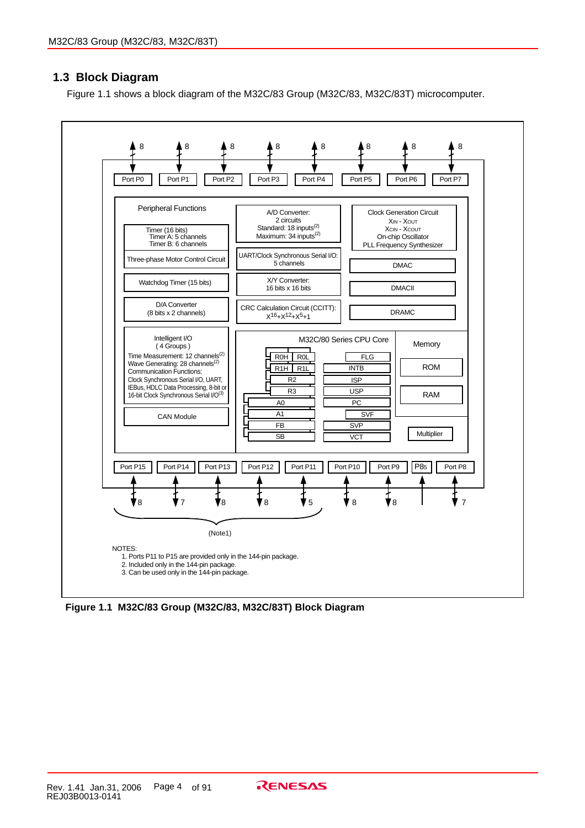# **1.3 Block Diagram**

Figure 1.1 shows a block diagram of the M32C/83 Group (M32C/83, M32C/83T) microcomputer.



**Figure 1.1 M32C/83 Group (M32C/83, M32C/83T) Block Diagram**

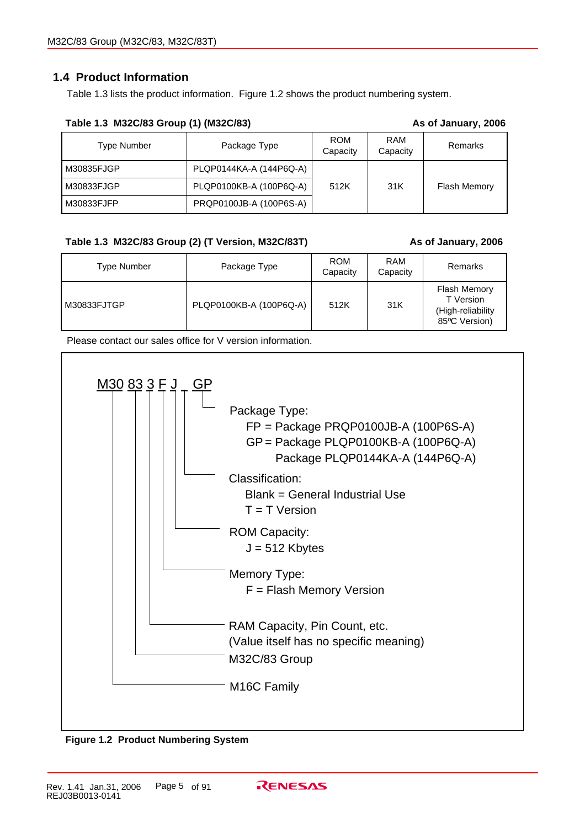# **1.4 Product Information**

Table 1.3 lists the product information. Figure 1.2 shows the product numbering system.

| $18000$ $1.5$ $1022000$ OTOUP (1) (19220100) |                         |                        |                 | AS VI JAHUAI YI LUUU |
|----------------------------------------------|-------------------------|------------------------|-----------------|----------------------|
| Type Number                                  | Package Type            | <b>ROM</b><br>Capacity | RAM<br>Capacity | <b>Remarks</b>       |
| l M30835FJGP                                 | PLQP0144KA-A (144P6Q-A) |                        |                 |                      |
| l M30833FJGP                                 | PLQP0100KB-A (100P6Q-A) | 512K                   | 31K             | <b>Flash Memory</b>  |
| l M30833FJFP_                                | PRQP0100JB-A (100P6S-A) |                        |                 |                      |

#### **Table 1.3 M32C/83 Group (1) (M32C/83) As of January, 2006**

### **Table 1.3 M32C/83 Group (2) (T Version, M32C/83T) As of January, 2006**

| <b>Type Number</b> | Package Type            | <b>ROM</b><br>Capacity | <b>RAM</b><br>Capacity | Remarks                                                                |
|--------------------|-------------------------|------------------------|------------------------|------------------------------------------------------------------------|
| M30833FJTGP        | PLQP0100KB-A (100P6Q-A) | 512K                   | 31K                    | <b>Flash Memory</b><br>T Version<br>(High-reliability<br>85°C Version) |

Please contact our sales office for V version information.



**Figure 1.2 Product Numbering System**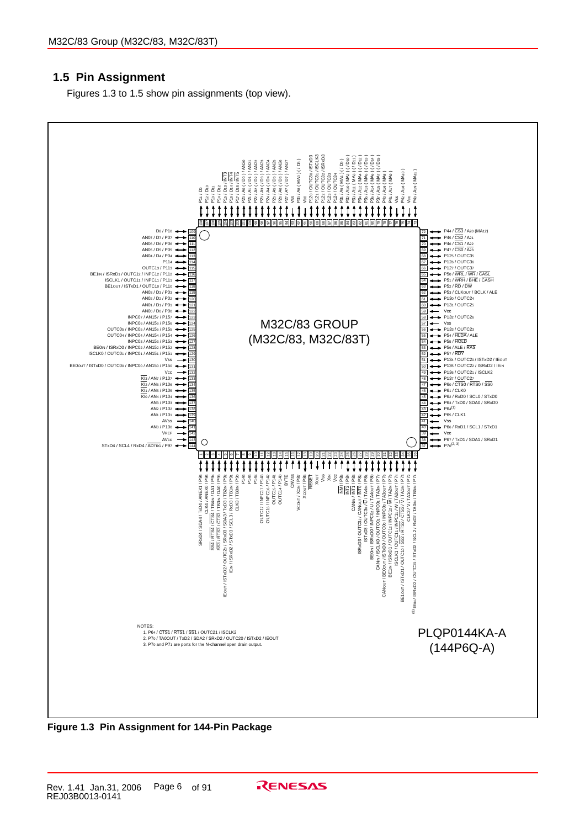# **1.5 Pin Assignment**

Figures 1.3 to 1.5 show pin assignments (top view).



**Figure 1.3 Pin Assignment for 144-Pin Package**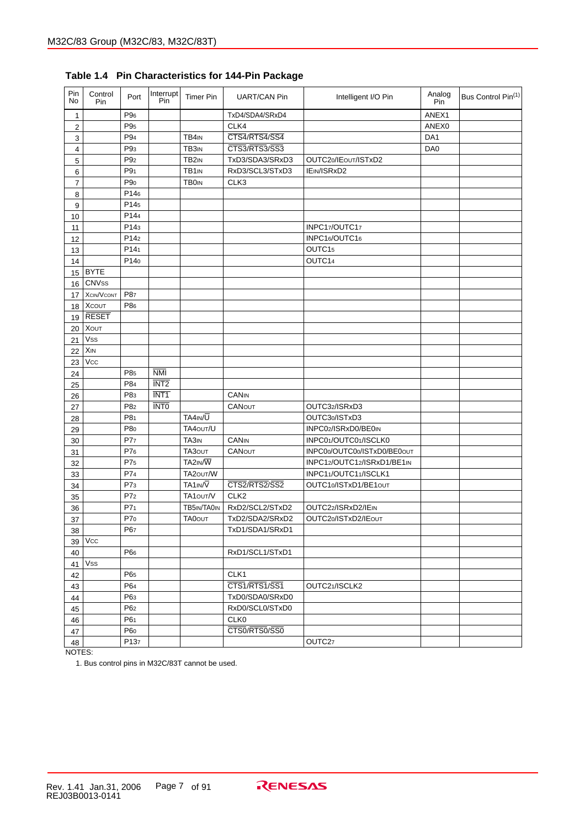| Pin<br>No               | Control<br>Pin    | Port             | Interrupt<br>Pin | <b>Timer Pin</b>   | <b>UART/CAN Pin</b> | Intelligent I/O Pin         | Analog<br>Pin | Bus Control Pin(1) |
|-------------------------|-------------------|------------------|------------------|--------------------|---------------------|-----------------------------|---------------|--------------------|
| 1                       |                   | P96              |                  |                    | TxD4/SDA4/SRxD4     |                             | ANEX1         |                    |
| $\overline{\mathbf{c}}$ |                   | P <sub>95</sub>  |                  |                    | CLK4                |                             | ANEX0         |                    |
| 3                       |                   | P94              |                  | TB4IN              | CTS4/RTS4/SS4       |                             | DA1           |                    |
| 4                       |                   | P9 <sub>3</sub>  |                  | TB3 <sub>IN</sub>  | CTS3/RTS3/SS3       |                             | DA0           |                    |
| 5                       |                   | P <sub>92</sub>  |                  | TB <sub>2</sub> IN | TxD3/SDA3/SRxD3     | OUTC20/IEOUT/ISTxD2         |               |                    |
| 6                       |                   | P9 <sub>1</sub>  |                  | TB1 <sub>IN</sub>  | RxD3/SCL3/STxD3     | IEIN/ISRxD2                 |               |                    |
| 7                       |                   | P <sub>90</sub>  |                  | <b>TB0IN</b>       | CLK3                |                             |               |                    |
| 8                       |                   | P146             |                  |                    |                     |                             |               |                    |
| 9                       |                   | P145             |                  |                    |                     |                             |               |                    |
| 10                      |                   | P144             |                  |                    |                     |                             |               |                    |
| 11                      |                   | P143             |                  |                    |                     | INPC17/OUTC17               |               |                    |
| 12                      |                   | P14 <sub>2</sub> |                  |                    |                     | INPC16/OUTC16               |               |                    |
| 13                      |                   | P141             |                  |                    |                     | OUTC15                      |               |                    |
| 14                      |                   | P140             |                  |                    |                     | OUTC14                      |               |                    |
| 15                      | <b>BYTE</b>       |                  |                  |                    |                     |                             |               |                    |
| 16                      | <b>CNVss</b>      |                  |                  |                    |                     |                             |               |                    |
| 17                      | <b>XCIN/VCONT</b> | P87              |                  |                    |                     |                             |               |                    |
| 18                      | <b>XCOUT</b>      | P86              |                  |                    |                     |                             |               |                    |
| 19                      | <b>RESET</b>      |                  |                  |                    |                     |                             |               |                    |
| 20                      | <b>XOUT</b>       |                  |                  |                    |                     |                             |               |                    |
| 21                      | <b>Vss</b>        |                  |                  |                    |                     |                             |               |                    |
| 22                      | XIN               |                  |                  |                    |                     |                             |               |                    |
| 23                      | Vcc               |                  |                  |                    |                     |                             |               |                    |
| 24                      |                   | P85              | $N$ MI           |                    |                     |                             |               |                    |
| 25                      |                   | P84              | INT <sub>2</sub> |                    |                     |                             |               |                    |
| 26                      |                   | P83              | INT <sub>1</sub> |                    | CANIN               |                             |               |                    |
| 27                      |                   | P8 <sub>2</sub>  | <b>INTO</b>      |                    | <b>CANOUT</b>       | OUTC32/ISRxD3               |               |                    |
| 28                      |                   | P81              |                  | TA4IN/U            |                     | OUTC30/ISTxD3               |               |                    |
| 29                      |                   | P80              |                  | TA40UT/U           |                     | INPC02/ISRxD0/BE0IN         |               |                    |
| 30                      |                   | P77              |                  | TA3 <sub>IN</sub>  | <b>CANIN</b>        | INPC01/OUTC01/ISCLK0        |               |                    |
| 31                      |                   | P76              |                  | TA30UT             | <b>CANOUT</b>       | INPC00/OUTC00/ISTxD0/BE0out |               |                    |
| 32                      |                   | P75              |                  | TA2IN/W            |                     | INPC12/OUTC12/ISRxD1/BE1IN  |               |                    |
| 33                      |                   | P74              |                  | TA20UT/W           |                     | INPC11/OUTC11/ISCLK1        |               |                    |
| 34                      |                   | P7 <sub>3</sub>  |                  | TA1IN/V            | CTS2/RTS2/SS2       | OUTC10/ISTxD1/BE1out        |               |                    |
| 35                      |                   | P7 <sub>2</sub>  |                  | TA1out/V           | CLK <sub>2</sub>    |                             |               |                    |
| 36                      |                   | P7 <sub>1</sub>  |                  | TB5IN/TA0IN        | RxD2/SCL2/STxD2     | OUTC22/ISRxD2/IEIN          |               |                    |
| 37                      |                   | P70              |                  | <b>TA0OUT</b>      | TxD2/SDA2/SRxD2     | OUTC20/ISTxD2/IEOUT         |               |                    |
| 38                      |                   | P67              |                  |                    | TxD1/SDA1/SRxD1     |                             |               |                    |
| 39                      | <b>Vcc</b>        |                  |                  |                    |                     |                             |               |                    |
| 40                      |                   | P6 <sub>6</sub>  |                  |                    | RxD1/SCL1/STxD1     |                             |               |                    |
| 41                      | <b>Vss</b>        |                  |                  |                    |                     |                             |               |                    |
| 42                      |                   | P65              |                  |                    | CLK1                |                             |               |                    |
| 43                      |                   | P64              |                  |                    | CTS1/RTS1/SS1       | OUTC21/ISCLK2               |               |                    |
| 44                      |                   | P63              |                  |                    | TxD0/SDA0/SRxD0     |                             |               |                    |
| 45                      |                   | P62              |                  |                    | RxD0/SCL0/STxD0     |                             |               |                    |
| 46                      |                   | P61              |                  |                    | CLK <sub>0</sub>    |                             |               |                    |
| 47                      |                   | P60              |                  |                    | CTS0/RTS0/SS0       |                             |               |                    |
| 48                      |                   | P137             |                  |                    |                     | OUTC <sub>27</sub>          |               |                    |

**Table 1.4 Pin Characteristics for 144-Pin Package**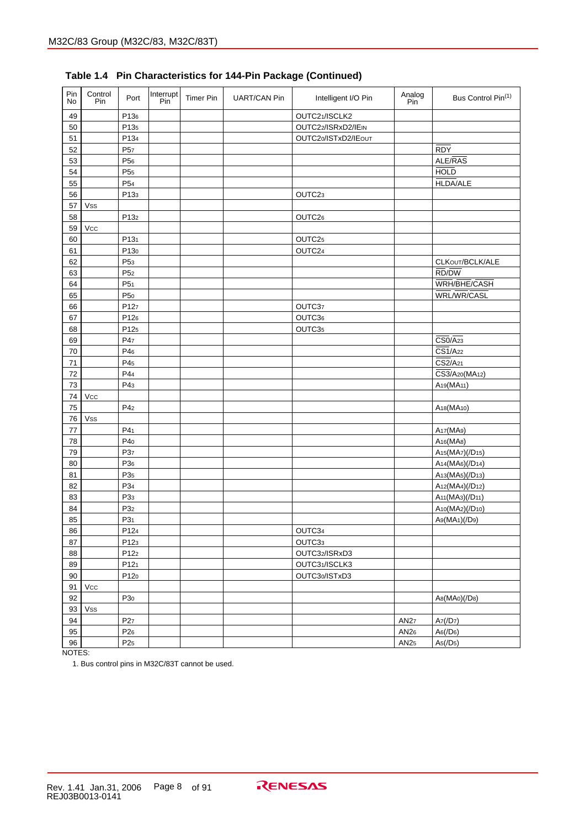| Pin<br>No | Control<br>Pin | Port            | Interrupt<br>Pin | <b>Timer Pin</b> | <b>UART/CAN Pin</b> | Intelligent I/O Pin | Analog<br>Pin | Bus Control Pin(1)                                    |
|-----------|----------------|-----------------|------------------|------------------|---------------------|---------------------|---------------|-------------------------------------------------------|
| 49        |                | P136            |                  |                  |                     | OUTC21/ISCLK2       |               |                                                       |
| 50        |                | P135            |                  |                  |                     | OUTC22/ISRxD2/IEIN  |               |                                                       |
| 51        |                | P134            |                  |                  |                     | OUTC20/ISTxD2/IEOUT |               |                                                       |
| 52        |                | P <sub>57</sub> |                  |                  |                     |                     |               | <b>RDY</b>                                            |
| 53        |                | P <sub>56</sub> |                  |                  |                     |                     |               | ALE/RAS                                               |
| 54        |                | P <sub>55</sub> |                  |                  |                     |                     |               | <b>HOLD</b>                                           |
| 55        |                | P <sub>54</sub> |                  |                  |                     |                     |               | <b>HLDA/ALE</b>                                       |
| 56        |                | P133            |                  |                  |                     | OUTC23              |               |                                                       |
| 57        | Vss            |                 |                  |                  |                     |                     |               |                                                       |
| 58        |                | P132            |                  |                  |                     | OUTC26              |               |                                                       |
| 59        | Vcc            |                 |                  |                  |                     |                     |               |                                                       |
| 60        |                | P131            |                  |                  |                     | OUTC25              |               |                                                       |
| 61        |                | P130            |                  |                  |                     | OUTC24              |               |                                                       |
| 62        |                | P <sub>53</sub> |                  |                  |                     |                     |               | CLKOUT/BCLK/ALE                                       |
| 63        |                | P <sub>52</sub> |                  |                  |                     |                     |               | RD/DW                                                 |
| 64        |                | P <sub>51</sub> |                  |                  |                     |                     |               | WRH/BHE/CASH                                          |
| 65        |                | P <sub>50</sub> |                  |                  |                     |                     |               | WRL/WR/CASL                                           |
| 66        |                | P127            |                  |                  |                     | OUTC37              |               |                                                       |
| 67        |                | P126            |                  |                  |                     | OUTC36              |               |                                                       |
| 68        |                | P125            |                  |                  |                     | OUTC35              |               |                                                       |
| 69        |                | P47             |                  |                  |                     |                     |               | $\overline{CS0/A_{23}}$                               |
| 70        |                | P46             |                  |                  |                     |                     |               | $\overline{CS1}/A22$                                  |
| 71        |                | P45             |                  |                  |                     |                     |               | $\overline{CS2}/A21$                                  |
| 72        |                | P4 <sub>4</sub> |                  |                  |                     |                     |               | CS3/A <sub>20</sub> (MA <sub>12</sub> )               |
| 73        |                | P4 <sub>3</sub> |                  |                  |                     |                     |               | A <sub>19</sub> (MA <sub>11</sub> )                   |
| 74        | Vcc            |                 |                  |                  |                     |                     |               |                                                       |
| 75        |                | P4 <sub>2</sub> |                  |                  |                     |                     |               | A <sub>18</sub> (MA <sub>10</sub> )                   |
| 76        | Vss            |                 |                  |                  |                     |                     |               |                                                       |
| 77        |                | P4 <sub>1</sub> |                  |                  |                     |                     |               | A <sub>17</sub> (MA9)                                 |
| 78        |                | P40             |                  |                  |                     |                     |               | A <sub>16</sub> (MA <sub>8</sub> )                    |
| 79        |                | P37             |                  |                  |                     |                     |               | A <sub>15</sub> (MA <sub>7</sub> )(/D <sub>15</sub> ) |
| 80        |                | P36             |                  |                  |                     |                     |               | A <sub>14</sub> (MA <sub>6</sub> )(/D <sub>14</sub> ) |
| 81        |                | P <sub>35</sub> |                  |                  |                     |                     |               | A <sub>13</sub> (MA <sub>5</sub> )(/D <sub>13</sub> ) |
| 82        |                | P34             |                  |                  |                     |                     |               | A12(MA4)(/D12)                                        |
| 83        |                | P33             |                  |                  |                     |                     |               | A <sub>11</sub> (MA <sub>3</sub> )(/D <sub>11</sub> ) |
| 84        |                | P32             |                  |                  |                     |                     |               | A10(MA2)(/D10)                                        |
| 85        |                | P31             |                  |                  |                     |                     |               | A9(MA1)(/D9)                                          |
| 86        |                | P124            |                  |                  |                     | OUTC34              |               |                                                       |
| 87        |                | P123            |                  |                  |                     | OUTC33              |               |                                                       |
| 88        |                | P122            |                  |                  |                     | OUTC32/ISRxD3       |               |                                                       |
| 89        |                | P121            |                  |                  |                     | OUTC31/ISCLK3       |               |                                                       |
| 90        |                | P120            |                  |                  |                     | OUTC30/ISTxD3       |               |                                                       |
| 91        | Vcc            |                 |                  |                  |                     |                     |               |                                                       |
| 92        |                | P <sub>30</sub> |                  |                  |                     |                     |               | A8(MA0)(/D8)                                          |
| 93        | Vss            |                 |                  |                  |                     |                     |               |                                                       |
| 94        |                | P <sub>27</sub> |                  |                  |                     |                     | AN27          | Az(/D7)                                               |
| 95        |                | P <sub>26</sub> |                  |                  |                     |                     | AN26          | A6(ID6)                                               |
| 96        |                | P <sub>25</sub> |                  |                  |                     |                     | AN25          | As(ID5)                                               |
|           |                |                 |                  |                  |                     |                     |               |                                                       |

**Table 1.4 Pin Characteristics for 144-Pin Package (Continued)**

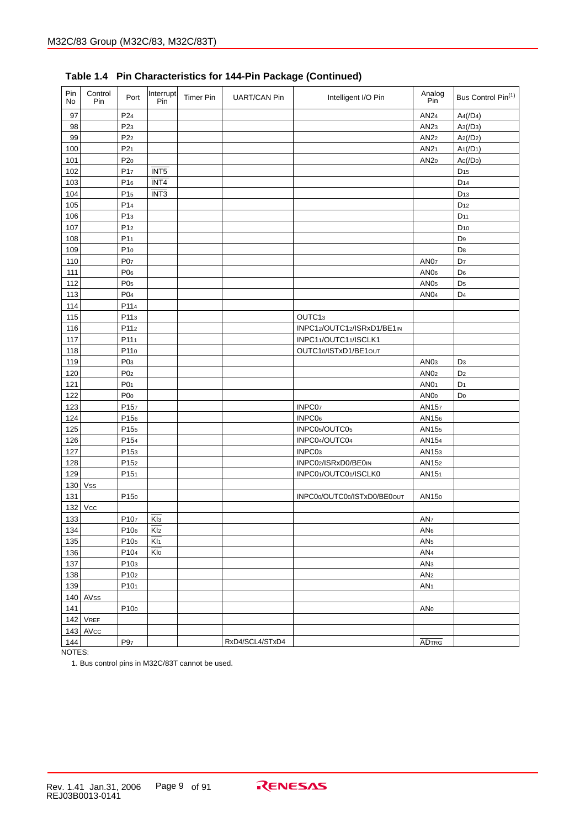| Pin<br>No | Control<br>Pin | Port             | Interrupt<br>Pin        | <b>Timer Pin</b> | <b>UART/CAN Pin</b> | Intelligent I/O Pin         | Analog<br>Pin    | Bus Control Pin <sup>(1)</sup> |
|-----------|----------------|------------------|-------------------------|------------------|---------------------|-----------------------------|------------------|--------------------------------|
| 97        |                | P <sub>24</sub>  |                         |                  |                     |                             | AN24             | A4/1D4                         |
| 98        |                | P <sub>23</sub>  |                         |                  |                     |                             | AN <sub>23</sub> | As(ID3)                        |
| 99        |                | P <sub>22</sub>  |                         |                  |                     |                             | AN22             | Az/(D <sub>2</sub> )           |
| 100       |                | P21              |                         |                  |                     |                             | AN21             | $A_1$ (/D <sub>1</sub> )       |
| 101       |                | P20              |                         |                  |                     |                             | AN <sub>20</sub> | Ao( / Do)                      |
| 102       |                | P <sub>17</sub>  | INT <sub>5</sub>        |                  |                     |                             |                  | $D_{15}$                       |
| 103       |                | P16              | INT4                    |                  |                     |                             |                  | D <sub>14</sub>                |
| 104       |                | P <sub>15</sub>  | INT <sub>3</sub>        |                  |                     |                             |                  | D <sub>13</sub>                |
| 105       |                | P14              |                         |                  |                     |                             |                  | D <sub>12</sub>                |
| 106       |                | P13              |                         |                  |                     |                             |                  | D <sub>11</sub>                |
| 107       |                | P12              |                         |                  |                     |                             |                  | $D_{10}$                       |
| 108       |                | P1 <sub>1</sub>  |                         |                  |                     |                             |                  | D <sub>9</sub>                 |
| 109       |                | P10              |                         |                  |                     |                             |                  | D <sub>8</sub>                 |
| 110       |                | P <sub>07</sub>  |                         |                  |                     |                             | <b>AN07</b>      | D <sub>7</sub>                 |
| 111       |                | P <sub>06</sub>  |                         |                  |                     |                             | AN06             | D <sub>6</sub>                 |
| 112       |                | P05              |                         |                  |                     |                             | AN <sub>05</sub> | D <sub>5</sub>                 |
| 113       |                | P <sub>04</sub>  |                         |                  |                     |                             | AN <sub>04</sub> | D <sub>4</sub>                 |
| 114       |                | P114             |                         |                  |                     |                             |                  |                                |
| 115       |                | P113             |                         |                  |                     | OUTC13                      |                  |                                |
| 116       |                | P11 <sub>2</sub> |                         |                  |                     | INPC12/OUTC12/ISRxD1/BE1IN  |                  |                                |
| 117       |                | P111             |                         |                  |                     | INPC11/OUTC11/ISCLK1        |                  |                                |
| 118       |                | P110             |                         |                  |                     | OUTC10/ISTxD1/BE1out        |                  |                                |
| 119       |                | P <sub>03</sub>  |                         |                  |                     |                             | AN <sub>03</sub> | D <sub>3</sub>                 |
| 120       |                | P02              |                         |                  |                     |                             | AN02             | D <sub>2</sub>                 |
| 121       |                | P <sub>01</sub>  |                         |                  |                     |                             | AN01             | D <sub>1</sub>                 |
| 122       |                | P00              |                         |                  |                     |                             | AN <sub>0</sub>  | D <sub>0</sub>                 |
| 123       |                | P157             |                         |                  |                     | INPC07                      | AN157            |                                |
| 124       |                | P156             |                         |                  |                     | INPC <sub>06</sub>          | AN156            |                                |
| 125       |                | P155             |                         |                  |                     | INPC05/OUTC05               | AN155            |                                |
| 126       |                | P154             |                         |                  |                     | INPC04/OUTC04               | AN154            |                                |
| 127       |                | P153             |                         |                  |                     | INPC03                      | AN153            |                                |
| 128       |                | P152             |                         |                  |                     | INPC02/ISRxD0/BE0IN         | AN152            |                                |
| 129       |                | P151             |                         |                  |                     | INPC01/OUTC01/ISCLK0        | AN151            |                                |
| 130       | <b>Vss</b>     |                  |                         |                  |                     |                             |                  |                                |
| 131       |                | P150             |                         |                  |                     | INPC00/OUTC00/ISTxD0/BE0out | AN150            |                                |
| 132       | Vcc            |                  |                         |                  |                     |                             |                  |                                |
| 133       |                | P107             | $\overline{Kls}$        |                  |                     |                             | AN <sub>7</sub>  |                                |
| 134       |                | P106             | Kl <sub>2</sub>         |                  |                     |                             | AN <sub>6</sub>  |                                |
| 135       |                | P105             | $\overline{K _1}$       |                  |                     |                             | AN <sub>5</sub>  |                                |
| 136       |                | P104             | $\overline{\text{Klo}}$ |                  |                     |                             | AN <sub>4</sub>  |                                |
| 137       |                | P103             |                         |                  |                     |                             | AN <sub>3</sub>  |                                |
| 138       |                | P102             |                         |                  |                     |                             | AN <sub>2</sub>  |                                |
| 139       |                | P101             |                         |                  |                     |                             | AN <sub>1</sub>  |                                |
|           | $140$ AVss     |                  |                         |                  |                     |                             |                  |                                |
| 141       |                | P100             |                         |                  |                     |                             | ANo              |                                |
|           | $142$ VREF     |                  |                         |                  |                     |                             |                  |                                |
|           | $143$ AVcc     |                  |                         |                  |                     |                             |                  |                                |
| 144       |                | P <sub>97</sub>  |                         |                  | RxD4/SCL4/STxD4     |                             | <b>ADTRG</b>     |                                |

**Table 1.4 Pin Characteristics for 144-Pin Package (Continued)**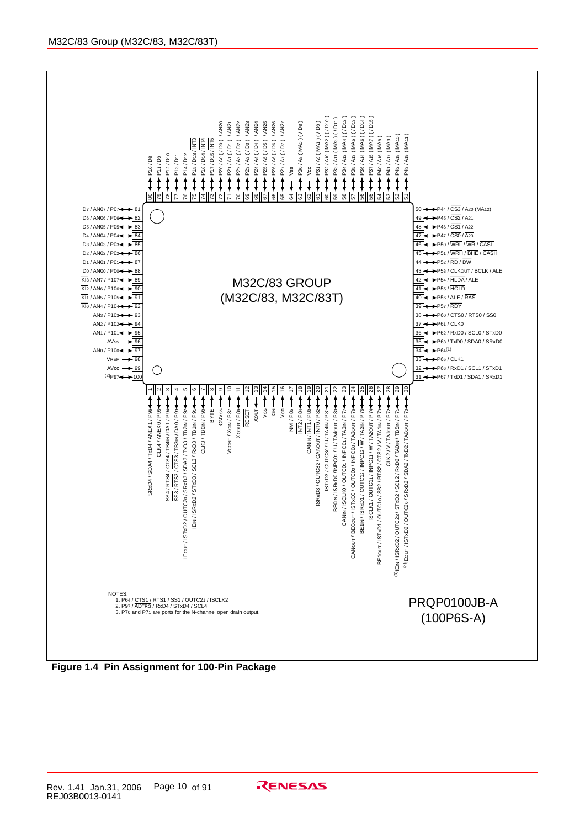

**Figure 1.4 Pin Assignment for 100-Pin Package**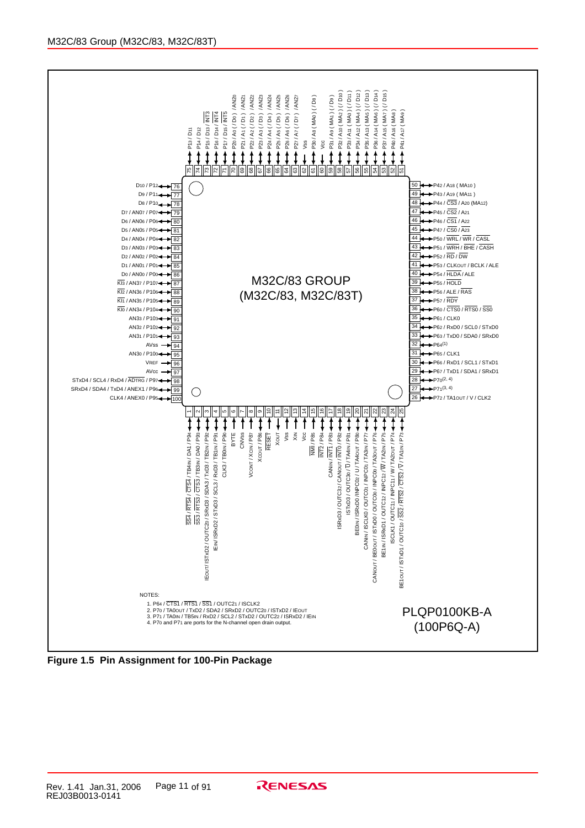

**Figure 1.5 Pin Assignment for 100-Pin Package**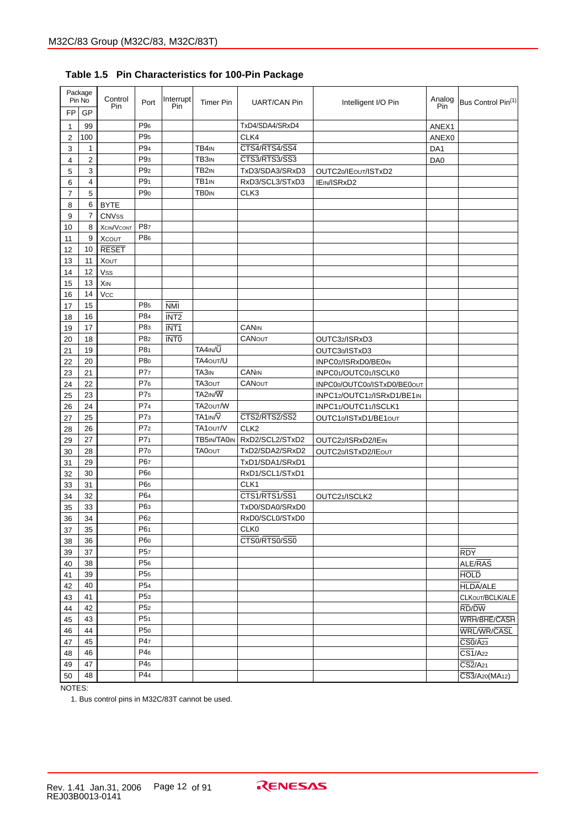|                | Package<br>Pin No | Control<br>Pin    | Port            | Interrupt<br>Pin        | <b>Timer Pin</b>  | UART/CAN Pin     | Intelligent I/O Pin         | Analog<br>Pin   | Bus Control Pin(1)                 |
|----------------|-------------------|-------------------|-----------------|-------------------------|-------------------|------------------|-----------------------------|-----------------|------------------------------------|
| <b>FP</b>      | GP                |                   |                 |                         |                   |                  |                             |                 |                                    |
| $\mathbf 1$    | 99                |                   | P <sub>96</sub> |                         |                   | TxD4/SDA4/SRxD4  |                             | ANEX1           |                                    |
| $\overline{2}$ | 100               |                   | P <sub>95</sub> |                         |                   | CLK4             |                             | ANEX0           |                                    |
| 3              | 1                 |                   | P94             |                         | TB4IN             | CTS4/RTS4/SS4    |                             | DA1             |                                    |
| 4              | 2                 |                   | P <sub>93</sub> |                         | TB3 <sub>IN</sub> | CTS3/RTS3/SS3    |                             | DA <sub>0</sub> |                                    |
| 5              | 3                 |                   | P <sub>92</sub> |                         | TB <sub>2IN</sub> | TxD3/SDA3/SRxD3  | OUTC20/IEOUT/ISTxD2         |                 |                                    |
| 6              | 4                 |                   | P9 <sub>1</sub> |                         | TB1 <sub>IN</sub> | RxD3/SCL3/STxD3  | IEIN/ISRxD2                 |                 |                                    |
| $\overline{7}$ | 5                 |                   | P <sub>90</sub> |                         | <b>TBOIN</b>      | CLK3             |                             |                 |                                    |
| 8              | 6                 | <b>BYTE</b>       |                 |                         |                   |                  |                             |                 |                                    |
| 9              | 7                 | <b>CNVss</b>      |                 |                         |                   |                  |                             |                 |                                    |
| 10             | 8                 | <b>XCIN/VCONT</b> | P87             |                         |                   |                  |                             |                 |                                    |
| 11             | 9                 | <b>XCOUT</b>      | P86             |                         |                   |                  |                             |                 |                                    |
| 12             | 10                | <b>RESET</b>      |                 |                         |                   |                  |                             |                 |                                    |
| 13             | 11                | <b>XOUT</b>       |                 |                         |                   |                  |                             |                 |                                    |
| 14             | 12                | <b>Vss</b>        |                 |                         |                   |                  |                             |                 |                                    |
| 15             | 13                | <b>XIN</b>        |                 |                         |                   |                  |                             |                 |                                    |
| 16             | 14                | Vcc               |                 |                         |                   |                  |                             |                 |                                    |
| 17             | 15                |                   | P85             | $\overline{\text{NMI}}$ |                   |                  |                             |                 |                                    |
| 18             | 16                |                   | P84             | INT <sub>2</sub>        |                   |                  |                             |                 |                                    |
| 19             | 17                |                   | P83             | INT <sub>1</sub>        |                   | <b>CANIN</b>     |                             |                 |                                    |
| 20             | 18                |                   | P8 <sub>2</sub> | <b>INTO</b>             |                   | <b>CANOUT</b>    | OUTC32/ISRxD3               |                 |                                    |
| 21             | 19                |                   | P81             |                         | TA4IN/U           |                  | OUTC30/ISTxD3               |                 |                                    |
| 22             | 20                |                   | P80             |                         | TA40UT/U          |                  | INPC02/ISRxD0/BE0IN         |                 |                                    |
| 23             | 21                |                   | P77             |                         | TA3 <sub>IN</sub> | CANIN            | INPC01/OUTC01/ISCLK0        |                 |                                    |
| 24             | 22                |                   | P76             |                         | TA30UT            | <b>CANOUT</b>    | INPC00/OUTC00/ISTxD0/BE0out |                 |                                    |
| 25             | 23                |                   | P75             |                         | TA2IN/W           |                  | INPC12/OUTC12/ISRxD1/BE1IN  |                 |                                    |
| 26             | 24                |                   | P74             |                         | TA20UT/W          |                  | INPC11/OUTC11/ISCLK1        |                 |                                    |
| 27             | 25                |                   | P7 <sub>3</sub> |                         | TA1IN/V           | CTS2/RTS2/SS2    | OUTC10/ISTxD1/BE1out        |                 |                                    |
| 28             | 26                |                   | P7 <sub>2</sub> |                         | TA1out/V          | CLK <sub>2</sub> |                             |                 |                                    |
| 29             | 27                |                   | P7 <sub>1</sub> |                         | TB5IN/TA0IN       | RxD2/SCL2/STxD2  | OUTC22/ISRxD2/IEIN          |                 |                                    |
| 30             | 28                |                   | P70             |                         | <b>TA0OUT</b>     | TxD2/SDA2/SRxD2  | OUTC20/ISTxD2/IEOUT         |                 |                                    |
| 31             | 29                |                   | P67             |                         |                   | TxD1/SDA1/SRxD1  |                             |                 |                                    |
| 32             | 30                |                   | P66             |                         |                   | RxD1/SCL1/STxD1  |                             |                 |                                    |
| 33             | 31                |                   | P65             |                         |                   | CLK1             |                             |                 |                                    |
| 34             | 32                |                   | P64             |                         |                   | CTS1/RTS1/SS1    | OUTC21/ISCLK2               |                 |                                    |
| 35             | 33                |                   | P63             |                         |                   | TxD0/SDA0/SRxD0  |                             |                 |                                    |
| 36             | 34                |                   | P <sub>62</sub> |                         |                   | RxD0/SCL0/STxD0  |                             |                 |                                    |
| 37             | 35                |                   | P6 <sub>1</sub> |                         |                   | CLK0             |                             |                 |                                    |
| 38             | 36                |                   | P60             |                         |                   | CTS0/RTS0/SS0    |                             |                 |                                    |
| 39             | 37                |                   | P <sub>57</sub> |                         |                   |                  |                             |                 | <b>RDY</b>                         |
| 40             | 38                |                   | P <sub>56</sub> |                         |                   |                  |                             |                 | ALE/RAS                            |
| 41             | 39                |                   | P <sub>55</sub> |                         |                   |                  |                             |                 | <b>HOLD</b>                        |
| 42             | 40                |                   | P <sub>54</sub> |                         |                   |                  |                             |                 | <b>HLDA/ALE</b>                    |
| 43             | 41                |                   | P <sub>53</sub> |                         |                   |                  |                             |                 | CLKOUT/BCLK/ALE                    |
| 44             | 42                |                   | P <sub>52</sub> |                         |                   |                  |                             |                 | RD/DW                              |
| 45             | 43                |                   | P <sub>51</sub> |                         |                   |                  |                             |                 | WRH/BHE/CASH                       |
| 46             | 44                |                   | P <sub>50</sub> |                         |                   |                  |                             |                 | <b>WRL/WR/CASL</b>                 |
| 47             | 45                |                   | P47             |                         |                   |                  |                             |                 | $\overline{CS0}/\overline{A_{23}}$ |
| 48             | 46                |                   | P46             |                         |                   |                  |                             |                 | $\overline{CS1}/A22$               |
| 49             | 47                |                   | P45             |                         |                   |                  |                             |                 | $\overline{CS2}/A21$               |
| 50             | 48                |                   | P44             |                         |                   |                  |                             |                 | CS3/A20(MA12)                      |

**Table 1.5 Pin Characteristics for 100-Pin Package**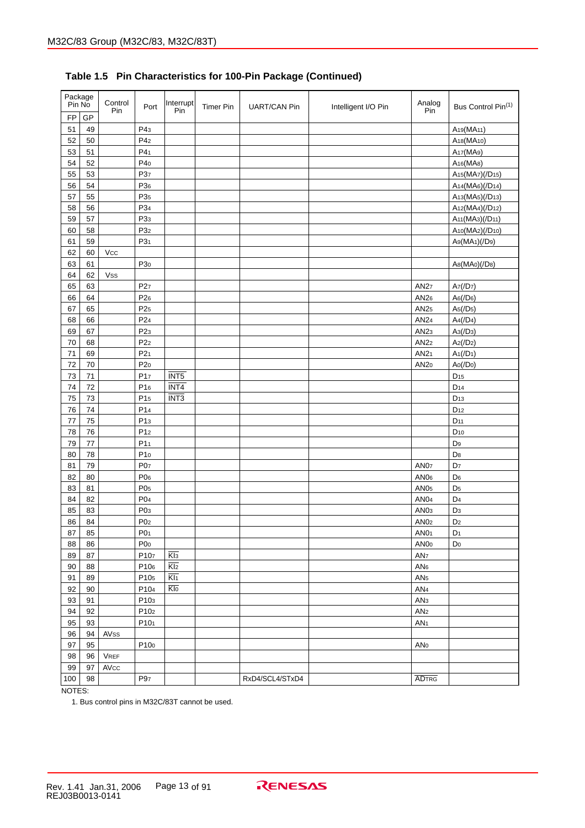| Package<br>Pin No |        | Control<br>Pin | Port            | Interrupt<br>Pin | <b>Timer Pin</b> | <b>UART/CAN Pin</b> | Intelligent I/O Pin | Analog<br>Pin    | Bus Control Pin(1)                                    |
|-------------------|--------|----------------|-----------------|------------------|------------------|---------------------|---------------------|------------------|-------------------------------------------------------|
| <b>FP</b>         | GP     |                |                 |                  |                  |                     |                     |                  |                                                       |
| 51                | 49     |                | P43             |                  |                  |                     |                     |                  | A <sub>19</sub> (MA <sub>11</sub> )                   |
| 52                | 50     |                | P4 <sub>2</sub> |                  |                  |                     |                     |                  | A <sub>18</sub> (MA <sub>10</sub> )                   |
| 53                | 51     |                | P4 <sub>1</sub> |                  |                  |                     |                     |                  | A <sub>17</sub> (MA <sub>9</sub> )                    |
| 54                | 52     |                | P40             |                  |                  |                     |                     |                  | A <sub>16</sub> (MA <sub>8</sub> )                    |
| 55                | 53     |                | P37             |                  |                  |                     |                     |                  | A <sub>15</sub> (MA <sub>7</sub> )(/D <sub>15</sub> ) |
| 56                | 54     |                | P36             |                  |                  |                     |                     |                  | A <sub>14</sub> (MA <sub>6</sub> )(/D <sub>14</sub> ) |
| 57                | 55     |                | P <sub>35</sub> |                  |                  |                     |                     |                  | A13(MA5)(/D13)                                        |
| 58                | 56     |                | P34             |                  |                  |                     |                     |                  | A12(MA4)(/D12)                                        |
| 59                | 57     |                | P <sub>33</sub> |                  |                  |                     |                     |                  | A <sub>11</sub> (MA <sub>3</sub> )(/D <sub>11</sub> ) |
| 60                | 58     |                | P32             |                  |                  |                     |                     |                  | A10(MA2)(/D10)                                        |
| 61                | 59     |                | P31             |                  |                  |                     |                     |                  | A9(MA1)(/D9)                                          |
| 62                | 60     | Vcc            |                 |                  |                  |                     |                     |                  |                                                       |
| 63                | 61     |                | P <sub>30</sub> |                  |                  |                     |                     |                  | A8(MA0)(/D8)                                          |
| 64                | 62     | Vss            |                 |                  |                  |                     |                     |                  |                                                       |
| 65                | 63     |                | P <sub>27</sub> |                  |                  |                     |                     | AN27             | Az(/D7)                                               |
| 66                | 64     |                | P <sub>26</sub> |                  |                  |                     |                     | AN26             | A6(ID6)                                               |
| 67                | 65     |                | P <sub>25</sub> |                  |                  |                     |                     | AN25             | As(ID5)                                               |
| 68                | 66     |                | P <sub>24</sub> |                  |                  |                     |                     | AN24             | $A4$ (/D <sub>4</sub> )                               |
| 69                | 67     |                | P <sub>23</sub> |                  |                  |                     |                     | AN <sub>23</sub> | $A_3$ (/D <sub>3</sub> )                              |
| 70                | 68     |                | P <sub>22</sub> |                  |                  |                     |                     | AN22             | Az(/D <sub>2</sub> )                                  |
| 71                | 69     |                | P <sub>21</sub> |                  |                  |                     |                     | AN21             | $A_1$ (/D <sub>1</sub> )                              |
| 72                | 70     |                | P20             |                  |                  |                     |                     | AN <sub>20</sub> | Ao( / Do)                                             |
| 73                | 71     |                | P17             | INT <sub>5</sub> |                  |                     |                     |                  | D <sub>15</sub>                                       |
| 74                | 72     |                | P16             | INT4             |                  |                     |                     |                  | D <sub>14</sub>                                       |
| 75                | 73     |                | P <sub>15</sub> | INT <sub>3</sub> |                  |                     |                     |                  | D <sub>13</sub>                                       |
| 76                | 74     |                | P <sub>14</sub> |                  |                  |                     |                     |                  | D <sub>12</sub>                                       |
| 77                | 75     |                | P <sub>13</sub> |                  |                  |                     |                     |                  | D <sub>11</sub>                                       |
| 78                | 76     |                | P <sub>12</sub> |                  |                  |                     |                     |                  | D <sub>10</sub>                                       |
| 79                | 77     |                | P <sub>11</sub> |                  |                  |                     |                     |                  | D <sub>9</sub>                                        |
| 80                | 78     |                | P10             |                  |                  |                     |                     |                  | D <sub>8</sub>                                        |
| 81                | 79     |                | P07             |                  |                  |                     |                     | AN <sub>07</sub> | D <sub>7</sub>                                        |
| 82                | 80     |                | P06             |                  |                  |                     |                     | AN <sub>06</sub> | D <sub>6</sub>                                        |
| 83                | 81     |                | P05             |                  |                  |                     |                     | AN <sub>05</sub> | D <sub>5</sub>                                        |
| 84                | 82     |                | P <sub>04</sub> |                  |                  |                     |                     | AN <sub>04</sub> | D <sub>4</sub>                                        |
| 85                | 83     |                | P <sub>03</sub> |                  |                  |                     |                     | AN <sub>03</sub> | D <sub>3</sub>                                        |
| 86                | 84     |                | P <sub>02</sub> |                  |                  |                     |                     | AN <sub>02</sub> | D <sub>2</sub>                                        |
| 87                | 85     |                | P01             |                  |                  |                     |                     | AN <sub>01</sub> | D <sub>1</sub>                                        |
| 88                | 86     |                | P <sub>0</sub>  |                  |                  |                     |                     | AN <sub>00</sub> | Do                                                    |
| 89                | $87\,$ |                | P107            | $\overline{Kl3}$ |                  |                     |                     | AN <sub>7</sub>  |                                                       |
| 90                | 88     |                | P106            | $\overline{Kl2}$ |                  |                     |                     | AN6              |                                                       |
| 91                | 89     |                | P105            | $\overline{K11}$ |                  |                     |                     | AN <sub>5</sub>  |                                                       |
| 92                | 90     |                | P104            | Klo              |                  |                     |                     | AN <sub>4</sub>  |                                                       |
| 93                | 91     |                | P103            |                  |                  |                     |                     | AN <sub>3</sub>  |                                                       |
| 94                | 92     |                | P102            |                  |                  |                     |                     | AN <sub>2</sub>  |                                                       |
| 95                | 93     |                | P101            |                  |                  |                     |                     | AN <sub>1</sub>  |                                                       |
| 96                | 94     | AVss           |                 |                  |                  |                     |                     |                  |                                                       |
| 97                | 95     |                | P100            |                  |                  |                     |                     | ANo              |                                                       |
| 98                | 96     | <b>VREF</b>    |                 |                  |                  |                     |                     |                  |                                                       |
| 99                | 97     | AVcc           |                 |                  |                  |                     |                     |                  |                                                       |
| 100               | 98     |                | P97             |                  |                  | RxD4/SCL4/STxD4     |                     | <b>ADTRG</b>     |                                                       |
|                   |        |                |                 |                  |                  |                     |                     |                  |                                                       |

# **Table 1.5 Pin Characteristics for 100-Pin Package (Continued)**

NOTES: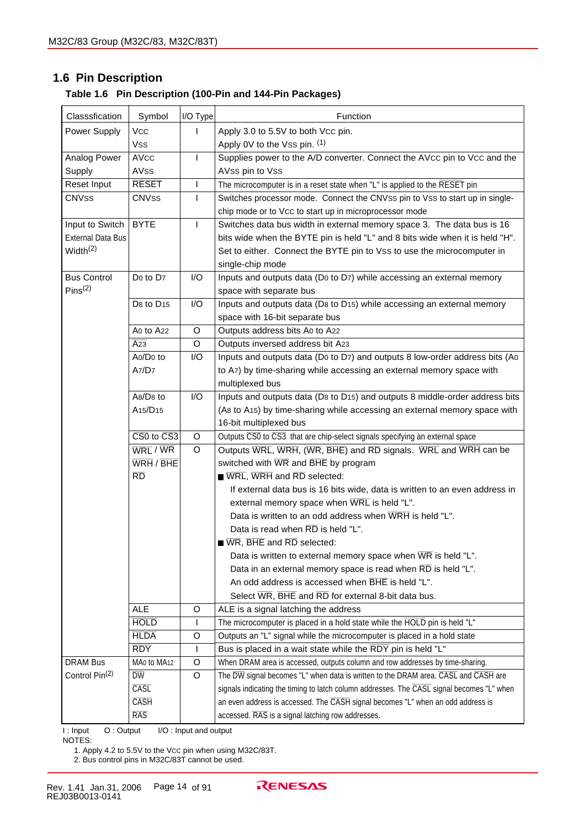# **1.6 Pin Description**

| Classsfication             | Symbol                                               | I/O Type              | Function                                                                                  |
|----------------------------|------------------------------------------------------|-----------------------|-------------------------------------------------------------------------------------------|
| Power Supply               | <b>VCC</b>                                           | I                     | Apply 3.0 to 5.5V to both Vcc pin.                                                        |
|                            | <b>Vss</b>                                           |                       | Apply 0V to the Vss pin. (1)                                                              |
| Analog Power               | AVcc                                                 | $\mathsf{I}$          | Supplies power to the A/D converter. Connect the AVcc pin to Vcc and the                  |
| Supply                     | AVSS                                                 |                       | AVss pin to Vss                                                                           |
| Reset Input                | <b>RESET</b>                                         | I                     | The microcomputer is in a reset state when "L" is applied to the RESET pin                |
| <b>CNVSS</b>               | <b>CNVSS</b>                                         | $\mathsf{l}$          | Switches processor mode. Connect the CNVss pin to Vss to start up in single-              |
|                            |                                                      |                       | chip mode or to Vcc to start up in microprocessor mode                                    |
| Input to Switch            | <b>BYTE</b>                                          | I                     | Switches data bus width in external memory space 3. The data bus is 16                    |
| <b>External Data Bus</b>   |                                                      |                       | bits wide when the BYTE pin is held "L" and 8 bits wide when it is held "H".              |
| Width <sup>(2)</sup>       |                                                      |                       | Set to either. Connect the BYTE pin to Vss to use the microcomputer in                    |
|                            |                                                      |                       | single-chip mode                                                                          |
| <b>Bus Control</b>         | Do to D7                                             | I/O                   | Inputs and outputs data (Do to D7) while accessing an external memory                     |
| Pins <sup>(2)</sup>        |                                                      |                       | space with separate bus                                                                   |
|                            | D <sub>8</sub> to D <sub>15</sub>                    | I/O                   | Inputs and outputs data (D8 to D15) while accessing an external memory                    |
|                            |                                                      |                       | space with 16-bit separate bus                                                            |
|                            | Ao to A22                                            | O                     | Outputs address bits Ao to A22                                                            |
|                            | $\overline{A23}$                                     | O                     | Outputs inversed address bit A23                                                          |
|                            | Ao/Do to                                             | I/O                   | Inputs and outputs data (Do to D7) and outputs 8 low-order address bits (Ao               |
|                            | A7/D7                                                |                       | to A7) by time-sharing while accessing an external memory space with                      |
|                            |                                                      |                       | multiplexed bus                                                                           |
|                            | A8/D8 to                                             | I/O                   | Inputs and outputs data (D8 to D15) and outputs 8 middle-order address bits               |
|                            | A <sub>15</sub> /D <sub>15</sub>                     |                       | (As to A15) by time-sharing while accessing an external memory space with                 |
|                            |                                                      |                       | 16-bit multiplexed bus                                                                    |
|                            | CS0 to CS3                                           | O                     | Outputs CS0 to CS3 that are chip-select signals specifying an external space              |
|                            | $\overline{\mathsf{WRL}}$ / $\overline{\mathsf{WR}}$ | O                     | Outputs WRL, WRH, (WR, BHE) and RD signals. WRL and WRH can be                            |
|                            | WRH / BHE                                            |                       | switched with WR and BHE by program                                                       |
|                            | $\overline{RD}$                                      |                       | WRL, WRH and RD selected:                                                                 |
|                            |                                                      |                       | If external data bus is 16 bits wide, data is written to an even address in               |
|                            |                                                      |                       | external memory space when WRL is held "L".                                               |
|                            |                                                      |                       | Data is written to an odd address when WRH is held "L".                                   |
|                            |                                                      |                       | Data is read when RD is held "L".                                                         |
|                            |                                                      |                       | $\blacksquare$ WR, BHE and RD selected:                                                   |
|                            |                                                      |                       | Data is written to external memory space when WR is held "L".                             |
|                            |                                                      |                       | Data in an external memory space is read when RD is held "L".                             |
|                            |                                                      |                       | An odd address is accessed when BHE is held "L".                                          |
|                            |                                                      |                       | Select WR, BHE and RD for external 8-bit data bus.                                        |
|                            | <b>ALE</b>                                           | O                     | ALE is a signal latching the address                                                      |
|                            | <b>HOLD</b>                                          | ı                     | The microcomputer is placed in a hold state while the HOLD pin is held "L"                |
|                            | <b>HLDA</b>                                          | O                     | Outputs an "L" signal while the microcomputer is placed in a hold state                   |
|                            | <b>RDY</b>                                           |                       | Bus is placed in a wait state while the RDY pin is held "L"                               |
| <b>DRAM Bus</b>            | MA0 to MA12                                          | O                     | When DRAM area is accessed, outputs column and row addresses by time-sharing.             |
| Control Pin <sup>(2)</sup> | $\overline{\text{DW}}$                               | O                     | The DW signal becomes "L" when data is written to the DRAM area. CASL and CASH are        |
|                            | CASL                                                 |                       | signals indicating the timing to latch column addresses. The CASL signal becomes "L" when |
|                            | CASH                                                 |                       | an even address is accessed. The CASH signal becomes "L" when an odd address is           |
|                            | RAS                                                  |                       | accessed. RAS is a signal latching row addresses.                                         |
| O: Output<br>I: Input      |                                                      | I/O: Input and output |                                                                                           |

NOTES:

1. Apply 4.2 to 5.5V to the VCC pin when using M32C/83T.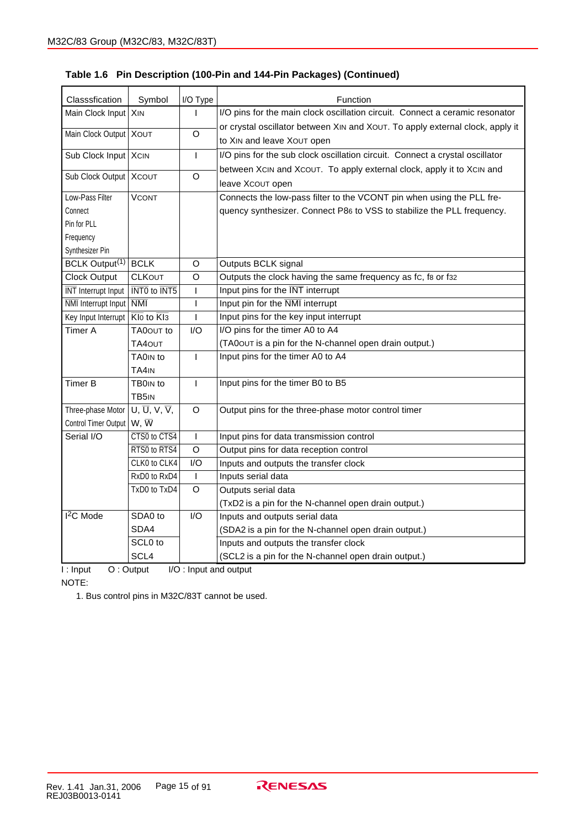| Classsfication             | Symbol                                               | I/O Type       | Function                                                                                  |
|----------------------------|------------------------------------------------------|----------------|-------------------------------------------------------------------------------------------|
| Main Clock Input   XIN     |                                                      | ı              | I/O pins for the main clock oscillation circuit. Connect a ceramic resonator              |
|                            |                                                      |                | or crystal oscillator between XIN and XOUT. To apply external clock, apply it             |
| Main Clock Output   XOUT   |                                                      | $\circ$        | to XIN and leave XOUT open                                                                |
| Sub Clock Input XCIN       |                                                      | $\overline{1}$ | I/O pins for the sub clock oscillation circuit. Connect a crystal oscillator              |
| Sub Clock Output   XCOUT   |                                                      | O              | between XCIN and XCOUT. To apply external clock, apply it to XCIN and<br>leave XCOUT open |
| Low-Pass Filter            | <b>VCONT</b>                                         |                | Connects the low-pass filter to the VCONT pin when using the PLL fre-                     |
| Connect                    |                                                      |                | quency synthesizer. Connect P86 to VSS to stabilize the PLL frequency.                    |
| Pin for PLL                |                                                      |                |                                                                                           |
| Frequency                  |                                                      |                |                                                                                           |
| Synthesizer Pin            |                                                      |                |                                                                                           |
| BCLK Output <sup>(1)</sup> | <b>BCLK</b>                                          | O              | Outputs BCLK signal                                                                       |
| <b>Clock Output</b>        | <b>CLKOUT</b>                                        | O              | Outputs the clock having the same frequency as fc, fs or f32                              |
| <b>INT</b> Interrupt Input | $\overline{\text{INT0}}$ to $\overline{\text{INT5}}$ | $\overline{1}$ | Input pins for the INT interrupt                                                          |
| <b>NMI</b> Interrupt Input | $\overline{\text{NMI}}$                              | $\mathsf{I}$   | Input pin for the NMI interrupt                                                           |
| Key Input Interrupt        | $\overline{Kl0}$ to $\overline{Kl3}$                 | $\mathbf{I}$   | Input pins for the key input interrupt                                                    |
| Timer A                    | TA0OUT to                                            | I/O            | I/O pins for the timer A0 to A4                                                           |
|                            | <b>TA4OUT</b>                                        |                | (TA00UT is a pin for the N-channel open drain output.)                                    |
|                            | TA0 <sub>IN</sub> to                                 | $\overline{1}$ | Input pins for the timer A0 to A4                                                         |
|                            | TA4IN                                                |                |                                                                                           |
| Timer B                    | TB0 <sub>IN</sub> to                                 | $\overline{1}$ | Input pins for the timer B0 to B5                                                         |
|                            | TB5IN                                                |                |                                                                                           |
| Three-phase Motor          | U, $\overline{U}$ , V, $\overline{V}$ ,              | $\circ$        | Output pins for the three-phase motor control timer                                       |
| Control Timer Output       | $W, \overline{W}$                                    |                |                                                                                           |
| Serial I/O                 | CTS0 to CTS4                                         | $\mathbf{I}$   | Input pins for data transmission control                                                  |
|                            | RTS0 to RTS4                                         | $\circ$        | Output pins for data reception control                                                    |
|                            | CLK0 to CLK4                                         | I/O            | Inputs and outputs the transfer clock                                                     |
|                            | RxD0 to RxD4                                         | $\mathbf{I}$   | Inputs serial data                                                                        |
|                            | TxD0 to TxD4                                         | $\Omega$       | Outputs serial data                                                                       |
|                            |                                                      |                | (TxD2 is a pin for the N-channel open drain output.)                                      |
| $I2C$ Mode                 | SDA0 to                                              | I/O            | Inputs and outputs serial data                                                            |
|                            | SDA4                                                 |                | (SDA2 is a pin for the N-channel open drain output.)                                      |
|                            | SCL0 to                                              |                | Inputs and outputs the transfer clock                                                     |
|                            | SCL4                                                 |                | (SCL2 is a pin for the N-channel open drain output.)                                      |
|                            |                                                      | $\sim$         |                                                                                           |

# **Table 1.6 Pin Description (100-Pin and 144-Pin Packages) (Continued)**

I : Input O : Output I/O : Input and output

NOTE: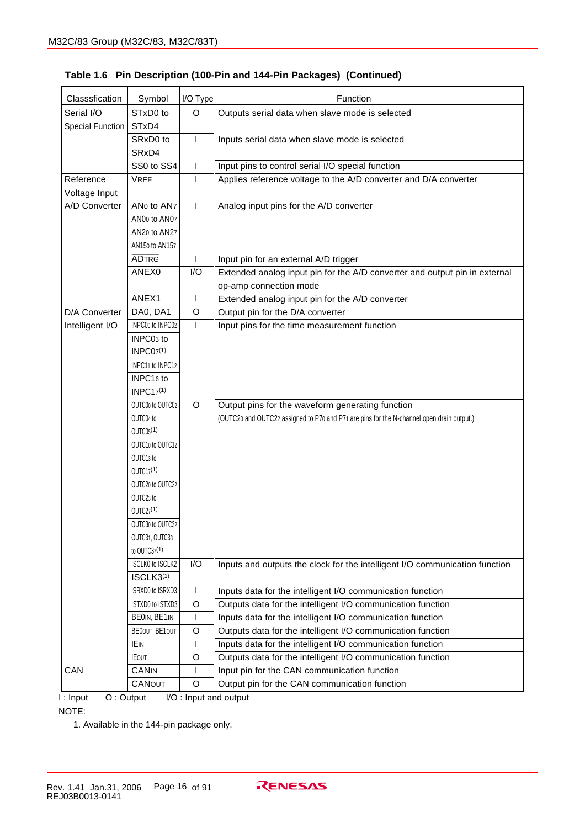| Classsfication   | Symbol                                    | $I/O$ Type     | Function                                                                                  |
|------------------|-------------------------------------------|----------------|-------------------------------------------------------------------------------------------|
| Serial I/O       | STxD0 to                                  | $\circ$        | Outputs serial data when slave mode is selected                                           |
| Special Function | STxD4                                     |                |                                                                                           |
|                  | SRxD0 to                                  | $\mathbf{I}$   | Inputs serial data when slave mode is selected                                            |
|                  | SRxD4                                     |                |                                                                                           |
|                  | $\overline{SS0}$ to $\overline{SS4}$      | $\mathbf{I}$   | Input pins to control serial I/O special function                                         |
| Reference        | <b>VREF</b>                               | $\overline{1}$ | Applies reference voltage to the A/D converter and D/A converter                          |
| Voltage Input    |                                           |                |                                                                                           |
| A/D Converter    | ANo to AN7                                | $\mathbf{I}$   | Analog input pins for the A/D converter                                                   |
|                  | ANO <sub>0</sub> to ANO <sub>7</sub>      |                |                                                                                           |
|                  | AN20 to AN27                              |                |                                                                                           |
|                  | AN150 to AN157                            |                |                                                                                           |
|                  | <b>ADTRG</b>                              | $\mathsf{I}$   | Input pin for an external A/D trigger                                                     |
|                  | ANEX0                                     | I/O            | Extended analog input pin for the A/D converter and output pin in external                |
|                  |                                           |                | op-amp connection mode                                                                    |
|                  | ANEX1                                     | $\mathbf{I}$   | Extended analog input pin for the A/D converter                                           |
| D/A Converter    | DA0, DA1                                  | $\circ$        | Output pin for the D/A converter                                                          |
| Intelligent I/O  | INPC00 to INPC02                          | $\mathbf{I}$   | Input pins for the time measurement function                                              |
|                  | INPC03 to                                 |                |                                                                                           |
|                  | <b>INPC07(1)</b>                          |                |                                                                                           |
|                  | INPC11 to INPC12                          |                |                                                                                           |
|                  | INPC16 to                                 |                |                                                                                           |
|                  | INPC17 <sup>(1)</sup>                     |                |                                                                                           |
|                  | OUTC00 to OUTC02                          | $\circ$        | Output pins for the waveform generating function                                          |
|                  | OUTC04 to                                 |                | (OUTC20 and OUTC22 assigned to P70 and P71 are pins for the N-channel open drain output.) |
|                  | OUTC05 <sup>(1)</sup>                     |                |                                                                                           |
|                  | OUTC10 to OUTC12                          |                |                                                                                           |
|                  | OUTC13 to                                 |                |                                                                                           |
|                  | $OUTC17^{(1)}$                            |                |                                                                                           |
|                  | OUTC20 to OUTC22                          |                |                                                                                           |
|                  | OUTC23 to                                 |                |                                                                                           |
|                  | OUTC27 <sup>(1)</sup>                     |                |                                                                                           |
|                  | OUTC30 to OUTC32                          |                |                                                                                           |
|                  | OUTC31, OUTC33                            |                |                                                                                           |
|                  | to OUTC37(1)                              |                |                                                                                           |
|                  | ISCLK0 to ISCLK2<br>ISCLK3 <sup>(1)</sup> | I/O            | Inputs and outputs the clock for the intelligent I/O communication function               |
|                  | ISRXD0 to ISRXD3                          | $\mathsf{I}$   | Inputs data for the intelligent I/O communication function                                |
|                  | ISTXD0 to ISTXD3                          | $\circ$        | Outputs data for the intelligent I/O communication function                               |
|                  | BEOIN, BE1IN                              |                | Inputs data for the intelligent I/O communication function                                |
|                  | BE00UT, BE10UT                            | O              | Outputs data for the intelligent I/O communication function                               |
|                  | IEIN                                      |                | Inputs data for the intelligent I/O communication function                                |
|                  | <b>IEOUT</b>                              | $\circ$        | Outputs data for the intelligent I/O communication function                               |
| CAN              | <b>CANIN</b>                              | <b>I</b>       | Input pin for the CAN communication function                                              |
|                  | CANOUT                                    | $\circ$        | Output pin for the CAN communication function                                             |
|                  |                                           |                |                                                                                           |

#### **Table 1.6 Pin Description (100-Pin and 144-Pin Packages) (Continued)**

I : Input O : Output I/O : Input and output

NOTE:

1. Available in the 144-pin package only.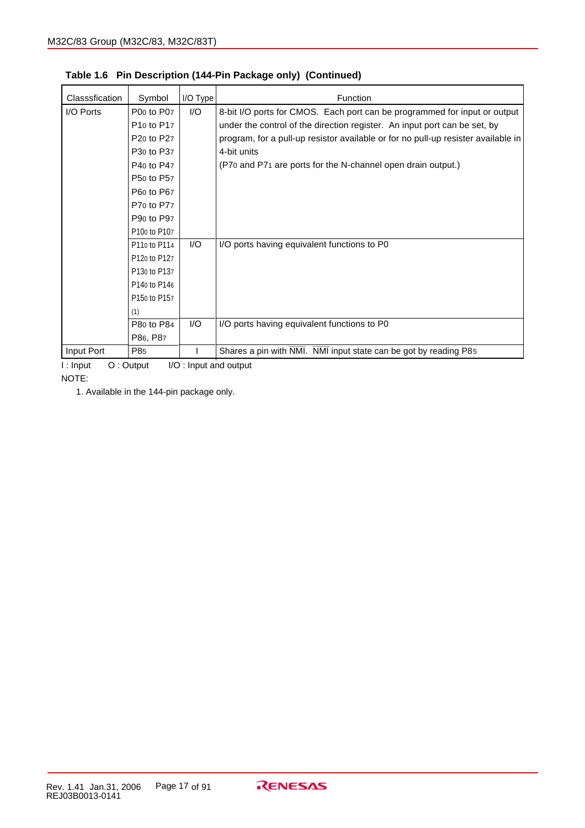| Classsfication | Symbol                             | $I/O$ Type | <b>Function</b>                                                                   |
|----------------|------------------------------------|------------|-----------------------------------------------------------------------------------|
| I/O Ports      | P00 to P07                         | 1/O        | 8-bit I/O ports for CMOS. Each port can be programmed for input or output         |
|                | P <sub>10</sub> to P <sub>17</sub> |            | under the control of the direction register. An input port can be set, by         |
|                | P <sub>20</sub> to P <sub>27</sub> |            | program, for a pull-up resistor available or for no pull-up resister available in |
|                | P <sub>30</sub> to P <sub>37</sub> |            | 4-bit units                                                                       |
|                | P40 to P47                         |            | (P70 and P71 are ports for the N-channel open drain output.)                      |
|                | P50 to P57                         |            |                                                                                   |
|                | P60 to P67                         |            |                                                                                   |
|                | P70 to P77                         |            |                                                                                   |
|                | P90 to P97                         |            |                                                                                   |
|                | P100 to P107                       |            |                                                                                   |
|                | P110 to P114                       | 1/O        | I/O ports having equivalent functions to P0                                       |
|                | P120 to P127                       |            |                                                                                   |
|                | P130 to P137                       |            |                                                                                   |
|                | P140 to P146                       |            |                                                                                   |
|                | P150 to P157                       |            |                                                                                   |
|                | (1)                                |            |                                                                                   |
|                | P80 to P84                         | I/O        | I/O ports having equivalent functions to P0                                       |
|                | P86, P87                           |            |                                                                                   |
| Input Port     | P85                                |            | Shares a pin with NMI. NMI input state can be got by reading P85                  |

**Table 1.6 Pin Description (144-Pin Package only) (Continued)**

I : Input O : Output I/O : Input and output

NOTE:

1. Available in the 144-pin package only.

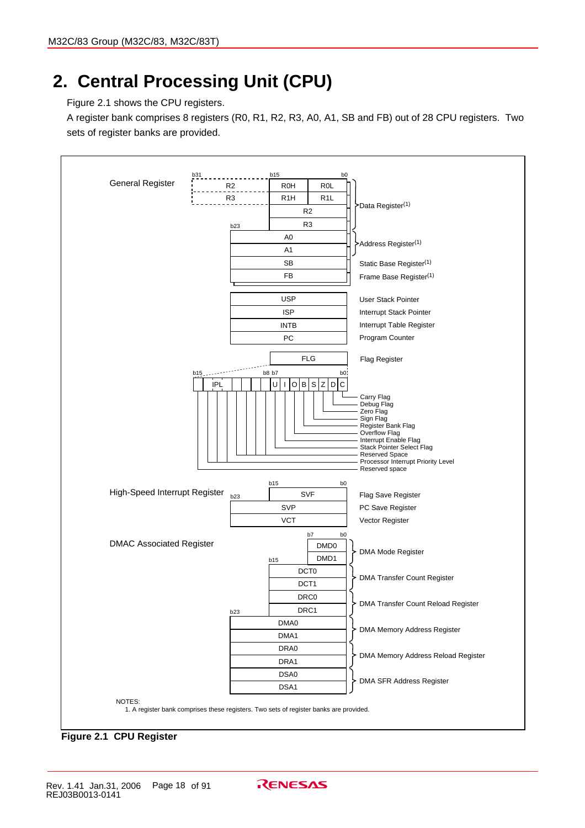# **2. Central Processing Unit (CPU)**

Figure 2.1 shows the CPU registers.

A register bank comprises 8 registers (R0, R1, R2, R3, A0, A1, SB and FB) out of 28 CPU registers. Two sets of register banks are provided.



**Figure 2.1 CPU Register**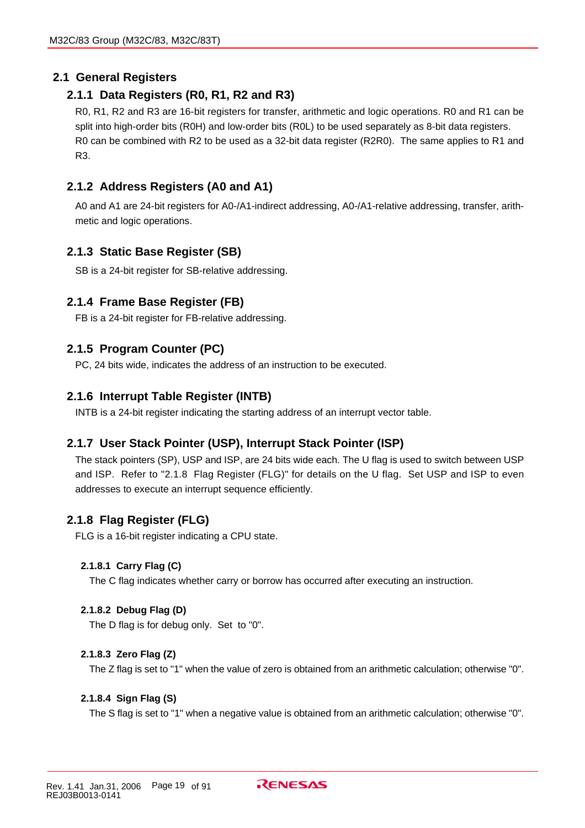# **2.1 General Registers**

### **2.1.1 Data Registers (R0, R1, R2 and R3)**

R0, R1, R2 and R3 are 16-bit registers for transfer, arithmetic and logic operations. R0 and R1 can be split into high-order bits (R0H) and low-order bits (R0L) to be used separately as 8-bit data registers. R0 can be combined with R2 to be used as a 32-bit data register (R2R0). The same applies to R1 and R3.

### **2.1.2 Address Registers (A0 and A1)**

A0 and A1 are 24-bit registers for A0-/A1-indirect addressing, A0-/A1-relative addressing, transfer, arithmetic and logic operations.

### **2.1.3 Static Base Register (SB)**

SB is a 24-bit register for SB-relative addressing.

#### **2.1.4 Frame Base Register (FB)**

FB is a 24-bit register for FB-relative addressing.

#### **2.1.5 Program Counter (PC)**

PC, 24 bits wide, indicates the address of an instruction to be executed.

#### **2.1.6 Interrupt Table Register (INTB)**

INTB is a 24-bit register indicating the starting address of an interrupt vector table.

#### **2.1.7 User Stack Pointer (USP), Interrupt Stack Pointer (ISP)**

The stack pointers (SP), USP and ISP, are 24 bits wide each. The U flag is used to switch between USP and ISP. Refer to "2.1.8 Flag Register (FLG)" for details on the U flag. Set USP and ISP to even addresses to execute an interrupt sequence efficiently.

#### **2.1.8 Flag Register (FLG)**

FLG is a 16-bit register indicating a CPU state.

#### **2.1.8.1 Carry Flag (C)**

The C flag indicates whether carry or borrow has occurred after executing an instruction.

#### **2.1.8.2 Debug Flag (D)**

The D flag is for debug only. Set to "0".

#### **2.1.8.3 Zero Flag (Z)**

The Z flag is set to "1" when the value of zero is obtained from an arithmetic calculation; otherwise "0".

#### **2.1.8.4 Sign Flag (S)**

The S flag is set to "1" when a negative value is obtained from an arithmetic calculation; otherwise "0".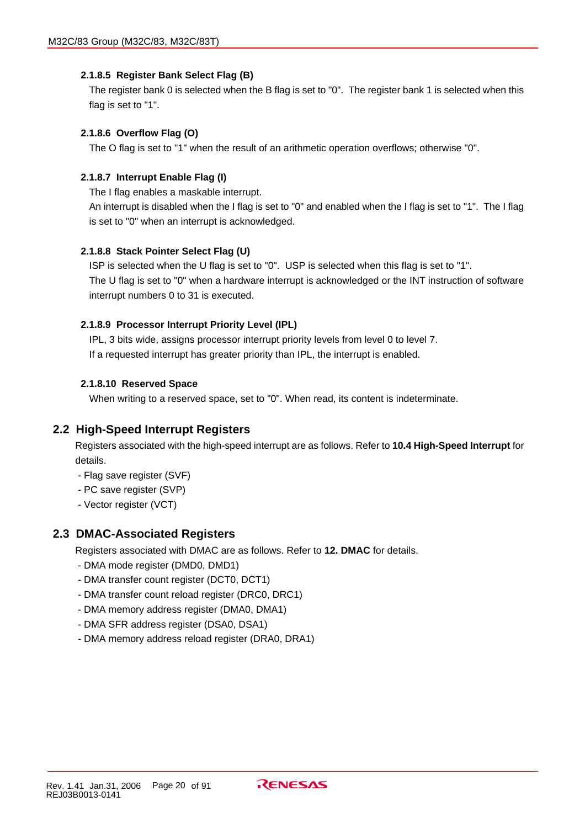#### **2.1.8.5 Register Bank Select Flag (B)**

The register bank 0 is selected when the B flag is set to "0". The register bank 1 is selected when this flag is set to "1".

#### **2.1.8.6 Overflow Flag (O)**

The O flag is set to "1" when the result of an arithmetic operation overflows; otherwise "0".

#### **2.1.8.7 Interrupt Enable Flag (I)**

The I flag enables a maskable interrupt.

An interrupt is disabled when the I flag is set to "0" and enabled when the I flag is set to "1". The I flag is set to "0" when an interrupt is acknowledged.

#### **2.1.8.8 Stack Pointer Select Flag (U)**

ISP is selected when the U flag is set to "0". USP is selected when this flag is set to "1". The U flag is set to "0" when a hardware interrupt is acknowledged or the INT instruction of software interrupt numbers 0 to 31 is executed.

#### **2.1.8.9 Processor Interrupt Priority Level (IPL)**

IPL, 3 bits wide, assigns processor interrupt priority levels from level 0 to level 7. If a requested interrupt has greater priority than IPL, the interrupt is enabled.

#### **2.1.8.10 Reserved Space**

When writing to a reserved space, set to "0". When read, its content is indeterminate.

#### **2.2 High-Speed Interrupt Registers**

Registers associated with the high-speed interrupt are as follows. Refer to **10.4 High-Speed Interrupt** for details.

- Flag save register (SVF)
- PC save register (SVP)
- Vector register (VCT)

#### **2.3 DMAC-Associated Registers**

Registers associated with DMAC are as follows. Refer to **12. DMAC** for details.

- DMA mode register (DMD0, DMD1)
- DMA transfer count register (DCT0, DCT1)
- DMA transfer count reload register (DRC0, DRC1)
- DMA memory address register (DMA0, DMA1)
- DMA SFR address register (DSA0, DSA1)
- DMA memory address reload register (DRA0, DRA1)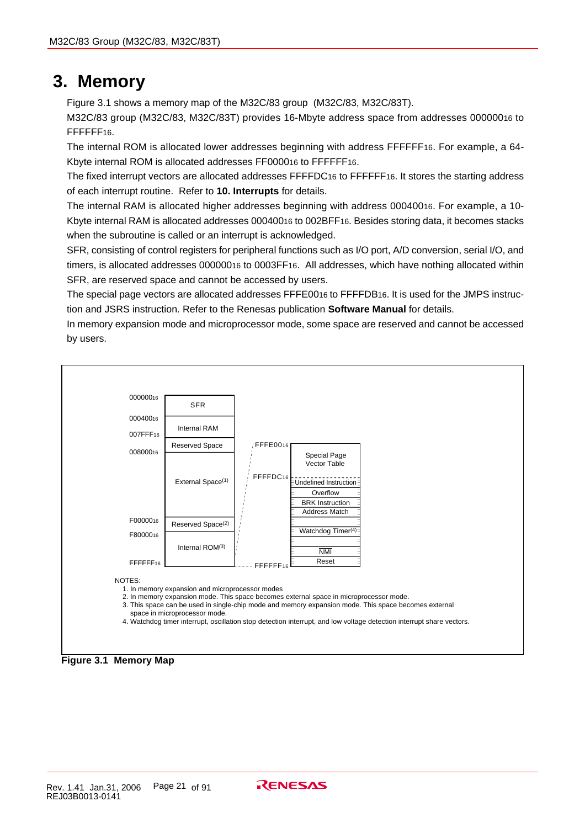# **3. Memory**

Figure 3.1 shows a memory map of the M32C/83 group (M32C/83, M32C/83T).

M32C/83 group (M32C/83, M32C/83T) provides 16-Mbyte address space from addresses 00000016 to FFFFFF16.

The internal ROM is allocated lower addresses beginning with address FFFFFF16. For example, a 64- Kbyte internal ROM is allocated addresses FF000016 to FFFFFF16.

The fixed interrupt vectors are allocated addresses FFFFDC16 to FFFFFF16. It stores the starting address of each interrupt routine. Refer to **10. Interrupts** for details.

The internal RAM is allocated higher addresses beginning with address 00040016. For example, a 10- Kbyte internal RAM is allocated addresses 00040016 to 002BFF16. Besides storing data, it becomes stacks when the subroutine is called or an interrupt is acknowledged.

SFR, consisting of control registers for peripheral functions such as I/O port, A/D conversion, serial I/O, and timers, is allocated addresses 00000016 to 0003FF16. All addresses, which have nothing allocated within SFR, are reserved space and cannot be accessed by users.

The special page vectors are allocated addresses FFFE0016 to FFFFDB16. It is used for the JMPS instruction and JSRS instruction. Refer to the Renesas publication **Software Manual** for details.

In memory expansion mode and microprocessor mode, some space are reserved and cannot be accessed by users.

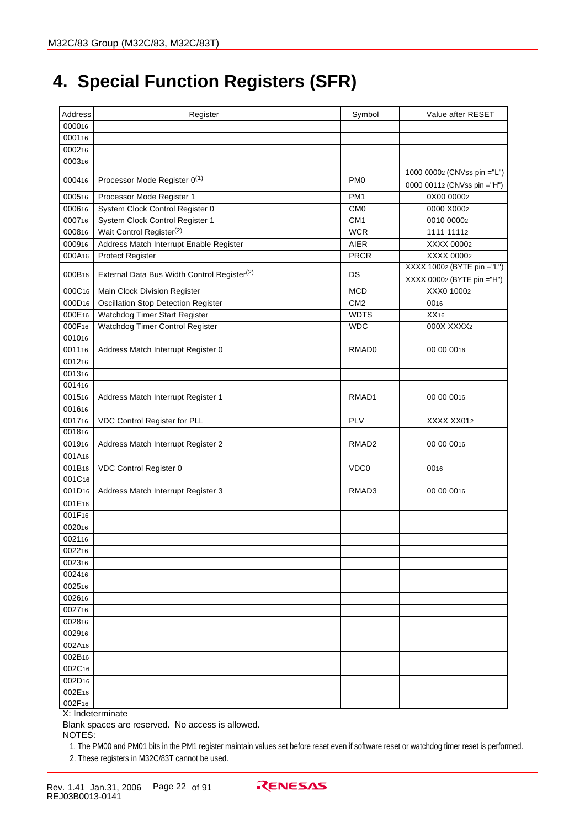# **4. Special Function Registers (SFR)**

| Address            | Register                                                | Symbol            | Value after RESET                                          |
|--------------------|---------------------------------------------------------|-------------------|------------------------------------------------------------|
| 000016             |                                                         |                   |                                                            |
| 000116             |                                                         |                   |                                                            |
| 000216             |                                                         |                   |                                                            |
| 000316             |                                                         |                   |                                                            |
| 000416             | Processor Mode Register 0(1)                            | PM <sub>0</sub>   | 1000 00002 (CNVss pin ="L")<br>0000 00112 (CNVss pin ="H") |
| 000516             | Processor Mode Register 1                               | PM <sub>1</sub>   | 0X00 00002                                                 |
| 000616             | System Clock Control Register 0                         | CM <sub>0</sub>   | 0000 X0002                                                 |
| 000716             | System Clock Control Register 1                         | CM1               | 0010 00002                                                 |
| 000816             | Wait Control Register <sup>(2)</sup>                    | <b>WCR</b>        | 1111 11112                                                 |
| 000916             | Address Match Interrupt Enable Register                 | <b>AIER</b>       | XXXX 00002                                                 |
| 000A16             | <b>Protect Register</b>                                 | <b>PRCR</b>       | XXXX 00002                                                 |
| 000B16             | External Data Bus Width Control Register <sup>(2)</sup> | DS                | XXXX 10002 (BYTE pin ="L")<br>XXXX 00002 (BYTE pin ="H")   |
| 000C16             | Main Clock Division Register                            | <b>MCD</b>        | XXX0 10002                                                 |
| 000D <sub>16</sub> | <b>Oscillation Stop Detection Register</b>              | CM <sub>2</sub>   | 0016                                                       |
| 000E16             | Watchdog Timer Start Register                           | <b>WDTS</b>       | XX16                                                       |
| 000F16             | Watchdog Timer Control Register                         | <b>WDC</b>        | 000X XXXX2                                                 |
| 001016             |                                                         |                   |                                                            |
| 001116             | Address Match Interrupt Register 0                      | RMAD0             | 00 00 0016                                                 |
| 001216             |                                                         |                   |                                                            |
| 001316             |                                                         |                   |                                                            |
| 001416             |                                                         |                   |                                                            |
| 001516             | Address Match Interrupt Register 1                      | RMAD1             | 00 00 0016                                                 |
| 001616             |                                                         |                   |                                                            |
| 001716             | <b>VDC Control Register for PLL</b>                     | PLV               | XXXX XX012                                                 |
| 001816             |                                                         |                   |                                                            |
| 001916             | Address Match Interrupt Register 2                      | RMAD <sub>2</sub> | 00 00 0016                                                 |
| 001A16             |                                                         |                   |                                                            |
| 001B16             | VDC Control Register 0                                  | VDC0              | 0016                                                       |
| 001C16             |                                                         |                   |                                                            |
| 001D <sub>16</sub> | Address Match Interrupt Register 3                      | RMAD <sub>3</sub> | 00 00 0016                                                 |
| 001E16             |                                                         |                   |                                                            |
| 001F16             |                                                         |                   |                                                            |
| 002016             |                                                         |                   |                                                            |
| 002116             |                                                         |                   |                                                            |
| 002216             |                                                         |                   |                                                            |
| 002316             |                                                         |                   |                                                            |
| 002416             |                                                         |                   |                                                            |
| 002516             |                                                         |                   |                                                            |
| 002616             |                                                         |                   |                                                            |
| 002716             |                                                         |                   |                                                            |
| 002816             |                                                         |                   |                                                            |
| 002916             |                                                         |                   |                                                            |
| 002A16             |                                                         |                   |                                                            |
| 002B16             |                                                         |                   |                                                            |
| 002C16             |                                                         |                   |                                                            |
| 002D <sub>16</sub> |                                                         |                   |                                                            |
| 002E16             |                                                         |                   |                                                            |
| 002F16             |                                                         |                   |                                                            |

X: Indeterminate

Blank spaces are reserved. No access is allowed.

NOTES:

1. The PM00 and PM01 bits in the PM1 register maintain values set before reset even if software reset or watchdog timer reset is performed. 2. These registers in M32C/83T cannot be used.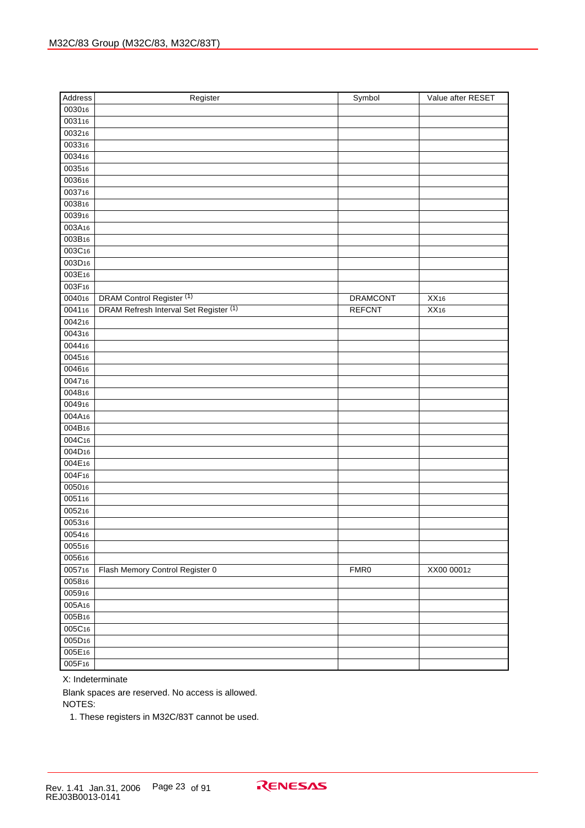| Address            | Register                               | Symbol          | Value after RESET |
|--------------------|----------------------------------------|-----------------|-------------------|
| 003016             |                                        |                 |                   |
| 003116             |                                        |                 |                   |
| 003216             |                                        |                 |                   |
| 003316             |                                        |                 |                   |
| 003416             |                                        |                 |                   |
| 003516             |                                        |                 |                   |
| 003616             |                                        |                 |                   |
| 003716             |                                        |                 |                   |
| 003816             |                                        |                 |                   |
| 003916             |                                        |                 |                   |
| 003A16             |                                        |                 |                   |
| 003B16             |                                        |                 |                   |
| 003C16             |                                        |                 |                   |
| 003D <sub>16</sub> |                                        |                 |                   |
| 003E16             |                                        |                 |                   |
| 003F <sub>16</sub> |                                        |                 |                   |
| 004016             | DRAM Control Register <sup>(1)</sup>   | <b>DRAMCONT</b> | $\overline{XX16}$ |
| 004116             | DRAM Refresh Interval Set Register (1) | <b>REFCNT</b>   | XX16              |
| 004216             |                                        |                 |                   |
| 004316             |                                        |                 |                   |
| 004416             |                                        |                 |                   |
| 004516             |                                        |                 |                   |
| 004616             |                                        |                 |                   |
| 004716             |                                        |                 |                   |
| 004816             |                                        |                 |                   |
| 004916             |                                        |                 |                   |
| 004A16             |                                        |                 |                   |
| 004B16             |                                        |                 |                   |
| 004C16             |                                        |                 |                   |
| 004D <sub>16</sub> |                                        |                 |                   |
| 004E16             |                                        |                 |                   |
| 004F <sub>16</sub> |                                        |                 |                   |
| 005016             |                                        |                 |                   |
| 005116             |                                        |                 |                   |
| 005216             |                                        |                 |                   |
| 005316             |                                        |                 |                   |
| 005416             |                                        |                 |                   |
| 005516             |                                        |                 |                   |
| 005616             |                                        |                 |                   |
| 005716             | Flash Memory Control Register 0        | FMR0            | XX00 00012        |
| 005816             |                                        |                 |                   |
| 005916             |                                        |                 |                   |
| 005A <sub>16</sub> |                                        |                 |                   |
| 005B16             |                                        |                 |                   |
| 005C16             |                                        |                 |                   |
| 005D16             |                                        |                 |                   |
| 005E16             |                                        |                 |                   |
| 005F16             |                                        |                 |                   |

Blank spaces are reserved. No access is allowed.

NOTES:

1. These registers in M32C/83T cannot be used.

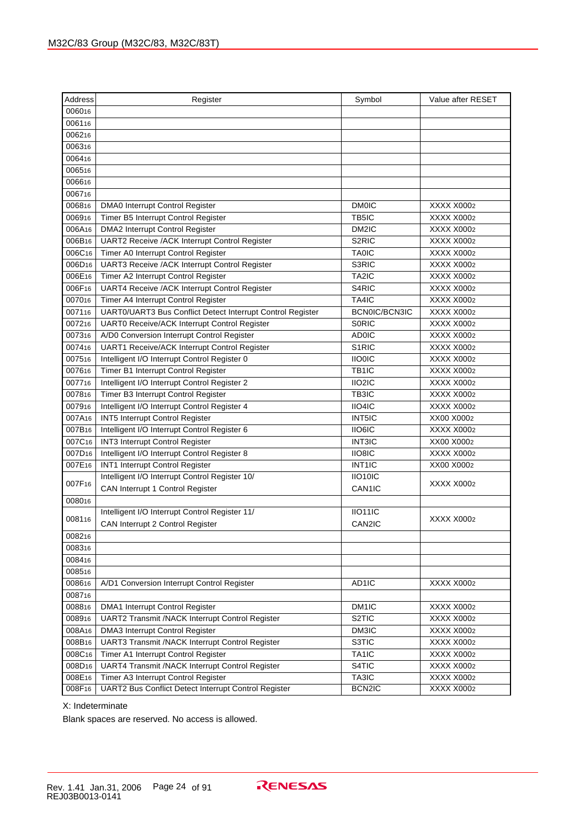| Address            | Register                                                    | Symbol             | Value after RESET |
|--------------------|-------------------------------------------------------------|--------------------|-------------------|
| 006016             |                                                             |                    |                   |
| 006116             |                                                             |                    |                   |
| 006216             |                                                             |                    |                   |
| 006316             |                                                             |                    |                   |
| 006416             |                                                             |                    |                   |
| 006516             |                                                             |                    |                   |
| 006616             |                                                             |                    |                   |
| 006716             |                                                             |                    |                   |
| 006816             | DMA0 Interrupt Control Register                             | <b>DM0IC</b>       | XXXX X0002        |
| 006916             | Timer B5 Interrupt Control Register                         | TB5IC              | XXXX X0002        |
| 006A16             | <b>DMA2 Interrupt Control Register</b>                      | DM2IC              | XXXX X0002        |
| 006B16             | UART2 Receive /ACK Interrupt Control Register               | S <sub>2</sub> RIC | XXXX X0002        |
| 006C16             | Timer A0 Interrupt Control Register                         | <b>TA0IC</b>       | XXXX X0002        |
| 006D <sub>16</sub> | UART3 Receive /ACK Interrupt Control Register               | S3RIC              | XXXX X0002        |
| 006E16             | Timer A2 Interrupt Control Register                         | TA2IC              | XXXX X0002        |
| 006F16             | UART4 Receive /ACK Interrupt Control Register               | S <sub>4</sub> RIC | XXXX X0002        |
| 007016             | Timer A4 Interrupt Control Register                         | TA4IC              | XXXX X0002        |
| 007116             | UART0/UART3 Bus Conflict Detect Interrupt Control Register  | BCN0IC/BCN3IC      | XXXX X0002        |
| 007216             | UART0 Receive/ACK Interrupt Control Register                | <b>SORIC</b>       | XXXX X0002        |
| 007316             | A/D0 Conversion Interrupt Control Register                  | <b>AD0IC</b>       | XXXX X0002        |
| 007416             | UART1 Receive/ACK Interrupt Control Register                | S <sub>1</sub> RIC | XXXX X0002        |
| 007516             | Intelligent I/O Interrupt Control Register 0                | <b>IIO0IC</b>      | XXXX X0002        |
| 007616             | Timer B1 Interrupt Control Register                         | TB <sub>1IC</sub>  | XXXX X0002        |
| 007716             | Intelligent I/O Interrupt Control Register 2                | IIO2IC             | XXXX X0002        |
| 007816             | Timer B3 Interrupt Control Register                         | TB3IC              | XXXX X0002        |
| 007916             | Intelligent I/O Interrupt Control Register 4                | IIO4IC             | XXXX X0002        |
| 007A16             | INT5 Interrupt Control Register                             | INT5IC             | XX00 X0002        |
| 007B16             | Intelligent I/O Interrupt Control Register 6                | IIO6IC             | XXXX X0002        |
| 007C16             | INT3 Interrupt Control Register                             | <b>INT3IC</b>      | XX00 X0002        |
| 007D <sub>16</sub> | Intelligent I/O Interrupt Control Register 8                | IIO8IC             | XXXX X0002        |
| 007E16             | INT1 Interrupt Control Register                             | INT <sub>1IC</sub> | XX00 X0002        |
|                    | Intelligent I/O Interrupt Control Register 10/              | IIO10IC            |                   |
| 007F16             | CAN Interrupt 1 Control Register                            | CAN1IC             | XXXX X0002        |
| 008016             |                                                             |                    |                   |
| 008116             | Intelligent I/O Interrupt Control Register 11/              | IO11IC             | XXXX X0002        |
|                    | CAN Interrupt 2 Control Register                            | CAN2IC             |                   |
| 008216             |                                                             |                    |                   |
| 008316             |                                                             |                    |                   |
| 008416             |                                                             |                    |                   |
| 008516             |                                                             |                    |                   |
| 008616             | A/D1 Conversion Interrupt Control Register                  | AD1IC              | XXXX X0002        |
| 008716             |                                                             |                    |                   |
| 008816             | DMA1 Interrupt Control Register                             | DM1IC              | XXXX X0002        |
| 008916             | UART2 Transmit /NACK Interrupt Control Register             | S <sub>2</sub> TIC | XXXX X0002        |
| 008A16             | DMA3 Interrupt Control Register                             | DM3IC              | XXXX X0002        |
| 008B16             | UART3 Transmit /NACK Interrupt Control Register             | S3TIC              | XXXX X0002        |
| 008C16             | Timer A1 Interrupt Control Register                         | TA1IC              | XXXX X0002        |
| 008D <sub>16</sub> | UART4 Transmit /NACK Interrupt Control Register             | S4TIC              | XXXX X0002        |
| 008E16             | Timer A3 Interrupt Control Register                         | TA3IC              | XXXX X0002        |
| 008F16             | <b>UART2 Bus Conflict Detect Interrupt Control Register</b> | BCN2IC             | XXXX X0002        |

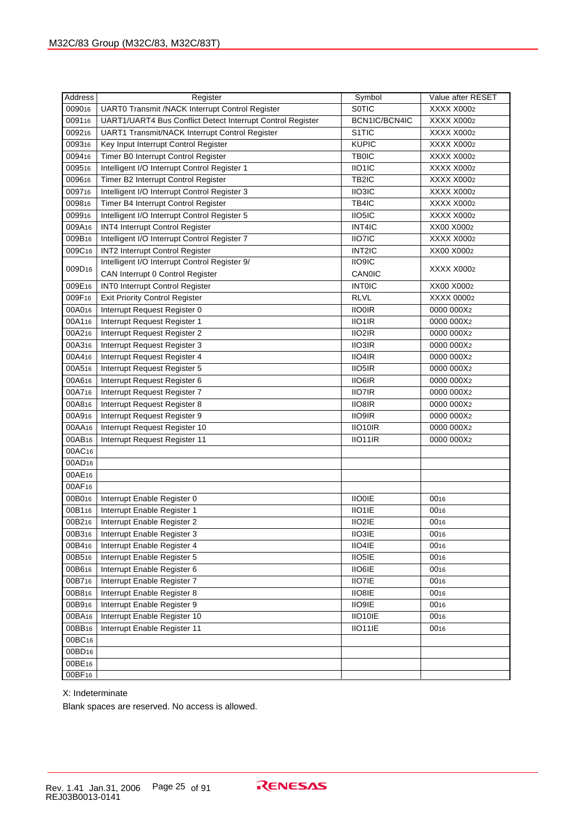| Address            | Register                                                   | Symbol             | Value after RESET      |
|--------------------|------------------------------------------------------------|--------------------|------------------------|
| 009016             | UART0 Transmit /NACK Interrupt Control Register            | <b>SOTIC</b>       | XXXX X0002             |
| 009116             | UART1/UART4 Bus Conflict Detect Interrupt Control Register | BCN1IC/BCN4IC      | XXXX X0002             |
| 009216             | UART1 Transmit/NACK Interrupt Control Register             | S <sub>1</sub> TIC | XXXX X0002             |
| 009316             | Key Input Interrupt Control Register                       | <b>KUPIC</b>       | XXXX X0002             |
| 009416             | Timer B0 Interrupt Control Register                        | <b>TB0IC</b>       | XXXX X0002             |
| 009516             | Intelligent I/O Interrupt Control Register 1               | IIO1IC             | XXXX X0002             |
| 009616             | Timer B2 Interrupt Control Register                        | TB2IC              | XXXX X0002             |
| 009716             | Intelligent I/O Interrupt Control Register 3               | IIO3IC             | XXXX X0002             |
| 009816             | Timer B4 Interrupt Control Register                        | TB4IC              | XXXX X0002             |
| 009916             | Intelligent I/O Interrupt Control Register 5               | IIO5IC             | XXXX X0002             |
| 009A16             | INT4 Interrupt Control Register                            | INT4IC             | XX00 X0002             |
| 009B16             | Intelligent I/O Interrupt Control Register 7               | IIO7IC             | XXXX X0002             |
| 009C16             | INT2 Interrupt Control Register                            | INT2IC             | XX00 X0002             |
|                    | Intelligent I/O Interrupt Control Register 9/              | IIO9IC             |                        |
| 009D16             | CAN Interrupt 0 Control Register                           | CANOIC             | XXXX X0002             |
| 009E16             | <b>INTO Interrupt Control Register</b>                     | <b>INTOIC</b>      | XX00 X0002             |
| 009F16             | <b>Exit Priority Control Register</b>                      | <b>RLVL</b>        | XXXX 00002             |
| 00A016             | Interrupt Request Register 0                               | <b>IIO0IR</b>      | 0000 000X2             |
| 00A116             | Interrupt Request Register 1                               | IIO1IR             | 0000 000X2             |
| 00A216             | Interrupt Request Register 2                               | IIO2IR             | 0000 000X <sub>2</sub> |
| 00A316             | Interrupt Request Register 3                               | <b>IIO3IR</b>      | 0000 000X2             |
| 00A416             | Interrupt Request Register 4                               | IIO4IR             | 0000 000X <sub>2</sub> |
| 00A516             | Interrupt Request Register 5                               | IIO5IR             | 0000 000X2             |
| 00A616             | Interrupt Request Register 6                               | <b>IIO6IR</b>      | 0000 000X2             |
| 00A716             | Interrupt Request Register 7                               | <b>IIO7IR</b>      | 0000 000X2             |
| 00A816             | Interrupt Request Register 8                               | IIO8IR             | 0000 000X2             |
| 00A916             | Interrupt Request Register 9                               | <b>IIO9IR</b>      | 0000 000X2             |
| 00AA16             | Interrupt Request Register 10                              | IIO10IR            | 0000 000X2             |
| 00AB <sub>16</sub> | Interrupt Request Register 11                              | IIO11IR            | 0000 000X <sub>2</sub> |
| 00AC16             |                                                            |                    |                        |
| 00AD <sub>16</sub> |                                                            |                    |                        |
| 00AE16             |                                                            |                    |                        |
| 00AF16             |                                                            |                    |                        |
| 00B016             | Interrupt Enable Register 0                                | <b>IIO0IE</b>      | 0016                   |
| 00B116             | Interrupt Enable Register 1                                | IIO1IE             | 0016                   |
| 00B216             | Interrupt Enable Register 2                                | IIO2IE             | 0016                   |
| 00B316             | Interrupt Enable Register 3                                | <b>IIO3IE</b>      | 0016                   |
| 00B416             | Interrupt Enable Register 4                                | IIO4IE             | 0016                   |
| 00B516             | Interrupt Enable Register 5                                | IIO5IE             | 0016                   |
| 00B616             | Interrupt Enable Register 6                                | IIO6IE             | 0016                   |
| 00B716             | Interrupt Enable Register 7                                | IIO7IE             | 0016                   |
| 00B816             | Interrupt Enable Register 8                                | IIO8IE             | 0016                   |
| 00B916             | Interrupt Enable Register 9                                | IIO9IE             | 0016                   |
| 00BA16             | Interrupt Enable Register 10                               | IIO10IE            | 0016                   |
| 00BB16             | Interrupt Enable Register 11                               | IIO11IE            | 0016                   |
| 00BC16             |                                                            |                    |                        |
| 00BD <sub>16</sub> |                                                            |                    |                        |
| 00BE16             |                                                            |                    |                        |
| 00BF16             |                                                            |                    |                        |

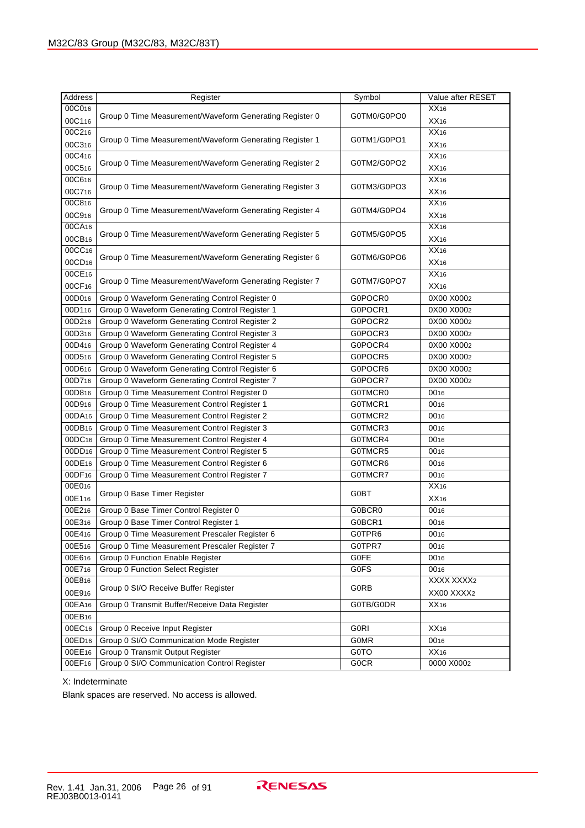| <b>Address</b>     | Register                                                | Symbol      | Value after RESET |
|--------------------|---------------------------------------------------------|-------------|-------------------|
| 00C016             |                                                         |             | XX16              |
| 00C116             | Group 0 Time Measurement/Waveform Generating Register 0 | G0TM0/G0PO0 | XX16              |
| 00C216             |                                                         |             | XX16              |
| 00C316             | Group 0 Time Measurement/Waveform Generating Register 1 | G0TM1/G0PO1 | XX16              |
| 00C416             |                                                         |             | XX16              |
| 00C516             | Group 0 Time Measurement/Waveform Generating Register 2 | G0TM2/G0PO2 | XX16              |
| 00C616             |                                                         |             | XX16              |
| 00C716             | Group 0 Time Measurement/Waveform Generating Register 3 | G0TM3/G0PO3 | XX16              |
| 00C816             |                                                         |             | XX16              |
| 00C916             | Group 0 Time Measurement/Waveform Generating Register 4 | G0TM4/G0PO4 | XX16              |
| 00CA16             |                                                         |             | XX16              |
| 00CB16             | Group 0 Time Measurement/Waveform Generating Register 5 | G0TM5/G0PO5 | XX16              |
| 00CC16             |                                                         |             | XX16              |
| 00CD <sub>16</sub> | Group 0 Time Measurement/Waveform Generating Register 6 | G0TM6/G0PO6 | XX16              |
| 00CE16             |                                                         |             | XX16              |
| 00CF16             | Group 0 Time Measurement/Waveform Generating Register 7 | G0TM7/G0PO7 | XX16              |
| 00D016             | Group 0 Waveform Generating Control Register 0          | G0POCR0     | 0X00 X0002        |
| 00D116             | Group 0 Waveform Generating Control Register 1          | G0POCR1     | 0X00 X0002        |
| 00D216             | Group 0 Waveform Generating Control Register 2          | G0POCR2     | 0X00 X0002        |
| 00D316             | Group 0 Waveform Generating Control Register 3          | G0POCR3     | 0X00 X0002        |
| 00D416             | Group 0 Waveform Generating Control Register 4          | G0POCR4     | 0X00 X0002        |
| 00D516             | Group 0 Waveform Generating Control Register 5          | G0POCR5     | 0X00 X0002        |
| 00D616             | Group 0 Waveform Generating Control Register 6          | G0POCR6     | 0X00 X0002        |
| 00D716             | Group 0 Waveform Generating Control Register 7          | G0POCR7     | 0X00 X0002        |
| 00D816             | Group 0 Time Measurement Control Register 0             | G0TMCR0     | 0016              |
| 00D916             | Group 0 Time Measurement Control Register 1             | G0TMCR1     | 0016              |
| 00DA16             | Group 0 Time Measurement Control Register 2             | G0TMCR2     | 0016              |
| 00DB16             | Group 0 Time Measurement Control Register 3             | G0TMCR3     | 0016              |
| 00DC16             | Group 0 Time Measurement Control Register 4             | G0TMCR4     | 0016              |
| 00DD <sub>16</sub> | Group 0 Time Measurement Control Register 5             | G0TMCR5     | 0016              |
| 00DE16             | Group 0 Time Measurement Control Register 6             | G0TMCR6     | 0016              |
| 00DF16             | Group 0 Time Measurement Control Register 7             | G0TMCR7     | 0016              |
| 00E016             | Group 0 Base Timer Register                             | G0BT        | XX16              |
| 00E116             |                                                         |             | XX16              |
| 00E216             | Group 0 Base Timer Control Register 0                   | G0BCR0      | 0016              |
| 00E316             | Group 0 Base Timer Control Register 1                   | G0BCR1      | 0016              |
| 00E416             | Group 0 Time Measurement Prescaler Register 6           | G0TPR6      | 0016              |
| 00E516             | Group 0 Time Measurement Prescaler Register 7           | G0TPR7      | 0016              |
| 00E616             | Group 0 Function Enable Register                        | G0FE        | 0016              |
| 00E716             | Group 0 Function Select Register                        | G0FS        | 0016              |
| 00E816             | Group 0 SI/O Receive Buffer Register                    | G0RB        | XXXX XXXX2        |
| 00E916             |                                                         |             | XX00 XXXX2        |
| 00EA16             | Group 0 Transmit Buffer/Receive Data Register           | G0TB/G0DR   | XX <sub>16</sub>  |
| 00EB16             |                                                         |             |                   |
| 00EC16             | Group 0 Receive Input Register                          | <b>G0RI</b> | XX16              |
| 00ED <sub>16</sub> | Group 0 SI/O Communication Mode Register                | <b>G0MR</b> | 0016              |
| 00EE16             | Group 0 Transmit Output Register                        | G0TO        | XX16              |
| 00EF16             | Group 0 SI/O Communication Control Register             | <b>GOCR</b> | 0000 X0002        |

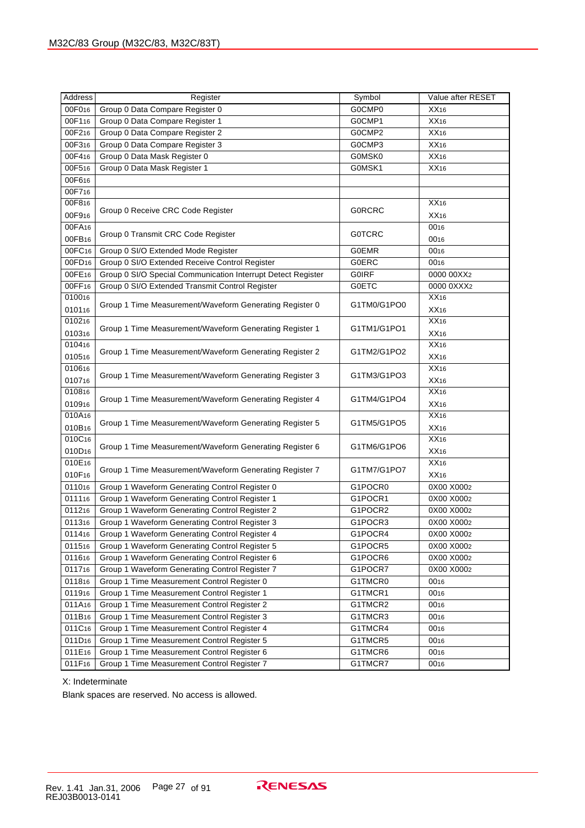| Address            | Register                                                     | Symbol        | Value after RESET |
|--------------------|--------------------------------------------------------------|---------------|-------------------|
| 00F016             | Group 0 Data Compare Register 0                              | G0CMP0        | XX <sub>16</sub>  |
| 00F116             | Group 0 Data Compare Register 1                              | G0CMP1        | XX16              |
| 00F216             | Group 0 Data Compare Register 2                              | G0CMP2        | XX16              |
| 00F316             | Group 0 Data Compare Register 3                              | G0CMP3        | XX16              |
| 00F416             | Group 0 Data Mask Register 0                                 | G0MSK0        | XX16              |
| 00F516             | Group 0 Data Mask Register 1                                 | G0MSK1        | XX16              |
| 00F616             |                                                              |               |                   |
| 00F716             |                                                              |               |                   |
| 00F816             |                                                              |               | XX <sub>16</sub>  |
| 00F916             | Group 0 Receive CRC Code Register                            | <b>GORCRC</b> | XX <sub>16</sub>  |
| 00FA16             |                                                              |               | 0016              |
| 00FB16             | Group 0 Transmit CRC Code Register                           | <b>GOTCRC</b> | 0016              |
| 00FC16             | Group 0 SI/O Extended Mode Register                          | <b>G0EMR</b>  | 0016              |
| 00FD <sub>16</sub> | Group 0 SI/O Extended Receive Control Register               | <b>G0ERC</b>  | 0016              |
| 00FE16             | Group 0 SI/O Special Communication Interrupt Detect Register | <b>GOIRF</b>  | 0000 00XX2        |
| 00FF16             | Group 0 SI/O Extended Transmit Control Register              | <b>G0ETC</b>  | 0000 0XXX2        |
| 010016             |                                                              |               | XX16              |
| 010116             | Group 1 Time Measurement/Waveform Generating Register 0      | G1TM0/G1PO0   | XX <sub>16</sub>  |
| 010216             |                                                              |               | XX16              |
| 010316             | Group 1 Time Measurement/Waveform Generating Register 1      | G1TM1/G1PO1   | XX16              |
| 010416             |                                                              |               | XX16              |
| 010516             | Group 1 Time Measurement/Waveform Generating Register 2      | G1TM2/G1PO2   | XX16              |
| 010616             |                                                              |               | XX16              |
| 010716             | Group 1 Time Measurement/Waveform Generating Register 3      | G1TM3/G1PO3   | XX16              |
| 010816             |                                                              |               | XX16              |
| 010916             | Group 1 Time Measurement/Waveform Generating Register 4      | G1TM4/G1PO4   | XX16              |
| 010A16             |                                                              |               | XX16              |
| 010B16             | Group 1 Time Measurement/Waveform Generating Register 5      | G1TM5/G1PO5   | XX <sub>16</sub>  |
| 010C16             |                                                              |               | XX16              |
| 010D <sub>16</sub> | Group 1 Time Measurement/Waveform Generating Register 6      | G1TM6/G1PO6   | XX16              |
| 010E16             |                                                              |               | XX16              |
| 010F16             | Group 1 Time Measurement/Waveform Generating Register 7      | G1TM7/G1PO7   | XX <sub>16</sub>  |
| 011016             | Group 1 Waveform Generating Control Register 0               | G1POCR0       | 0X00 X0002        |
| 011116             | Group 1 Waveform Generating Control Register 1               | G1POCR1       | 0X00 X0002        |
| 011216             | Group 1 Waveform Generating Control Register 2               | G1POCR2       | 0X00 X0002        |
| 011316             | Group 1 Waveform Generating Control Register 3               | G1POCR3       | 0X00 X0002        |
| 011416             | Group 1 Waveform Generating Control Register 4               | G1POCR4       | 0X00 X0002        |
| 011516             | Group 1 Waveform Generating Control Register 5               | G1POCR5       | 0X00 X0002        |
| 011616             | Group 1 Waveform Generating Control Register 6               | G1POCR6       | 0X00 X0002        |
| 011716             | Group 1 Waveform Generating Control Register 7               | G1POCR7       | 0X00 X0002        |
| 011816             | Group 1 Time Measurement Control Register 0                  | G1TMCR0       | 0016              |
| 011916             | Group 1 Time Measurement Control Register 1                  | G1TMCR1       | 0016              |
| 011A <sub>16</sub> | Group 1 Time Measurement Control Register 2                  | G1TMCR2       | 0016              |
| 011B <sub>16</sub> | Group 1 Time Measurement Control Register 3                  | G1TMCR3       | 0016              |
| 011C16             | Group 1 Time Measurement Control Register 4                  | G1TMCR4       | 0016              |
| 011D <sub>16</sub> | Group 1 Time Measurement Control Register 5                  | G1TMCR5       | 0016              |
| 011E16             | Group 1 Time Measurement Control Register 6                  | G1TMCR6       | 0016              |
| 011F16             | Group 1 Time Measurement Control Register 7                  | G1TMCR7       | 0016              |

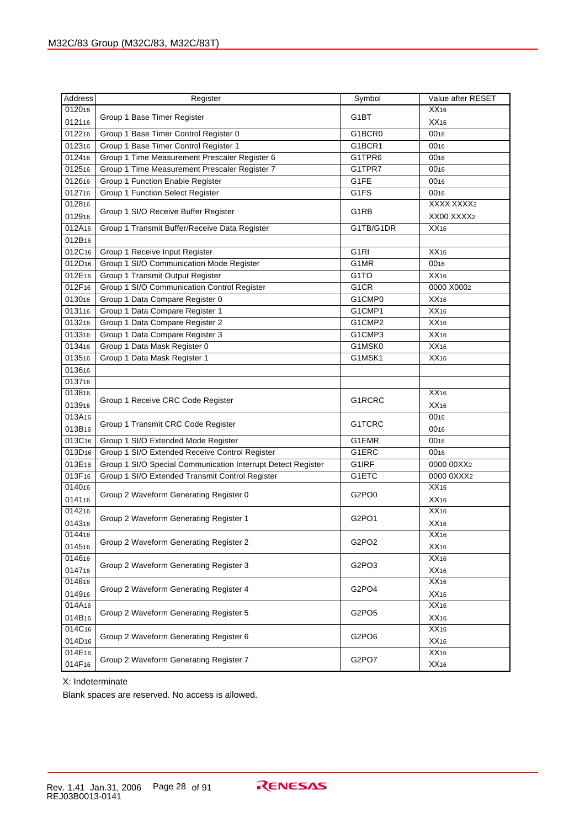| Address<br>Register<br>Symbol                                                      | Value after RESET |
|------------------------------------------------------------------------------------|-------------------|
| 012016                                                                             | XX <sub>16</sub>  |
| G1BT<br>Group 1 Base Timer Register<br>012116                                      | XX16              |
| 012216<br>Group 1 Base Timer Control Register 0<br>G1BCR0                          | 0016              |
| 012316<br>Group 1 Base Timer Control Register 1<br>G1BCR1                          | 0016              |
| Group 1 Time Measurement Prescaler Register 6<br>012416<br>G1TPR6                  | 0016              |
| 012516<br>Group 1 Time Measurement Prescaler Register 7<br>G1TPR7                  | 0016              |
| 012616<br>Group 1 Function Enable Register<br>G1FE                                 | 0016              |
| 012716<br>Group 1 Function Select Register<br>G1FS                                 | 0016              |
| 012816                                                                             | XXXX XXXX2        |
| G1RB<br>Group 1 SI/O Receive Buffer Register<br>012916                             | XX00 XXXX2        |
| 012A16<br>Group 1 Transmit Buffer/Receive Data Register<br>G1TB/G1DR               | XX16              |
| 012B16                                                                             |                   |
| 012C16<br>Group 1 Receive Input Register<br>G <sub>1</sub> RI                      | XX <sub>16</sub>  |
| 012D <sub>16</sub><br>Group 1 SI/O Communication Mode Register<br>G1MR             | 0016              |
| 012E16<br>Group 1 Transmit Output Register<br>G <sub>1</sub> TO                    | XX16              |
| 012F16<br>Group 1 SI/O Communication Control Register<br>G <sub>1</sub> CR         | 0000 X0002        |
| 013016<br>Group 1 Data Compare Register 0<br>G1CMP0                                | XX16              |
| 013116<br>Group 1 Data Compare Register 1<br>G1CMP1                                | XX16              |
| 013216<br>Group 1 Data Compare Register 2<br>G1CMP2                                | XX16              |
| 013316<br>Group 1 Data Compare Register 3<br>G1CMP3                                | XX16              |
| 013416<br>Group 1 Data Mask Register 0<br>G1MSK0                                   | XX16              |
| 013516<br>Group 1 Data Mask Register 1<br>G1MSK1                                   | XX16              |
| 013616                                                                             |                   |
| 013716                                                                             |                   |
| 013816                                                                             | XX16              |
| G1RCRC<br>Group 1 Receive CRC Code Register<br>013916                              | XX16              |
| 013A16                                                                             | 0016              |
| G1TCRC<br>Group 1 Transmit CRC Code Register<br>013B16                             | 0016              |
| 013C16<br>Group 1 SI/O Extended Mode Register<br>G1EMR                             | 0016              |
| 013D <sub>16</sub><br>Group 1 SI/O Extended Receive Control Register<br>G1ERC      | 0016              |
| 013E16<br>Group 1 SI/O Special Communication Interrupt Detect Register<br>G1IRF    | 0000 00XX2        |
| 013F16<br>Group 1 SI/O Extended Transmit Control Register<br>G1ETC                 | 0000 0XXX2        |
| 014016                                                                             | XX16              |
| Group 2 Waveform Generating Register 0<br>G2PO <sub>0</sub><br>014116              | XX16              |
| 014216                                                                             | XX16              |
| Group 2 Waveform Generating Register 1<br>G <sub>2</sub> PO <sub>1</sub><br>014316 | XX16              |
| 014416                                                                             | XX16              |
| Group 2 Waveform Generating Register 2<br>G2PO2<br>014516                          | XX16              |
| 014616                                                                             | XX16              |
| Group 2 Waveform Generating Register 3<br>G <sub>2</sub> PO <sub>3</sub><br>014716 | XX16              |
| 014816                                                                             | XX16              |
| Group 2 Waveform Generating Register 4<br>G2PO4<br>014916                          | XX16              |
| 014A16                                                                             | XX16              |
| Group 2 Waveform Generating Register 5<br>G2PO <sub>5</sub><br>014B16              | XX16              |
| 014C16                                                                             | XX16              |
| Group 2 Waveform Generating Register 6<br>G2PO6<br>014D <sub>16</sub>              | XX16              |
| 014E16                                                                             | XX16              |
| Group 2 Waveform Generating Register 7<br>G2PO7<br>014F16                          | XX16              |

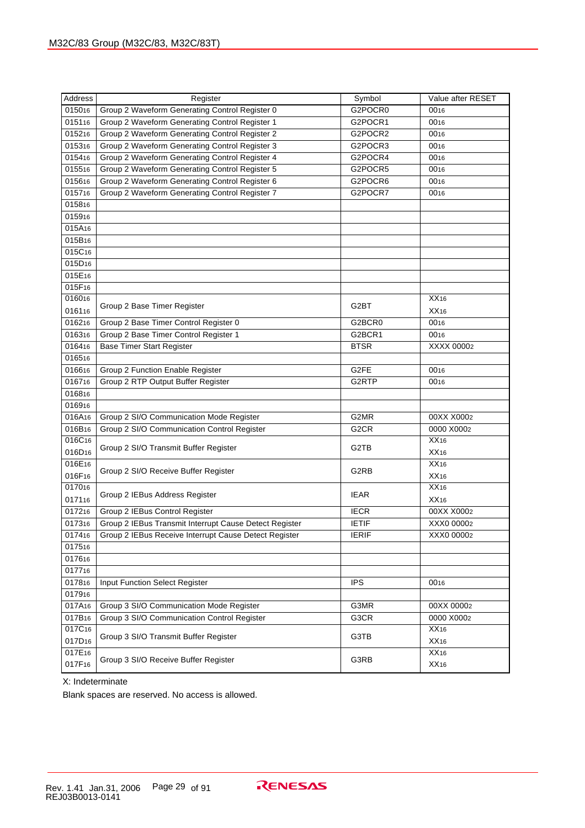| Group 2 Waveform Generating Control Register 0<br>015016<br>G2POCR0<br>0016<br>015116<br>Group 2 Waveform Generating Control Register 1<br>G2POCR1<br>0016<br>Group 2 Waveform Generating Control Register 2<br>015216<br>G2POCR2<br>0016<br>015316<br>Group 2 Waveform Generating Control Register 3<br>G2POCR3<br>0016<br>015416<br>Group 2 Waveform Generating Control Register 4<br>G2POCR4<br>0016<br>015516<br>Group 2 Waveform Generating Control Register 5<br>G2POCR5<br>0016<br>015616<br>Group 2 Waveform Generating Control Register 6<br>G2POCR6<br>0016<br>015716<br>Group 2 Waveform Generating Control Register 7<br>G2POCR7<br>0016<br>015816<br>015916<br>015A16<br>015B16<br>015C16<br>015D <sub>16</sub><br>015E16<br>015F16<br>016016<br>XX16<br>G2BT<br>Group 2 Base Timer Register<br>016116<br>XX16<br>016216<br>Group 2 Base Timer Control Register 0<br>G2BCR0<br>0016<br>016316<br>Group 2 Base Timer Control Register 1<br>G2BCR1<br>0016<br>016416<br><b>Base Timer Start Register</b><br><b>BTSR</b><br>XXXX 00002<br>016516<br>016616<br>Group 2 Function Enable Register<br>G2FE<br>0016<br>016716<br>Group 2 RTP Output Buffer Register<br>G2RTP<br>0016<br>016816<br>016916<br>016A16<br>Group 2 SI/O Communication Mode Register<br>G2MR<br>00XX X0002<br>016B16<br>Group 2 SI/O Communication Control Register<br>G <sub>2</sub> CR<br>0000 X0002<br>016C16<br>XX16<br>G2TB<br>Group 2 SI/O Transmit Buffer Register<br>016D <sub>16</sub><br>XX16<br>016E16<br>XX16<br>G2RB<br>Group 2 SI/O Receive Buffer Register<br>016F16<br>XX16<br>017016<br>XX16<br><b>IEAR</b><br>Group 2 IEBus Address Register<br>017116<br>XX16<br>017216<br>Group 2 IEBus Control Register<br><b>IECR</b><br>00XX X0002<br>Group 2 IEBus Transmit Interrupt Cause Detect Register<br>017316<br><b>IETIF</b><br>XXX0 00002<br>017416<br>Group 2 IEBus Receive Interrupt Cause Detect Register<br>IERIF<br>XXX0 00002<br>017516<br>017616<br>017716<br>017816<br>Input Function Select Register<br><b>IPS</b><br>0016<br>017916<br>017A16<br>Group 3 SI/O Communication Mode Register<br>G3MR<br>00XX 00002<br>017B16<br>Group 3 SI/O Communication Control Register<br>G3CR<br>0000 X0002<br>017C16<br>XX16<br>G3TB<br>Group 3 SI/O Transmit Buffer Register<br>017D <sub>16</sub><br>XX16<br>017E16<br>XX16<br>G3RB<br>Group 3 SI/O Receive Buffer Register<br>017F16<br>XX16 | Address | Register | Symbol | Value after RESET |
|------------------------------------------------------------------------------------------------------------------------------------------------------------------------------------------------------------------------------------------------------------------------------------------------------------------------------------------------------------------------------------------------------------------------------------------------------------------------------------------------------------------------------------------------------------------------------------------------------------------------------------------------------------------------------------------------------------------------------------------------------------------------------------------------------------------------------------------------------------------------------------------------------------------------------------------------------------------------------------------------------------------------------------------------------------------------------------------------------------------------------------------------------------------------------------------------------------------------------------------------------------------------------------------------------------------------------------------------------------------------------------------------------------------------------------------------------------------------------------------------------------------------------------------------------------------------------------------------------------------------------------------------------------------------------------------------------------------------------------------------------------------------------------------------------------------------------------------------------------------------------------------------------------------------------------------------------------------------------------------------------------------------------------------------------------------------------------------------------------------------------------------------------------------------------------------------------------------------------------------------------------------------------------------------------------------------------------------------------------------------------------------------|---------|----------|--------|-------------------|
|                                                                                                                                                                                                                                                                                                                                                                                                                                                                                                                                                                                                                                                                                                                                                                                                                                                                                                                                                                                                                                                                                                                                                                                                                                                                                                                                                                                                                                                                                                                                                                                                                                                                                                                                                                                                                                                                                                                                                                                                                                                                                                                                                                                                                                                                                                                                                                                                |         |          |        |                   |
|                                                                                                                                                                                                                                                                                                                                                                                                                                                                                                                                                                                                                                                                                                                                                                                                                                                                                                                                                                                                                                                                                                                                                                                                                                                                                                                                                                                                                                                                                                                                                                                                                                                                                                                                                                                                                                                                                                                                                                                                                                                                                                                                                                                                                                                                                                                                                                                                |         |          |        |                   |
|                                                                                                                                                                                                                                                                                                                                                                                                                                                                                                                                                                                                                                                                                                                                                                                                                                                                                                                                                                                                                                                                                                                                                                                                                                                                                                                                                                                                                                                                                                                                                                                                                                                                                                                                                                                                                                                                                                                                                                                                                                                                                                                                                                                                                                                                                                                                                                                                |         |          |        |                   |
|                                                                                                                                                                                                                                                                                                                                                                                                                                                                                                                                                                                                                                                                                                                                                                                                                                                                                                                                                                                                                                                                                                                                                                                                                                                                                                                                                                                                                                                                                                                                                                                                                                                                                                                                                                                                                                                                                                                                                                                                                                                                                                                                                                                                                                                                                                                                                                                                |         |          |        |                   |
|                                                                                                                                                                                                                                                                                                                                                                                                                                                                                                                                                                                                                                                                                                                                                                                                                                                                                                                                                                                                                                                                                                                                                                                                                                                                                                                                                                                                                                                                                                                                                                                                                                                                                                                                                                                                                                                                                                                                                                                                                                                                                                                                                                                                                                                                                                                                                                                                |         |          |        |                   |
|                                                                                                                                                                                                                                                                                                                                                                                                                                                                                                                                                                                                                                                                                                                                                                                                                                                                                                                                                                                                                                                                                                                                                                                                                                                                                                                                                                                                                                                                                                                                                                                                                                                                                                                                                                                                                                                                                                                                                                                                                                                                                                                                                                                                                                                                                                                                                                                                |         |          |        |                   |
|                                                                                                                                                                                                                                                                                                                                                                                                                                                                                                                                                                                                                                                                                                                                                                                                                                                                                                                                                                                                                                                                                                                                                                                                                                                                                                                                                                                                                                                                                                                                                                                                                                                                                                                                                                                                                                                                                                                                                                                                                                                                                                                                                                                                                                                                                                                                                                                                |         |          |        |                   |
|                                                                                                                                                                                                                                                                                                                                                                                                                                                                                                                                                                                                                                                                                                                                                                                                                                                                                                                                                                                                                                                                                                                                                                                                                                                                                                                                                                                                                                                                                                                                                                                                                                                                                                                                                                                                                                                                                                                                                                                                                                                                                                                                                                                                                                                                                                                                                                                                |         |          |        |                   |
|                                                                                                                                                                                                                                                                                                                                                                                                                                                                                                                                                                                                                                                                                                                                                                                                                                                                                                                                                                                                                                                                                                                                                                                                                                                                                                                                                                                                                                                                                                                                                                                                                                                                                                                                                                                                                                                                                                                                                                                                                                                                                                                                                                                                                                                                                                                                                                                                |         |          |        |                   |
|                                                                                                                                                                                                                                                                                                                                                                                                                                                                                                                                                                                                                                                                                                                                                                                                                                                                                                                                                                                                                                                                                                                                                                                                                                                                                                                                                                                                                                                                                                                                                                                                                                                                                                                                                                                                                                                                                                                                                                                                                                                                                                                                                                                                                                                                                                                                                                                                |         |          |        |                   |
|                                                                                                                                                                                                                                                                                                                                                                                                                                                                                                                                                                                                                                                                                                                                                                                                                                                                                                                                                                                                                                                                                                                                                                                                                                                                                                                                                                                                                                                                                                                                                                                                                                                                                                                                                                                                                                                                                                                                                                                                                                                                                                                                                                                                                                                                                                                                                                                                |         |          |        |                   |
|                                                                                                                                                                                                                                                                                                                                                                                                                                                                                                                                                                                                                                                                                                                                                                                                                                                                                                                                                                                                                                                                                                                                                                                                                                                                                                                                                                                                                                                                                                                                                                                                                                                                                                                                                                                                                                                                                                                                                                                                                                                                                                                                                                                                                                                                                                                                                                                                |         |          |        |                   |
|                                                                                                                                                                                                                                                                                                                                                                                                                                                                                                                                                                                                                                                                                                                                                                                                                                                                                                                                                                                                                                                                                                                                                                                                                                                                                                                                                                                                                                                                                                                                                                                                                                                                                                                                                                                                                                                                                                                                                                                                                                                                                                                                                                                                                                                                                                                                                                                                |         |          |        |                   |
|                                                                                                                                                                                                                                                                                                                                                                                                                                                                                                                                                                                                                                                                                                                                                                                                                                                                                                                                                                                                                                                                                                                                                                                                                                                                                                                                                                                                                                                                                                                                                                                                                                                                                                                                                                                                                                                                                                                                                                                                                                                                                                                                                                                                                                                                                                                                                                                                |         |          |        |                   |
|                                                                                                                                                                                                                                                                                                                                                                                                                                                                                                                                                                                                                                                                                                                                                                                                                                                                                                                                                                                                                                                                                                                                                                                                                                                                                                                                                                                                                                                                                                                                                                                                                                                                                                                                                                                                                                                                                                                                                                                                                                                                                                                                                                                                                                                                                                                                                                                                |         |          |        |                   |
|                                                                                                                                                                                                                                                                                                                                                                                                                                                                                                                                                                                                                                                                                                                                                                                                                                                                                                                                                                                                                                                                                                                                                                                                                                                                                                                                                                                                                                                                                                                                                                                                                                                                                                                                                                                                                                                                                                                                                                                                                                                                                                                                                                                                                                                                                                                                                                                                |         |          |        |                   |
|                                                                                                                                                                                                                                                                                                                                                                                                                                                                                                                                                                                                                                                                                                                                                                                                                                                                                                                                                                                                                                                                                                                                                                                                                                                                                                                                                                                                                                                                                                                                                                                                                                                                                                                                                                                                                                                                                                                                                                                                                                                                                                                                                                                                                                                                                                                                                                                                |         |          |        |                   |
|                                                                                                                                                                                                                                                                                                                                                                                                                                                                                                                                                                                                                                                                                                                                                                                                                                                                                                                                                                                                                                                                                                                                                                                                                                                                                                                                                                                                                                                                                                                                                                                                                                                                                                                                                                                                                                                                                                                                                                                                                                                                                                                                                                                                                                                                                                                                                                                                |         |          |        |                   |
|                                                                                                                                                                                                                                                                                                                                                                                                                                                                                                                                                                                                                                                                                                                                                                                                                                                                                                                                                                                                                                                                                                                                                                                                                                                                                                                                                                                                                                                                                                                                                                                                                                                                                                                                                                                                                                                                                                                                                                                                                                                                                                                                                                                                                                                                                                                                                                                                |         |          |        |                   |
|                                                                                                                                                                                                                                                                                                                                                                                                                                                                                                                                                                                                                                                                                                                                                                                                                                                                                                                                                                                                                                                                                                                                                                                                                                                                                                                                                                                                                                                                                                                                                                                                                                                                                                                                                                                                                                                                                                                                                                                                                                                                                                                                                                                                                                                                                                                                                                                                |         |          |        |                   |
|                                                                                                                                                                                                                                                                                                                                                                                                                                                                                                                                                                                                                                                                                                                                                                                                                                                                                                                                                                                                                                                                                                                                                                                                                                                                                                                                                                                                                                                                                                                                                                                                                                                                                                                                                                                                                                                                                                                                                                                                                                                                                                                                                                                                                                                                                                                                                                                                |         |          |        |                   |
|                                                                                                                                                                                                                                                                                                                                                                                                                                                                                                                                                                                                                                                                                                                                                                                                                                                                                                                                                                                                                                                                                                                                                                                                                                                                                                                                                                                                                                                                                                                                                                                                                                                                                                                                                                                                                                                                                                                                                                                                                                                                                                                                                                                                                                                                                                                                                                                                |         |          |        |                   |
|                                                                                                                                                                                                                                                                                                                                                                                                                                                                                                                                                                                                                                                                                                                                                                                                                                                                                                                                                                                                                                                                                                                                                                                                                                                                                                                                                                                                                                                                                                                                                                                                                                                                                                                                                                                                                                                                                                                                                                                                                                                                                                                                                                                                                                                                                                                                                                                                |         |          |        |                   |
|                                                                                                                                                                                                                                                                                                                                                                                                                                                                                                                                                                                                                                                                                                                                                                                                                                                                                                                                                                                                                                                                                                                                                                                                                                                                                                                                                                                                                                                                                                                                                                                                                                                                                                                                                                                                                                                                                                                                                                                                                                                                                                                                                                                                                                                                                                                                                                                                |         |          |        |                   |
|                                                                                                                                                                                                                                                                                                                                                                                                                                                                                                                                                                                                                                                                                                                                                                                                                                                                                                                                                                                                                                                                                                                                                                                                                                                                                                                                                                                                                                                                                                                                                                                                                                                                                                                                                                                                                                                                                                                                                                                                                                                                                                                                                                                                                                                                                                                                                                                                |         |          |        |                   |
|                                                                                                                                                                                                                                                                                                                                                                                                                                                                                                                                                                                                                                                                                                                                                                                                                                                                                                                                                                                                                                                                                                                                                                                                                                                                                                                                                                                                                                                                                                                                                                                                                                                                                                                                                                                                                                                                                                                                                                                                                                                                                                                                                                                                                                                                                                                                                                                                |         |          |        |                   |
|                                                                                                                                                                                                                                                                                                                                                                                                                                                                                                                                                                                                                                                                                                                                                                                                                                                                                                                                                                                                                                                                                                                                                                                                                                                                                                                                                                                                                                                                                                                                                                                                                                                                                                                                                                                                                                                                                                                                                                                                                                                                                                                                                                                                                                                                                                                                                                                                |         |          |        |                   |
|                                                                                                                                                                                                                                                                                                                                                                                                                                                                                                                                                                                                                                                                                                                                                                                                                                                                                                                                                                                                                                                                                                                                                                                                                                                                                                                                                                                                                                                                                                                                                                                                                                                                                                                                                                                                                                                                                                                                                                                                                                                                                                                                                                                                                                                                                                                                                                                                |         |          |        |                   |
|                                                                                                                                                                                                                                                                                                                                                                                                                                                                                                                                                                                                                                                                                                                                                                                                                                                                                                                                                                                                                                                                                                                                                                                                                                                                                                                                                                                                                                                                                                                                                                                                                                                                                                                                                                                                                                                                                                                                                                                                                                                                                                                                                                                                                                                                                                                                                                                                |         |          |        |                   |
|                                                                                                                                                                                                                                                                                                                                                                                                                                                                                                                                                                                                                                                                                                                                                                                                                                                                                                                                                                                                                                                                                                                                                                                                                                                                                                                                                                                                                                                                                                                                                                                                                                                                                                                                                                                                                                                                                                                                                                                                                                                                                                                                                                                                                                                                                                                                                                                                |         |          |        |                   |
|                                                                                                                                                                                                                                                                                                                                                                                                                                                                                                                                                                                                                                                                                                                                                                                                                                                                                                                                                                                                                                                                                                                                                                                                                                                                                                                                                                                                                                                                                                                                                                                                                                                                                                                                                                                                                                                                                                                                                                                                                                                                                                                                                                                                                                                                                                                                                                                                |         |          |        |                   |
|                                                                                                                                                                                                                                                                                                                                                                                                                                                                                                                                                                                                                                                                                                                                                                                                                                                                                                                                                                                                                                                                                                                                                                                                                                                                                                                                                                                                                                                                                                                                                                                                                                                                                                                                                                                                                                                                                                                                                                                                                                                                                                                                                                                                                                                                                                                                                                                                |         |          |        |                   |
|                                                                                                                                                                                                                                                                                                                                                                                                                                                                                                                                                                                                                                                                                                                                                                                                                                                                                                                                                                                                                                                                                                                                                                                                                                                                                                                                                                                                                                                                                                                                                                                                                                                                                                                                                                                                                                                                                                                                                                                                                                                                                                                                                                                                                                                                                                                                                                                                |         |          |        |                   |
|                                                                                                                                                                                                                                                                                                                                                                                                                                                                                                                                                                                                                                                                                                                                                                                                                                                                                                                                                                                                                                                                                                                                                                                                                                                                                                                                                                                                                                                                                                                                                                                                                                                                                                                                                                                                                                                                                                                                                                                                                                                                                                                                                                                                                                                                                                                                                                                                |         |          |        |                   |
|                                                                                                                                                                                                                                                                                                                                                                                                                                                                                                                                                                                                                                                                                                                                                                                                                                                                                                                                                                                                                                                                                                                                                                                                                                                                                                                                                                                                                                                                                                                                                                                                                                                                                                                                                                                                                                                                                                                                                                                                                                                                                                                                                                                                                                                                                                                                                                                                |         |          |        |                   |
|                                                                                                                                                                                                                                                                                                                                                                                                                                                                                                                                                                                                                                                                                                                                                                                                                                                                                                                                                                                                                                                                                                                                                                                                                                                                                                                                                                                                                                                                                                                                                                                                                                                                                                                                                                                                                                                                                                                                                                                                                                                                                                                                                                                                                                                                                                                                                                                                |         |          |        |                   |
|                                                                                                                                                                                                                                                                                                                                                                                                                                                                                                                                                                                                                                                                                                                                                                                                                                                                                                                                                                                                                                                                                                                                                                                                                                                                                                                                                                                                                                                                                                                                                                                                                                                                                                                                                                                                                                                                                                                                                                                                                                                                                                                                                                                                                                                                                                                                                                                                |         |          |        |                   |
|                                                                                                                                                                                                                                                                                                                                                                                                                                                                                                                                                                                                                                                                                                                                                                                                                                                                                                                                                                                                                                                                                                                                                                                                                                                                                                                                                                                                                                                                                                                                                                                                                                                                                                                                                                                                                                                                                                                                                                                                                                                                                                                                                                                                                                                                                                                                                                                                |         |          |        |                   |
|                                                                                                                                                                                                                                                                                                                                                                                                                                                                                                                                                                                                                                                                                                                                                                                                                                                                                                                                                                                                                                                                                                                                                                                                                                                                                                                                                                                                                                                                                                                                                                                                                                                                                                                                                                                                                                                                                                                                                                                                                                                                                                                                                                                                                                                                                                                                                                                                |         |          |        |                   |
|                                                                                                                                                                                                                                                                                                                                                                                                                                                                                                                                                                                                                                                                                                                                                                                                                                                                                                                                                                                                                                                                                                                                                                                                                                                                                                                                                                                                                                                                                                                                                                                                                                                                                                                                                                                                                                                                                                                                                                                                                                                                                                                                                                                                                                                                                                                                                                                                |         |          |        |                   |
|                                                                                                                                                                                                                                                                                                                                                                                                                                                                                                                                                                                                                                                                                                                                                                                                                                                                                                                                                                                                                                                                                                                                                                                                                                                                                                                                                                                                                                                                                                                                                                                                                                                                                                                                                                                                                                                                                                                                                                                                                                                                                                                                                                                                                                                                                                                                                                                                |         |          |        |                   |
|                                                                                                                                                                                                                                                                                                                                                                                                                                                                                                                                                                                                                                                                                                                                                                                                                                                                                                                                                                                                                                                                                                                                                                                                                                                                                                                                                                                                                                                                                                                                                                                                                                                                                                                                                                                                                                                                                                                                                                                                                                                                                                                                                                                                                                                                                                                                                                                                |         |          |        |                   |
|                                                                                                                                                                                                                                                                                                                                                                                                                                                                                                                                                                                                                                                                                                                                                                                                                                                                                                                                                                                                                                                                                                                                                                                                                                                                                                                                                                                                                                                                                                                                                                                                                                                                                                                                                                                                                                                                                                                                                                                                                                                                                                                                                                                                                                                                                                                                                                                                |         |          |        |                   |
|                                                                                                                                                                                                                                                                                                                                                                                                                                                                                                                                                                                                                                                                                                                                                                                                                                                                                                                                                                                                                                                                                                                                                                                                                                                                                                                                                                                                                                                                                                                                                                                                                                                                                                                                                                                                                                                                                                                                                                                                                                                                                                                                                                                                                                                                                                                                                                                                |         |          |        |                   |
|                                                                                                                                                                                                                                                                                                                                                                                                                                                                                                                                                                                                                                                                                                                                                                                                                                                                                                                                                                                                                                                                                                                                                                                                                                                                                                                                                                                                                                                                                                                                                                                                                                                                                                                                                                                                                                                                                                                                                                                                                                                                                                                                                                                                                                                                                                                                                                                                |         |          |        |                   |
|                                                                                                                                                                                                                                                                                                                                                                                                                                                                                                                                                                                                                                                                                                                                                                                                                                                                                                                                                                                                                                                                                                                                                                                                                                                                                                                                                                                                                                                                                                                                                                                                                                                                                                                                                                                                                                                                                                                                                                                                                                                                                                                                                                                                                                                                                                                                                                                                |         |          |        |                   |
|                                                                                                                                                                                                                                                                                                                                                                                                                                                                                                                                                                                                                                                                                                                                                                                                                                                                                                                                                                                                                                                                                                                                                                                                                                                                                                                                                                                                                                                                                                                                                                                                                                                                                                                                                                                                                                                                                                                                                                                                                                                                                                                                                                                                                                                                                                                                                                                                |         |          |        |                   |
|                                                                                                                                                                                                                                                                                                                                                                                                                                                                                                                                                                                                                                                                                                                                                                                                                                                                                                                                                                                                                                                                                                                                                                                                                                                                                                                                                                                                                                                                                                                                                                                                                                                                                                                                                                                                                                                                                                                                                                                                                                                                                                                                                                                                                                                                                                                                                                                                |         |          |        |                   |

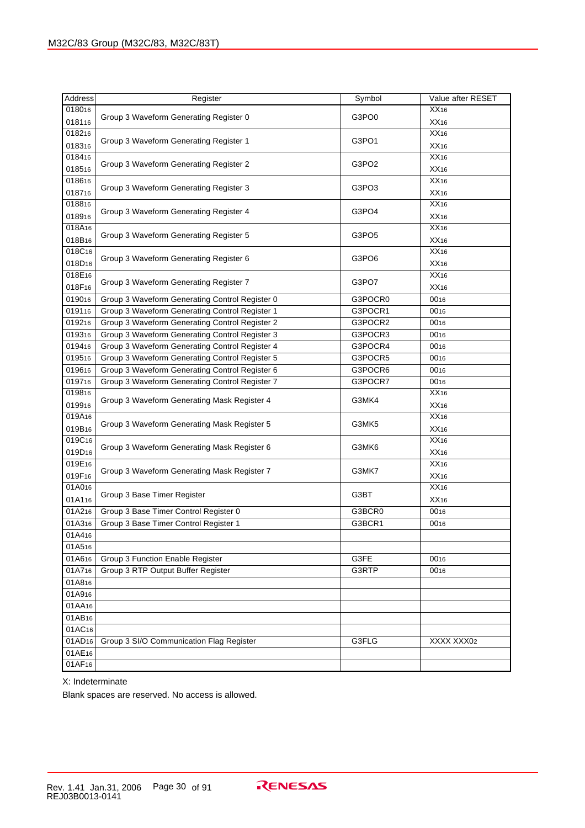| <b>Address</b>     | Register                                       | Symbol            | Value after RESET |
|--------------------|------------------------------------------------|-------------------|-------------------|
| 018016             |                                                |                   | XX16              |
| 018116             | Group 3 Waveform Generating Register 0         | G3PO0             | XX16              |
| 018216             |                                                |                   | XX16              |
| 018316             | Group 3 Waveform Generating Register 1         | G3PO1             | XX16              |
| 018416             |                                                |                   | XX16              |
| 018516             | Group 3 Waveform Generating Register 2         | G3PO <sub>2</sub> | XX16              |
| 018616             |                                                |                   | XX16              |
| 018716             | Group 3 Waveform Generating Register 3         | G3PO3             | XX16              |
| 018816             |                                                |                   | XX16              |
| 018916             | Group 3 Waveform Generating Register 4         | G3PO4             | XX16              |
| 018A16             |                                                |                   | XX16              |
| 018B16             | Group 3 Waveform Generating Register 5         | G3PO5             | XX16              |
| 018C16             |                                                |                   | XX16              |
| 018D <sub>16</sub> | Group 3 Waveform Generating Register 6         | G3PO6             | XX16              |
| 018E16             |                                                |                   | XX16              |
| 018F16             | Group 3 Waveform Generating Register 7         | G3PO7             | XX16              |
| 019016             | Group 3 Waveform Generating Control Register 0 | G3POCR0           | 0016              |
| 019116             | Group 3 Waveform Generating Control Register 1 | G3POCR1           | 0016              |
| 019216             | Group 3 Waveform Generating Control Register 2 | G3POCR2           | 0016              |
| 019316             | Group 3 Waveform Generating Control Register 3 | G3POCR3           | 0016              |
| 019416             | Group 3 Waveform Generating Control Register 4 | G3POCR4           | 0016              |
| 019516             | Group 3 Waveform Generating Control Register 5 | G3POCR5           | 0016              |
| 019616             | Group 3 Waveform Generating Control Register 6 | G3POCR6           | 0016              |
| 019716             | Group 3 Waveform Generating Control Register 7 | G3POCR7           | 0016              |
| 019816             | Group 3 Waveform Generating Mask Register 4    | G3MK4             | XX16              |
| 019916             |                                                |                   | XX16              |
| 019A16             | Group 3 Waveform Generating Mask Register 5    | G3MK5             | XX16              |
| 019B16             |                                                |                   | XX16              |
| 019C16             | Group 3 Waveform Generating Mask Register 6    | G3MK6             | XX16              |
| 019D <sub>16</sub> |                                                |                   | XX16              |
| 019E16             | Group 3 Waveform Generating Mask Register 7    | G3MK7             | XX16              |
| 019F16             |                                                |                   | XX16              |
| 01A016             | Group 3 Base Timer Register                    | G3BT              | XX16              |
| 01A116             |                                                |                   | XX16              |
| 01A216             | Group 3 Base Timer Control Register 0          | G3BCR0            | 0016              |
| 01A316             | Group 3 Base Timer Control Register 1          | G3BCR1            | 0016              |
| 01A416             |                                                |                   |                   |
| 01A516             |                                                |                   |                   |
| 01A616             | Group 3 Function Enable Register               | G3FE              | 0016              |
| 01A716             | Group 3 RTP Output Buffer Register             | G3RTP             | 0016              |
| 01A816             |                                                |                   |                   |
| 01A916             |                                                |                   |                   |
| 01AA16             |                                                |                   |                   |
| 01AB16             |                                                |                   |                   |
| 01AC16             |                                                |                   |                   |
| 01AD <sub>16</sub> | Group 3 SI/O Communication Flag Register       | G3FLG             | XXXX XXX02        |
| 01AE16             |                                                |                   |                   |
| 01AF16             |                                                |                   |                   |

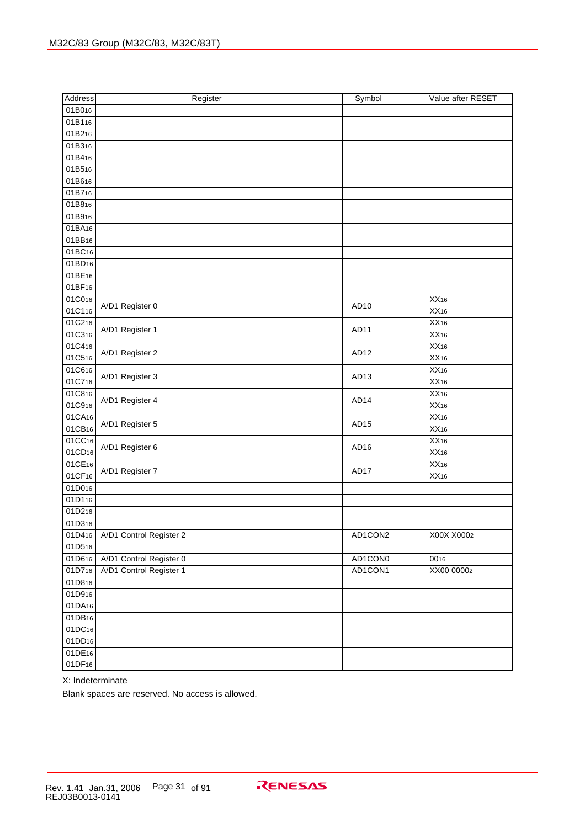| Address            | Register                         | Symbol           | Value after RESET |
|--------------------|----------------------------------|------------------|-------------------|
| 01B016             |                                  |                  |                   |
| 01B116             |                                  |                  |                   |
| 01B216             |                                  |                  |                   |
| 01B316             |                                  |                  |                   |
| 01B416             |                                  |                  |                   |
| 01B516             |                                  |                  |                   |
| 01B616             |                                  |                  |                   |
| 01B716             |                                  |                  |                   |
| 01B816             |                                  |                  |                   |
| 01B916             |                                  |                  |                   |
| 01BA16             |                                  |                  |                   |
| 01BB <sub>16</sub> |                                  |                  |                   |
| 01BC16             |                                  |                  |                   |
| 01BD <sub>16</sub> |                                  |                  |                   |
| 01BE16             |                                  |                  |                   |
| 01BF <sub>16</sub> |                                  |                  |                   |
| 01C016             |                                  |                  | XX16              |
| 01C116             | A/D1 Register 0                  | AD <sub>10</sub> | XX16              |
| 01C216             |                                  |                  | XX16              |
| 01C316             | A/D1 Register 1                  | AD11             | XX16              |
| 01C416             |                                  |                  | XX16              |
| 01C516             | A/D1 Register 2                  | AD <sub>12</sub> | XX16              |
| 01C616             |                                  |                  | XX16              |
| 01C716             | A/D1 Register 3                  | AD <sub>13</sub> | XX16              |
| 01C816             |                                  |                  | XX16              |
| 01C916             | A/D1 Register 4                  | AD <sub>14</sub> | XX16              |
| 01CA16             |                                  |                  | XX16              |
| 01CB16             | A/D1 Register 5                  | AD <sub>15</sub> | XX16              |
| 01CC16             |                                  |                  | XX16              |
| 01CD <sub>16</sub> | A/D1 Register 6                  | AD <sub>16</sub> | XX16              |
| 01CE16             |                                  |                  | XX16              |
| 01CF16             | A/D1 Register 7                  | AD17             | XX16              |
| 01D016             |                                  |                  |                   |
| 01D116             |                                  |                  |                   |
| 01D216             |                                  |                  |                   |
| 01D316             |                                  |                  |                   |
|                    | 01D416   A/D1 Control Register 2 | AD1CON2          | X00X X0002        |
| 01D516             |                                  |                  |                   |
| 01D616             | A/D1 Control Register 0          | AD1CON0          | 0016              |
| 01D716             | A/D1 Control Register 1          | AD1CON1          | XX00 00002        |
| 01D816             |                                  |                  |                   |
| 01D916             |                                  |                  |                   |
| 01DA16             |                                  |                  |                   |
| 01DB16             |                                  |                  |                   |
| 01DC16             |                                  |                  |                   |
| 01DD <sub>16</sub> |                                  |                  |                   |
| 01DE16             |                                  |                  |                   |
| 01DF16             |                                  |                  |                   |

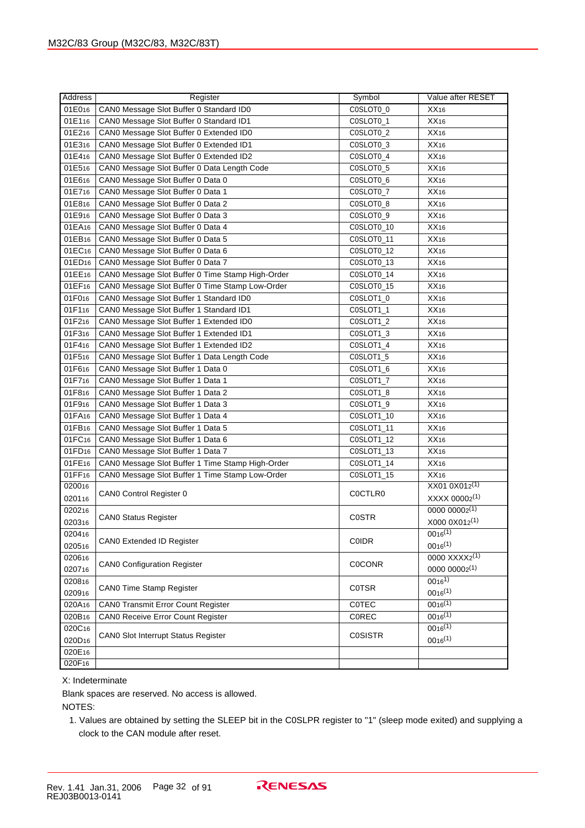| Address            | Register                                         | Symbol         | Value after RESET  |
|--------------------|--------------------------------------------------|----------------|--------------------|
| 01E016             | CAN0 Message Slot Buffer 0 Standard ID0          | C0SLOT0 0      | XX <sub>16</sub>   |
| 01E116             | CAN0 Message Slot Buffer 0 Standard ID1          | C0SLOT0_1      | XX16               |
| 01E216             | CAN0 Message Slot Buffer 0 Extended ID0          | C0SLOT0_2      | XX16               |
| 01E316             | CAN0 Message Slot Buffer 0 Extended ID1          | C0SLOT0_3      | XX16               |
| 01E416             | CAN0 Message Slot Buffer 0 Extended ID2          | C0SLOT0_4      | XX16               |
| 01E516             | CAN0 Message Slot Buffer 0 Data Length Code      | C0SLOT0_5      | XX16               |
| 01E616             | CAN0 Message Slot Buffer 0 Data 0                | C0SLOT0_6      | XX16               |
| 01E716             | CAN0 Message Slot Buffer 0 Data 1                | C0SLOT0_7      | XX16               |
| 01E816             | CAN0 Message Slot Buffer 0 Data 2                | C0SLOT0_8      | XX16               |
| 01E916             | CAN0 Message Slot Buffer 0 Data 3                | C0SLOT0_9      | XX16               |
| 01EA16             | CANO Message Slot Buffer 0 Data 4                | C0SLOT0_10     | XX16               |
| 01EB <sub>16</sub> | CANO Message Slot Buffer 0 Data 5                | C0SLOT0_11     | XX16               |
| 01EC16             | CAN0 Message Slot Buffer 0 Data 6                | C0SLOT0_12     | XX16               |
| 01ED <sub>16</sub> | CANO Message Slot Buffer 0 Data 7                | C0SLOT0_13     | XX16               |
| 01EE16             | CAN0 Message Slot Buffer 0 Time Stamp High-Order | C0SLOT0_14     | XX16               |
| 01EF16             | CAN0 Message Slot Buffer 0 Time Stamp Low-Order  | C0SLOT0_15     | XX16               |
| 01F016             | CAN0 Message Slot Buffer 1 Standard ID0          | C0SLOT1_0      | XX16               |
| 01F116             | CANO Message Slot Buffer 1 Standard ID1          | C0SLOT1_1      | XX16               |
| 01F216             | CAN0 Message Slot Buffer 1 Extended ID0          | C0SLOT1_2      | XX16               |
| 01F316             | CAN0 Message Slot Buffer 1 Extended ID1          | C0SLOT1_3      | XX16               |
| 01F416             | CAN0 Message Slot Buffer 1 Extended ID2          | C0SLOT1_4      | XX16               |
| 01F516             | CAN0 Message Slot Buffer 1 Data Length Code      | C0SLOT1_5      | XX16               |
| 01F616             | CAN0 Message Slot Buffer 1 Data 0                | C0SLOT1_6      | XX16               |
| 01F716             | CAN0 Message Slot Buffer 1 Data 1                | C0SLOT1_7      | XX16               |
| 01F816             | CAN0 Message Slot Buffer 1 Data 2                | C0SLOT1_8      | XX16               |
| 01F916             | CAN0 Message Slot Buffer 1 Data 3                | C0SLOT1_9      | XX16               |
| 01FA16             | CAN0 Message Slot Buffer 1 Data 4                | C0SLOT1_10     | XX16               |
| 01FB <sub>16</sub> | CANO Message Slot Buffer 1 Data 5                | C0SLOT1_11     | XX16               |
| 01FC <sub>16</sub> | CAN0 Message Slot Buffer 1 Data 6                | C0SLOT1_12     | XX16               |
| 01FD <sub>16</sub> | CAN0 Message Slot Buffer 1 Data 7                | C0SLOT1_13     | XX16               |
| 01FE16             | CAN0 Message Slot Buffer 1 Time Stamp High-Order | C0SLOT1_14     | XX16               |
| 01FF16             | CAN0 Message Slot Buffer 1 Time Stamp Low-Order  | C0SLOT1_15     | XX16               |
| 020016             |                                                  | C0CTLR0        | XX01 0X012(1)      |
| 020116             | CAN0 Control Register 0                          |                | XXXX 00002(1)      |
| 020216             | <b>CANO Status Register</b>                      | <b>COSTR</b>   | $0000 00002^{(1)}$ |
| 020316             |                                                  |                | X000 0X012(1)      |
| 020416             | CAN0 Extended ID Register                        | COIDR          | $0016^{(1)}$       |
| 020516             |                                                  |                | $0016^{(1)}$       |
| 020616             | <b>CANO Configuration Register</b>               | <b>COCONR</b>  | 0000 XXXX2(1)      |
| 020716             |                                                  |                | 0000 00002(1)      |
| 020816             | CAN0 Time Stamp Register                         | <b>COTSR</b>   | $0016^{1}$         |
| 020916             |                                                  |                | $0016^{(1)}$       |
| 020A16             | <b>CANO Transmit Error Count Register</b>        | COTEC          | $0016^{(1)}$       |
| 020B16             | <b>CANO Receive Error Count Register</b>         | COREC          | $0016^{(1)}$       |
| 020C16             | CAN0 Slot Interrupt Status Register              | <b>COSISTR</b> | $0016^{(1)}$       |
| 020D16             |                                                  |                | $0016^{(1)}$       |
| 020E16             |                                                  |                |                    |
| 020F16             |                                                  |                |                    |

Blank spaces are reserved. No access is allowed.

NOTES:

1. Values are obtained by setting the SLEEP bit in the C0SLPR register to "1" (sleep mode exited) and supplying a clock to the CAN module after reset.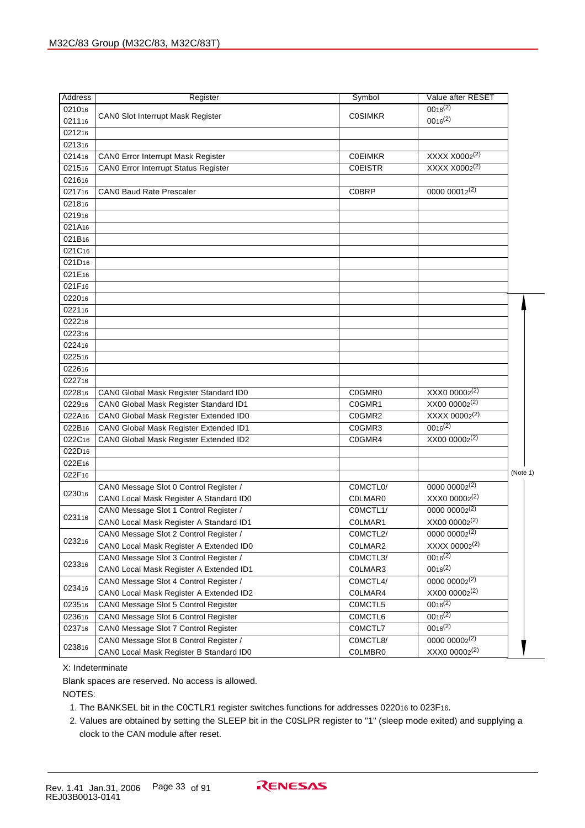| Address            | Register                                | Symbol         | Value after RESET         |          |
|--------------------|-----------------------------------------|----------------|---------------------------|----------|
| 021016             |                                         |                | $0016^{(2)}$              |          |
| 021116             | CAN0 Slot Interrupt Mask Register       | <b>COSIMKR</b> | $0016^{(2)}$              |          |
| 021216             |                                         |                |                           |          |
| 021316             |                                         |                |                           |          |
| 021416             | CAN0 Error Interrupt Mask Register      | <b>COEIMKR</b> | XXXX X0002 <sup>(2)</sup> |          |
| 021516             | CAN0 Error Interrupt Status Register    | <b>COEISTR</b> | XXXX X0002 <sup>(2)</sup> |          |
| 021616             |                                         |                |                           |          |
| 021716             | <b>CANO Baud Rate Prescaler</b>         | <b>COBRP</b>   | 0000 0001 $2^{(2)}$       |          |
| 021816             |                                         |                |                           |          |
| 021916             |                                         |                |                           |          |
| 021A16             |                                         |                |                           |          |
| 021B16             |                                         |                |                           |          |
| 021C16             |                                         |                |                           |          |
| 021D <sub>16</sub> |                                         |                |                           |          |
| 021E16             |                                         |                |                           |          |
| 021F16             |                                         |                |                           |          |
| 022016             |                                         |                |                           |          |
| 022116             |                                         |                |                           |          |
| 022216             |                                         |                |                           |          |
| 022316             |                                         |                |                           |          |
| 022416             |                                         |                |                           |          |
| 022516             |                                         |                |                           |          |
| 022616             |                                         |                |                           |          |
| 022716             |                                         |                |                           |          |
| 022816             | CAN0 Global Mask Register Standard ID0  | C0GMR0         | XXX0 00002 <sup>(2)</sup> |          |
| 022916             | CAN0 Global Mask Register Standard ID1  | C0GMR1         | XX00 00002 <sup>(2)</sup> |          |
| 022A16             | CAN0 Global Mask Register Extended ID0  | C0GMR2         | XXXX 00002 <sup>(2)</sup> |          |
| 022B16             | CAN0 Global Mask Register Extended ID1  | C0GMR3         | $0016^{(2)}$              |          |
| 022C16             | CAN0 Global Mask Register Extended ID2  | C0GMR4         | XX00 00002 <sup>(2)</sup> |          |
| 022D <sub>16</sub> |                                         |                |                           |          |
| 022E16             |                                         |                |                           |          |
| 022F16             |                                         |                |                           | (Note 1) |
| 023016             | CAN0 Message Slot 0 Control Register /  | COMCTLO/       | $0000 00002^{(2)}$        |          |
|                    | CAN0 Local Mask Register A Standard ID0 | <b>COLMARO</b> | XXX0 00002(2)             |          |
| 023116             | CAN0 Message Slot 1 Control Register /  | COMCTL1/       | $0000 00002^{(2)}$        |          |
|                    | CAN0 Local Mask Register A Standard ID1 | COLMAR1        | XX00 00002(2)             |          |
| 023216             | CANO Message Slot 2 Control Register /  | COMCTL2/       | $0000 00002^{(2)}$        |          |
|                    | CANO Local Mask Register A Extended ID0 | C0LMAR2        | XXXX 00002 <sup>(2)</sup> |          |
| 023316             | CAN0 Message Slot 3 Control Register /  | COMCTL3/       | $0016^{(2)}$              |          |
|                    | CANO Local Mask Register A Extended ID1 | C0LMAR3        | $0016^{(2)}$              |          |
| 023416             | CAN0 Message Slot 4 Control Register /  | COMCTL4/       | $0000 00002^{(2)}$        |          |
|                    | CAN0 Local Mask Register A Extended ID2 | C0LMAR4        | XX00 00002(2)             |          |
| 023516             | CAN0 Message Slot 5 Control Register    | C0MCTL5        | $0016^{(2)}$              |          |
| 023616             | CANO Message Slot 6 Control Register    | C0MCTL6        | $0016^{(2)}$              |          |
| 023716             | CAN0 Message Slot 7 Control Register    | C0MCTL7        | $0016^{(2)}$              |          |
| 023816             | CAN0 Message Slot 8 Control Register /  | COMCTL8/       | $0000 00002^{(2)}$        |          |
|                    | CAN0 Local Mask Register B Standard ID0 | C0LMBR0        | XXX0 00002(2)             |          |

Blank spaces are reserved. No access is allowed.

NOTES:

- 1. The BANKSEL bit in the C0CTLR1 register switches functions for addresses 022016 to 023F16.
- 2. Values are obtained by setting the SLEEP bit in the C0SLPR register to "1" (sleep mode exited) and supplying a clock to the CAN module after reset.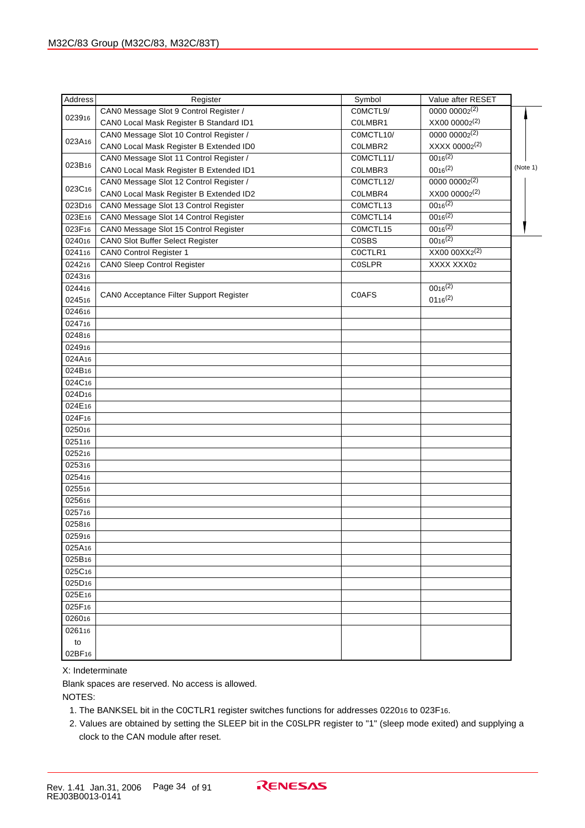| Address            | Register                                | Symbol        | Value after RESET  |          |
|--------------------|-----------------------------------------|---------------|--------------------|----------|
|                    | CAN0 Message Slot 9 Control Register /  | COMCTL9/      | $0000 00002^{(2)}$ |          |
| 023916             | CAN0 Local Mask Register B Standard ID1 | COLMBR1       | XX00 00002(2)      |          |
|                    | CAN0 Message Slot 10 Control Register / | COMCTL10/     | $0000 00002^{(2)}$ |          |
| 023A16             | CAN0 Local Mask Register B Extended ID0 | COLMBR2       | XXXX 00002(2)      |          |
|                    | CAN0 Message Slot 11 Control Register / | COMCTL11/     | $0016^{(2)}$       |          |
| 023B16             | CAN0 Local Mask Register B Extended ID1 | COLMBR3       | $0016^{(2)}$       | (Note 1) |
|                    | CAN0 Message Slot 12 Control Register / | COMCTL12/     | $0000 00002^{(2)}$ |          |
| 023C16             | CAN0 Local Mask Register B Extended ID2 | COLMBR4       | XX00 00002(2)      |          |
| 023D <sub>16</sub> | CAN0 Message Slot 13 Control Register   | COMCTL13      | $0016^{(2)}$       |          |
| 023E16             | CAN0 Message Slot 14 Control Register   | COMCTL14      | $0016^{(2)}$       |          |
| 023F16             | CAN0 Message Slot 15 Control Register   | COMCTL15      | $0016^{(2)}$       |          |
| 024016             |                                         | <b>COSBS</b>  | $0016^{(2)}$       |          |
|                    | CAN0 Slot Buffer Select Register        |               | $XX00000XX2^{(2)}$ |          |
| 024116             | CAN0 Control Register 1                 | C0CTLR1       |                    |          |
| 024216             | <b>CAN0 Sleep Control Register</b>      | <b>COSLPR</b> | XXXX XXX02         |          |
| 024316             |                                         |               |                    |          |
| 024416             | CAN0 Acceptance Filter Support Register | <b>COAFS</b>  | $0016^{(2)}$       |          |
| 024516             |                                         |               | $0116^{(2)}$       |          |
| 024616             |                                         |               |                    |          |
| 024716             |                                         |               |                    |          |
| 024816             |                                         |               |                    |          |
| 024916             |                                         |               |                    |          |
| 024A16             |                                         |               |                    |          |
| 024B16             |                                         |               |                    |          |
| 024C16             |                                         |               |                    |          |
| 024D <sub>16</sub> |                                         |               |                    |          |
| 024E16             |                                         |               |                    |          |
| 024F16             |                                         |               |                    |          |
| 025016             |                                         |               |                    |          |
| 025116             |                                         |               |                    |          |
| 025216             |                                         |               |                    |          |
| 025316             |                                         |               |                    |          |
| 025416             |                                         |               |                    |          |
| 025516             |                                         |               |                    |          |
| 025616             |                                         |               |                    |          |
| 025716             |                                         |               |                    |          |
| 025816             |                                         |               |                    |          |
| 025916             |                                         |               |                    |          |
| 025A16             |                                         |               |                    |          |
| 025B <sub>16</sub> |                                         |               |                    |          |
| 025C16             |                                         |               |                    |          |
| 025D <sub>16</sub> |                                         |               |                    |          |
| 025E16             |                                         |               |                    |          |
| 025F16             |                                         |               |                    |          |
| 026016             |                                         |               |                    |          |
| 026116             |                                         |               |                    |          |
| to                 |                                         |               |                    |          |
| 02BF <sub>16</sub> |                                         |               |                    |          |
|                    |                                         |               |                    |          |

Blank spaces are reserved. No access is allowed.

NOTES:

- 1. The BANKSEL bit in the C0CTLR1 register switches functions for addresses 022016 to 023F16.
- 2. Values are obtained by setting the SLEEP bit in the C0SLPR register to "1" (sleep mode exited) and supplying a clock to the CAN module after reset.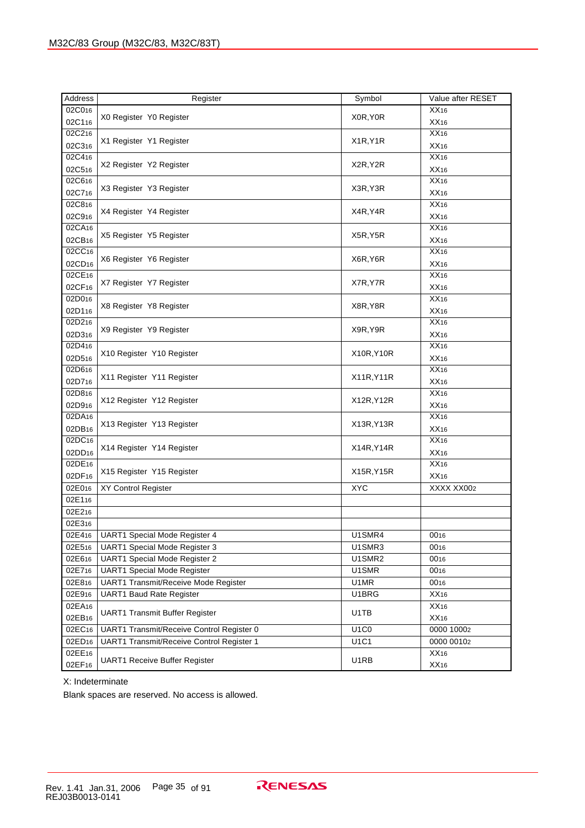| Address            | Register                                  | Symbol      | Value after RESET |
|--------------------|-------------------------------------------|-------------|-------------------|
| 02C016             |                                           |             | XX16              |
| 02C116             | X0 Register Y0 Register                   | X0R, Y0R    | XX16              |
| 02C216             |                                           |             | XX16              |
| 02C316             | X1 Register Y1 Register                   | X1R, Y1R    | XX16              |
| 02C416             |                                           | X2R, Y2R    | XX16              |
| 02C516             | X2 Register Y2 Register                   |             | XX16              |
| 02C616             |                                           |             | XX16              |
| 02C716             | X3 Register Y3 Register                   | X3R, Y3R    | XX16              |
| 02C816             |                                           |             | XX16              |
| 02C916             | X4 Register Y4 Register                   | X4R, Y4R    | XX16              |
| 02CA16             |                                           |             | XX16              |
| 02CB16             | X5 Register Y5 Register                   | X5R, Y5R    | XX16              |
| 02CC16             |                                           |             | XX16              |
| 02CD <sub>16</sub> | X6 Register Y6 Register                   | X6R, Y6R    | XX16              |
| 02CE16             |                                           |             | XX16              |
| 02CF16             | X7 Register Y7 Register                   | X7R, Y7R    | XX16              |
| 02D016             |                                           |             | XX16              |
| 02D116             | X8 Register Y8 Register                   | X8R, Y8R    | XX16              |
| 02D216             |                                           |             | XX16              |
| 02D316             | X9 Register Y9 Register                   | X9R, Y9R    | XX16              |
| 02D416             |                                           |             | XX16              |
| 02D516             | X10 Register Y10 Register                 | X10R, Y10R  | XX16              |
| 02D616             |                                           |             | XX16              |
| 02D716             | X11 Register Y11 Register                 | X11R, Y11R  | XX16              |
| 02D816             |                                           |             | XX16              |
| 02D916             | X12 Register Y12 Register                 | X12R, Y12R  | XX16              |
| 02DA16             |                                           |             | XX16              |
| 02DB16             | X13 Register Y13 Register                 | X13R, Y13R  | XX16              |
| 02DC16             |                                           |             | XX16              |
| 02DD <sub>16</sub> | X14 Register Y14 Register                 | X14R, Y14R  | XX16              |
| 02DE16             |                                           |             | XX16              |
| 02DF16             | X15 Register Y15 Register                 | X15R, Y15R  | XX16              |
| 02E016             | XY Control Register                       | <b>XYC</b>  | XXXX XX002        |
| 02E116             |                                           |             |                   |
| 02E216             |                                           |             |                   |
| 02E316             |                                           |             |                   |
| 02E416             | UART1 Special Mode Register 4             | U1SMR4      | 0016              |
| 02E516             | UART1 Special Mode Register 3             | U1SMR3      | 0016              |
| 02E616             | UART1 Special Mode Register 2             | U1SMR2      | 0016              |
| 02E716             | <b>UART1 Special Mode Register</b>        | U1SMR       | 0016              |
| 02E816             | UART1 Transmit/Receive Mode Register      | U1MR        | 0016              |
| 02E916             | <b>UART1 Baud Rate Register</b>           | U1BRG       | XX16              |
| 02EA16             |                                           |             | XX16              |
| 02EB16             | <b>UART1 Transmit Buffer Register</b>     | U1TB        | XX16              |
| 02EC16             | UART1 Transmit/Receive Control Register 0 | <b>U1C0</b> | 0000 10002        |
| 02ED <sub>16</sub> | UART1 Transmit/Receive Control Register 1 | U1C1        | 0000 00102        |
| 02EE16             |                                           |             | XX16              |
| 02EF16             | <b>UART1 Receive Buffer Register</b>      | U1RB        | XX16              |

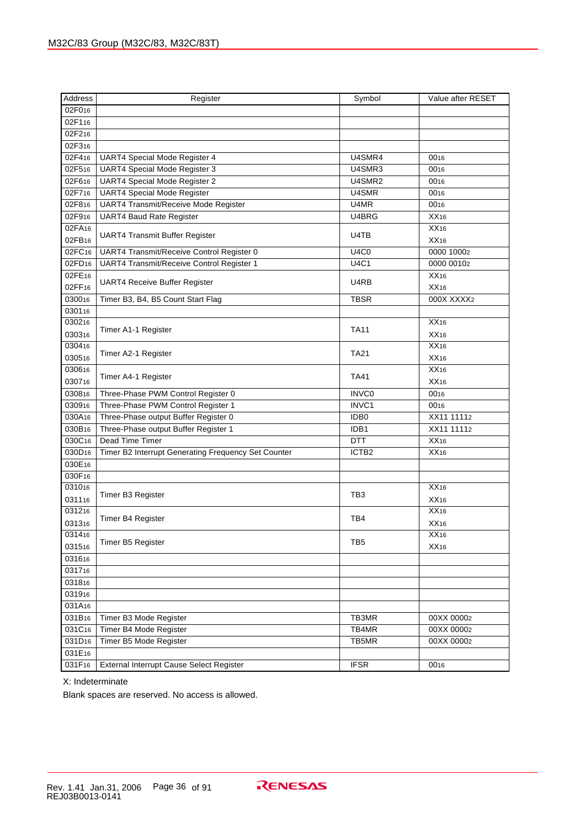| 02F016<br>02F116<br>02F216<br>02F316<br>02F416<br>UART4 Special Mode Register 4<br>U4SMR4<br>0016<br>02F516<br><b>UART4 Special Mode Register 3</b><br>U4SMR3<br>0016<br><b>UART4 Special Mode Register 2</b><br>02F616<br>U4SMR2<br>0016<br>02F716<br><b>UART4 Special Mode Register</b><br>U4SMR<br>0016<br><b>UART4 Transmit/Receive Mode Register</b><br>02F816<br>U4MR<br>0016<br>02F916<br>U4BRG<br>XX16<br><b>UART4 Baud Rate Register</b><br>02FA16<br>XX16<br>U4TB<br><b>UART4 Transmit Buffer Register</b><br>02FB16<br>XX16<br>02FC16<br>UART4 Transmit/Receive Control Register 0<br><b>U4C0</b><br>0000 10002<br>02FD <sub>16</sub><br>UART4 Transmit/Receive Control Register 1<br><b>U4C1</b><br>0000 00102<br>02FE16<br>XX16<br>U4RB<br>UART4 Receive Buffer Register<br>02FF16<br>XX16<br>030016<br><b>TBSR</b><br>000X XXXX2<br>Timer B3, B4, B5 Count Start Flag<br>030116<br>030216<br>XX16<br><b>TA11</b><br>Timer A1-1 Register<br>030316<br>XX16<br>030416<br>XX16<br><b>TA21</b><br>Timer A2-1 Register<br>030516<br>XX16<br>030616<br>XX16<br>Timer A4-1 Register<br><b>TA41</b><br>030716<br>XX16<br>030816<br>Three-Phase PWM Control Register 0<br><b>INVCO</b><br>0016<br>030916<br>Three-Phase PWM Control Register 1<br>INVC1<br>0016<br>030A16<br>Three-Phase output Buffer Register 0<br>XX11 11112<br>IDB <sub>0</sub><br>030B16<br>XX11 11112<br>Three-Phase output Buffer Register 1<br>IDB1<br>030C16<br>Dead Time Timer<br>XX16<br><b>DTT</b><br>030D <sub>16</sub><br>Timer B2 Interrupt Generating Frequency Set Counter<br>ICTB <sub>2</sub><br>XX16<br>030E16<br>030F16<br>031016<br>XX16<br>TB <sub>3</sub><br>Timer B3 Register<br>031116<br>XX16<br>XX16<br>031216<br>TB4<br>Timer B4 Register<br>031316<br>XX16<br>XX16<br>031416<br>Timer B5 Register<br>TB <sub>5</sub><br>031516<br>XX16<br>031616<br>031716<br>031816<br>031916<br>031A16<br>031B16<br>Timer B3 Mode Register<br>TB3MR<br>00XX 00002<br>031C16<br>Timer B4 Mode Register<br>TB4MR<br>00XX 00002<br>031D <sub>16</sub><br>Timer B5 Mode Register<br>TB5MR<br>00XX 00002<br>031E16<br>031F16<br>External Interrupt Cause Select Register<br><b>IFSR</b><br>0016 | Address | Register | Symbol | Value after RESET |
|---------------------------------------------------------------------------------------------------------------------------------------------------------------------------------------------------------------------------------------------------------------------------------------------------------------------------------------------------------------------------------------------------------------------------------------------------------------------------------------------------------------------------------------------------------------------------------------------------------------------------------------------------------------------------------------------------------------------------------------------------------------------------------------------------------------------------------------------------------------------------------------------------------------------------------------------------------------------------------------------------------------------------------------------------------------------------------------------------------------------------------------------------------------------------------------------------------------------------------------------------------------------------------------------------------------------------------------------------------------------------------------------------------------------------------------------------------------------------------------------------------------------------------------------------------------------------------------------------------------------------------------------------------------------------------------------------------------------------------------------------------------------------------------------------------------------------------------------------------------------------------------------------------------------------------------------------------------------------------------------------------------------------------------------------------------------------------------------------------------------------------------------------------------------------------|---------|----------|--------|-------------------|
|                                                                                                                                                                                                                                                                                                                                                                                                                                                                                                                                                                                                                                                                                                                                                                                                                                                                                                                                                                                                                                                                                                                                                                                                                                                                                                                                                                                                                                                                                                                                                                                                                                                                                                                                                                                                                                                                                                                                                                                                                                                                                                                                                                                 |         |          |        |                   |
|                                                                                                                                                                                                                                                                                                                                                                                                                                                                                                                                                                                                                                                                                                                                                                                                                                                                                                                                                                                                                                                                                                                                                                                                                                                                                                                                                                                                                                                                                                                                                                                                                                                                                                                                                                                                                                                                                                                                                                                                                                                                                                                                                                                 |         |          |        |                   |
|                                                                                                                                                                                                                                                                                                                                                                                                                                                                                                                                                                                                                                                                                                                                                                                                                                                                                                                                                                                                                                                                                                                                                                                                                                                                                                                                                                                                                                                                                                                                                                                                                                                                                                                                                                                                                                                                                                                                                                                                                                                                                                                                                                                 |         |          |        |                   |
|                                                                                                                                                                                                                                                                                                                                                                                                                                                                                                                                                                                                                                                                                                                                                                                                                                                                                                                                                                                                                                                                                                                                                                                                                                                                                                                                                                                                                                                                                                                                                                                                                                                                                                                                                                                                                                                                                                                                                                                                                                                                                                                                                                                 |         |          |        |                   |
|                                                                                                                                                                                                                                                                                                                                                                                                                                                                                                                                                                                                                                                                                                                                                                                                                                                                                                                                                                                                                                                                                                                                                                                                                                                                                                                                                                                                                                                                                                                                                                                                                                                                                                                                                                                                                                                                                                                                                                                                                                                                                                                                                                                 |         |          |        |                   |
|                                                                                                                                                                                                                                                                                                                                                                                                                                                                                                                                                                                                                                                                                                                                                                                                                                                                                                                                                                                                                                                                                                                                                                                                                                                                                                                                                                                                                                                                                                                                                                                                                                                                                                                                                                                                                                                                                                                                                                                                                                                                                                                                                                                 |         |          |        |                   |
|                                                                                                                                                                                                                                                                                                                                                                                                                                                                                                                                                                                                                                                                                                                                                                                                                                                                                                                                                                                                                                                                                                                                                                                                                                                                                                                                                                                                                                                                                                                                                                                                                                                                                                                                                                                                                                                                                                                                                                                                                                                                                                                                                                                 |         |          |        |                   |
|                                                                                                                                                                                                                                                                                                                                                                                                                                                                                                                                                                                                                                                                                                                                                                                                                                                                                                                                                                                                                                                                                                                                                                                                                                                                                                                                                                                                                                                                                                                                                                                                                                                                                                                                                                                                                                                                                                                                                                                                                                                                                                                                                                                 |         |          |        |                   |
|                                                                                                                                                                                                                                                                                                                                                                                                                                                                                                                                                                                                                                                                                                                                                                                                                                                                                                                                                                                                                                                                                                                                                                                                                                                                                                                                                                                                                                                                                                                                                                                                                                                                                                                                                                                                                                                                                                                                                                                                                                                                                                                                                                                 |         |          |        |                   |
|                                                                                                                                                                                                                                                                                                                                                                                                                                                                                                                                                                                                                                                                                                                                                                                                                                                                                                                                                                                                                                                                                                                                                                                                                                                                                                                                                                                                                                                                                                                                                                                                                                                                                                                                                                                                                                                                                                                                                                                                                                                                                                                                                                                 |         |          |        |                   |
|                                                                                                                                                                                                                                                                                                                                                                                                                                                                                                                                                                                                                                                                                                                                                                                                                                                                                                                                                                                                                                                                                                                                                                                                                                                                                                                                                                                                                                                                                                                                                                                                                                                                                                                                                                                                                                                                                                                                                                                                                                                                                                                                                                                 |         |          |        |                   |
|                                                                                                                                                                                                                                                                                                                                                                                                                                                                                                                                                                                                                                                                                                                                                                                                                                                                                                                                                                                                                                                                                                                                                                                                                                                                                                                                                                                                                                                                                                                                                                                                                                                                                                                                                                                                                                                                                                                                                                                                                                                                                                                                                                                 |         |          |        |                   |
|                                                                                                                                                                                                                                                                                                                                                                                                                                                                                                                                                                                                                                                                                                                                                                                                                                                                                                                                                                                                                                                                                                                                                                                                                                                                                                                                                                                                                                                                                                                                                                                                                                                                                                                                                                                                                                                                                                                                                                                                                                                                                                                                                                                 |         |          |        |                   |
|                                                                                                                                                                                                                                                                                                                                                                                                                                                                                                                                                                                                                                                                                                                                                                                                                                                                                                                                                                                                                                                                                                                                                                                                                                                                                                                                                                                                                                                                                                                                                                                                                                                                                                                                                                                                                                                                                                                                                                                                                                                                                                                                                                                 |         |          |        |                   |
|                                                                                                                                                                                                                                                                                                                                                                                                                                                                                                                                                                                                                                                                                                                                                                                                                                                                                                                                                                                                                                                                                                                                                                                                                                                                                                                                                                                                                                                                                                                                                                                                                                                                                                                                                                                                                                                                                                                                                                                                                                                                                                                                                                                 |         |          |        |                   |
|                                                                                                                                                                                                                                                                                                                                                                                                                                                                                                                                                                                                                                                                                                                                                                                                                                                                                                                                                                                                                                                                                                                                                                                                                                                                                                                                                                                                                                                                                                                                                                                                                                                                                                                                                                                                                                                                                                                                                                                                                                                                                                                                                                                 |         |          |        |                   |
|                                                                                                                                                                                                                                                                                                                                                                                                                                                                                                                                                                                                                                                                                                                                                                                                                                                                                                                                                                                                                                                                                                                                                                                                                                                                                                                                                                                                                                                                                                                                                                                                                                                                                                                                                                                                                                                                                                                                                                                                                                                                                                                                                                                 |         |          |        |                   |
|                                                                                                                                                                                                                                                                                                                                                                                                                                                                                                                                                                                                                                                                                                                                                                                                                                                                                                                                                                                                                                                                                                                                                                                                                                                                                                                                                                                                                                                                                                                                                                                                                                                                                                                                                                                                                                                                                                                                                                                                                                                                                                                                                                                 |         |          |        |                   |
|                                                                                                                                                                                                                                                                                                                                                                                                                                                                                                                                                                                                                                                                                                                                                                                                                                                                                                                                                                                                                                                                                                                                                                                                                                                                                                                                                                                                                                                                                                                                                                                                                                                                                                                                                                                                                                                                                                                                                                                                                                                                                                                                                                                 |         |          |        |                   |
|                                                                                                                                                                                                                                                                                                                                                                                                                                                                                                                                                                                                                                                                                                                                                                                                                                                                                                                                                                                                                                                                                                                                                                                                                                                                                                                                                                                                                                                                                                                                                                                                                                                                                                                                                                                                                                                                                                                                                                                                                                                                                                                                                                                 |         |          |        |                   |
|                                                                                                                                                                                                                                                                                                                                                                                                                                                                                                                                                                                                                                                                                                                                                                                                                                                                                                                                                                                                                                                                                                                                                                                                                                                                                                                                                                                                                                                                                                                                                                                                                                                                                                                                                                                                                                                                                                                                                                                                                                                                                                                                                                                 |         |          |        |                   |
|                                                                                                                                                                                                                                                                                                                                                                                                                                                                                                                                                                                                                                                                                                                                                                                                                                                                                                                                                                                                                                                                                                                                                                                                                                                                                                                                                                                                                                                                                                                                                                                                                                                                                                                                                                                                                                                                                                                                                                                                                                                                                                                                                                                 |         |          |        |                   |
|                                                                                                                                                                                                                                                                                                                                                                                                                                                                                                                                                                                                                                                                                                                                                                                                                                                                                                                                                                                                                                                                                                                                                                                                                                                                                                                                                                                                                                                                                                                                                                                                                                                                                                                                                                                                                                                                                                                                                                                                                                                                                                                                                                                 |         |          |        |                   |
|                                                                                                                                                                                                                                                                                                                                                                                                                                                                                                                                                                                                                                                                                                                                                                                                                                                                                                                                                                                                                                                                                                                                                                                                                                                                                                                                                                                                                                                                                                                                                                                                                                                                                                                                                                                                                                                                                                                                                                                                                                                                                                                                                                                 |         |          |        |                   |
|                                                                                                                                                                                                                                                                                                                                                                                                                                                                                                                                                                                                                                                                                                                                                                                                                                                                                                                                                                                                                                                                                                                                                                                                                                                                                                                                                                                                                                                                                                                                                                                                                                                                                                                                                                                                                                                                                                                                                                                                                                                                                                                                                                                 |         |          |        |                   |
|                                                                                                                                                                                                                                                                                                                                                                                                                                                                                                                                                                                                                                                                                                                                                                                                                                                                                                                                                                                                                                                                                                                                                                                                                                                                                                                                                                                                                                                                                                                                                                                                                                                                                                                                                                                                                                                                                                                                                                                                                                                                                                                                                                                 |         |          |        |                   |
|                                                                                                                                                                                                                                                                                                                                                                                                                                                                                                                                                                                                                                                                                                                                                                                                                                                                                                                                                                                                                                                                                                                                                                                                                                                                                                                                                                                                                                                                                                                                                                                                                                                                                                                                                                                                                                                                                                                                                                                                                                                                                                                                                                                 |         |          |        |                   |
|                                                                                                                                                                                                                                                                                                                                                                                                                                                                                                                                                                                                                                                                                                                                                                                                                                                                                                                                                                                                                                                                                                                                                                                                                                                                                                                                                                                                                                                                                                                                                                                                                                                                                                                                                                                                                                                                                                                                                                                                                                                                                                                                                                                 |         |          |        |                   |
|                                                                                                                                                                                                                                                                                                                                                                                                                                                                                                                                                                                                                                                                                                                                                                                                                                                                                                                                                                                                                                                                                                                                                                                                                                                                                                                                                                                                                                                                                                                                                                                                                                                                                                                                                                                                                                                                                                                                                                                                                                                                                                                                                                                 |         |          |        |                   |
|                                                                                                                                                                                                                                                                                                                                                                                                                                                                                                                                                                                                                                                                                                                                                                                                                                                                                                                                                                                                                                                                                                                                                                                                                                                                                                                                                                                                                                                                                                                                                                                                                                                                                                                                                                                                                                                                                                                                                                                                                                                                                                                                                                                 |         |          |        |                   |
|                                                                                                                                                                                                                                                                                                                                                                                                                                                                                                                                                                                                                                                                                                                                                                                                                                                                                                                                                                                                                                                                                                                                                                                                                                                                                                                                                                                                                                                                                                                                                                                                                                                                                                                                                                                                                                                                                                                                                                                                                                                                                                                                                                                 |         |          |        |                   |
|                                                                                                                                                                                                                                                                                                                                                                                                                                                                                                                                                                                                                                                                                                                                                                                                                                                                                                                                                                                                                                                                                                                                                                                                                                                                                                                                                                                                                                                                                                                                                                                                                                                                                                                                                                                                                                                                                                                                                                                                                                                                                                                                                                                 |         |          |        |                   |
|                                                                                                                                                                                                                                                                                                                                                                                                                                                                                                                                                                                                                                                                                                                                                                                                                                                                                                                                                                                                                                                                                                                                                                                                                                                                                                                                                                                                                                                                                                                                                                                                                                                                                                                                                                                                                                                                                                                                                                                                                                                                                                                                                                                 |         |          |        |                   |
|                                                                                                                                                                                                                                                                                                                                                                                                                                                                                                                                                                                                                                                                                                                                                                                                                                                                                                                                                                                                                                                                                                                                                                                                                                                                                                                                                                                                                                                                                                                                                                                                                                                                                                                                                                                                                                                                                                                                                                                                                                                                                                                                                                                 |         |          |        |                   |
|                                                                                                                                                                                                                                                                                                                                                                                                                                                                                                                                                                                                                                                                                                                                                                                                                                                                                                                                                                                                                                                                                                                                                                                                                                                                                                                                                                                                                                                                                                                                                                                                                                                                                                                                                                                                                                                                                                                                                                                                                                                                                                                                                                                 |         |          |        |                   |
|                                                                                                                                                                                                                                                                                                                                                                                                                                                                                                                                                                                                                                                                                                                                                                                                                                                                                                                                                                                                                                                                                                                                                                                                                                                                                                                                                                                                                                                                                                                                                                                                                                                                                                                                                                                                                                                                                                                                                                                                                                                                                                                                                                                 |         |          |        |                   |
|                                                                                                                                                                                                                                                                                                                                                                                                                                                                                                                                                                                                                                                                                                                                                                                                                                                                                                                                                                                                                                                                                                                                                                                                                                                                                                                                                                                                                                                                                                                                                                                                                                                                                                                                                                                                                                                                                                                                                                                                                                                                                                                                                                                 |         |          |        |                   |
|                                                                                                                                                                                                                                                                                                                                                                                                                                                                                                                                                                                                                                                                                                                                                                                                                                                                                                                                                                                                                                                                                                                                                                                                                                                                                                                                                                                                                                                                                                                                                                                                                                                                                                                                                                                                                                                                                                                                                                                                                                                                                                                                                                                 |         |          |        |                   |
|                                                                                                                                                                                                                                                                                                                                                                                                                                                                                                                                                                                                                                                                                                                                                                                                                                                                                                                                                                                                                                                                                                                                                                                                                                                                                                                                                                                                                                                                                                                                                                                                                                                                                                                                                                                                                                                                                                                                                                                                                                                                                                                                                                                 |         |          |        |                   |
|                                                                                                                                                                                                                                                                                                                                                                                                                                                                                                                                                                                                                                                                                                                                                                                                                                                                                                                                                                                                                                                                                                                                                                                                                                                                                                                                                                                                                                                                                                                                                                                                                                                                                                                                                                                                                                                                                                                                                                                                                                                                                                                                                                                 |         |          |        |                   |
|                                                                                                                                                                                                                                                                                                                                                                                                                                                                                                                                                                                                                                                                                                                                                                                                                                                                                                                                                                                                                                                                                                                                                                                                                                                                                                                                                                                                                                                                                                                                                                                                                                                                                                                                                                                                                                                                                                                                                                                                                                                                                                                                                                                 |         |          |        |                   |
|                                                                                                                                                                                                                                                                                                                                                                                                                                                                                                                                                                                                                                                                                                                                                                                                                                                                                                                                                                                                                                                                                                                                                                                                                                                                                                                                                                                                                                                                                                                                                                                                                                                                                                                                                                                                                                                                                                                                                                                                                                                                                                                                                                                 |         |          |        |                   |
|                                                                                                                                                                                                                                                                                                                                                                                                                                                                                                                                                                                                                                                                                                                                                                                                                                                                                                                                                                                                                                                                                                                                                                                                                                                                                                                                                                                                                                                                                                                                                                                                                                                                                                                                                                                                                                                                                                                                                                                                                                                                                                                                                                                 |         |          |        |                   |
|                                                                                                                                                                                                                                                                                                                                                                                                                                                                                                                                                                                                                                                                                                                                                                                                                                                                                                                                                                                                                                                                                                                                                                                                                                                                                                                                                                                                                                                                                                                                                                                                                                                                                                                                                                                                                                                                                                                                                                                                                                                                                                                                                                                 |         |          |        |                   |
|                                                                                                                                                                                                                                                                                                                                                                                                                                                                                                                                                                                                                                                                                                                                                                                                                                                                                                                                                                                                                                                                                                                                                                                                                                                                                                                                                                                                                                                                                                                                                                                                                                                                                                                                                                                                                                                                                                                                                                                                                                                                                                                                                                                 |         |          |        |                   |
|                                                                                                                                                                                                                                                                                                                                                                                                                                                                                                                                                                                                                                                                                                                                                                                                                                                                                                                                                                                                                                                                                                                                                                                                                                                                                                                                                                                                                                                                                                                                                                                                                                                                                                                                                                                                                                                                                                                                                                                                                                                                                                                                                                                 |         |          |        |                   |
|                                                                                                                                                                                                                                                                                                                                                                                                                                                                                                                                                                                                                                                                                                                                                                                                                                                                                                                                                                                                                                                                                                                                                                                                                                                                                                                                                                                                                                                                                                                                                                                                                                                                                                                                                                                                                                                                                                                                                                                                                                                                                                                                                                                 |         |          |        |                   |
|                                                                                                                                                                                                                                                                                                                                                                                                                                                                                                                                                                                                                                                                                                                                                                                                                                                                                                                                                                                                                                                                                                                                                                                                                                                                                                                                                                                                                                                                                                                                                                                                                                                                                                                                                                                                                                                                                                                                                                                                                                                                                                                                                                                 |         |          |        |                   |

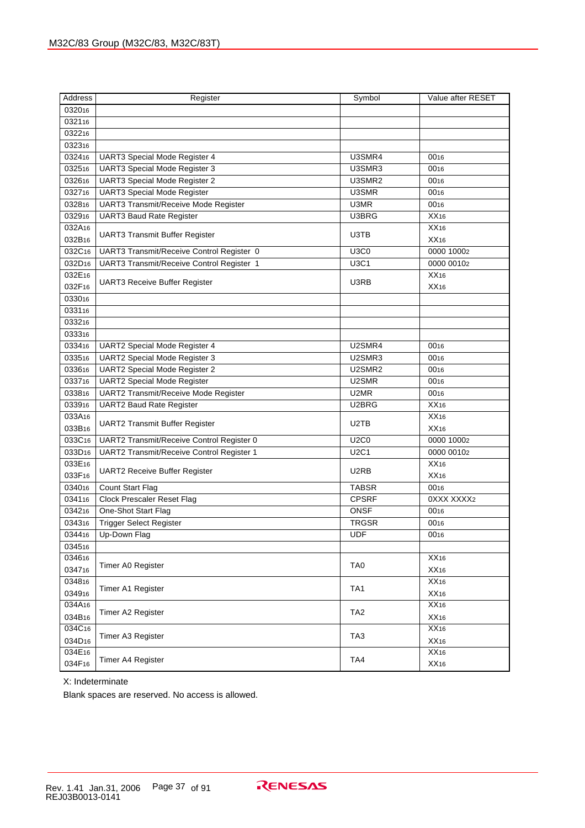| Address            | Register                                    | Symbol          | Value after RESET |
|--------------------|---------------------------------------------|-----------------|-------------------|
| 032016             |                                             |                 |                   |
| 032116             |                                             |                 |                   |
| 032216             |                                             |                 |                   |
| 032316             |                                             |                 |                   |
| 032416             | UART3 Special Mode Register 4               | U3SMR4          | 0016              |
| 032516             | UART3 Special Mode Register 3               | U3SMR3          | 0016              |
| 032616             | <b>UART3 Special Mode Register 2</b>        | U3SMR2          | 0016              |
| 032716             | <b>UART3 Special Mode Register</b>          | U3SMR           | 0016              |
| 032816             | <b>UART3 Transmit/Receive Mode Register</b> | U3MR            | 0016              |
| 032916             | <b>UART3 Baud Rate Register</b>             | U3BRG           | XX16              |
| 032A16             |                                             |                 | XX16              |
| 032B16             | <b>UART3 Transmit Buffer Register</b>       | U3TB            | XX16              |
| 032C16             | UART3 Transmit/Receive Control Register 0   | <b>U3C0</b>     | 0000 10002        |
| 032D <sub>16</sub> | UART3 Transmit/Receive Control Register 1   | U3C1            | 0000 00102        |
| 032E16             |                                             |                 | XX16              |
| 032F16             | <b>UART3 Receive Buffer Register</b>        | U3RB            | XX <sub>16</sub>  |
| 033016             |                                             |                 |                   |
| 033116             |                                             |                 |                   |
| 033216             |                                             |                 |                   |
| 033316             |                                             |                 |                   |
| 033416             | <b>UART2 Special Mode Register 4</b>        | U2SMR4          | 0016              |
| 033516             | UART2 Special Mode Register 3               | U2SMR3          | 0016              |
| 033616             | <b>UART2 Special Mode Register 2</b>        | U2SMR2          | 0016              |
| 033716             | <b>UART2 Special Mode Register</b>          | U2SMR           | 0016              |
| 033816             | <b>UART2 Transmit/Receive Mode Register</b> | U2MR            | 0016              |
| 033916             | <b>UART2 Baud Rate Register</b>             | U2BRG           | XX16              |
| 033A16             |                                             |                 | XX16              |
| 033B16             | <b>UART2 Transmit Buffer Register</b>       | U2TB            | XX <sub>16</sub>  |
| 033C16             | UART2 Transmit/Receive Control Register 0   | <b>U2C0</b>     | 0000 10002        |
| 033D <sub>16</sub> | UART2 Transmit/Receive Control Register 1   | <b>U2C1</b>     | 0000 00102        |
| 033E16             |                                             | U2RB            | XX16              |
| 033F16             | <b>UART2 Receive Buffer Register</b>        |                 | XX <sub>16</sub>  |
| 034016             | Count Start Flag                            | <b>TABSR</b>    | 0016              |
| 034116             | <b>Clock Prescaler Reset Flag</b>           | <b>CPSRF</b>    | 0XXX XXXX2        |
| 034216             | One-Shot Start Flag                         | <b>ONSF</b>     | 0016              |
| 034316             | <b>Trigger Select Register</b>              | <b>TRGSR</b>    | 0016              |
| 034416             | Up-Down Flag                                | <b>UDF</b>      | 0016              |
| 034516             |                                             |                 |                   |
| 034616             | Timer A0 Register                           | TA <sub>0</sub> | $\overline{XX16}$ |
| 034716             |                                             |                 | XX16              |
| 034816             | Timer A1 Register                           | TA <sub>1</sub> | XX16              |
| 034916             |                                             |                 | XX16              |
| 034A16             | Timer A2 Register                           | TA <sub>2</sub> | XX16              |
| 034B16             |                                             |                 | XX16              |
| 034C16             | Timer A3 Register                           | TA <sub>3</sub> | XX16              |
| 034D <sub>16</sub> |                                             |                 | XX16              |
| 034E16             | Timer A4 Register                           | TA4             | XX16              |
| 034F16             |                                             |                 | XX16              |

X: Indeterminate

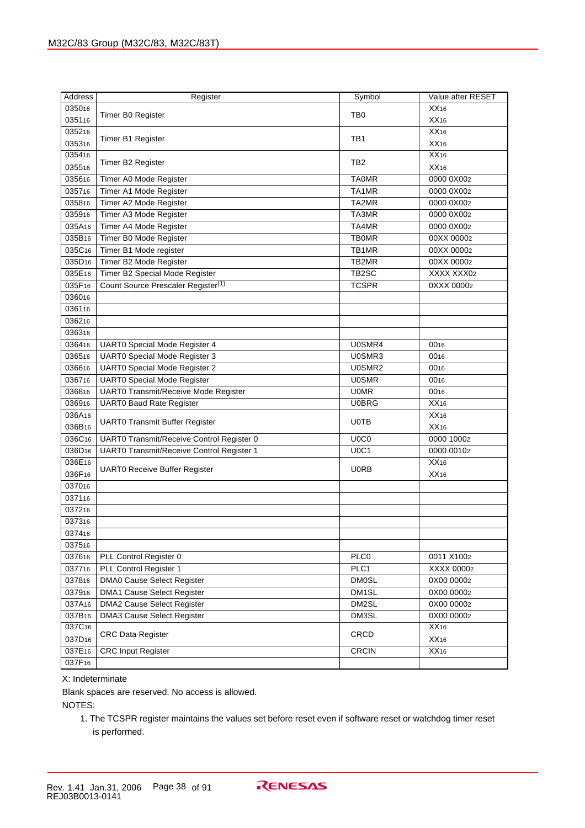| <b>Address</b>     | Register                                       | Value after RESET<br>Symbol   |            |  |  |  |  |
|--------------------|------------------------------------------------|-------------------------------|------------|--|--|--|--|
| 035016             |                                                |                               | XX16       |  |  |  |  |
| 035116             | Timer B0 Register                              | TB <sub>0</sub>               | XX16       |  |  |  |  |
| 035216             |                                                |                               | XX16       |  |  |  |  |
| 035316             | Timer B1 Register                              | TB1                           | XX16       |  |  |  |  |
| 035416             |                                                |                               | XX16       |  |  |  |  |
| 035516             | Timer B2 Register                              | TB <sub>2</sub>               | XX16       |  |  |  |  |
| 035616             | Timer A0 Mode Register                         | <b>TA0MR</b>                  | 0000 0X002 |  |  |  |  |
| 035716             | Timer A1 Mode Register                         | TA1MR                         | 0000 0X002 |  |  |  |  |
| 035816             | Timer A2 Mode Register                         | TA2MR                         | 0000 0X002 |  |  |  |  |
| 035916             | Timer A3 Mode Register                         | TA3MR                         | 0000 0X002 |  |  |  |  |
| 035A16             | Timer A4 Mode Register                         | TA4MR                         | 0000 0X002 |  |  |  |  |
| 035B16             | Timer B0 Mode Register                         | <b>TB0MR</b>                  | 00XX 00002 |  |  |  |  |
| 035C16             | Timer B1 Mode register                         | TB1MR                         | 00XX 00002 |  |  |  |  |
| 035D <sub>16</sub> | Timer B2 Mode Register                         | TB2MR                         | 00XX 00002 |  |  |  |  |
| 035E16             | Timer B2 Special Mode Register                 | TB2SC                         | XXXX XXX02 |  |  |  |  |
| 035F16             | Count Source Prescaler Register <sup>(1)</sup> | <b>TCSPR</b>                  | 0XXX 00002 |  |  |  |  |
| 036016             |                                                |                               |            |  |  |  |  |
| 036116             |                                                |                               |            |  |  |  |  |
| 036216             |                                                |                               |            |  |  |  |  |
| 036316             |                                                |                               |            |  |  |  |  |
| 036416             | UART0 Special Mode Register 4                  | U0SMR4                        | 0016       |  |  |  |  |
| 036516             | <b>UART0 Special Mode Register 3</b>           | U0SMR3                        | 0016       |  |  |  |  |
| 036616             | <b>UART0 Special Mode Register 2</b>           | U0SMR2                        | 0016       |  |  |  |  |
| 036716             | <b>UART0 Special Mode Register</b>             | <b>U0SMR</b>                  | 0016       |  |  |  |  |
| 036816             | UART0 Transmit/Receive Mode Register           | <b>U0MR</b>                   | 0016       |  |  |  |  |
| 036916             | <b>UART0 Baud Rate Register</b>                | <b>U0BRG</b>                  | XX16       |  |  |  |  |
| 036A16             |                                                |                               | XX16       |  |  |  |  |
| 036B16             | <b>UART0 Transmit Buffer Register</b>          | U0TB                          | XX16       |  |  |  |  |
| 036C16             | UART0 Transmit/Receive Control Register 0      | U <sub>0</sub> C <sub>0</sub> | 0000 10002 |  |  |  |  |
| 036D <sub>16</sub> | UART0 Transmit/Receive Control Register 1      | U0C1                          | 0000 00102 |  |  |  |  |
| 036E16             |                                                |                               | XX16       |  |  |  |  |
| 036F16             | <b>UART0 Receive Buffer Register</b>           | U0RB                          | XX16       |  |  |  |  |
| 037016             |                                                |                               |            |  |  |  |  |
| 037116             |                                                |                               |            |  |  |  |  |
| 037216             |                                                |                               |            |  |  |  |  |
| 037316             |                                                |                               |            |  |  |  |  |
| 037416             |                                                |                               |            |  |  |  |  |
| 037516             |                                                |                               |            |  |  |  |  |
| 037616             | PLL Control Register 0                         | PLC0                          | 0011 X1002 |  |  |  |  |
| 037716             | PLL Control Register 1                         | PLC1                          | XXXX 00002 |  |  |  |  |
| 037816             | DMA0 Cause Select Register                     | <b>DM0SL</b>                  | 0X00 00002 |  |  |  |  |
| 037916             | DMA1 Cause Select Register                     | DM1SL                         | 0X00 00002 |  |  |  |  |
| 037A16             | DMA2 Cause Select Register                     | DM2SL                         | 0X00 00002 |  |  |  |  |
| 037B16             | <b>DMA3 Cause Select Register</b>              | DM3SL                         | 0X00 00002 |  |  |  |  |
| 037C <sub>16</sub> |                                                |                               | XX16       |  |  |  |  |
| 037D <sub>16</sub> | <b>CRC Data Register</b>                       | CRCD                          | XX16       |  |  |  |  |
| 037E16             | <b>CRC Input Register</b>                      | <b>CRCIN</b><br>XX16          |            |  |  |  |  |
| 037F16             |                                                |                               |            |  |  |  |  |

X: Indeterminate

Blank spaces are reserved. No access is allowed.

NOTES:

1. The TCSPR register maintains the values set before reset even if software reset or watchdog timer reset is performed.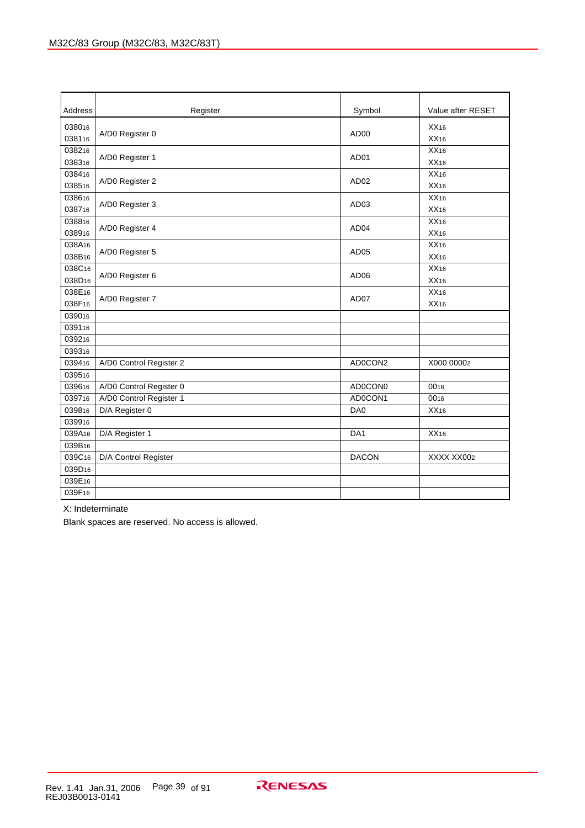| Address                      | Register                                           | Symbol             | Value after RESET |
|------------------------------|----------------------------------------------------|--------------------|-------------------|
| 038016<br>038116             | A/D0 Register 0                                    | AD <sub>00</sub>   | XX16<br>XX16      |
| 038216<br>038316             | A/D0 Register 1                                    | AD <sub>01</sub>   | XX16<br>XX16      |
| 038416<br>038516             | A/D0 Register 2                                    | AD <sub>02</sub>   | XX16<br>XX16      |
| 038616<br>038716             | A/D0 Register 3                                    | AD <sub>03</sub>   | XX16<br>XX16      |
| 038816<br>038916             | A/D0 Register 4                                    | AD <sub>04</sub>   | XX16<br>XX16      |
| 038A16<br>038B16             | A/D0 Register 5                                    | AD <sub>05</sub>   | XX16<br>XX16      |
| 038C16<br>038D <sub>16</sub> | A/D0 Register 6                                    | AD <sub>06</sub>   | XX16<br>XX16      |
| 038E16<br>038F16             | A/D0 Register 7                                    | AD07               | XX16<br>XX16      |
| 039016<br>039116             |                                                    |                    |                   |
| 039216<br>039316             |                                                    |                    |                   |
| 039416<br>039516             | A/D0 Control Register 2                            | AD0CON2            | X000 00002        |
| 039616<br>039716             | A/D0 Control Register 0<br>A/D0 Control Register 1 | AD0CON0<br>AD0CON1 | 0016<br>0016      |
| 039816<br>039916             | D/A Register 0                                     | DA <sub>0</sub>    | XX16              |
| 039A16<br>039B16             | D/A Register 1                                     | DA <sub>1</sub>    | XX16              |
| 039C16<br>039D <sub>16</sub> | D/A Control Register                               | <b>DACON</b>       | XXXX XX002        |
| 039E16<br>039F16             |                                                    |                    |                   |

X: Indeterminate

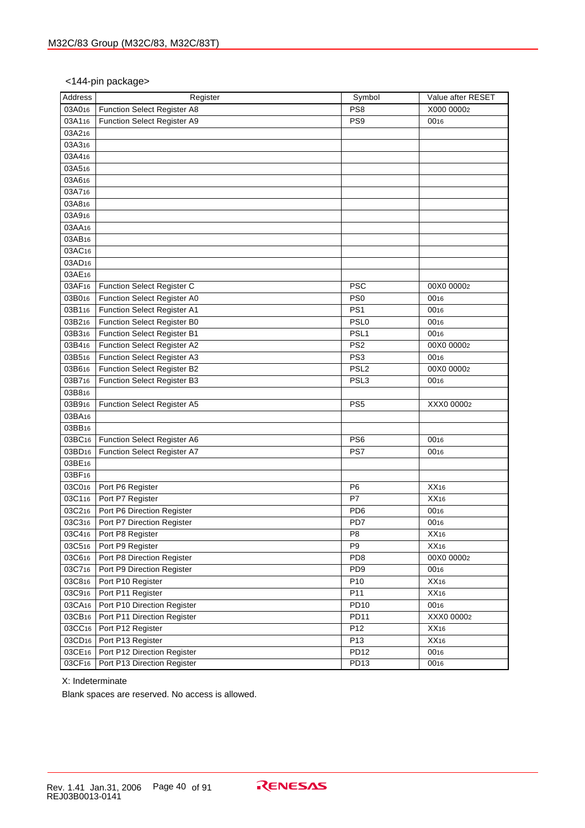## <144-pin package>

| <b>Address</b>     | Register                    | Symbol           | Value after RESET |
|--------------------|-----------------------------|------------------|-------------------|
| 03A016             | Function Select Register A8 | PS8              | X000 00002        |
| 03A116             | Function Select Register A9 | PS9              | 0016              |
| 03A216             |                             |                  |                   |
| 03A316             |                             |                  |                   |
| 03A4 <sub>16</sub> |                             |                  |                   |
| 03A516             |                             |                  |                   |
| 03A616             |                             |                  |                   |
| 03A716             |                             |                  |                   |
| 03A816             |                             |                  |                   |
| 03A916             |                             |                  |                   |
| 03AA16             |                             |                  |                   |
| 03AB16             |                             |                  |                   |
| 03AC <sub>16</sub> |                             |                  |                   |
| 03AD16             |                             |                  |                   |
| 03AE16             |                             |                  |                   |
| 03AF16             | Function Select Register C  | <b>PSC</b>       | 00X0 00002        |
| 03B016             | Function Select Register A0 | PS <sub>0</sub>  | 0016              |
| 03B116             | Function Select Register A1 | PS <sub>1</sub>  | 0016              |
| 03B216             | Function Select Register B0 | PSL <sub>0</sub> | 0016              |
| 03B316             | Function Select Register B1 | PSL <sub>1</sub> | 0016              |
| 03B416             | Function Select Register A2 | PS <sub>2</sub>  | 00X0 00002        |
| 03B516             | Function Select Register A3 | PS <sub>3</sub>  | 0016              |
| 03B616             | Function Select Register B2 | PSL <sub>2</sub> | 00X0 00002        |
| 03B716             | Function Select Register B3 | PSL <sub>3</sub> | 0016              |
| 03B816             |                             |                  |                   |
| 03B916             | Function Select Register A5 | PS <sub>5</sub>  | XXX0 00002        |
| 03BA16             |                             |                  |                   |
| 03BB16             |                             |                  |                   |
| 03BC16             | Function Select Register A6 | PS <sub>6</sub>  | 0016              |
| 03BD <sub>16</sub> | Function Select Register A7 | PS7              | 0016              |
| 03BE16             |                             |                  |                   |
| 03BF16             |                             |                  |                   |
| 03C016             | Port P6 Register            | P <sub>6</sub>   | XX16              |
| 03C116             | Port P7 Register            | P7               | XX16              |
| 03C216             | Port P6 Direction Register  | PD <sub>6</sub>  | 0016              |
| 03C316             | Port P7 Direction Register  | PD7              | 0016              |
| 03C416             | Port P8 Register            | P <sub>8</sub>   | XX16              |
| 03C516             | Port P9 Register            | P <sub>9</sub>   | XX16              |
| 03C616             | Port P8 Direction Register  | PD <sub>8</sub>  | 00X0 00002        |
| 03C716             | Port P9 Direction Register  | PD <sub>9</sub>  | 0016              |
| 03C816             | Port P10 Register           | P <sub>10</sub>  | XX16              |
| 03C916             | Port P11 Register           | P11              | XX16              |
| 03CA <sub>16</sub> | Port P10 Direction Register | PD10             | 0016              |
| 03CB <sub>16</sub> | Port P11 Direction Register | <b>PD11</b>      | XXX0 00002        |
| 03CC16             | Port P12 Register           | P <sub>12</sub>  | XX16              |
| 03CD <sub>16</sub> | Port P13 Register           | P <sub>13</sub>  | XX16              |
| 03CE16             | Port P12 Direction Register | <b>PD12</b>      | 0016              |
| 03CF16             | Port P13 Direction Register | PD <sub>13</sub> | 0016              |

X: Indeterminate

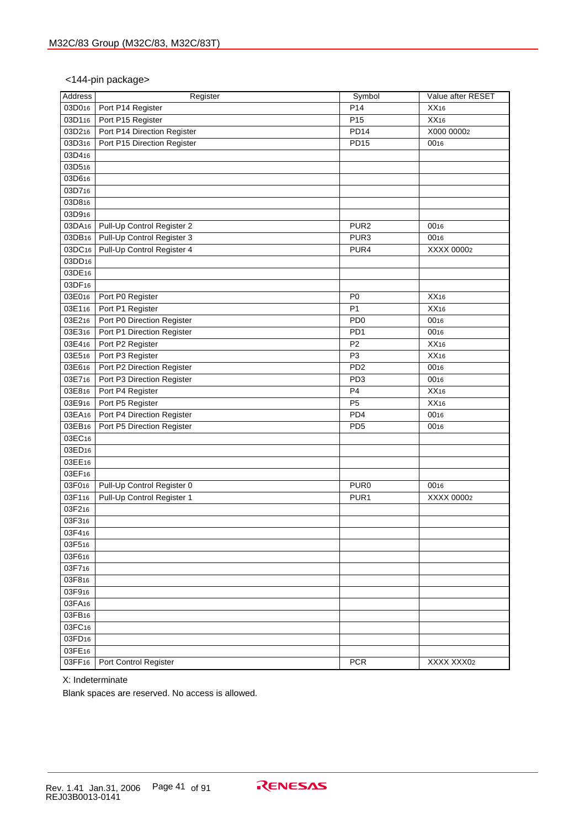#### <144-pin package>

| <b>Address</b>     | Register                    | Symbol                      | Value after RESET |
|--------------------|-----------------------------|-----------------------------|-------------------|
| 03D016             | Port P14 Register           | P14                         | XX16              |
| 03D116             | Port P15 Register           | P15                         | XX16              |
| 03D216             | Port P14 Direction Register | <b>PD14</b>                 | X000 00002        |
| 03D316             | Port P15 Direction Register | <b>PD15</b>                 | 0016              |
| 03D416             |                             |                             |                   |
| 03D516             |                             |                             |                   |
| 03D616             |                             |                             |                   |
| 03D716             |                             |                             |                   |
| 03D816             |                             |                             |                   |
| 03D916             |                             |                             |                   |
| 03DA <sub>16</sub> | Pull-Up Control Register 2  | PUR <sub>2</sub>            | 0016              |
| 03DB16             | Pull-Up Control Register 3  | PUR <sub>3</sub>            | 0016              |
| 03DC16             | Pull-Up Control Register 4  | PUR4                        | XXXX 00002        |
| 03DD <sub>16</sub> |                             |                             |                   |
| 03DE16             |                             |                             |                   |
| 03DF16             |                             |                             |                   |
| 03E016             | Port P0 Register            | P <sub>0</sub>              | XX16              |
| 03E116             | Port P1 Register            | P <sub>1</sub>              | XX16              |
| 03E216             | Port P0 Direction Register  | P <sub>D</sub> <sub>0</sub> | 0016              |
| 03E316             | Port P1 Direction Register  | PD <sub>1</sub>             | 0016              |
| 03E416             | Port P2 Register            | P <sub>2</sub>              | XX16              |
| 03E516             | Port P3 Register            | P <sub>3</sub>              | XX16              |
| 03E616             | Port P2 Direction Register  | PD <sub>2</sub>             | 0016              |
| 03E716             | Port P3 Direction Register  | PD <sub>3</sub>             | 0016              |
| 03E816             | Port P4 Register            | P <sub>4</sub>              | XX16              |
| 03E916             | Port P5 Register            | P <sub>5</sub>              | XX16              |
| 03EA16             | Port P4 Direction Register  | PD4                         | 0016              |
| 03EB16             | Port P5 Direction Register  | PD <sub>5</sub>             | 0016              |
| 03EC16             |                             |                             |                   |
| 03ED <sub>16</sub> |                             |                             |                   |
| 03EE16             |                             |                             |                   |
| 03EF16             |                             |                             |                   |
| 03F016             | Pull-Up Control Register 0  | PUR <sub>0</sub>            | 0016              |
| 03F116             | Pull-Up Control Register 1  | PUR <sub>1</sub>            | XXXX 00002        |
| 03F216             |                             |                             |                   |
| 03F316             |                             |                             |                   |
| 03F4 <sub>16</sub> |                             |                             |                   |
| 03F516             |                             |                             |                   |
| 03F616             |                             |                             |                   |
| 03F716             |                             |                             |                   |
| 03F816             |                             |                             |                   |
| 03F916             |                             |                             |                   |
| 03FA16             |                             |                             |                   |
| 03FB16             |                             |                             |                   |
| 03FC <sub>16</sub> |                             |                             |                   |
| 03FD <sub>16</sub> |                             |                             |                   |
| 03FE16             |                             |                             |                   |
| 03FF <sub>16</sub> | Port Control Register       | <b>PCR</b>                  | XXXX XXX02        |

X: Indeterminate

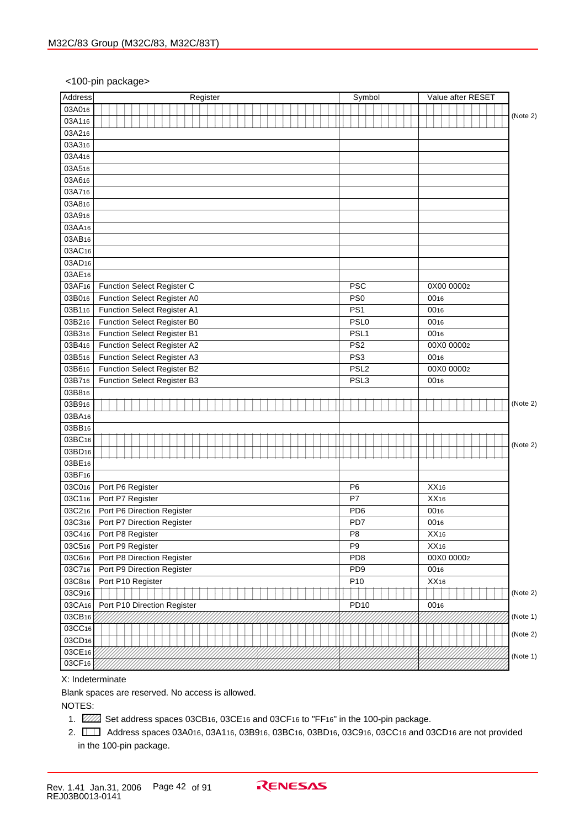#### <100-pin package>

| Address            | Register                    | Symbol           | Value after RESET |          |
|--------------------|-----------------------------|------------------|-------------------|----------|
| 03A016             |                             |                  |                   |          |
| 03A116             |                             |                  |                   | (Note 2) |
| 03A216             |                             |                  |                   |          |
| 03A316             |                             |                  |                   |          |
| 03A416             |                             |                  |                   |          |
| 03A516             |                             |                  |                   |          |
| 03A616             |                             |                  |                   |          |
| 03A716             |                             |                  |                   |          |
| 03A816             |                             |                  |                   |          |
| 03A916             |                             |                  |                   |          |
| 03AA16             |                             |                  |                   |          |
| 03AB16             |                             |                  |                   |          |
| 03AC16             |                             |                  |                   |          |
| 03AD16             |                             |                  |                   |          |
| 03AE16             |                             |                  |                   |          |
| 03AF16             | Function Select Register C  | <b>PSC</b>       | 0X00 00002        |          |
| 03B016             | Function Select Register A0 | PS <sub>0</sub>  | 0016              |          |
| 03B116             | Function Select Register A1 | PS <sub>1</sub>  | 0016              |          |
| 03B216             | Function Select Register B0 | PSL <sub>0</sub> | 0016              |          |
| 03B316             | Function Select Register B1 | PSL <sub>1</sub> | 0016              |          |
| 03B416             | Function Select Register A2 | PS <sub>2</sub>  | 00X0 00002        |          |
| 03B516             | Function Select Register A3 | PS <sub>3</sub>  | 0016              |          |
| 03B616             | Function Select Register B2 | PSL <sub>2</sub> | 00X0 00002        |          |
| 03B716             | Function Select Register B3 | PSL <sub>3</sub> | 0016              |          |
| 03B816             |                             |                  |                   |          |
| 03B916             |                             |                  |                   | (Note 2) |
| 03BA16             |                             |                  |                   |          |
| 03BB16             |                             |                  |                   |          |
| 03BC16             |                             |                  |                   |          |
| 03BD <sub>16</sub> |                             |                  |                   | (Note 2) |
| 03BE16             |                             |                  |                   |          |
| 03BF16             |                             |                  |                   |          |
| 03C016             | Port P6 Register            | P <sub>6</sub>   | XX16              |          |
| 03C116             | Port P7 Register            | P7               | XX16              |          |
| 03C216             | Port P6 Direction Register  | PD <sub>6</sub>  | 0016              |          |
| 03C316             | Port P7 Direction Register  | PD7              |                   |          |
|                    |                             |                  | 0016              |          |
| 03C416             | Port P8 Register            | P <sub>8</sub>   | XX16              |          |
| 03C516             | Port P9 Register            | P <sub>9</sub>   | XX16              |          |
| 03C616             | Port P8 Direction Register  | PD <sub>8</sub>  | 00X0 00002        |          |
| 03C716             | Port P9 Direction Register  | PD <sub>9</sub>  | 0016              |          |
| 03C816             | Port P10 Register           | P10              | XX16              |          |
| 03C916             |                             |                  |                   | (Note 2) |
| 03CA16             | Port P10 Direction Register | <b>PD10</b>      | 0016              |          |
| 03CB16             |                             |                  |                   | (Note 1) |
| 03CC16             |                             |                  |                   | (Note 2) |
| 03CD <sub>16</sub> |                             |                  |                   |          |
| 03CE16             |                             |                  |                   | (Note 1) |
| 03CF <sub>16</sub> |                             |                  |                   |          |

#### X: Indeterminate

Blank spaces are reserved. No access is allowed.

NOTES:

- 1.  $\mathbb{Z}/\mathbb{Z}$  Set address spaces 03CB16, 03CE16 and 03CF16 to "FF16" in the 100-pin package.
- 2. Address spaces 03A016, 03A116, 03B916, 03BC16, 03BD16, 03C916, 03CC16 and 03CD16 are not provided 1234 in the 100-pin package.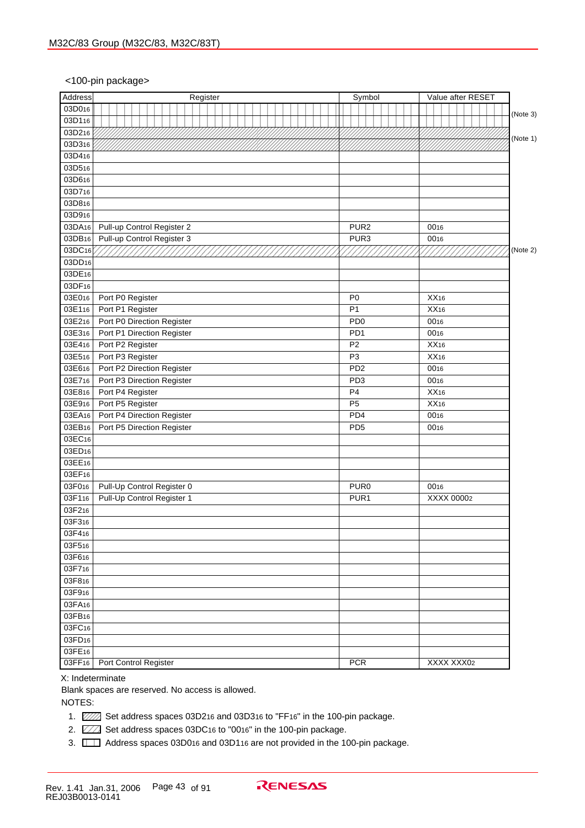#### <100-pin package>

| Address            |                            |  |  |  |  | Register |  |  |  |  |  |                 |                  | Symbol |  |      |            |            | Value after RESET |          |
|--------------------|----------------------------|--|--|--|--|----------|--|--|--|--|--|-----------------|------------------|--------|--|------|------------|------------|-------------------|----------|
| 03D016             |                            |  |  |  |  |          |  |  |  |  |  |                 |                  |        |  |      |            |            |                   |          |
| 03D116             |                            |  |  |  |  |          |  |  |  |  |  |                 |                  |        |  |      |            |            |                   | (Note 3) |
| 03D216             |                            |  |  |  |  |          |  |  |  |  |  |                 |                  |        |  |      |            |            |                   |          |
| 03D316             |                            |  |  |  |  |          |  |  |  |  |  |                 |                  |        |  |      |            |            |                   | (Note 1) |
| 03D416             |                            |  |  |  |  |          |  |  |  |  |  |                 |                  |        |  |      |            |            |                   |          |
| 03D516             |                            |  |  |  |  |          |  |  |  |  |  |                 |                  |        |  |      |            |            |                   |          |
| 03D616             |                            |  |  |  |  |          |  |  |  |  |  |                 |                  |        |  |      |            |            |                   |          |
| 03D716             |                            |  |  |  |  |          |  |  |  |  |  |                 |                  |        |  |      |            |            |                   |          |
| 03D816             |                            |  |  |  |  |          |  |  |  |  |  |                 |                  |        |  |      |            |            |                   |          |
| 03D916             |                            |  |  |  |  |          |  |  |  |  |  |                 |                  |        |  |      |            |            |                   |          |
| 03DA16             | Pull-up Control Register 2 |  |  |  |  |          |  |  |  |  |  |                 | PUR <sub>2</sub> |        |  | 0016 |            |            |                   |          |
| 03DB <sub>16</sub> | Pull-up Control Register 3 |  |  |  |  |          |  |  |  |  |  |                 | PUR3             |        |  | 0016 |            |            |                   |          |
| 03DC16             |                            |  |  |  |  |          |  |  |  |  |  |                 |                  |        |  |      |            |            |                   | (Note 2) |
| 03DD <sub>16</sub> |                            |  |  |  |  |          |  |  |  |  |  |                 |                  |        |  |      |            |            |                   |          |
| 03DE16             |                            |  |  |  |  |          |  |  |  |  |  |                 |                  |        |  |      |            |            |                   |          |
| 03DF <sub>16</sub> |                            |  |  |  |  |          |  |  |  |  |  |                 |                  |        |  |      |            |            |                   |          |
| 03E016             | Port P0 Register           |  |  |  |  |          |  |  |  |  |  | P <sub>0</sub>  |                  |        |  | XX16 |            |            |                   |          |
| 03E116             | Port P1 Register           |  |  |  |  |          |  |  |  |  |  | P <sub>1</sub>  |                  |        |  | XX16 |            |            |                   |          |
| 03E216             | Port P0 Direction Register |  |  |  |  |          |  |  |  |  |  | PD <sub>0</sub> |                  |        |  | 0016 |            |            |                   |          |
| 03E316             | Port P1 Direction Register |  |  |  |  |          |  |  |  |  |  | PD <sub>1</sub> |                  |        |  | 0016 |            |            |                   |          |
| 03E416             | Port P2 Register           |  |  |  |  |          |  |  |  |  |  | P <sub>2</sub>  |                  |        |  | XX16 |            |            |                   |          |
| 03E516             | Port P3 Register           |  |  |  |  |          |  |  |  |  |  | P <sub>3</sub>  |                  |        |  | XX16 |            |            |                   |          |
| 03E616             | Port P2 Direction Register |  |  |  |  |          |  |  |  |  |  | PD <sub>2</sub> |                  |        |  | 0016 |            |            |                   |          |
| 03E716             | Port P3 Direction Register |  |  |  |  |          |  |  |  |  |  | PD <sub>3</sub> |                  |        |  | 0016 |            |            |                   |          |
| 03E816             | Port P4 Register           |  |  |  |  |          |  |  |  |  |  | P <sub>4</sub>  |                  |        |  | XX16 |            |            |                   |          |
| 03E916             | Port P5 Register           |  |  |  |  |          |  |  |  |  |  | P <sub>5</sub>  |                  |        |  | XX16 |            |            |                   |          |
| 03EA16             | Port P4 Direction Register |  |  |  |  |          |  |  |  |  |  |                 | PD4              |        |  | 0016 |            |            |                   |          |
| 03EB16             | Port P5 Direction Register |  |  |  |  |          |  |  |  |  |  | PD <sub>5</sub> |                  |        |  | 0016 |            |            |                   |          |
| 03EC16             |                            |  |  |  |  |          |  |  |  |  |  |                 |                  |        |  |      |            |            |                   |          |
| 03ED <sub>16</sub> |                            |  |  |  |  |          |  |  |  |  |  |                 |                  |        |  |      |            |            |                   |          |
| 03EE16             |                            |  |  |  |  |          |  |  |  |  |  |                 |                  |        |  |      |            |            |                   |          |
| 03EF16             |                            |  |  |  |  |          |  |  |  |  |  |                 |                  |        |  |      |            |            |                   |          |
| 03F016             | Pull-Up Control Register 0 |  |  |  |  |          |  |  |  |  |  |                 | PUR <sub>0</sub> |        |  | 0016 |            |            |                   |          |
| 03F116             | Pull-Up Control Register 1 |  |  |  |  |          |  |  |  |  |  |                 | PUR <sub>1</sub> |        |  |      | XXXX 00002 |            |                   |          |
| 03F216             |                            |  |  |  |  |          |  |  |  |  |  |                 |                  |        |  |      |            |            |                   |          |
| 03F316             |                            |  |  |  |  |          |  |  |  |  |  |                 |                  |        |  |      |            |            |                   |          |
| 03F4 <sub>16</sub> |                            |  |  |  |  |          |  |  |  |  |  |                 |                  |        |  |      |            |            |                   |          |
| 03F516             |                            |  |  |  |  |          |  |  |  |  |  |                 |                  |        |  |      |            |            |                   |          |
| 03F616             |                            |  |  |  |  |          |  |  |  |  |  |                 |                  |        |  |      |            |            |                   |          |
| 03F716             |                            |  |  |  |  |          |  |  |  |  |  |                 |                  |        |  |      |            |            |                   |          |
| 03F816             |                            |  |  |  |  |          |  |  |  |  |  |                 |                  |        |  |      |            |            |                   |          |
|                    |                            |  |  |  |  |          |  |  |  |  |  |                 |                  |        |  |      |            |            |                   |          |
| 03F916             |                            |  |  |  |  |          |  |  |  |  |  |                 |                  |        |  |      |            |            |                   |          |
| 03FA16             |                            |  |  |  |  |          |  |  |  |  |  |                 |                  |        |  |      |            |            |                   |          |
| 03FB16             |                            |  |  |  |  |          |  |  |  |  |  |                 |                  |        |  |      |            |            |                   |          |
| 03FC16             |                            |  |  |  |  |          |  |  |  |  |  |                 |                  |        |  |      |            |            |                   |          |
| 03FD <sub>16</sub> |                            |  |  |  |  |          |  |  |  |  |  |                 |                  |        |  |      |            |            |                   |          |
| 03FE16             |                            |  |  |  |  |          |  |  |  |  |  |                 |                  |        |  |      |            |            |                   |          |
| 03FF16             | Port Control Register      |  |  |  |  |          |  |  |  |  |  |                 | <b>PCR</b>       |        |  |      |            | XXXX XXX02 |                   |          |

X: Indeterminate

Blank spaces are reserved. No access is allowed.

NOTES:

- 1.  $\mathbb{Z}/\mathbb{Z}$  Set address spaces 03D216 and 03D316 to "FF16" in the 100-pin package.
- 2.  $\boxed{ZZ}$  Set address spaces 03DC16 to "0016" in the 100-pin package.
- 3. **III** Address spaces 03D016 and 03D116 are not provided in the 100-pin package.

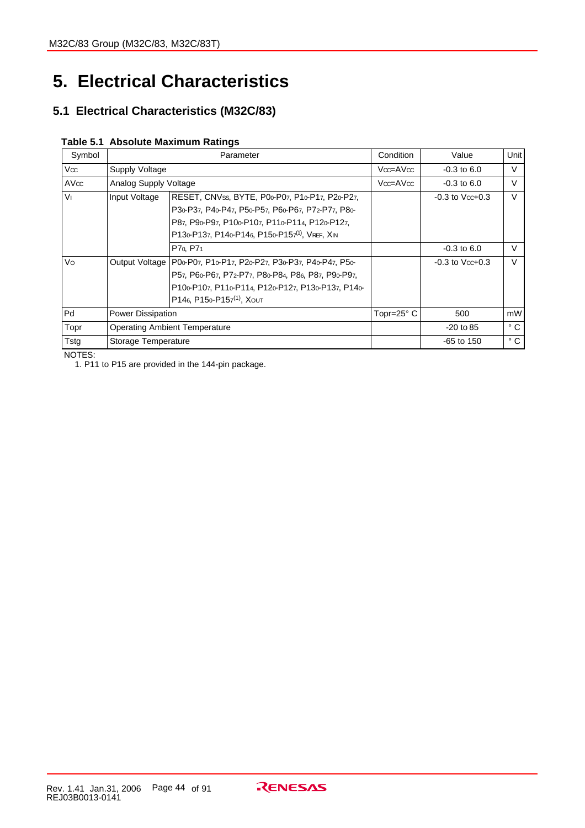# **5. Electrical Characteristics**

# **5.1 Electrical Characteristics (M32C/83)**

|  | Table 5.1 Absolute Maximum Ratings |  |  |
|--|------------------------------------|--|--|
|--|------------------------------------|--|--|

| Symbol              |                          | Parameter                                                          | Condition           | Value                   | Unit         |
|---------------------|--------------------------|--------------------------------------------------------------------|---------------------|-------------------------|--------------|
| l Vcc               | Supply Voltage           |                                                                    | $Vcc = AVcc$        | $-0.3$ to 6.0           | $\vee$       |
| $\mathsf{AV}\infty$ | Analog Supply Voltage    |                                                                    | $Vcc = AVcc$        | $-0.3$ to 6.0           | $\vee$       |
| lvı.                | Input Voltage            | RESET, CNVss, BYTE, P00-P07, P10-P17, P20-P27,                     |                     | $-0.3$ to $V$ cc $+0.3$ | $\vee$       |
|                     |                          | P30-P37, P40-P47, P50-P57, P60-P67, P72-P77, P80-                  |                     |                         |              |
|                     |                          | P87, P90-P97, P100-P107, P110-P114, P120-P127,                     |                     |                         |              |
|                     |                          | P130-P137, P140-P146, P150-P157(1), VREF, XIN                      |                     |                         |              |
|                     |                          | P7 <sub>0</sub> , P7 <sub>1</sub>                                  |                     | $-0.3$ to 6.0           | $\vee$       |
| <b>Vo</b>           |                          | Output Voltage   P00-P07, P10-P17, P20-P27, P30-P37, P40-P47, P50- |                     | $-0.3$ to $Vcc+0.3$     | $\vee$       |
|                     |                          | P57, P60-P67, P72-P77, P80-P84, P86, P87, P90-P97,                 |                     |                         |              |
|                     |                          | P100-P107, P110-P114, P120-P127, P130-P137, P140-                  |                     |                         |              |
|                     |                          | P146, P150-P157 <sup>(1)</sup> , XOUT                              |                     |                         |              |
| lPd.                | <b>Power Dissipation</b> |                                                                    | Topr=25 $\degree$ C | 500                     | mW           |
| Topr                |                          | <b>Operating Ambient Temperature</b>                               |                     | $-20$ to 85             | $^{\circ}$ C |
| Tstg                | Storage Temperature      |                                                                    |                     | $-65$ to 150            | $^{\circ}$ C |

NOTES:

1. P11 to P15 are provided in the 144-pin package.

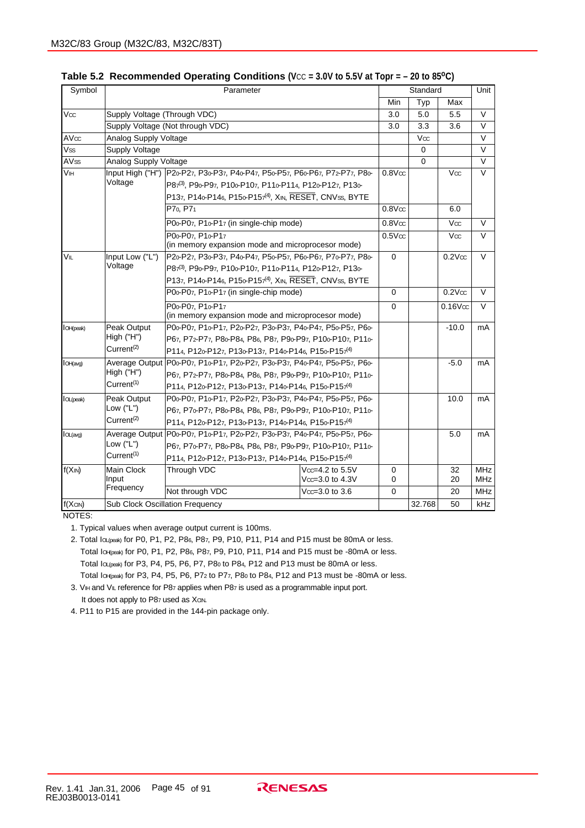| Symbol                |                              |                                                                             |                     | Unit               |          |                    |              |
|-----------------------|------------------------------|-----------------------------------------------------------------------------|---------------------|--------------------|----------|--------------------|--------------|
|                       |                              |                                                                             |                     | Min                | Typ      | Max                |              |
| $V\infty$             | Supply Voltage (Through VDC) |                                                                             |                     | 3.0                | 5.0      | 5.5                | $\mathsf{V}$ |
|                       |                              | Supply Voltage (Not through VDC)                                            |                     | 3.0                | 3.3      | 3.6                | $\vee$       |
| AV <sub>oc</sub>      | Analog Supply Voltage        |                                                                             |                     |                    | Vcc      |                    | $\vee$       |
| Vss                   | Supply Voltage               |                                                                             |                     |                    | 0        |                    | $\vee$       |
| AV <sub>SS</sub>      | Analog Supply Voltage        |                                                                             |                     |                    | $\Omega$ |                    | $\vee$       |
| <b>V<sub>IH</sub></b> | Input High ("H")             | P20-P27, P30-P37, P40-P47, P50-P57, P60-P67, P72-P77, P80-                  |                     | 0.8V <sub>oc</sub> |          | Vcc                | $\vee$       |
|                       | Voltage                      | P87(3), P90-P97, P100-P107, P110-P114, P120-P127, P130-                     |                     |                    |          |                    |              |
|                       |                              | P137, P140-P146, P150-P157 <sup>(4)</sup> , XIN, RESET, CNVSS, BYTE         |                     |                    |          |                    |              |
|                       |                              | P7 <sub>0</sub> , P7 <sub>1</sub>                                           | 0.8V <sub>oc</sub>  |                    | 6.0      |                    |              |
|                       |                              | P00-P07, P10-P17 (in single-chip mode)                                      | $0.8$ V $\infty$    |                    | Vcc      | V                  |              |
|                       |                              | P00-P07. P10-P17                                                            | 0.5V <sub>oc</sub>  |                    | Vcc      | $\vee$             |              |
|                       |                              | (in memory expansion mode and microprocesor mode)                           |                     |                    |          |                    |              |
| VIL                   | Input Low ("L")              | P20-P27, P30-P37, P40-P47, P50-P57, P60-P67, P70-P77, P80-                  |                     | 0                  |          | 0.2V <sub>oc</sub> | $\vee$       |
|                       | Voltage                      | P87(3), P90-P97, P100-P107, P110-P114, P120-P127, P130-                     |                     |                    |          |                    |              |
|                       |                              | P137, P140-P146, P150-P157 <sup>(4)</sup> , XIN, RESET, CNVss, BYTE         |                     |                    |          |                    |              |
|                       |                              | P00-P07, P10-P17 (in single-chip mode)                                      |                     | 0                  |          | $0.2V$ cc          | $\vee$       |
|                       |                              | P00-P07. P10-P17                                                            |                     | $\Omega$           |          | $0.16$ V $\infty$  | $\vee$       |
|                       |                              | (in memory expansion mode and microprocesor mode)                           |                     |                    |          |                    |              |
| <b>I</b> OH(peak)     | Peak Output                  | P00-P07, P10-P17, P20-P27, P30-P37, P40-P47, P50-P57, P60-                  |                     |                    | $-10.0$  | mA                 |              |
|                       | High ("H")                   | P67, P72-P77, P80-P84, P86, P87, P90-P97, P100-P107, P110-                  |                     |                    |          |                    |              |
|                       | Current <sup>(2)</sup>       | P114, P120-P127, P130-P137, P140-P146, P150-P157 <sup>(4)</sup>             |                     |                    |          |                    |              |
| <b>I</b> OH(avg)      |                              | Average Output   P00-P07, P10-P17, P20-P27, P30-P37, P40-P47, P50-P57, P60- |                     |                    | $-5.0$   | mA                 |              |
|                       | High ("H")                   | P67, P72 P77, P80-P84, P86, P87, P90-P97, P100-P107, P110-                  |                     |                    |          |                    |              |
|                       | Current <sup>(1)</sup>       | P114, P120-P127, P130-P137, P140-P146, P150-P157 <sup>(4)</sup>             |                     |                    |          |                    |              |
| lOL(peak)             | Peak Output                  | P00-P07, P10-P17, P20-P27, P30-P37, P40-P47, P50-P57, P60-                  |                     |                    |          | 10.0               | mA           |
|                       | Low ("L")                    | P67, P70-P77, P80-P84, P86, P87, P90-P97, P100-P107, P110-                  |                     |                    |          |                    |              |
|                       | Current <sup>(2)</sup>       | P114, P120 P127, P130 P137, P140 P146, P150 P157 <sup>(4)</sup>             |                     |                    |          |                    |              |
| IOL(avg)              |                              | Average Output   P00-P07, P10-P17, P20-P27, P30-P37, P40-P47, P50-P57, P60- |                     |                    |          | 5.0                | mA           |
|                       | Low ("L")                    | P67, P70-P77, P80-P84, P86, P87, P90-P97, P100-P107, P110-                  |                     |                    |          |                    |              |
|                       | Current <sup>(1)</sup>       | P114, P120-P127, P130-P137, P140-P146, P150-P157 <sup>(4)</sup>             |                     |                    |          |                    |              |
| f(XIN)                | Main Clock                   | $Vcc = 4.2$ to $5.5V$<br>Through VDC                                        | 0                   |                    | 32       | <b>MHz</b>         |              |
|                       | Input<br>Frequency           |                                                                             | $Vcc = 3.0$ to 4.3V | 0                  |          | 20                 | <b>MHz</b>   |
|                       |                              | Not through VDC                                                             | $Vcc = 3.0$ to 3.6  | 0                  |          | 20                 | <b>MHz</b>   |
| f(XCN)                |                              | Sub Clock Oscillation Frequency                                             |                     |                    | 32.768   | 50                 | kHz          |

Table 5.2 Recommended Operating Conditions (V<sub>CC</sub> = 3.0V to 5.5V at Topr = - 20 to 85<sup>o</sup>C)

NOTES:

1. Typical values when average output current is 100ms.

2. Total loupeak) for P0, P1, P2, P86, P87, P9, P10, P11, P14 and P15 must be 80mA or less. Total Io<sub>H(peak)</sub> for P0, P1, P2, P86, P87, P9, P10, P11, P14 and P15 must be -80mA or less. Total IoL(peak) for P3, P4, P5, P6, P7, P80 to P84, P12 and P13 must be 80mA or less. Total IOH(peak) for P3, P4, P5, P6, P72 to P77, P80 to P84, P12 and P13 must be -80mA or less.

3. VIH and VIL reference for P87 applies when P87 is used as a programmable input port. It does not apply to P87 used as Xcn.

4. P11 to P15 are provided in the 144-pin package only.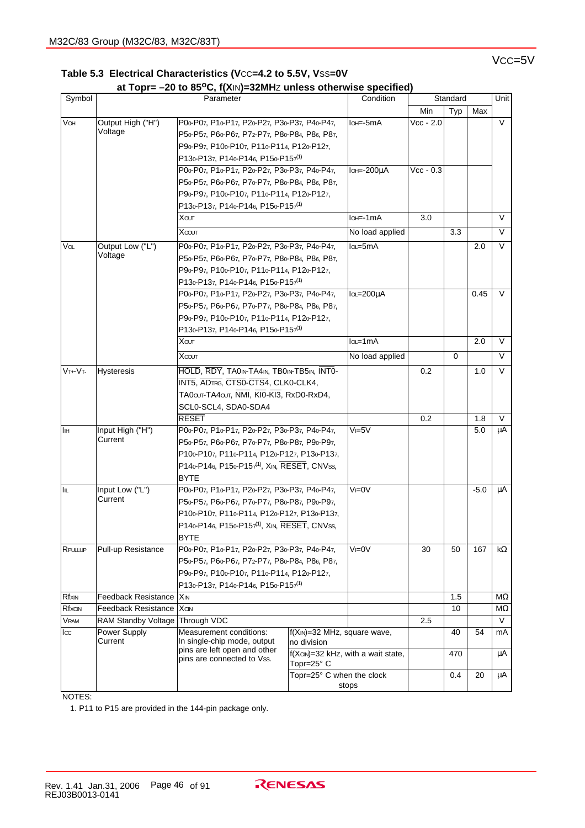## V<sub>CC</sub>=5V

|  | Table 5.3 Electrical Characteristics (Vcc=4.2 to 5.5V, Vss=0V |  |  |
|--|---------------------------------------------------------------|--|--|
|  |                                                               |  |  |

## **at Topr= –20 to 85oC, f(X**IN**)=32MH**Z **unless otherwise specified)**

| Symbol                   |                                 | Parameter                                                  | Condition                                  | Standard                                | Unit        |     |        |        |
|--------------------------|---------------------------------|------------------------------------------------------------|--------------------------------------------|-----------------------------------------|-------------|-----|--------|--------|
|                          |                                 |                                                            |                                            |                                         | Min         | Typ | Max    |        |
| VOH                      | Output High ("H")               | P00-P07, P10-P17, P20-P27, P30-P37, P40-P47,               |                                            | lo <del>⊨</del> -5mA                    | $Vcc - 2.0$ |     |        | V      |
|                          | Voltage                         | P50-P57, P60-P67, P72-P77, P80-P84, P86, P87,              |                                            |                                         |             |     |        |        |
|                          |                                 | P90-P97, P100-P107, P110-P114, P120-P127,                  |                                            |                                         |             |     |        |        |
|                          |                                 | P130-P137, P140-P146, P150-P157 <sup>(1)</sup>             |                                            |                                         |             |     |        |        |
|                          |                                 | P00-P07, P10-P17, P20-P27, P30-P37, P40-P47,               |                                            | lo <b>⊫-200uA</b>                       | $Vec - 0.3$ |     |        |        |
|                          |                                 | P50-P57, P60-P67, P70-P77, P80-P84, P86, P87,              |                                            |                                         |             |     |        |        |
|                          |                                 | P90-P97, P100-P107, P110-P114, P120-P127,                  |                                            |                                         |             |     |        |        |
|                          |                                 | P130-P137, P140-P146, P150-P157 <sup>(1)</sup>             |                                            |                                         |             |     |        |        |
|                          |                                 | Хουт                                                       |                                            | lo <sub>t</sub> =-1mA                   | 3.0         |     |        | $\vee$ |
|                          |                                 | Хсоит                                                      | No load applied                            |                                         | 3.3         |     | $\vee$ |        |
| Va                       | Output Low ("L")                | P00-P07, P10-P17, P20-P27, P30-P37, P40-P47,               |                                            | la=5mA                                  |             |     | 2.0    | V      |
|                          | Voltage                         | P50-P57, P60-P67, P70-P77, P80-P84, P86, P87,              |                                            |                                         |             |     |        |        |
|                          |                                 | P90-P97, P100-P107, P110-P114, P120-P127,                  |                                            |                                         |             |     |        |        |
|                          |                                 | P130-P137, P140-P146, P150-P157 <sup>(1)</sup>             |                                            |                                         |             |     |        |        |
|                          |                                 | P00-P07, P10-P17, P20-P27, P30-P37, P40-P47,               |                                            | lo_=200uA                               |             |     | 0.45   | V      |
|                          |                                 | P50-P57, P60-P67, P70-P77, P80-P84, P86, P87,              |                                            |                                         |             |     |        |        |
|                          |                                 | P90-P97, P100-P107, P110-P114, P120-P127,                  |                                            |                                         |             |     |        |        |
|                          |                                 | P130 P137, P140 P146, P150 P157 <sup>(1)</sup>             |                                            |                                         |             |     |        |        |
|                          |                                 | Χαιτ                                                       |                                            | $I$ <sub>QL</sub> =1mA                  |             |     | 2.0    | $\vee$ |
|                          |                                 | Χτουτ                                                      |                                            | No load applied                         |             | 0   |        | $\vee$ |
| $\overline{V}$ t+ $V$ t- | Hysteresis                      | HOLD, RDY, TAOIN-TA4IN, TBOIN-TB5IN, INTO-                 |                                            |                                         | 0.2         |     | 1.0    | $\vee$ |
|                          |                                 | INT5, ADTRG, CTS0-CTS4, CLK0-CLK4,                         |                                            |                                         |             |     |        |        |
|                          |                                 | TA0our-TA4our, NMI, KI0-KI3, RxD0-RxD4,                    |                                            |                                         |             |     |        |        |
|                          |                                 | SCL0-SCL4, SDA0-SDA4                                       |                                            |                                         |             |     |        |        |
|                          |                                 | <b>RESET</b>                                               |                                            |                                         | 0.2         |     | 1.8    | $\vee$ |
| IІн                      | Input High ("H")                | P00-P07, P10-P17, P20-P27, P30-P37, P40-P47,               |                                            | $V = 5V$                                |             |     | 5.0    | μA     |
|                          | Current                         | P50-P57, P60-P67, P70-P77, P80-P87, P90-P97,               |                                            |                                         |             |     |        |        |
|                          |                                 | P100-P107, P110-P114, P120-P127, P130-P137,                |                                            |                                         |             |     |        |        |
|                          |                                 | P140-P146, P150-P157 <sup>(1)</sup> , XIN, RESET, CNVss,   |                                            |                                         |             |     |        |        |
|                          |                                 | BYTE                                                       |                                            |                                         |             |     |        |        |
| <b>IIL</b>               | Input Low ("L")                 | P00-P07, P10-P17, P20-P27, P30-P37, P40-P47,               |                                            | $V = 0V$                                |             |     | $-5.0$ | μA     |
|                          | Current                         | P50-P57, P60-P67, P70-P77, P80-P87, P90-P97,               |                                            |                                         |             |     |        |        |
|                          |                                 | P100-P107, P110-P114, P120-P127, P130-P137,                |                                            |                                         |             |     |        |        |
|                          |                                 | P140-P146, P150-P157 <sup>(1)</sup> , XIN, RESET, CNVss,   |                                            |                                         |             |     |        |        |
|                          |                                 | <b>BYTE</b>                                                |                                            |                                         |             |     |        |        |
| RPULLUP                  | Pull-up Resistance              | P00-P07, P10-P17, P20-P27, P30-P37, P40-P47,               |                                            | $V = 0V$                                | 30          | 50  | 167    | kΩ     |
|                          |                                 | P50-P57, P60-P67, P72-P77, P80-P84, P86, P87,              |                                            |                                         |             |     |        |        |
|                          |                                 | P90-P97, P100-P107, P110-P114, P120-P127,                  |                                            |                                         |             |     |        |        |
|                          |                                 | P130-P137, P140-P146, P150-P157 <sup>(1)</sup>             |                                            |                                         |             |     |        |        |
| Rfxin                    | Feedback Resistance   XIN       |                                                            |                                            |                                         |             | 1.5 |        | MΩ     |
| Rfxcin                   | Feedback Resistance   Xan       |                                                            |                                            |                                         |             | 10  |        | ΜΩ     |
| <b>VRAM</b>              | RAM Standby Voltage Through VDC |                                                            |                                            |                                         | 2.5         |     |        | $\vee$ |
| lcc                      | Power Supply<br>Current         | Measurement conditions:<br>In single-chip mode, output     | f(XIN)=32 MHz, square wave,<br>no division |                                         |             | 40  | 54     | mA     |
|                          |                                 | pins are left open and other<br>pins are connected to Vss. |                                            | f(Xcin)=32 kHz, with a wait state,      |             | 470 |        | μA     |
|                          |                                 |                                                            |                                            | Topr=25° C<br>Topr=25° C when the clock |             |     |        |        |
|                          |                                 |                                                            |                                            | stops                                   |             | 0.4 | 20     | μA     |
|                          |                                 |                                                            |                                            |                                         |             |     |        |        |

NOTES:

1. P11 to P15 are provided in the 144-pin package only.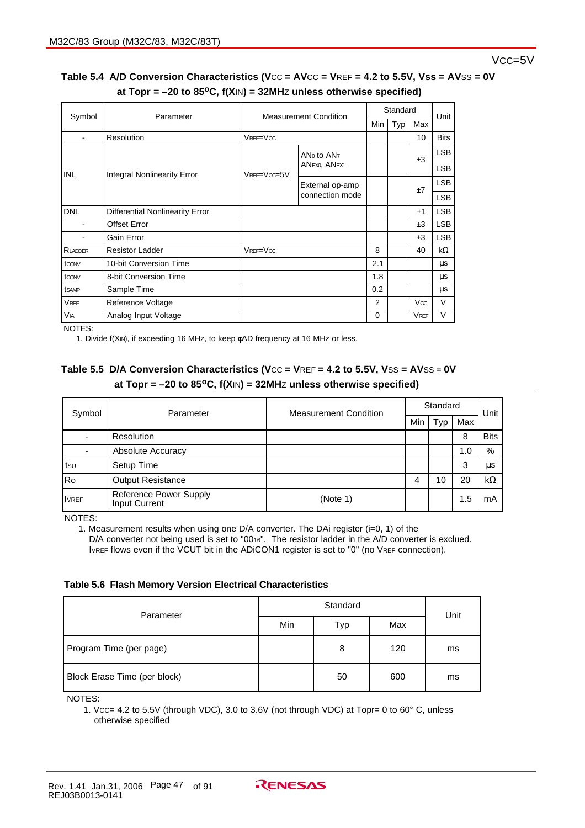## Vcc=5V

## Table 5.4 A/D Conversion Characteristics (Vcc = AVcc = VREF = 4.2 to 5.5V, Vss = AVSS = 0V  **at Topr = –20 to 85oC, f(X**IN**) = 32MH**Z **unless otherwise specified)**

| Symbol                | Parameter<br><b>Measurement Condition</b> |                 | Standard                           |          |     | Unit        |             |
|-----------------------|-------------------------------------------|-----------------|------------------------------------|----------|-----|-------------|-------------|
|                       |                                           |                 |                                    | Min      | Typ | Max         |             |
|                       | Resolution                                | $V$ REF= $V$ cc |                                    |          |     | 10          | <b>Bits</b> |
|                       | Integral Nonlinearity Error               |                 | ANo to AN <sub>7</sub>             |          |     | ±3          | <b>LSB</b>  |
| <b>INL</b>            |                                           | VREF=Vcc=5V     | ANEXO, ANEX1                       |          |     |             | <b>LSB</b>  |
|                       |                                           |                 | External op-amp<br>connection mode |          |     | ±7          | <b>LSB</b>  |
|                       |                                           |                 |                                    |          |     |             | <b>LSB</b>  |
| <b>DNL</b>            | <b>Differential Nonlinearity Error</b>    |                 |                                    |          |     | ±1          | <b>LSB</b>  |
|                       | <b>Offset Error</b>                       |                 |                                    |          |     | ±3          | <b>LSB</b>  |
|                       | Gain Error                                |                 |                                    |          |     | ±3          | <b>LSB</b>  |
| RLADDER               | <b>Resistor Ladder</b>                    | $V$ REF= $V$ cc |                                    | 8        |     | 40          | kΩ          |
| toon                  | 10-bit Conversion Time                    |                 |                                    | 2.1      |     |             | μs          |
| toon                  | 8-bit Conversion Time                     |                 |                                    | 1.8      |     |             | μs          |
| tsamp                 | Sample Time                               |                 |                                    | 0.2      |     |             | μs          |
| <b>VREF</b>           | Reference Voltage                         |                 |                                    | 2        |     | Vcc         | V           |
| <b>V<sub>IA</sub></b> | Analog Input Voltage                      |                 |                                    | $\Omega$ |     | <b>VREF</b> | V           |

NOTES:

1. Divide f(XIN), if exceeding 16 MHz, to keep φAD frequency at 16 MHz or less.

## **Table 5.5 D/A Conversion Characteristics (V**CC **= V**REF **= 4.2 to 5.5V, V**SS **= AV**SS **= 0V at Topr = –20 to 85oC, f(X**IN**) = 32MH**Z **unless otherwise specified)**

| Symbol       | Parameter                                      | <b>Measurement Condition</b> | Standard | Unit |     |             |
|--------------|------------------------------------------------|------------------------------|----------|------|-----|-------------|
|              |                                                |                              | Min      | Typ  | Max |             |
|              | Resolution                                     |                              |          |      | 8   | <b>Bits</b> |
|              | Absolute Accuracy                              |                              |          |      | 1.0 | %           |
| tsu          | Setup Time                                     |                              |          |      | 3   | μs          |
| Ro           | <b>Output Resistance</b>                       |                              | 4        | 10   | 20  | $k\Omega$   |
| <b>IVREF</b> | Reference Power Supply<br><b>Input Current</b> | (Note 1)                     |          |      | 1.5 | mA          |

NOTES:

1. Measurement results when using one D/A converter. The DAi register (i=0, 1) of the D/A converter not being used is set to "0016". The resistor ladder in the A/D converter is exclued. IVREF flows even if the VCUT bit in the ADICON1 register is set to "0" (no VREF connection).

**Table 5.6 Flash Memory Version Electrical Characteristics**

| Parameter                    |     | Unit |     |    |
|------------------------------|-----|------|-----|----|
|                              | Min | Typ  | Max |    |
| Program Time (per page)      |     | 8    | 120 | ms |
| Block Erase Time (per block) |     | 50   | 600 | ms |

NOTES:

1. VCC= 4.2 to 5.5V (through VDC), 3.0 to 3.6V (not through VDC) at Topr= 0 to 60° C, unless otherwise specified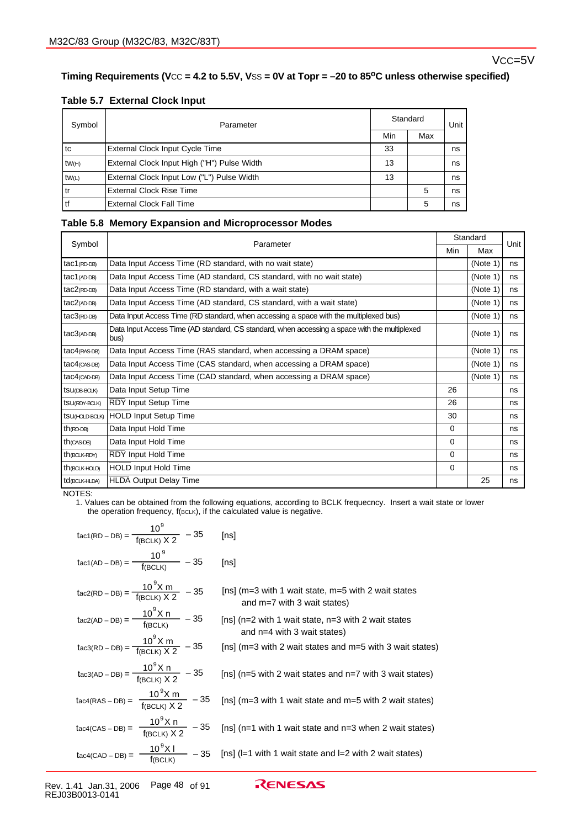## Vcc=5V

## Timing Requirements (Vcc = 4.2 to 5.5V, Vss = 0V at Topr = -20 to 85<sup>o</sup>C unless otherwise specified)

#### **Table 5.7 External Clock Input**

| Symbol            | Parameter                                   |     | Standard |    |  |
|-------------------|---------------------------------------------|-----|----------|----|--|
|                   |                                             | Min | Max      |    |  |
| l tc              | External Clock Input Cycle Time             | 33  |          | ns |  |
| tw <sub>(H)</sub> | External Clock Input High ("H") Pulse Width | 13  |          | ns |  |
| tw(L)             | External Clock Input Low ("L") Pulse Width  | 13  |          | ns |  |
| l tr              | External Clock Rise Time                    |     | 5        | ns |  |
| l tf              | External Clock Fall Time                    |     | 5        | ns |  |

#### **Table 5.8 Memory Expansion and Microprocessor Modes**

| Symbol               | Parameter                                                                                             |          | Standard | Unit |
|----------------------|-------------------------------------------------------------------------------------------------------|----------|----------|------|
|                      |                                                                                                       | Min      | Max      |      |
| tac1(RD-DB)          | Data Input Access Time (RD standard, with no wait state)                                              |          | (Note 1) | ns   |
| $tac1$ (AD-DB)       | Data Input Access Time (AD standard, CS standard, with no wait state)                                 |          | (Note 1) | ns   |
| $tac2$ (RD-DB)       | Data Input Access Time (RD standard, with a wait state)                                               |          | (Note 1) | ns   |
| $tac2$ (AD-DB)       | Data Input Access Time (AD standard, CS standard, with a wait state)                                  |          | (Note 1) | ns   |
| $tac3$ (RD-DB)       | Data Input Access Time (RD standard, when accessing a space with the multiplexed bus)                 |          | (Note 1) | ns   |
| $tac3$ (AD-DB)       | Data Input Access Time (AD standard, CS standard, when accessing a space with the multiplexed<br>bus) |          | (Note 1) | ns   |
| $tac4$ (RAS-DB)      | Data Input Access Time (RAS standard, when accessing a DRAM space)                                    |          | (Note 1) | ns   |
| $tac4$ ( $CAS-DB$ )  | Data Input Access Time (CAS standard, when accessing a DRAM space)                                    |          | (Note 1) | ns   |
| $tac4$ (CAD-DB)      | Data Input Access Time (CAD standard, when accessing a DRAM space)                                    |          | (Note 1) | ns   |
| tsu(DB-BCLK)         | Data Input Setup Time                                                                                 | 26       |          | ns   |
| <b>tSU(RDY-BOLK)</b> | <b>RDY Input Setup Time</b>                                                                           | 26       |          | ns   |
|                      | tsu <sub>(HOLD</sub> BCLK) HOLD Input Setup Time                                                      | 30       |          | ns   |
| $th$ (RD-DB)         | Data Input Hold Time                                                                                  | $\Omega$ |          | ns   |
| $th$ (CAS-DB)        | Data Input Hold Time                                                                                  | $\Omega$ |          | ns   |
| th(BCLK-RDY)         | RDY Input Hold Time                                                                                   | 0        |          | ns   |
| th(BCLK-HOLD)        | <b>HOLD Input Hold Time</b>                                                                           | $\Omega$ |          | ns   |
| td(BCLK-HLDA)        | <b>HLDA Output Delay Time</b>                                                                         |          | 25       | ns   |

#### NOTES:

1. Values can be obtained from the following equations, according to BCLK frequecncy. Insert a wait state or lower the operation frequency, f(BCLK), if the calculated value is negative.

| tac1(RD – DB) = $\frac{10^9}{f(BCLK) \times 2}$ – 35                                                             | [ns]                                                                                                                           |
|------------------------------------------------------------------------------------------------------------------|--------------------------------------------------------------------------------------------------------------------------------|
| $\text{tac1(AD - DB)} = \frac{10^9}{\text{f(BCLK)}} - 35$                                                        | [ns]                                                                                                                           |
| $\text{tac2}(\text{RD} - \text{DB}) = \frac{10^{9} \text{X m}}{\text{f}(\text{BC} \mid \text{K}) \times 2}$ - 35 | [ns] ( $m=3$ with 1 wait state, $m=5$ with 2 wait states<br>and $m=7$ with 3 wait states)                                      |
| $t_{\text{ac2(AD - DB)}} = \frac{10^{9} \text{X n}}{f(\text{BCLK})} - 35$                                        | [ns] (n=2 with 1 wait state, n=3 with 2 wait states<br>and $n=4$ with 3 wait states)                                           |
| tac3(RD – DB) = $\frac{10^9 X m}{f(BC1 K) X 2}$ – 35                                                             | [ns] (m=3 with 2 wait states and m=5 with 3 wait states)                                                                       |
| tac3(AD - DB) = $\frac{10^9 X n}{f_{(BCI K) X 2}}$ - 35                                                          | [ns] (n=5 with 2 wait states and n=7 with 3 wait states)                                                                       |
| $\text{tac4(RAS - DB)} = \frac{10^{9} \text{X m}}{\text{f}(\text{BCLK}) \times 2} - 35$                          | [ns] ( $m=3$ with 1 wait state and $m=5$ with 2 wait states)                                                                   |
| tac4(CAS – DB) = $\frac{10^{9}X n}{f(BCLK) X 2}$ – 35                                                            | [ns] (n=1 with 1 wait state and n=3 when 2 wait states)                                                                        |
|                                                                                                                  | $\text{tacc4(CAD - DB)} = \frac{10^{9} \text{X}}{f(\text{BCLK})}$ - 35 [ns] (l=1 with 1 wait state and l=2 with 2 wait states) |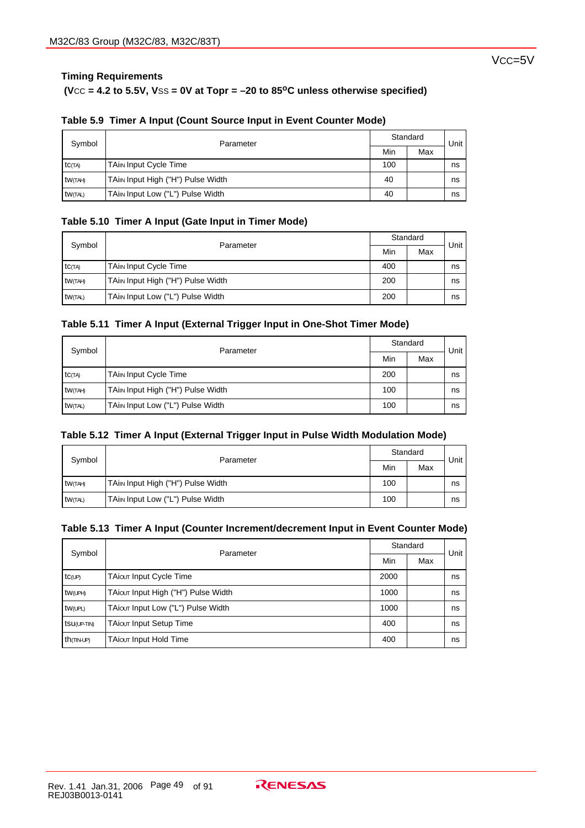## **Timing Requirements**

## $(**VCC** = 4.2 to 5.5**V**, **VSS** = **0V** at **Topr** =  $-20$  to 85<sup>o</sup>**C** unless otherwise specified)$

| Symbol         | Parameter                         |     | Standard | Unit |
|----------------|-----------------------------------|-----|----------|------|
|                |                                   | Min | Max      |      |
| <b>tC(TA)</b>  | <b>TAin Input Cycle Time</b>      | 100 |          | ns   |
| tw(TAH)        | TAim Input High ("H") Pulse Width | 40  |          | ns   |
| <b>tW(TAL)</b> | TAin Input Low ("L") Pulse Width  | 40  |          | ns   |

## **Table 5.9 Timer A Input (Count Source Input in Event Counter Mode)**

#### **Table 5.10 Timer A Input (Gate Input in Timer Mode)**

| Symbol         |                                   | Standard |     |      |
|----------------|-----------------------------------|----------|-----|------|
|                | Parameter                         | Min      | Max | Unit |
| <b>tC</b> (TA) | <b>TAin Input Cycle Time</b>      | 400      |     | ns   |
| tw(TAH)        | TAim Input High ("H") Pulse Width | 200      |     | ns   |
| tw(TAL)        | TAin Input Low ("L") Pulse Width  | 200      |     | ns   |

#### **Table 5.11 Timer A Input (External Trigger Input in One-Shot Timer Mode)**

| Symbol          | Parameter                         | Standard |     | Unit |
|-----------------|-----------------------------------|----------|-----|------|
|                 |                                   | Min      | Max |      |
| <b>tC(TA)</b>   | <b>TAin Input Cycle Time</b>      | 200      |     | ns   |
| tw(TAH)         | TAin Input High ("H") Pulse Width | 100      |     | ns   |
| <b>tw</b> (TAL) | TAin Input Low ("L") Pulse Width  | 100      |     | ns   |

#### **Table 5.12 Timer A Input (External Trigger Input in Pulse Width Modulation Mode)**

| Symbol              | Parameter                         | Standard   | Unit |    |
|---------------------|-----------------------------------|------------|------|----|
|                     |                                   | Max<br>Min |      |    |
| tw <sub>(TAH)</sub> | TAim Input High ("H") Pulse Width | 100        |      | ns |
| <b>tW(TAL)</b>      | TAin Input Low ("L") Pulse Width  | 100        |      | ns |

## **Table 5.13 Timer A Input (Counter Increment/decrement Input in Event Counter Mode)**

| Symbol                 | Parameter                           | Standard | Unit |    |
|------------------------|-------------------------------------|----------|------|----|
|                        |                                     | Min      | Max  |    |
| $tc$ (UP)              | TAiour Input Cycle Time             | 2000     |      | ns |
| tw(UPH)                | TAiour Input High ("H") Pulse Width | 1000     |      | ns |
| tw(UPL)                | TAiour Input Low ("L") Pulse Width  | 1000     |      | ns |
| <b>tSU(UP-TIN)</b>     | TAiour Input Setup Time             | 400      |      | ns |
| th <sub>(TIN-UP)</sub> | TAiour Input Hold Time              | 400      |      | ns |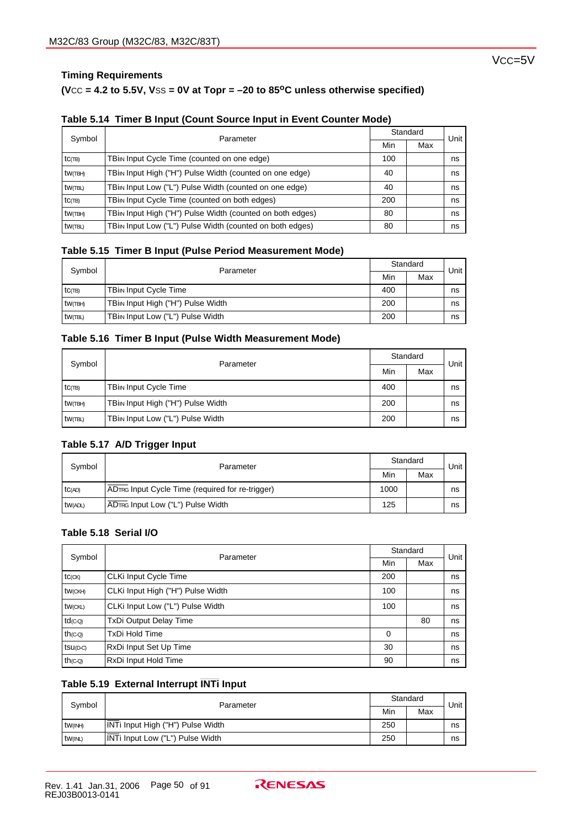## **Timing Requirements**

## **(V**CC **= 4.2 to 5.5V, V**SS **= 0V at Topr = –20 to 85oC unless otherwise specified)**

| Symbol    | Parameter                                                  | Standard |     | Unit |
|-----------|------------------------------------------------------------|----------|-----|------|
|           |                                                            | Min      | Max |      |
| $tc$ (TB) | TBi <sub>IN</sub> Input Cycle Time (counted on one edge)   | 100      |     | ns   |
| tW(TBH)   | TBin Input High ("H") Pulse Width (counted on one edge)    | 40       |     | ns   |
| tw(TBL)   | TBin Input Low ("L") Pulse Width (counted on one edge)     | 40       |     | ns   |
| $tc$ (TB) | TBi <sub>IN</sub> Input Cycle Time (counted on both edges) | 200      |     | ns   |
| tw(TBH)   | TBin Input High ("H") Pulse Width (counted on both edges)  | 80       |     | ns   |
| tw(TBL)   | TBin Input Low ("L") Pulse Width (counted on both edges)   | 80       |     | ns   |

#### **Table 5.15 Timer B Input (Pulse Period Measurement Mode)**

| Symbol     | Parameter                                      | Standard |     | Unit |
|------------|------------------------------------------------|----------|-----|------|
|            |                                                | Min      | Max |      |
| $tc$ $(B)$ | <b>TBin Input Cycle Time</b>                   | 400      |     | ns   |
| tw(TBH)    | TBi <sub>IN</sub> Input High ("H") Pulse Width | 200      |     | ns   |
| tw(TBL)    | TBin Input Low ("L") Pulse Width               | 200      |     | ns   |

#### **Table 5.16 Timer B Input (Pulse Width Measurement Mode)**

| Symbol<br>Parameter |                                                | Standard |  | Unit |
|---------------------|------------------------------------------------|----------|--|------|
|                     | Min                                            | Max      |  |      |
| $tc$ $\pi$          | <b>TBin Input Cycle Time</b>                   | 400      |  | ns   |
| tw(TBH)             | TBi <sub>IN</sub> Input High ("H") Pulse Width | 200      |  | ns   |
| tw(TBL)             | TBin Input Low ("L") Pulse Width               | 200      |  | ns   |

## **Table 5.17 A/D Trigger Input**

| Symbol  | Parameter                                        | Standard<br>Max<br>Min | Unit |    |
|---------|--------------------------------------------------|------------------------|------|----|
|         |                                                  |                        |      |    |
| TC(AD)  | ADTRG Input Cycle Time (required for re-trigger) | 1000                   |      | ns |
| tw(ADL) | ADTRG Input Low ("L") Pulse Width                | 125                    |      | ns |

## **Table 5.18 Serial I/O**

| Symbol                | Parameter                         |          | Standard |      |
|-----------------------|-----------------------------------|----------|----------|------|
|                       |                                   | Min      | Max      | Unit |
| $tc$ ( $CK$ )         | CLKi Input Cycle Time             | 200      |          | ns   |
| tw(CKH)               | CLKi Input High ("H") Pulse Width | 100      |          | ns   |
| tw(CKL)               | CLKi Input Low ("L") Pulse Width  | 100      |          | ns   |
| $td$ <sub>(C-Q)</sub> | TxDi Output Delay Time            |          | 80       | ns   |
| $th$ ( $CO$ )         | <b>TxDi Hold Time</b>             | $\Omega$ |          | ns   |
| $tsu(D-C)$            | RxDi Input Set Up Time            | 30       |          | ns   |
| $th$ ( $CO$ )         | RxDi Input Hold Time              | 90       |          | ns   |

# **\_\_\_\_\_\_\_ Table 5.19 External Interrupt INTi Input**

| Symbol<br>Parameter |                                   | Standard |  | Unit |
|---------------------|-----------------------------------|----------|--|------|
|                     | Min                               | Max      |  |      |
| $tw$ ( $NH$ )       | INTi Input High ("H") Pulse Width | 250      |  | ns   |
| <b>tw(INL)</b>      | INTi Input Low ("L") Pulse Width  | 250      |  | ns   |

Vcc=5V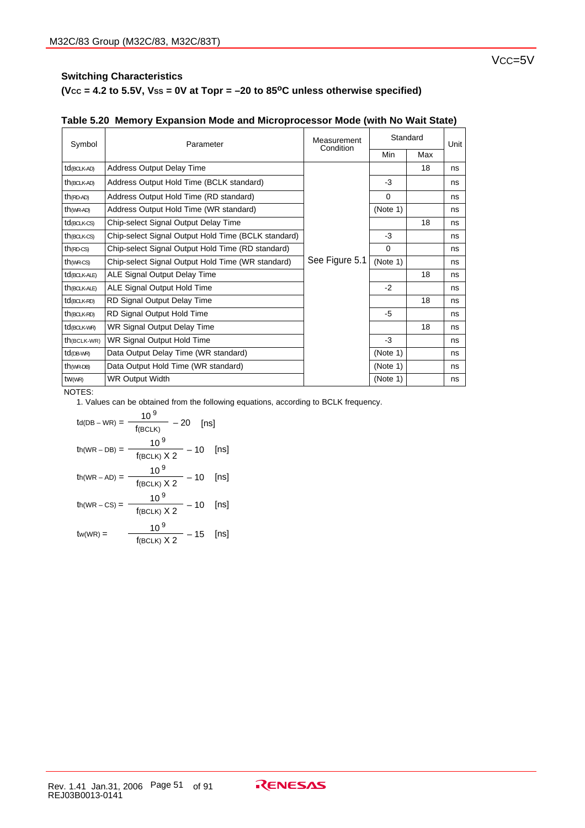## **(VCC = 4.2 to 5.5V, VSS = 0V at Topr = –20 to 85oC unless otherwise specified)**

| Symbol                   | Parameter                                           | Measurement<br>Condition |          | Standard | Unit |  |
|--------------------------|-----------------------------------------------------|--------------------------|----------|----------|------|--|
|                          |                                                     |                          | Min      | Max      |      |  |
| td(BCLK-AD)              | <b>Address Output Delay Time</b>                    |                          |          | 18       | ns   |  |
| $th$ (BCLK-AD)           | Address Output Hold Time (BCLK standard)            |                          | -3       |          | ns   |  |
| $th$ (RD-AD)             | Address Output Hold Time (RD standard)              |                          | $\Omega$ |          | ns   |  |
| $th$ (WR-AD)             | Address Output Hold Time (WR standard)              |                          | (Note 1) |          | ns   |  |
| $td$ (BCLK-CS)           | Chip-select Signal Output Delay Time                |                          |          | 18       | ns   |  |
| $th$ (BCLK-CS)           | Chip-select Signal Output Hold Time (BCLK standard) |                          | -3       |          | ns   |  |
| $th$ (RD-CS)             | Chip-select Signal Output Hold Time (RD standard)   | See Figure 5.1           |          |          | ns   |  |
| $th$ ( $WR$ - $CS$ )     | Chip-select Signal Output Hold Time (WR standard)   |                          |          |          | ns   |  |
| td <sub>(BCLK-ALE)</sub> | ALE Signal Output Delay Time                        |                          |          | 18       | ns   |  |
| $th$ (BCLK-ALE)          | ALE Signal Output Hold Time                         |                          | $-2$     |          | ns   |  |
| $td$ (BCLK-RD)           | RD Signal Output Delay Time                         |                          |          | 18       | ns   |  |
| $th$ (BCLK-RD)           | RD Signal Output Hold Time                          |                          | -5       |          | ns   |  |
| td <sub>(BCLK-WR)</sub>  | WR Signal Output Delay Time                         |                          |          | 18       | ns   |  |
| $th$ (BCLK-WR)           | WR Signal Output Hold Time                          |                          | $-3$     |          | ns   |  |
| $td$ (DB-WR)             | Data Output Delay Time (WR standard)                |                          | (Note 1) |          | ns   |  |
| $th$ (WR-DB)             | Data Output Hold Time (WR standard)                 |                          | (Note 1) |          | ns   |  |
| tW(WR)                   | <b>WR Output Width</b>                              |                          | (Note 1) |          | ns   |  |

## **Table 5.20 Memory Expansion Mode and Microprocessor Mode (with No Wait State)**

NOTES:

$$
t_{d(DB - WR)} = \frac{10^9}{f_{(BCLK)}} - 20 \quad \text{[ns]}
$$
\n
$$
t_{h(WR - DB)} = \frac{10^9}{f_{(BCLK)} \times 2} - 10 \quad \text{[ns]}
$$
\n
$$
t_{h(WR - AD)} = \frac{10^9}{f_{(BCLK)} \times 2} - 10 \quad \text{[ns]}
$$
\n
$$
t_{h(WR - CS)} = \frac{10^9}{f_{(BCLK)} \times 2} - 10 \quad \text{[ns]}
$$
\n
$$
t_{w(WR)} = \frac{10^9}{f_{(BCLK)} \times 2} - 15 \quad \text{[ns]}
$$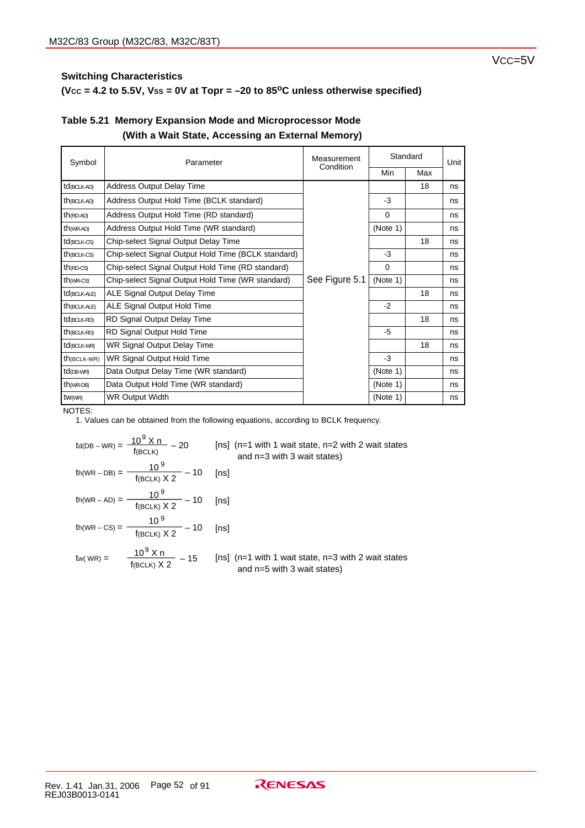## $(Vec = 4.2$  to 5.5V,  $Vss = 0V$  at Topr  $= -20$  to 85<sup>o</sup>C unless otherwise specified)

| Symbol               | Parameter                                                           | Standard<br>Measurement |          |     | Unit |  |
|----------------------|---------------------------------------------------------------------|-------------------------|----------|-----|------|--|
|                      |                                                                     | Condition               | Min      | Max |      |  |
| td(BCLK-AD)          | <b>Address Output Delay Time</b>                                    |                         |          | 18  | ns   |  |
| $th$ (BCLK-AD)       | Address Output Hold Time (BCLK standard)                            |                         | $-3$     |     | ns   |  |
| $th$ (RD-AD)         | Address Output Hold Time (RD standard)                              |                         | $\Omega$ |     | ns   |  |
| $th$ (WR-AD)         | Address Output Hold Time (WR standard)                              |                         | (Note 1) |     | ns   |  |
| $td$ (BCLK-CS)       | Chip-select Signal Output Delay Time                                |                         |          | 18  | ns   |  |
| $th$ (BCLK-CS)       | Chip-select Signal Output Hold Time (BCLK standard)                 |                         | $-3$     |     | ns   |  |
| $th$ (RD-CS)         | Chip-select Signal Output Hold Time (RD standard)                   |                         |          |     | ns   |  |
| $th$ ( $WR$ - $CS$ ) | See Figure 5.1<br>Chip-select Signal Output Hold Time (WR standard) |                         | (Note 1) |     | ns   |  |
| td(BCLK-ALE)         | ALE Signal Output Delay Time                                        |                         |          | 18  | ns   |  |
| $th$ (BCLK-ALE)      | ALE Signal Output Hold Time                                         |                         | $-2$     |     | ns   |  |
| $td$ (BCLK-RD)       | RD Signal Output Delay Time                                         |                         |          | 18  | ns   |  |
| $th$ (BCLK-RD)       | RD Signal Output Hold Time                                          |                         | -5       |     | ns   |  |
| td(BCLK-WR)          | WR Signal Output Delay Time                                         |                         |          | 18  | ns   |  |
| $th$ (BCLK-WR)       | WR Signal Output Hold Time                                          |                         | $-3$     |     | ns   |  |
| $td$ (DB-WR)         | Data Output Delay Time (WR standard)                                |                         | (Note 1) |     | ns   |  |
| $th$ (WR-DB)         | Data Output Hold Time (WR standard)                                 |                         | (Note 1) |     | ns   |  |
| tW(WR)               | <b>WR Output Width</b>                                              |                         | (Note 1) |     | ns   |  |

## **Table 5.21 Memory Expansion Mode and Microprocessor Mode (With a Wait State, Accessing an External Memory)**

NOTES:

|                                                         | $\text{td(DB-WR)} = \frac{10^9 \text{ X n}}{\text{f(BCLK)}} - 20$ [ns] (n=1 with 1 wait state, n=2 with 2 wait states<br>and $n=3$ with 3 wait states) |
|---------------------------------------------------------|--------------------------------------------------------------------------------------------------------------------------------------------------------|
| th(WR - DB) = $\frac{10^9}{f(BCLK) \times 2}$ – 10 [ns] |                                                                                                                                                        |
| th(WR – AD) = $\frac{10^9}{f(BCLK) \times 2}$ – 10 [ns] |                                                                                                                                                        |
| th(WR – CS) = $\frac{10^9}{f(BCLK) \times 2}$ – 10 [ns] |                                                                                                                                                        |
|                                                         | tw(WR) = $\frac{10^9 \text{ X n}}{f(\text{BCLK}) \text{ X 2}} - 15$ [ns] (n=1 with 1 wait state, n=3 with 2 wait states<br>and n=5 with 3 wait states) |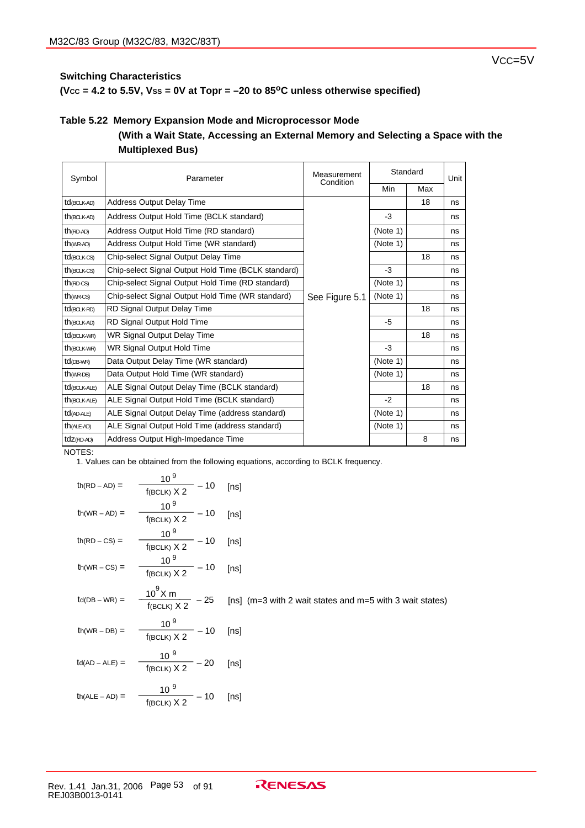$(Vcc = 4.2$  to 5.5V,  $Vss = 0V$  at Topr  $= -20$  to 85<sup>o</sup>C unless otherwise specified)

#### **Table 5.22 Memory Expansion Mode and Microprocessor Mode**

## **(With a Wait State, Accessing an External Memory and Selecting a Space with the Multiplexed Bus)**

| Symbol                   | Parameter                                                           | Measurement<br>Condition | Standard |     | Unit |  |
|--------------------------|---------------------------------------------------------------------|--------------------------|----------|-----|------|--|
|                          |                                                                     |                          | Min      | Max |      |  |
| td <sub>(BCLK-AD)</sub>  | <b>Address Output Delay Time</b>                                    |                          |          | 18  | ns   |  |
| $th$ (BCLK-AD)           | Address Output Hold Time (BCLK standard)                            |                          | $-3$     |     | ns   |  |
| $th$ (RD-AD)             | Address Output Hold Time (RD standard)                              |                          | (Note 1) |     | ns   |  |
| $th$ (WR-AD)             | Address Output Hold Time (WR standard)                              |                          | (Note 1) |     | ns   |  |
| $td$ (BCLK-CS)           | Chip-select Signal Output Delay Time                                |                          |          | 18  | ns   |  |
| $th$ (BCLK-CS)           | Chip-select Signal Output Hold Time (BCLK standard)                 |                          | $-3$     |     | ns   |  |
| $th$ (RD-CS)             | Chip-select Signal Output Hold Time (RD standard)                   |                          |          |     | ns   |  |
| $th$ ( $WR$ - $CS$ )     | Chip-select Signal Output Hold Time (WR standard)<br>See Figure 5.1 |                          | (Note 1) |     | ns   |  |
| td(BCLK-RD)              | RD Signal Output Delay Time                                         |                          |          | 18  | ns   |  |
| $th$ (BCLK-AD)           | RD Signal Output Hold Time                                          |                          | -5       |     | ns   |  |
| td <sub>(BCLK-WR)</sub>  | WR Signal Output Delay Time                                         |                          |          | 18  | ns   |  |
| th(BCLK-WR)              | WR Signal Output Hold Time                                          |                          | $-3$     |     | ns   |  |
| $td$ (DB-WR)             | Data Output Delay Time (WR standard)                                |                          | (Note 1) |     | ns   |  |
| $th$ ( $WR$ -DB)         | Data Output Hold Time (WR standard)                                 |                          | (Note 1) |     | ns   |  |
| td <sub>(BCLK-ALE)</sub> | ALE Signal Output Delay Time (BCLK standard)                        |                          |          | 18  | ns   |  |
| th(BCLK-ALE)             | ALE Signal Output Hold Time (BCLK standard)                         |                          | $-2$     |     | ns   |  |
| td(AD-ALE)               | ALE Signal Output Delay Time (address standard)                     |                          | (Note 1) |     | ns   |  |
| $th$ (ALE-AD)            | ALE Signal Output Hold Time (address standard)                      |                          | (Note 1) |     | ns   |  |
| tdz(RD-AD)               | Address Output High-Impedance Time                                  |                          |          | 8   | ns   |  |

NOTES:

| $th(RD-AD) =$                           | 10 <sup>9</sup><br>$\frac{10}{f(BCLK) \times 2} - 10$ | [ns]                                                     |
|-----------------------------------------|-------------------------------------------------------|----------------------------------------------------------|
| $th(WR - AD) =$                         | $\frac{10^9}{f(BCLK) \times 2} - 10$ [ns]             |                                                          |
| $th(RD - CS) =$                         | $\frac{10^9}{f(\text{BCLK}) \times 2} - 10$ [ns]      |                                                          |
| $th(WR - CS) =$                         | $\frac{10^9}{f(BCLK) \times 2} - 10$ [ns]             |                                                          |
| $\mathsf{td}(\mathsf{DB}-\mathsf{WR})=$ | $\frac{10^9 X m}{f(BCLK) X 2}$ - 25                   | [ns] (m=3 with 2 wait states and m=5 with 3 wait states) |
| $th(WR - DB) =$                         | $\frac{10^9}{f(BCLK) \times 2} - 10$ [ns]             |                                                          |
| $td(AD - ALE) =$                        | $\frac{10^{9}}{f(BCLK) \times 2} - 20$                | [ns]                                                     |
| $th(ALE - AD) =$                        | $\frac{10^{9}}{f(BCLK) \times 2} - 10$                | [ns]                                                     |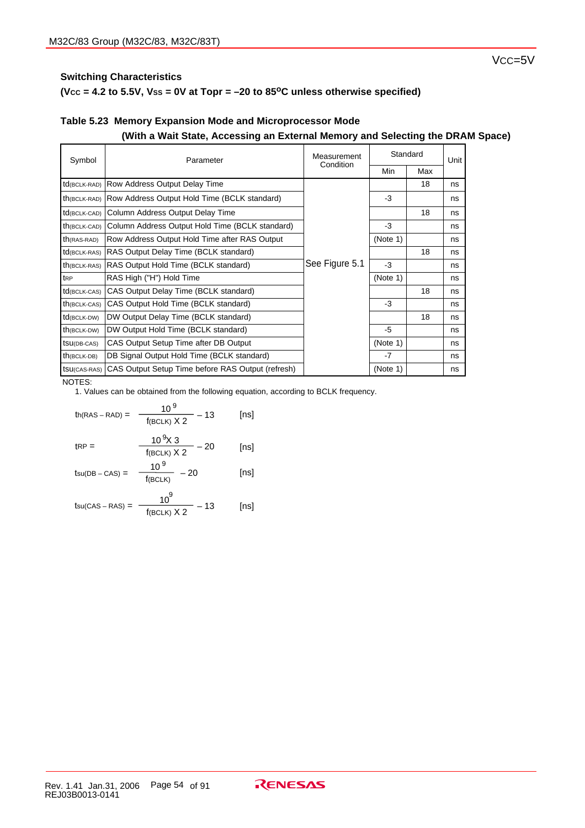## $(Vec = 4.2$  to 5.5V,  $Vss = 0V$  at Topr  $= -20$  to 85<sup>o</sup>C unless otherwise specified)

## **Table 5.23 Memory Expansion Mode and Microprocessor Mode (With a Wait State, Accessing an External Memory and Selecting the DRAM Space)**

| Symbol       | Parameter                                         | Standard<br>Measurement<br>Condition |          |     | Unit |  |
|--------------|---------------------------------------------------|--------------------------------------|----------|-----|------|--|
|              |                                                   |                                      | Min      | Max |      |  |
| td(BCLK-RAD) | Row Address Output Delay Time                     |                                      |          | 18  | ns   |  |
| th(BCLK-RAD) | Row Address Output Hold Time (BCLK standard)      |                                      | $-3$     |     | ns   |  |
| td(BCLK-CAD) | Column Address Output Delay Time                  |                                      |          | 18  | ns   |  |
| th(BCLK-CAD) | Column Address Output Hold Time (BCLK standard)   |                                      | $-3$     |     | ns   |  |
| th(RAS-RAD)  | Row Address Output Hold Time after RAS Output     |                                      | (Note 1) |     | ns   |  |
| td(BCLK-RAS) | RAS Output Delay Time (BCLK standard)             |                                      |          | 18  | ns   |  |
| th(BCLK-RAS) | RAS Output Hold Time (BCLK standard)              | See Figure 5.1                       | -3       |     | ns   |  |
| l trp        | RAS High ("H") Hold Time                          |                                      | (Note 1) |     | ns   |  |
| td(BCLK-CAS) | CAS Output Delay Time (BCLK standard)             |                                      |          | 18  | ns   |  |
| th(BCLK-CAS) | CAS Output Hold Time (BCLK standard)              |                                      | $-3$     |     | ns   |  |
| td(BCLK-DW)  | DW Output Delay Time (BCLK standard)              |                                      |          | 18  | ns   |  |
| th(BCLK-DW)  | DW Output Hold Time (BCLK standard)               |                                      | -5       |     | ns   |  |
| tsu(DB-CAS)  | CAS Output Setup Time after DB Output             |                                      | (Note 1) |     | ns   |  |
| th(BCLK-DB)  | DB Signal Output Hold Time (BCLK standard)        |                                      | $-7$     |     | ns   |  |
| tsu(CAS-RAS) | CAS Output Setup Time before RAS Output (refresh) |                                      | (Note 1) |     | ns   |  |

#### NOTES:

\n
$$
\text{th}(\text{RAS} - \text{RAD}) = \frac{10^9}{f(\text{BCLK}) \times 2} - 13
$$
\n  
\n $\text{tRP} = \frac{10^9 \times 3}{f(\text{BCLK}) \times 2} - 20$ \n  
\n $\text{tsu}(\text{DB} - \text{CAS}) = \frac{10^9}{f(\text{BCLK})} - 20$ \n  
\n $\text{tsu}(\text{DB} - \text{CAS}) = \frac{10^9}{f(\text{BCLK})} - 20$ \n  
\n $\text{tsu}(\text{DB} - \text{CAS}) = \frac{10^9}{f(\text{BCLK})} - 20$ \n  
\n $\text{tsu}(\text{DB} - \text{CAS}) = \frac{10^9}{f(\text{BCLK})} - 20$ \n  
\n $\text{tsu}(\text{DB} - \text{CAS}) = \frac{10^9}{f(\text{BCLK})} - 20$ \n  
\n $\text{tsu}(\text{DB} - \text{CAS}) = \frac{10^9}{f(\text{BCLK})} - 20$ \n  
\n $\text{tsu}(\text{DB} - \text{CAS}) = \frac{10^9}{f(\text{BCLK})} - 20$ \n  
\n $\text{tsu}(\text{DB} - \text{CAS}) = \frac{10^9}{f(\text{BCLK})} - 20$ \n  
\n $\text{tsu}(\text{DB} - \text{CAS}) = \frac{10^9}{f(\text{BCLK})} - 20$ \n  
\n $\text{tsu}(\text{DB} - \text{CAS}) = \frac{10^9}{f(\text{BCLK})} - 20$ \n  
\n $\text{tsu}(\text{DB} - \text{CAS}) = \frac{10^9}{f(\text{BCLK})} - 20$ \n  
\n $\text{tsu}(\text{DB} - \text{CAS}) = \frac{10^9}{f(\text{BCLK})} - 20$ \n  
\n $\text{tsu}(\text{DB} - \text{CAS}) = \frac{10^9}{f(\text{BCLK})} - 20$ \n  
\n $\text{tsu}(\text{DB} - \text{CAS}) = \frac{10^9}{f(\text{BCLK})} - 2$ 

$$
t_{\text{SU(CAS}-\text{RAS})} = \frac{10^6}{f(\text{BCLK}) \times 2} - 13
$$
 [ns]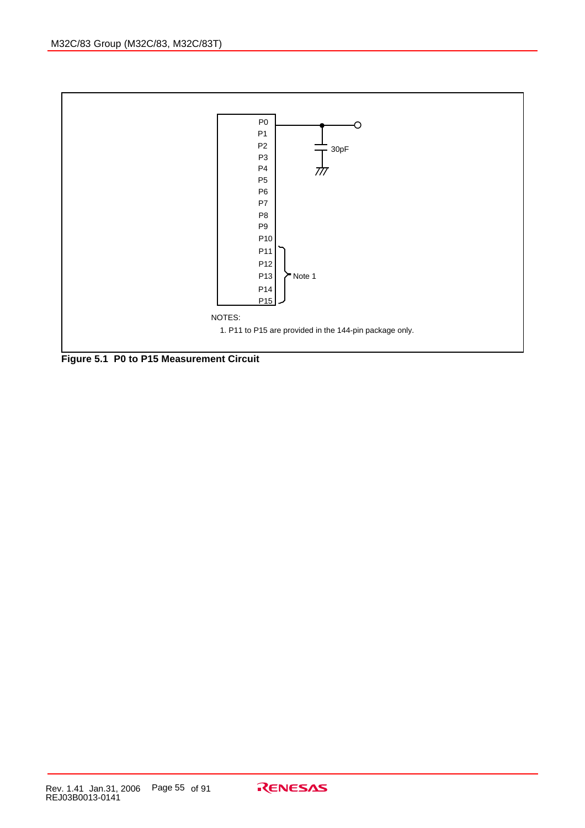

**Figure 5.1 P0 to P15 Measurement Circuit**

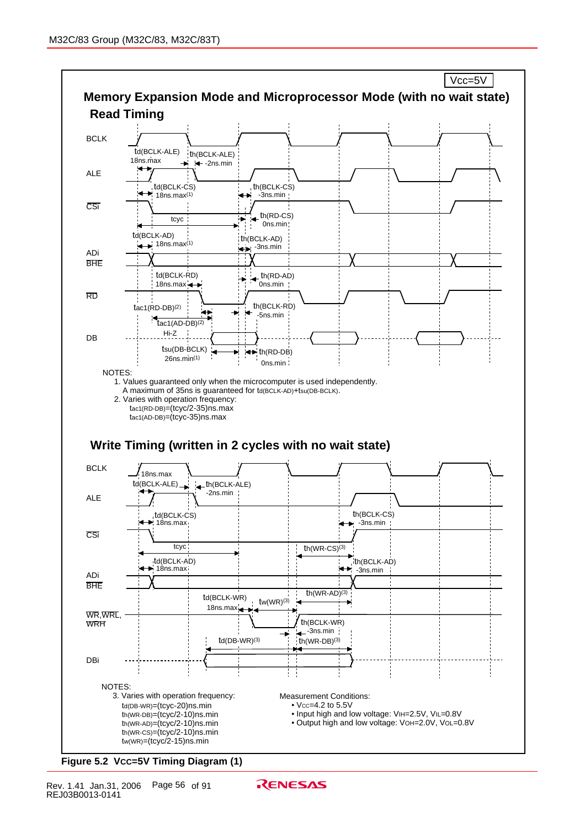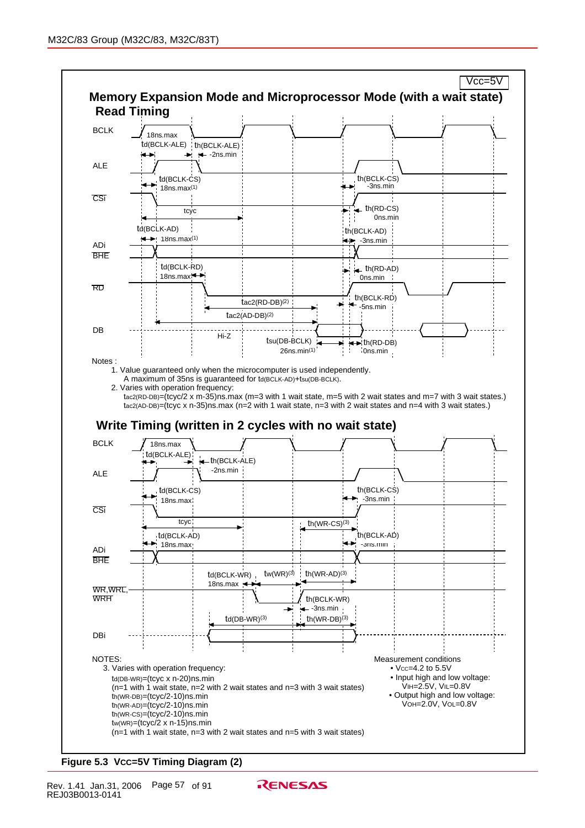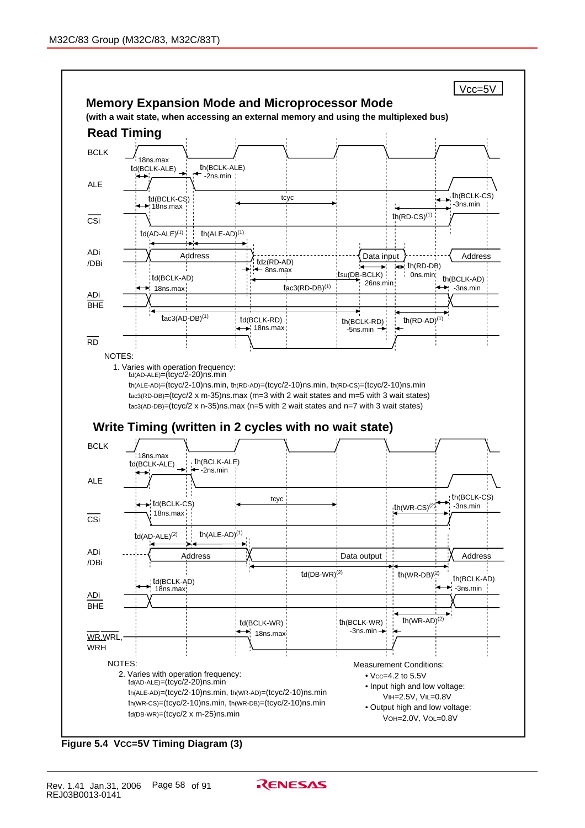

**Figure 5.4 VCC=5V Timing Diagram (3)**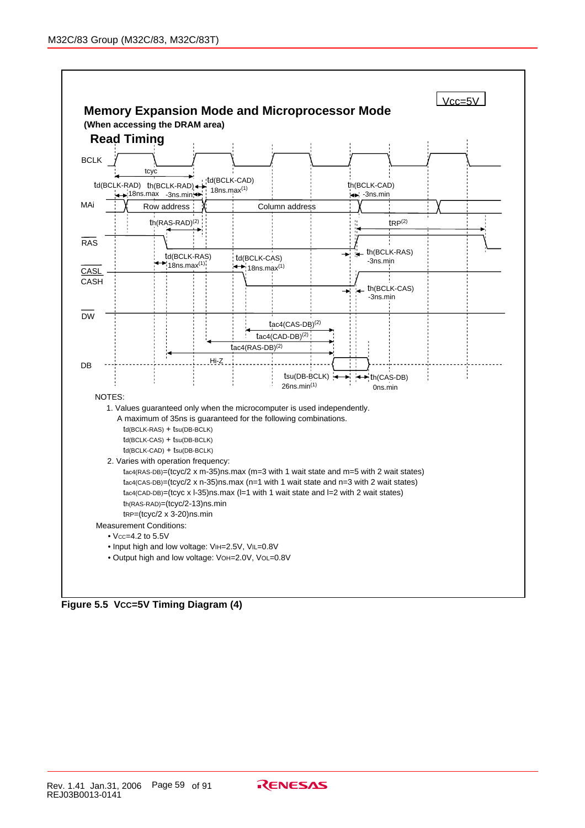

**Figure 5.5 VCC=5V Timing Diagram (4)**

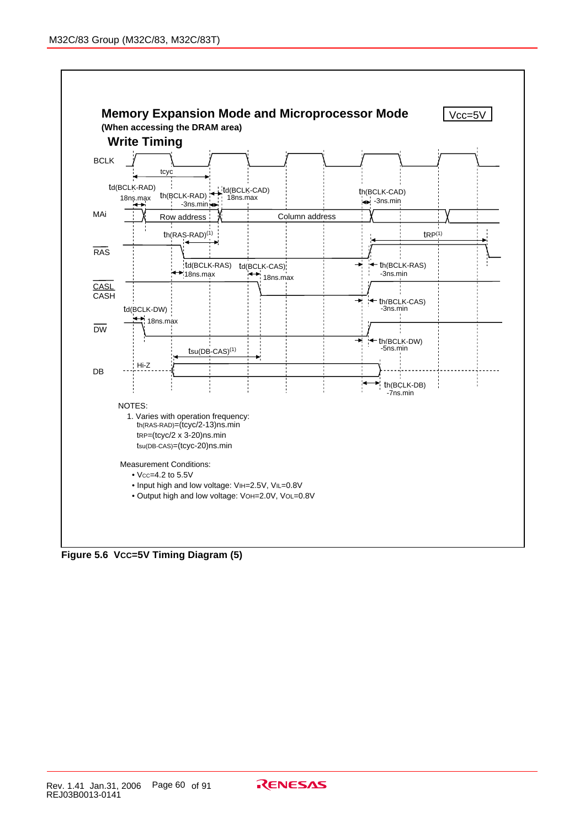

**Figure 5.6 VCC=5V Timing Diagram (5)**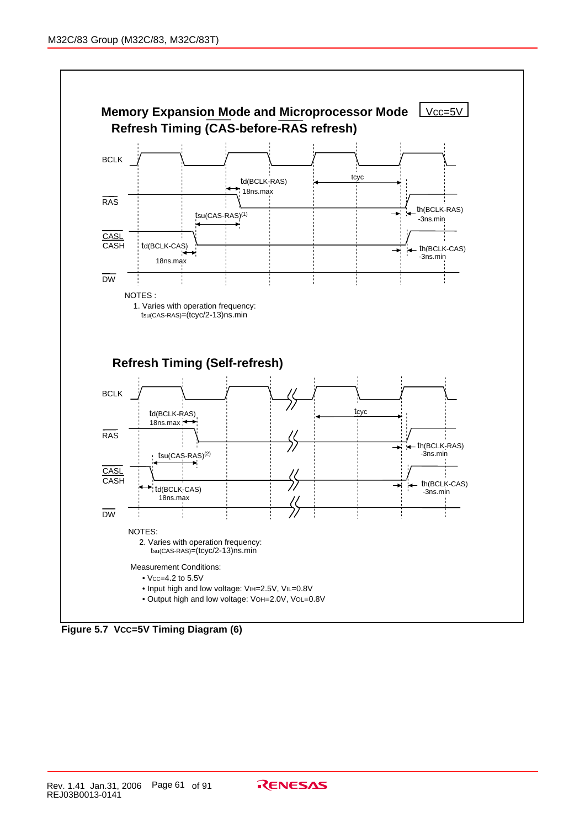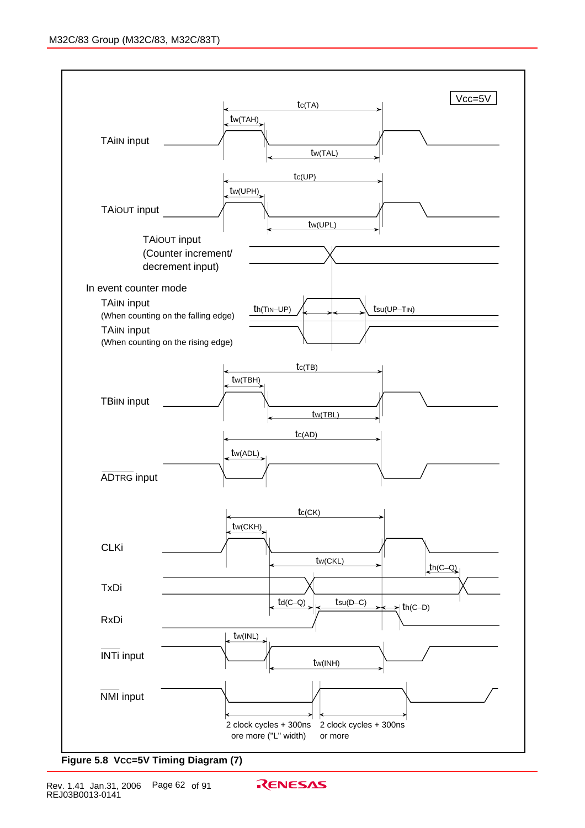

**Figure 5.8 VCC=5V Timing Diagram (7)**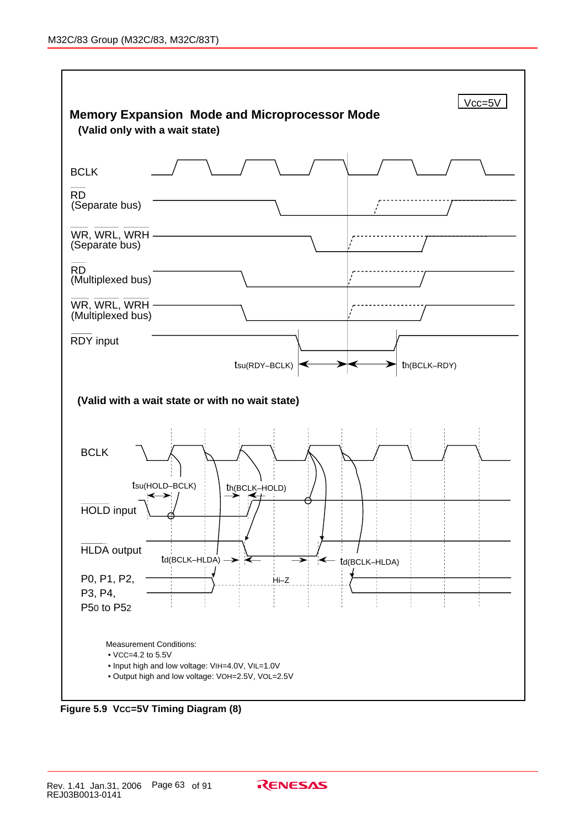

**Figure 5.9 VCC=5V Timing Diagram (8)**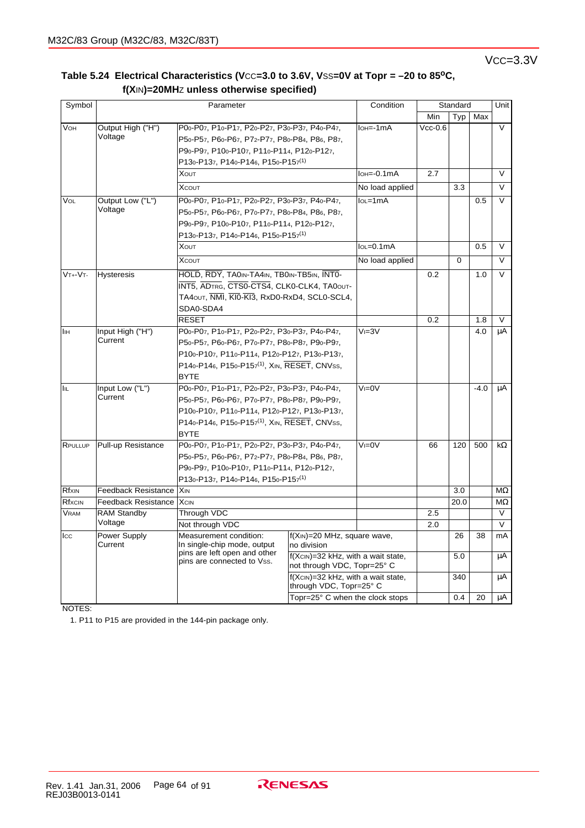| Symbol       |                            | Parameter                                                |                                              | Condition                       | Standard  |             |        | Unit      |
|--------------|----------------------------|----------------------------------------------------------|----------------------------------------------|---------------------------------|-----------|-------------|--------|-----------|
|              |                            |                                                          |                                              |                                 | Min       | Typ         | Max    |           |
| VOH          | Output High ("H")          | P00-P07, P10-P17, P20-P27, P30-P37, P40-P47,             |                                              | $IoH = -1mA$                    | $Vcc-0.6$ |             |        | $\vee$    |
|              | Voltage                    | P50-P57, P60-P67, P72-P77, P80-P84, P86, P87,            |                                              |                                 |           |             |        |           |
|              |                            | P90-P97, P100-P107, P110-P114, P120-P127,                |                                              |                                 |           |             |        |           |
|              |                            | P130-P137, P140-P146, P150-P157 <sup>(1)</sup>           |                                              |                                 |           |             |        |           |
|              |                            | <b>XOUT</b>                                              |                                              | $I$ <sub>OH</sub> $=$ -0.1 $mA$ | 2.7       |             |        | V         |
|              |                            | <b>XCOUT</b>                                             |                                              | No load applied                 |           | 3.3         |        | $\vee$    |
| VOL          | Output Low ("L")           | P00-P07, P10-P17, P20-P27, P30-P37, P40-P47,             |                                              | $IoL = 1mA$                     |           |             | 0.5    | V         |
|              | Voltage                    | P50-P57, P60-P67, P70-P77, P80-P84, P86, P87,            |                                              |                                 |           |             |        |           |
|              |                            | P90-P97, P100-P107, P110-P114, P120-P127,                |                                              |                                 |           |             |        |           |
|              |                            | P130-P137, P140-P146, P150-P157(1)                       |                                              |                                 |           |             |        |           |
|              |                            | <b>XOUT</b>                                              |                                              | $IoL = 0.1mA$                   |           |             | 0.5    | $\vee$    |
|              |                            | <b>XCOUT</b>                                             |                                              | No load applied                 |           | $\mathbf 0$ |        | $\vee$    |
| $VT + -VT -$ | <b>Hysteresis</b>          | HOLD, RDY, TA0IN-TA4IN, TB0IN-TB5IN, INTO-               |                                              |                                 | 0.2       |             | 1.0    | V         |
|              |                            | INT5, ADTRG, CTS0-CTS4, CLK0-CLK4, TA0OUT-               |                                              |                                 |           |             |        |           |
|              |                            | TA40UT, NMI, KI0-KI3, RxD0-RxD4, SCL0-SCL4,              |                                              |                                 |           |             |        |           |
|              |                            | SDA0-SDA4                                                |                                              |                                 |           |             |        |           |
|              |                            | <b>RESET</b>                                             |                                              |                                 | 0.2       |             | 1.8    | $\vee$    |
| Πін          | Input High ("H")           | P00-P07, P10-P17, P20-P27, P30-P37, P40-P47,             |                                              | $V = 3V$                        |           |             | 4.0    | μA        |
|              | Current                    | P50-P57, P60-P67, P70-P77, P80-P87, P90-P97,             |                                              |                                 |           |             |        |           |
|              |                            | P100-P107, P110-P114, P120-P127, P130-P137,              |                                              |                                 |           |             |        |           |
|              |                            | P140-P146, P150-P157 <sup>(1)</sup> , XIN, RESET, CNVss, |                                              |                                 |           |             |        |           |
|              |                            | <b>BYTE</b>                                              |                                              |                                 |           |             |        |           |
| <b>IIL</b>   | Input Low ("L")            | P00-P07, P10-P17, P20-P27, P30-P37, P40-P47,             |                                              | $V = 0V$                        |           |             | $-4.0$ | μA        |
|              | Current                    | P50-P57, P60-P67, P70-P77, P80-P87, P90-P97,             |                                              |                                 |           |             |        |           |
|              |                            | P100-P107, P110-P114, P120-P127, P130-P137,              |                                              |                                 |           |             |        |           |
|              |                            | P140-P146, P150-P157 <sup>(1)</sup> , XIN, RESET, CNVss, |                                              |                                 |           |             |        |           |
|              |                            | <b>BYTE</b>                                              |                                              |                                 |           |             |        |           |
| RPULLUP      | Pull-up Resistance         | P00-P07, P10-P17, P20-P27, P30-P37, P40-P47,             |                                              | $V = 0V$                        | 66        | 120         | 500    | $k\Omega$ |
|              |                            | P50-P57, P60-P67, P72-P77, P80-P84, P86, P87,            |                                              |                                 |           |             |        |           |
|              |                            | P90-P97, P100-P107, P110-P114, P120-P127,                |                                              |                                 |           |             |        |           |
|              |                            | P130-P137, P140-P146, P150-P157(1)                       |                                              |                                 |           |             |        |           |
| Rfxin        | <b>Feedback Resistance</b> | Xin                                                      |                                              |                                 |           | 3.0         |        | MΩ        |
| Rfxcin       | <b>Feedback Resistance</b> | <b>X</b> cin                                             |                                              |                                 |           | 20.0        |        | $M\Omega$ |
| <b>VRAM</b>  | <b>RAM Standby</b>         | Through VDC                                              |                                              |                                 | 2.5       |             |        | $\vee$    |
|              | Voltage                    | Not through VDC                                          |                                              |                                 | 2.0       |             |        | $\vee$    |
| Icc          | Power Supply<br>Current    | Measurement condition:<br>In single-chip mode, output    | $f(XIN)=20$ MHz, square wave,<br>no division |                                 |           | 26          | 38     | mA        |
|              |                            | pins are left open and other                             | f(Xcin)=32 kHz, with a wait state,           |                                 |           | 5.0         |        | μA        |
|              |                            | pins are connected to Vss.                               | not through VDC, Topr=25° C                  |                                 |           |             |        |           |
|              |                            |                                                          | f(XcIN)=32 kHz, with a wait state,           |                                 |           | 340         |        | μA        |
|              |                            |                                                          | through VDC, Topr=25° C                      |                                 |           |             |        |           |
|              |                            |                                                          | Topr=25° C when the clock stops              |                                 |           | 0.4         | 20     | μA        |

## Table 5.24 Electrical Characteristics (Vcc=3.0 to 3.6V, Vss=0V at Topr = -20 to 85<sup>o</sup>C,  **f(X**IN**)=20MH**Z **unless otherwise specified)**

NOTES:

1. P11 to P15 are provided in the 144-pin package only.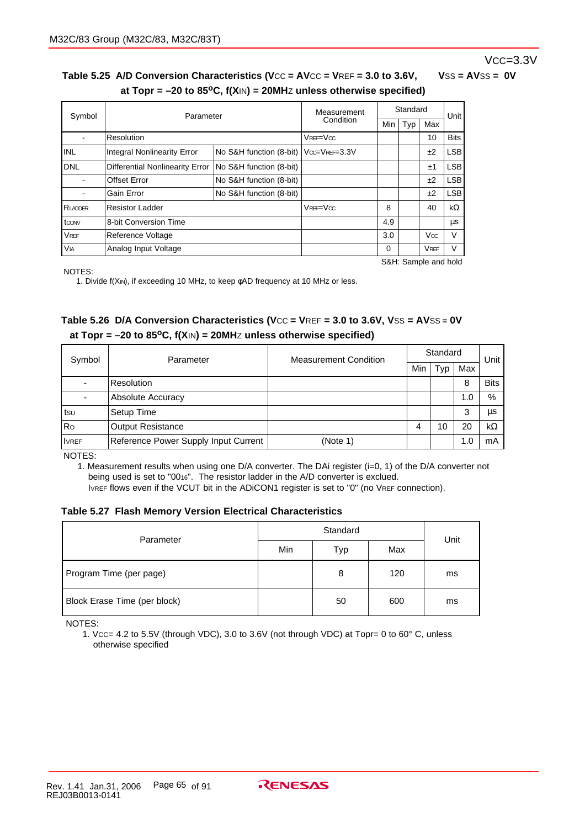## VCC=3.3V

## Table 5.25 A/D Conversion Characteristics (Vcc = AVcc = VREF = 3.0 to 3.6V, VSS = AVSS = 0V  **at Topr = –20 to 85oC, f(X**IN**) = 20MH**Z **unless otherwise specified)**

| Symbol               | Parameter                          |                         | Measurement      | Standard |     |             | Unit        |
|----------------------|------------------------------------|-------------------------|------------------|----------|-----|-------------|-------------|
|                      |                                    |                         | Condition        | Min      | Typ | Max         |             |
|                      | Resolution                         |                         | $V$ REF= $V$ cc  |          |     | 10          | <b>Bits</b> |
| IINL                 | <b>Integral Nonlinearity Error</b> | No S&H function (8-bit) | $Vcc=V$ REF=3.3V |          |     | ±2          | <b>LSB</b>  |
| IDNL                 | Differential Nonlinearity Error    | No S&H function (8-bit) |                  |          |     | ±1          | <b>LSB</b>  |
|                      | <b>Offset Error</b>                | No S&H function (8-bit) |                  |          |     | ±2          | <b>LSB</b>  |
|                      | Gain Error                         | No S&H function (8-bit) |                  |          |     | ±2          | <b>LSB</b>  |
| RLADDER              | <b>Resistor Ladder</b>             |                         | $V$ REF= $V$ cc  | 8        |     | 40          | kΩ          |
| t <sub>cow</sub>     | 8-bit Conversion Time              |                         |                  | 4.9      |     |             | μs          |
| <b>VREF</b>          | Reference Voltage                  |                         |                  | 3.0      |     | Vœ          | V           |
| V <sub>IA</sub>      | Analog Input Voltage               |                         |                  | 0        |     | <b>VREF</b> | ٧           |
| S&H: Sample and hold |                                    |                         |                  |          |     |             |             |

NOTES:

1. Divide f(XIN), if exceeding 10 MHz, to keep φAD frequency at 10 MHz or less.

## **Table 5.26 D/A Conversion Characteristics (V**CC **= V**REF **= 3.0 to 3.6V, V**SS **= AV**SS **= 0V at Topr = –20 to 85oC, f(X**IN**) = 20MH**Z **unless otherwise specified)**

| Symbol       | Parameter                            | <b>Measurement Condition</b> | Standard | Unit |     |             |
|--------------|--------------------------------------|------------------------------|----------|------|-----|-------------|
|              |                                      |                              | Min      | Typ  | Max |             |
|              | Resolution                           |                              |          |      | 8   | <b>Bits</b> |
|              | Absolute Accuracy                    |                              |          |      | 1.0 | %           |
| tsu          | Setup Time                           |                              |          |      | 3   | μs          |
| Ro           | <b>Output Resistance</b>             |                              | 4        | 10   | 20  | kΩ          |
| <b>IVREF</b> | Reference Power Supply Input Current | (Note 1)                     |          |      | 1.0 | mA          |

NOTES:

1. Measurement results when using one D/A converter. The DAi register (i=0, 1) of the D/A converter not being used is set to "0016". The resistor ladder in the A/D converter is exclued.

IVREF flows even if the VCUT bit in the ADiCON1 register is set to "0" (no VREF connection).

## **Table 5.27 Flash Memory Version Electrical Characteristics**

| Parameter                    |     | Unit |     |    |
|------------------------------|-----|------|-----|----|
|                              | Min | Typ  | Max |    |
| Program Time (per page)      |     | 8    | 120 | ms |
| Block Erase Time (per block) |     | 50   | 600 | ms |

NOTES:

1. VCC= 4.2 to 5.5V (through VDC), 3.0 to 3.6V (not through VDC) at Topr= 0 to 60° C, unless otherwise specified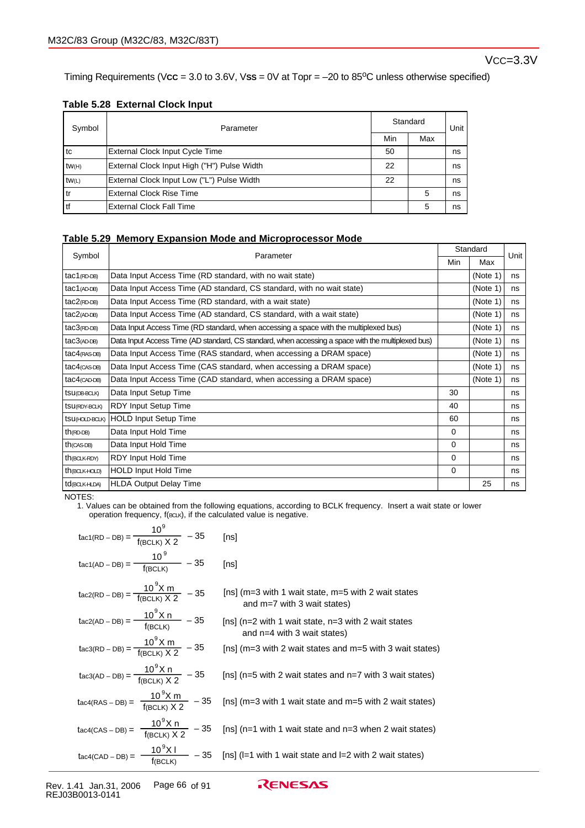Timing Requirements (Vcc = 3.0 to 3.6V, Vss = 0V at Topr = -20 to 85<sup>o</sup>C unless otherwise specified)

## **Table 5.28 External Clock Input**

| Symbol | Parameter                                   | Standard | Unit |     |
|--------|---------------------------------------------|----------|------|-----|
|        |                                             |          |      | Max |
| l tc   | External Clock Input Cycle Time             | 50       |      | ns  |
| tw(H)  | External Clock Input High ("H") Pulse Width | 22       |      | ns  |
| tw(L)  | External Clock Input Low ("L") Pulse Width  | 22       |      | ns  |
| l tr   | <b>External Clock Rise Time</b>             |          | 5    | ns  |
| l tf   | <b>External Clock Fall Time</b>             |          | 5    | ns  |

## **Table 5.29 Memory Expansion Mode and Microprocessor Mode**

| Symbol                    | Parameter                                                                                          |          | Standard | Unit |
|---------------------------|----------------------------------------------------------------------------------------------------|----------|----------|------|
|                           |                                                                                                    |          | Max      |      |
| $tac1$ (RD-DB)            | Data Input Access Time (RD standard, with no wait state)                                           |          | (Note 1) | ns   |
| $tac1$ (AD-DB)            | Data Input Access Time (AD standard, CS standard, with no wait state)                              |          | (Note 1) | ns   |
| $tac2$ (RD-DB)            | Data Input Access Time (RD standard, with a wait state)                                            |          | (Note 1) | ns   |
| $tac2$ (AD-DB)            | Data Input Access Time (AD standard, CS standard, with a wait state)                               |          | (Note 1) | ns   |
| $tac3$ (RD-DB)            | Data Input Access Time (RD standard, when accessing a space with the multiplexed bus)              |          | (Note 1) | ns   |
| $tac3$ (AD-DB)            | Data Input Access Time (AD standard, CS standard, when accessing a space with the multiplexed bus) |          | (Note 1) | ns   |
| $tac4$ (RAS-DB)           | Data Input Access Time (RAS standard, when accessing a DRAM space)                                 |          | (Note 1) | ns   |
| $tac4$ (CAS-DB)           | Data Input Access Time (CAS standard, when accessing a DRAM space)                                 |          | (Note 1) | ns   |
| $tac4$ $(CAD-DB)$         | Data Input Access Time (CAD standard, when accessing a DRAM space)                                 |          | (Note 1) | ns   |
| tsu(DB-BCLK)              | Data Input Setup Time                                                                              | 30       |          | ns   |
| tsu(RDY-BCLK)             | <b>RDY Input Setup Time</b>                                                                        | 40       |          | ns   |
| tsu(HOLD-BCLK)            | <b>HOLD Input Setup Time</b>                                                                       | 60       |          | ns   |
| $th$ (RD-DB)              | Data Input Hold Time                                                                               | $\Omega$ |          | ns   |
| $th$ (CAS-DB)             | Data Input Hold Time                                                                               | $\Omega$ |          | ns   |
| th(BCLK-RDY)              | RDY Input Hold Time                                                                                | $\Omega$ |          | ns   |
| $th$ (BCLK-HOLD)          | <b>HOLD Input Hold Time</b>                                                                        | $\Omega$ |          | ns   |
| td <sub>(BCLK-HLDA)</sub> | <b>HLDA Output Delay Time</b>                                                                      |          | 25       | ns   |

NOTES:

1. Values can be obtained from the following equations, according to BCLK frequency. Insert a wait state or lower operation frequency, f(BCLK), if the calculated value is negative.

| tac1(RD – DB) = $\frac{10^9}{f(BCLK) \times 2}$ – 35                                         | [ns]                                                                                                                         |
|----------------------------------------------------------------------------------------------|------------------------------------------------------------------------------------------------------------------------------|
| $\text{tac1(AD - DB)} = \frac{10^9}{f(\text{BCl K})}$ - 35                                   | [ns]                                                                                                                         |
| $\text{tacc(RD - DB)} = \frac{10^{9} \text{X m}}{\text{f}(\text{BCLK}) \times 2}$ - 35       | [ns] ( $m=3$ with 1 wait state, $m=5$ with 2 wait states<br>and $m=7$ with 3 wait states)                                    |
| $\text{tac2(AD - DB)} = \frac{10^{9} \text{X n}}{\text{f(BC1 K)}} - 35$                      | [ns] (n=2 with 1 wait state, n=3 with 2 wait states<br>and $n=4$ with 3 wait states)                                         |
| tac3(RD – DB) = $\frac{10^9 X m}{f(BC1 K) X 2}$ – 35                                         | [ns] (m=3 with 2 wait states and m=5 with 3 wait states)                                                                     |
| $\text{tac3}(\text{AD} - \text{DB}) = \frac{10^9 \text{X n}}{f(\text{BCl K}) \times 2} - 35$ | [ns] (n=5 with 2 wait states and n=7 with 3 wait states)                                                                     |
| $\text{tac4(RAS - DB)} = \frac{10^9 \text{X m}}{\text{f(BCLK)} X 2} - 35$                    | [ns] ( $m=3$ with 1 wait state and $m=5$ with 2 wait states)                                                                 |
| tac4(CAS - DB) = $\frac{10^9 X n}{f(BCLK) X 2}$ - 35                                         | [ns] (n=1 with 1 wait state and n=3 when 2 wait states)                                                                      |
|                                                                                              | $\text{tacc4(CAD - DB)} = \frac{10^9 \text{X}}{f(\text{BCLK})}$ - 35 [ns] (l=1 with 1 wait state and l=2 with 2 wait states) |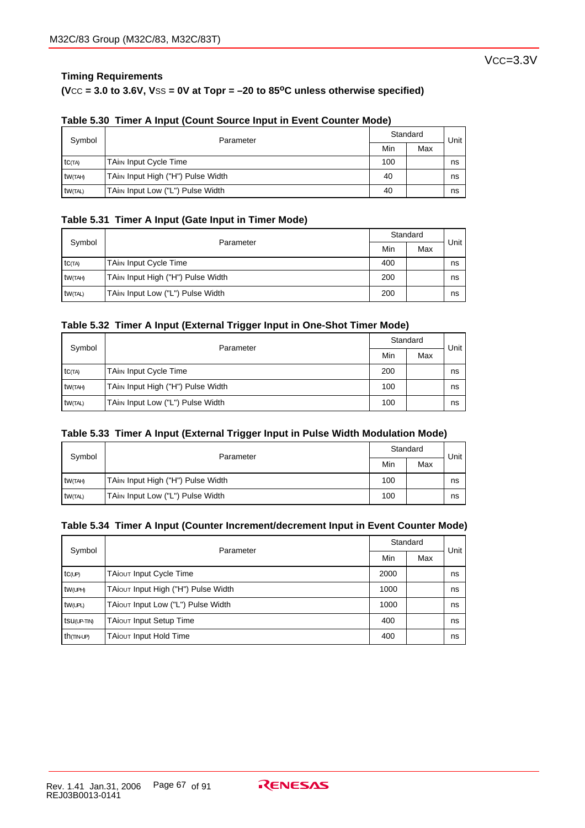## **(V**CC **= 3.0 to 3.6V, V**SS **= 0V at Topr = –20 to 85oC unless otherwise specified)**

| Symbol         | Parameter                         |     | Standard |      |  |
|----------------|-----------------------------------|-----|----------|------|--|
|                |                                   | Min | Max      | Unit |  |
| <b>tC(TA)</b>  | <b>TAim Input Cycle Time</b>      | 100 |          | ns   |  |
| tw(TAH)        | TAim Input High ("H") Pulse Width | 40  |          | ns   |  |
| <b>tW(TAL)</b> | TAin Input Low ("L") Pulse Width  | 40  |          | ns   |  |

## **Table 5.30 Timer A Input (Count Source Input in Event Counter Mode)**

## **Table 5.31 Timer A Input (Gate Input in Timer Mode)**

| Symbol          |                                   |     | Standard |      |  |
|-----------------|-----------------------------------|-----|----------|------|--|
|                 | Parameter                         | Min | Max      | Unit |  |
| <b>tC(TA)</b>   | <b>TAim Input Cycle Time</b>      | 400 |          | ns   |  |
| tw(TAH)         | TAin Input High ("H") Pulse Width | 200 |          | ns   |  |
| <b>tw</b> (TAL) | TAin Input Low ("L") Pulse Width  | 200 |          | ns   |  |

#### **Table 5.32 Timer A Input (External Trigger Input in One-Shot Timer Mode)**

| Symbol              | Parameter                         | Standard | Unit |    |
|---------------------|-----------------------------------|----------|------|----|
|                     |                                   | Min      | Max  |    |
| tc(TA)              | <b>TAim Input Cycle Time</b>      | 200      |      | ns |
| tw <sub>(TAH)</sub> | TAin Input High ("H") Pulse Width | 100      |      | ns |
| <b>tw</b> (TAL)     | TAin Input Low ("L") Pulse Width  | 100      |      | ns |

#### **Table 5.33 Timer A Input (External Trigger Input in Pulse Width Modulation Mode)**

| Symbol         | Parameter                         | Standard | Unit |    |
|----------------|-----------------------------------|----------|------|----|
|                |                                   | Min      | Max  |    |
| tW(TAH)        | TAim Input High ("H") Pulse Width | 100      |      | ns |
| <b>tW(TAL)</b> | TAin Input Low ("L") Pulse Width  | 100      |      | ns |

## **Table 5.34 Timer A Input (Counter Increment/decrement Input in Event Counter Mode)**

| Symbol                 | Parameter                           | Standard | Unit |    |
|------------------------|-------------------------------------|----------|------|----|
|                        |                                     | Min      | Max  |    |
| $tc$ (UP)              | TAIOUT Input Cycle Time             | 2000     |      | ns |
| $tw$ (UPH)             | TAiout Input High ("H") Pulse Width | 1000     |      | ns |
| tw(UPL)                | TAiout Input Low ("L") Pulse Width  | 1000     |      | ns |
| tsu(UP-TIN)            | <b>TAiout Input Setup Time</b>      | 400      |      | ns |
| th <sub>(TIN-UP)</sub> | <b>TAIOUT Input Hold Time</b>       | 400      |      | ns |

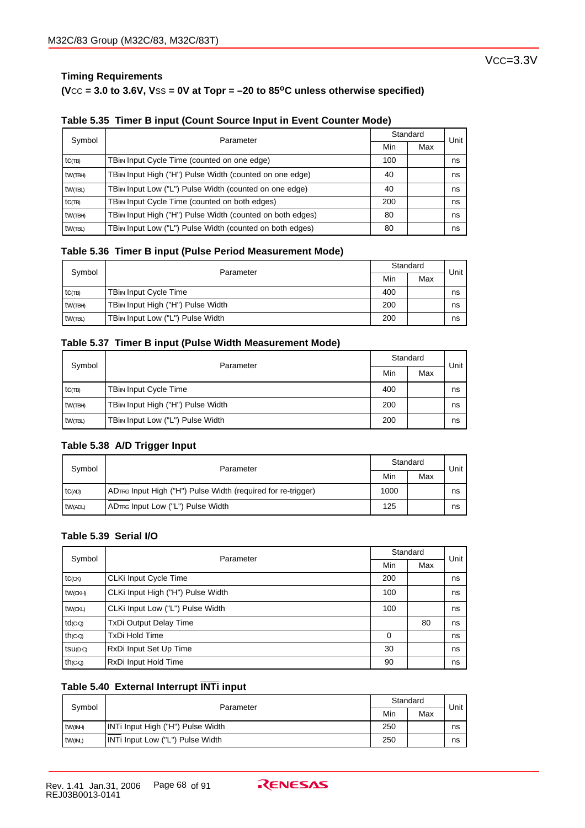## **Timing Requirements**

#### $(**VCC** = 3.0 to 3.6V, **VSS** = **0V** at **Topr** =  $-20$  to 85<sup>o</sup>C unless otherwise specified)$

|  |  | Table 5.35 Timer B input (Count Source Input in Event Counter Mode) |
|--|--|---------------------------------------------------------------------|
|  |  |                                                                     |

| Symbol     | Parameter                                                 |     | Standard |                   |
|------------|-----------------------------------------------------------|-----|----------|-------------------|
|            |                                                           | Min | Max      | Unit <sup>'</sup> |
| $tc$ $(B)$ | TBin Input Cycle Time (counted on one edge)               | 100 |          | ns                |
| tw(TBH)    | TBin Input High ("H") Pulse Width (counted on one edge)   | 40  |          | ns                |
| $tw$ (TBL) | TBin Input Low ("L") Pulse Width (counted on one edge)    | 40  |          | ns                |
| $tc$ (TB)  | TBin Input Cycle Time (counted on both edges)             | 200 |          | ns                |
| tw(TBH)    | TBin Input High ("H") Pulse Width (counted on both edges) | 80  |          | ns                |
| $tw$ (TBL) | TBin Input Low ("L") Pulse Width (counted on both edges)  | 80  |          | ns                |

#### **Table 5.36 Timer B input (Pulse Period Measurement Mode)**

| Symbol        | Parameter                         |     | Standard |      |
|---------------|-----------------------------------|-----|----------|------|
|               |                                   | Min | Max      | Unit |
| $tc$ $\pi$ B) | <b>TBin Input Cycle Time</b>      | 400 |          | ns   |
| tw(TBH)       | TBin Input High ("H") Pulse Width | 200 |          | ns   |
| tw(TBL)       | TBin Input Low ("L") Pulse Width  | 200 |          | ns   |

## **Table 5.37 Timer B input (Pulse Width Measurement Mode)**

| Symbol     | Parameter                         | Standard |     | Unit |
|------------|-----------------------------------|----------|-----|------|
|            |                                   | Min      | Max |      |
| $tc$ (TB)  | <b>TBin Input Cycle Time</b>      | 400      |     | ns   |
| tw(TBH)    | TBin Input High ("H") Pulse Width | 200      |     | ns   |
| $tw$ (TBL) | TBin Input Low ("L") Pulse Width  | 200      |     | ns   |

#### **Table 5.38 A/D Trigger Input**

| Symbol  | Parameter                                                    |      | Standard |      |
|---------|--------------------------------------------------------------|------|----------|------|
|         |                                                              | Min  | Max      | Unit |
| TC(AD)  | ADTRG Input High ("H") Pulse Width (required for re-trigger) | 1000 |          | ns   |
| tw(ADL) | ADTRG Input Low ("L") Pulse Width                            | 125  |          | ns   |

## **Table 5.39 Serial I/O**

| Symbol                | Parameter                         | Standard | Unit |    |
|-----------------------|-----------------------------------|----------|------|----|
|                       |                                   | Min      | Max  |    |
| $tc$ (CK)             | CLKi Input Cycle Time             | 200      |      | ns |
| tw(CKH)               | CLKi Input High ("H") Pulse Width | 100      |      | ns |
| tw(CKL)               | CLKi Input Low ("L") Pulse Width  | 100      |      | ns |
| $td$ <sub>(C-Q)</sub> | <b>TxDi Output Delay Time</b>     |          | 80   | ns |
| $th$ ( $C-Q$ )        | <b>TxDi Hold Time</b>             | 0        |      | ns |
| $tsu(D-C)$            | RxDi Input Set Up Time            | 30       |      | ns |
| $th$ ( $C-Q$ )        | RxDi Input Hold Time              | 90       |      | ns |

## **\_\_\_\_\_\_\_ Table 5.40 External Interrupt INTi input**

| Symbol          | Parameter                         |     | Standard |      |
|-----------------|-----------------------------------|-----|----------|------|
|                 |                                   | Min | Max      | Unit |
| <b>tw</b> (INH) | INTi Input High ("H") Pulse Width | 250 |          | ns   |
| tw(INL)         | INTi Input Low ("L") Pulse Width  | 250 |          | ns   |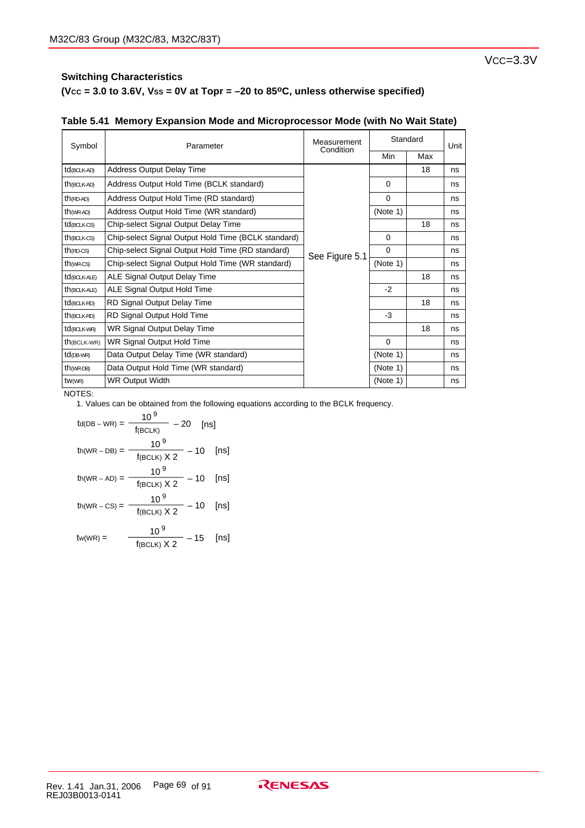**(VCC = 3.0 to 3.6V, VSS = 0V at Topr = –20 to 85oC, unless otherwise specified)**

| Symbol                   | Parameter                                           | Measurement<br>Condition | Standard |     | Unit |
|--------------------------|-----------------------------------------------------|--------------------------|----------|-----|------|
|                          |                                                     |                          | Min      | Max |      |
| td(BCLK-AD)              | <b>Address Output Delay Time</b>                    |                          |          | 18  | ns   |
| th (BCLK-AD)             | Address Output Hold Time (BCLK standard)            |                          | $\Omega$ |     | ns   |
| $th$ (RD-AD)             | Address Output Hold Time (RD standard)              |                          | $\Omega$ |     | ns   |
| $th$ (WR-AD)             | Address Output Hold Time (WR standard)              |                          | (Note 1) |     | ns   |
| $td$ (BCLK-CS)           | Chip-select Signal Output Delay Time                |                          |          | 18  | ns   |
| $th$ (BCLK-CS)           | Chip-select Signal Output Hold Time (BCLK standard) |                          | $\Omega$ |     | ns   |
| $th$ (RD-CS)             | Chip-select Signal Output Hold Time (RD standard)   | See Figure 5.1           | $\Omega$ |     | ns   |
| $th$ ( $WR$ - $CS$ )     | Chip-select Signal Output Hold Time (WR standard)   |                          | (Note 1) |     | ns   |
| td <sub>(BCLK-ALE)</sub> | ALE Signal Output Delay Time                        |                          |          | 18  | ns   |
| $th$ (BCLK-ALE)          | ALE Signal Output Hold Time                         |                          | $-2$     |     | ns   |
| td(BCLK-RD)              | RD Signal Output Delay Time                         |                          |          | 18  | ns   |
| $th$ (BCLK-RD)           | RD Signal Output Hold Time                          |                          | $-3$     |     | ns   |
| td(BCLK-WR)              | WR Signal Output Delay Time                         |                          |          | 18  | ns   |
| $th$ (BCLK-WR)           | WR Signal Output Hold Time                          |                          | $\Omega$ |     | ns   |
| $td$ (DB-WR)             | Data Output Delay Time (WR standard)                |                          | (Note 1) |     | ns   |
| $th$ (WR-DB)             | Data Output Hold Time (WR standard)                 |                          | (Note 1) |     | ns   |
| $t_{W(WR)}$              | <b>WR Output Width</b>                              |                          | (Note 1) |     | ns   |

#### **Table 5.41 Memory Expansion Mode and Microprocessor Mode (with No Wait State)**

NOTES:

ľ

$$
t_{d(DB - WR)} = \frac{10^9}{f_{(BCLK)}} - 20 \quad \text{[ns]}
$$
\n
$$
t_{h(WR - DB)} = \frac{10^9}{f_{(BCLK)} \times 2} - 10 \quad \text{[ns]}
$$
\n
$$
t_{h(WR - AD)} = \frac{10^9}{f_{(BCLK)} \times 2} - 10 \quad \text{[ns]}
$$
\n
$$
t_{h(WR - CS)} = \frac{10^9}{f_{(BCLK)} \times 2} - 10 \quad \text{[ns]}
$$
\n
$$
t_{w(WR)} = \frac{10^9}{f_{(BCLK)} \times 2} - 15 \quad \text{[ns]}
$$

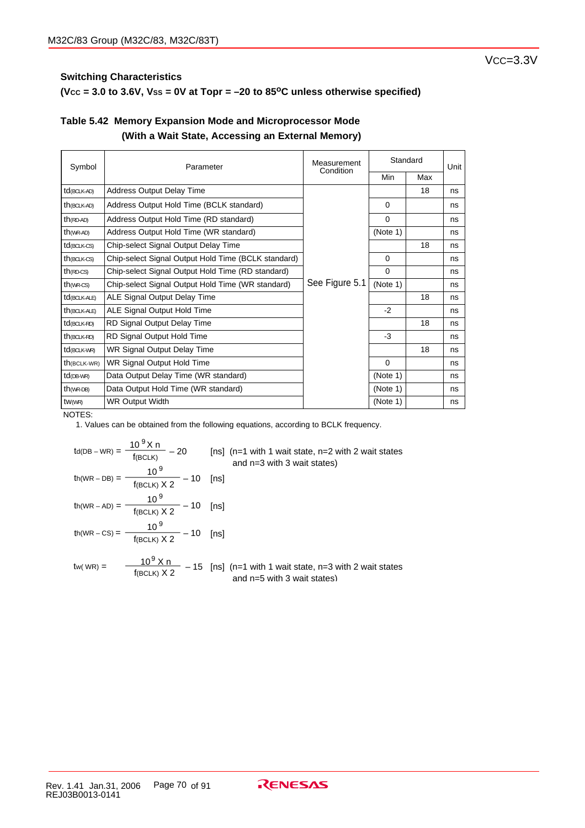## $(**Vcc** = 3.0 to 3.6**V**, **V**ss = 0**V** at **Topr** = -20 to 85<sup>o</sup>**C** unless otherwise specified)$

## **Table 5.42 Memory Expansion Mode and Microprocessor Mode (With a Wait State, Accessing an External Memory)**

| Symbol                   | Parameter                                           | Measurement<br>Condition | Standard |     | Unit |
|--------------------------|-----------------------------------------------------|--------------------------|----------|-----|------|
|                          |                                                     |                          | Min      | Max |      |
| td(BCLK-AD)              | <b>Address Output Delay Time</b>                    |                          |          | 18  | ns   |
| $th$ (BCLK-AD)           | Address Output Hold Time (BCLK standard)            |                          | $\Omega$ |     | ns   |
| $th$ (RD-AD)             | Address Output Hold Time (RD standard)              |                          | 0        |     | ns   |
| $th$ (WR-AD)             | Address Output Hold Time (WR standard)              |                          | (Note 1) |     | ns   |
| $td$ (BCLK-CS)           | Chip-select Signal Output Delay Time                |                          |          | 18  | ns   |
| $th$ (BCLK-CS)           | Chip-select Signal Output Hold Time (BCLK standard) |                          | $\Omega$ |     | ns   |
| $th$ (RD-CS)             | Chip-select Signal Output Hold Time (RD standard)   |                          | $\Omega$ |     | ns   |
| $th$ ( $WR$ - $CS$ )     | Chip-select Signal Output Hold Time (WR standard)   | See Figure 5.1           | (Note 1) |     | ns   |
| td <sub>(BCLK-ALE)</sub> | ALE Signal Output Delay Time                        |                          |          | 18  | ns   |
| th(BCLK-ALE)             | ALE Signal Output Hold Time                         |                          | $-2$     |     | ns   |
| $td$ (BCLK-RD)           | RD Signal Output Delay Time                         |                          |          | 18  | ns   |
| $th$ (BCLK-RD)           | RD Signal Output Hold Time                          |                          | $-3$     |     | ns   |
| $td$ (BCLK-WR)           | WR Signal Output Delay Time                         |                          |          | 18  | ns   |
| $th$ (BCLK-WR)           | WR Signal Output Hold Time                          |                          | $\Omega$ |     | ns   |
| $td$ (DB-WR)             | Data Output Delay Time (WR standard)                |                          | (Note 1) |     | ns   |
| $th$ (WR-DB)             | Data Output Hold Time (WR standard)                 |                          | (Note 1) |     | ns   |
| tW(WR)                   | <b>WR Output Width</b>                              |                          | (Note 1) |     | ns   |

NOTES:

$$
t_{d(DB - WR)} = \frac{10^{9} \text{ X n}}{f_{(BCLK)}} - 20
$$
 [ns] (n=1 with 1 wait state, n=2 with 2 wait states  
and n=3 with 3 wait states)  

$$
t_{h(WR - DB)} = \frac{10^{9}}{f_{(BCLK)} \times 2} - 10
$$
 [ns]  

$$
t_{h(WR - AD)} = \frac{10^{9}}{f_{(BCLK)} \times 2} - 10
$$
 [ns]  

$$
t_{h(WR - CS)} = \frac{10^{9}}{f_{(BCLK)} \times 2} - 10
$$
 [ns]  

$$
t_{w(WR)} = \frac{10^{9} \text{ X n}}{f_{(BCLK)} \times 2} - 15
$$
 [ns] (n=1 with 1 wait state, n=3 with 2 wait states  
and n=5 with 3 wait states)  
and n=5 with 3 wait states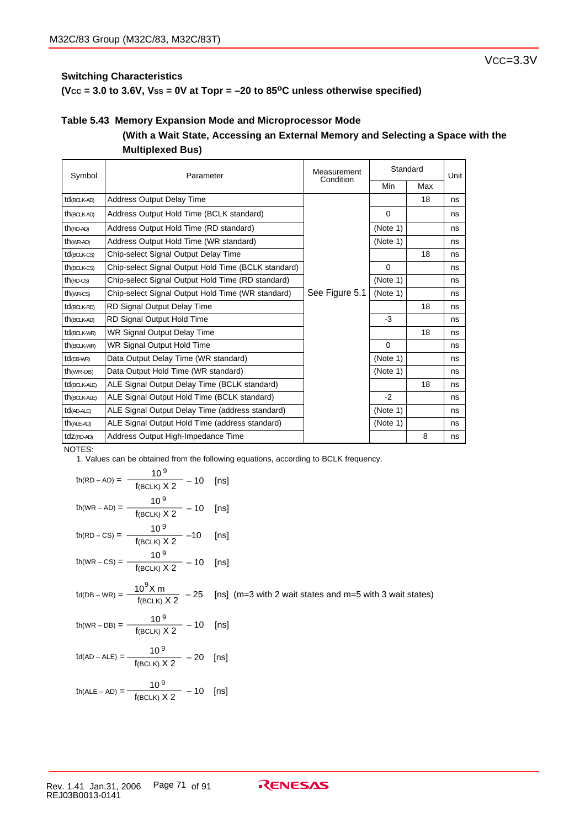**(VCC = 3.0 to 3.6V, VSS = 0V at Topr = –20 to 85oC unless otherwise specified)**

## **Table 5.43 Memory Expansion Mode and Microprocessor Mode**

## **(With a Wait State, Accessing an External Memory and Selecting a Space with the Multiplexed Bus)**

| Symbol                  | Parameter                                           | Measurement<br>Condition | Standard    |     | Unit |
|-------------------------|-----------------------------------------------------|--------------------------|-------------|-----|------|
|                         |                                                     |                          | Min         | Max |      |
| td <sub>(BCLK-AD)</sub> | <b>Address Output Delay Time</b>                    |                          |             | 18  | ns   |
| $th$ (BCLK-AD)          | Address Output Hold Time (BCLK standard)            |                          | $\mathbf 0$ |     | ns   |
| $th$ (RD-AD)            | Address Output Hold Time (RD standard)              |                          | (Note 1)    |     | ns   |
| $th$ (WR-AD)            | Address Output Hold Time (WR standard)              |                          | (Note 1)    |     | ns   |
| $td$ (BCLK-CS)          | Chip-select Signal Output Delay Time                |                          |             | 18  | ns   |
| $th$ (BCLK-CS)          | Chip-select Signal Output Hold Time (BCLK standard) |                          | $\Omega$    |     | ns   |
| $th$ (RD-CS)            | Chip-select Signal Output Hold Time (RD standard)   |                          | (Note 1)    |     | ns   |
| $th$ ( $WR$ - $CS$ )    | Chip-select Signal Output Hold Time (WR standard)   | See Figure 5.1           | (Note 1)    |     | ns   |
| td <sub>(BCLK-RD)</sub> | RD Signal Output Delay Time                         |                          |             | 18  | ns   |
| $th$ (BCLK-AD)          | RD Signal Output Hold Time                          |                          | -3          |     | ns   |
| td <sub>(BCLK-WR)</sub> | WR Signal Output Delay Time                         |                          |             | 18  | ns   |
| th <sub>(BCLK-WR)</sub> | WR Signal Output Hold Time                          |                          | $\Omega$    |     | ns   |
| $td$ (DB-WR)            | Data Output Delay Time (WR standard)                |                          | (Note 1)    |     | ns   |
| $th(wR-DB)$             | Data Output Hold Time (WR standard)                 |                          | (Note 1)    |     | ns   |
| $td$ (BCLK-ALE)         | ALE Signal Output Delay Time (BCLK standard)        |                          |             | 18  | ns   |
| th(BCLK-ALE)            | ALE Signal Output Hold Time (BCLK standard)         |                          | $-2$        |     | ns   |
| td(AD-ALE)              | ALE Signal Output Delay Time (address standard)     |                          | (Note 1)    |     | ns   |
| $th$ (ALE-AD)           | ALE Signal Output Hold Time (address standard)      |                          | (Note 1)    |     | ns   |
| tdz(RD-AD)              | Address Output High-Impedance Time                  |                          |             | 8   | ns   |

NOTES:

1. Values can be obtained from the following equations, according to BCLK frequency.

$$
th(RD - AD) = \frac{10^9}{f(BCLK) X 2} - 10 \quad [ns]
$$
\n
$$
th(WR - AD) = \frac{10^9}{f(BCLK) X 2} - 10 \quad [ns]
$$
\n
$$
th(RD - CS) = \frac{10^9}{f(BCLK) X 2} - 10 \quad [ns]
$$
\n
$$
th(WR - CS) = \frac{10^9}{f(BCLK) X 2} - 10 \quad [ns]
$$
\n
$$
td(DB - WR) = \frac{10^9 X m}{f(BCLK) X 2} - 25 \quad [ns] \ (m=3 with 2 wait states and m=5 with 3 wait states)
$$
\n
$$
th(WR - DB) = \frac{10^9}{f(BCLK) X 2} - 10 \quad [ns]
$$
\n
$$
td(AD - ALE) = \frac{10^9}{f(BCLK) X 2} - 20 \quad [ns]
$$
\n
$$
th(ALE - AD) = \frac{10^9}{f(BCLK) X 2} - 10 \quad [ns]
$$

VCC=3.3V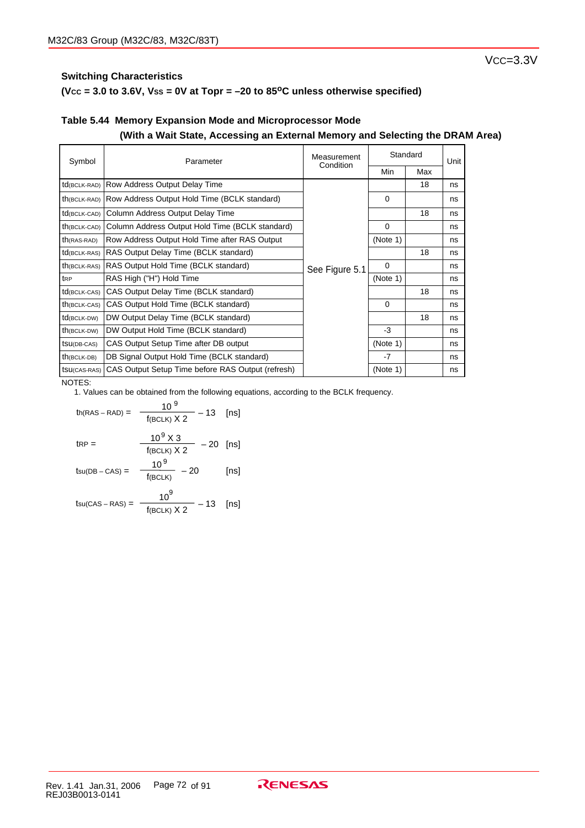## **(VCC = 3.0 to 3.6V, VSS = 0V at Topr = –20 to 85oC unless otherwise specified)**

## **Table 5.44 Memory Expansion Mode and Microprocessor Mode (With a Wait State, Accessing an External Memory and Selecting the DRAM Area)**

| Symbol          | Parameter                                         | Measurement    | Standard |     | Unit |
|-----------------|---------------------------------------------------|----------------|----------|-----|------|
|                 |                                                   | Condition      | Min      | Max |      |
| td(BCLK-RAD)    | Row Address Output Delay Time                     |                |          | 18  | ns   |
| th(BCLK-RAD)    | Row Address Output Hold Time (BCLK standard)      |                | $\Omega$ |     | ns   |
| td(BCLK-CAD)    | Column Address Output Delay Time                  |                |          | 18  | ns   |
| th(BCLK-CAD)    | Column Address Output Hold Time (BCLK standard)   | See Figure 5.1 | $\Omega$ |     | ns   |
| $th$ (RAS-RAD)  | Row Address Output Hold Time after RAS Output     |                | (Note 1) |     | ns   |
| $td$ (BCLK-RAS) | RAS Output Delay Time (BCLK standard)             |                |          | 18  | ns   |
| $th$ (BCLK-RAS) | RAS Output Hold Time (BCLK standard)              |                | $\Omega$ |     | ns   |
| t <sub>RP</sub> | RAS High ("H") Hold Time                          |                | (Note 1) |     | ns   |
| td(BCLK-CAS)    | CAS Output Delay Time (BCLK standard)             |                |          | 18  | ns   |
| $th$ (BCLK-CAS) | CAS Output Hold Time (BCLK standard)              |                | $\Omega$ |     | ns   |
| td(BCLK-DW)     | DW Output Delay Time (BCLK standard)              |                |          | 18  | ns   |
| th(BCLK-DW)     | DW Output Hold Time (BCLK standard)               |                | -3       |     | ns   |
| tsu(DB-CAS)     | CAS Output Setup Time after DB output             |                | (Note 1) |     | ns   |
| $th$ (BCLK-DB)  | DB Signal Output Hold Time (BCLK standard)        |                | $-7$     |     | ns   |
| tsu(CAS-RAS)    | CAS Output Setup Time before RAS Output (refresh) |                | (Note 1) |     | ns   |

#### NOTES:

$$
th(RAS - RAD) = \frac{10^9}{f(BCLK) X 2} - 13 \quad [ns]
$$
\n
$$
tRP = \frac{10^9 X 3}{f(BCLK) X 2} - 20 \quad [ns]
$$
\n
$$
tsu(DB - CAS) = \frac{10^9}{f(BCLK)} - 20 \quad [ns]
$$
\n
$$
t = 10^9 \quad 10^9 \quad 10 \quad [ns]
$$

$$
t_{\text{SU(CAS - RAS)}} = \frac{10}{f(\text{BCLK}) \times 2} - 13 \quad \text{[ns]}
$$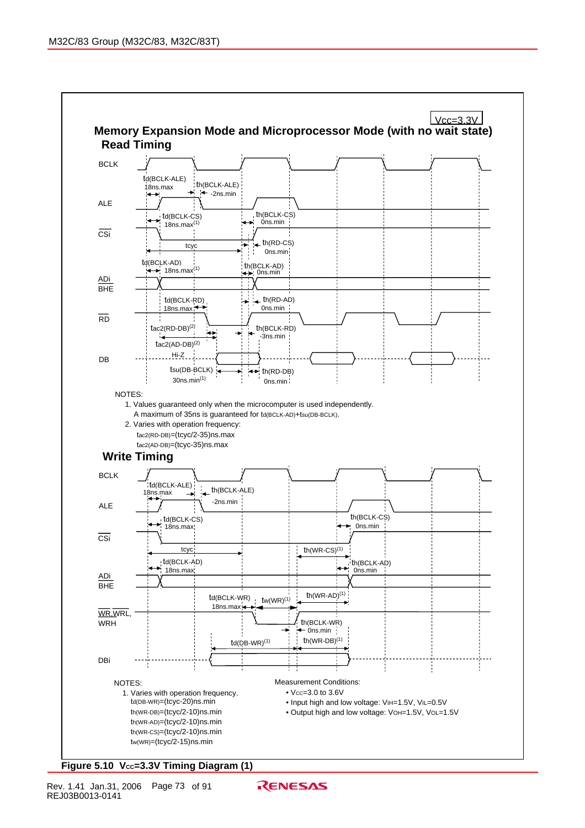

### Figure 5.10 Vcc=3.3V Timing Diagram (1)

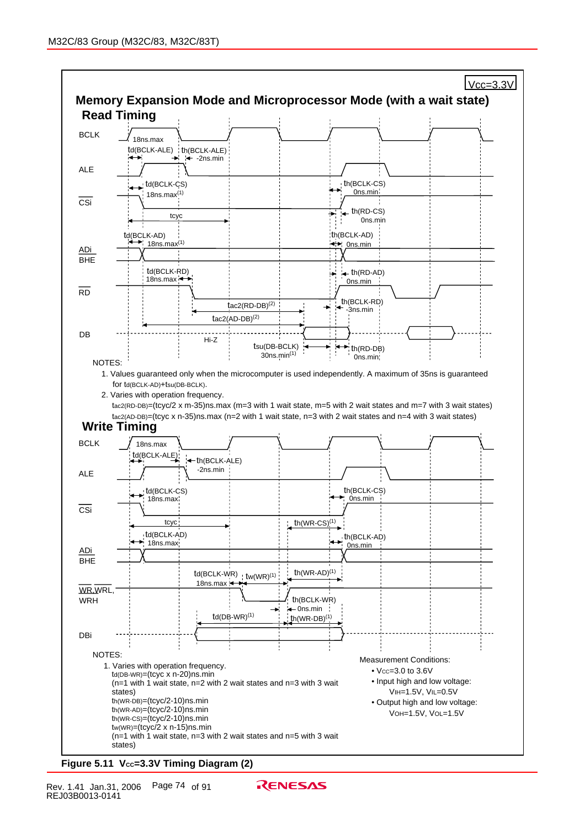

Figure 5.11 Vcc=3.3V Timing Diagram (2)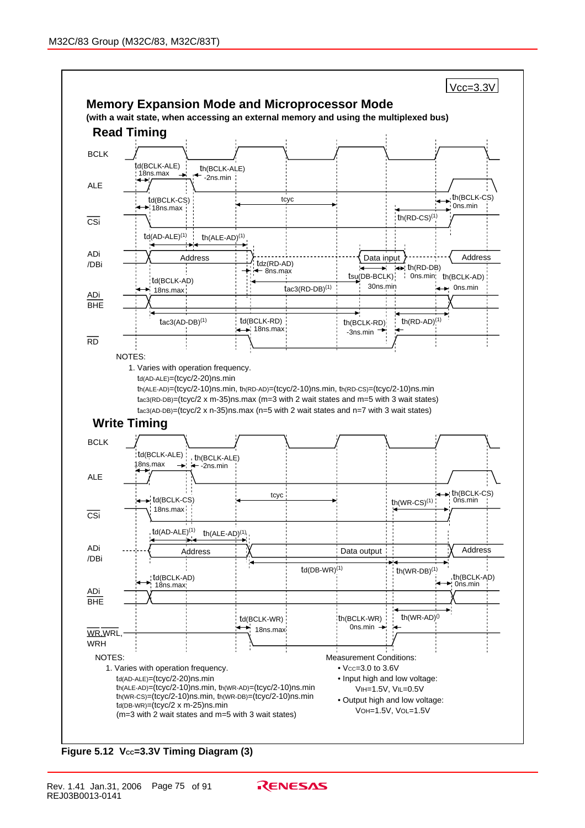

**Figure 5.12 Vcc=3.3V Timing Diagram (3)**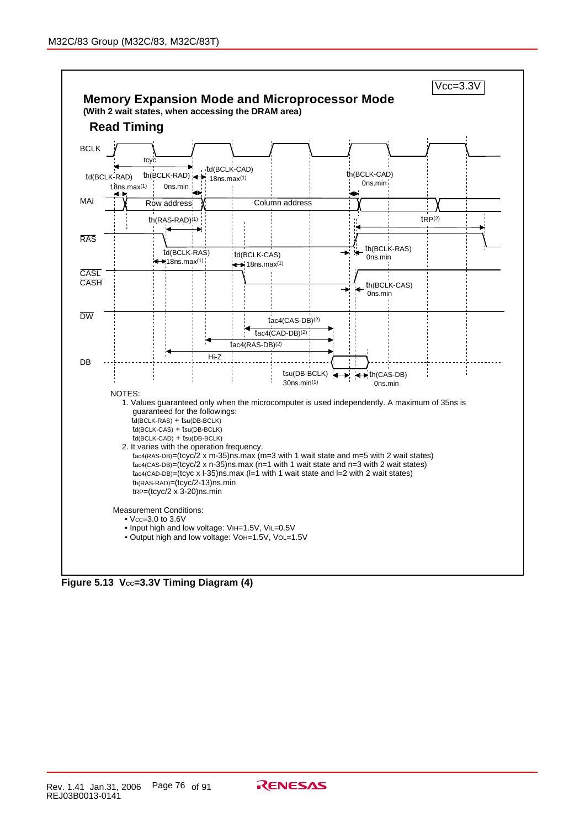

Figure 5.13 Vcc=3.3V Timing Diagram (4)

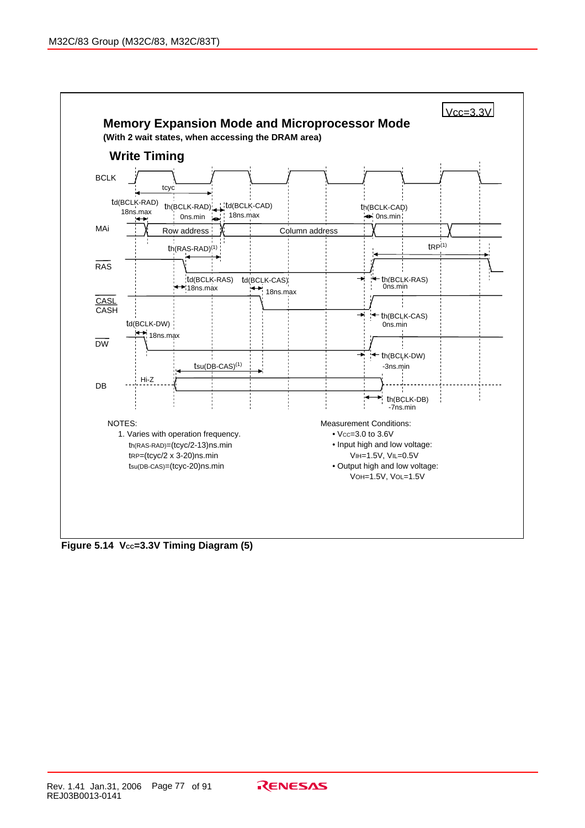

**Figure 5.14 Vcc=3.3V Timing Diagram (5)** 

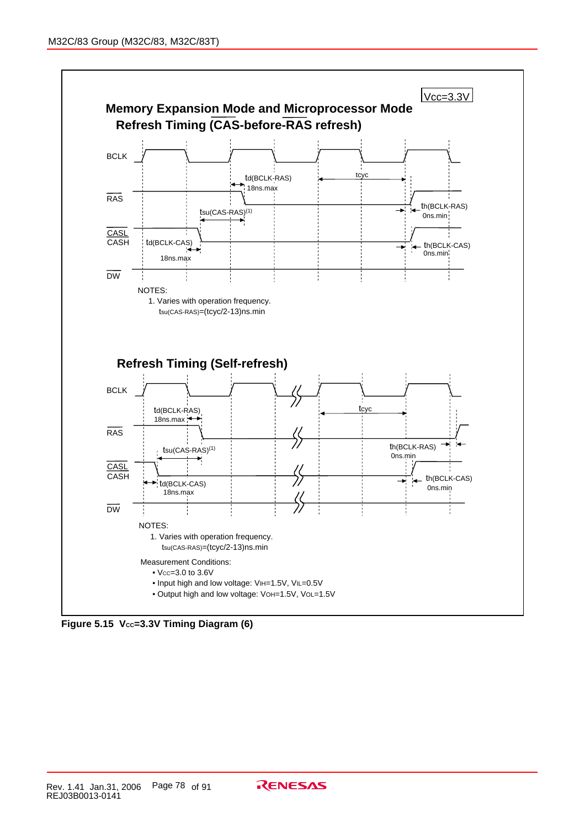

Figure 5.15 Vcc=3.3V Timing Diagram (6)

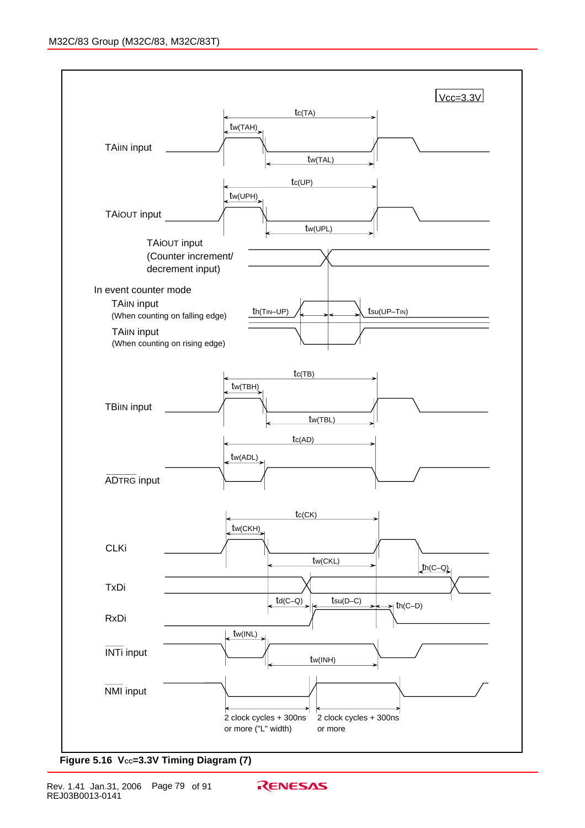

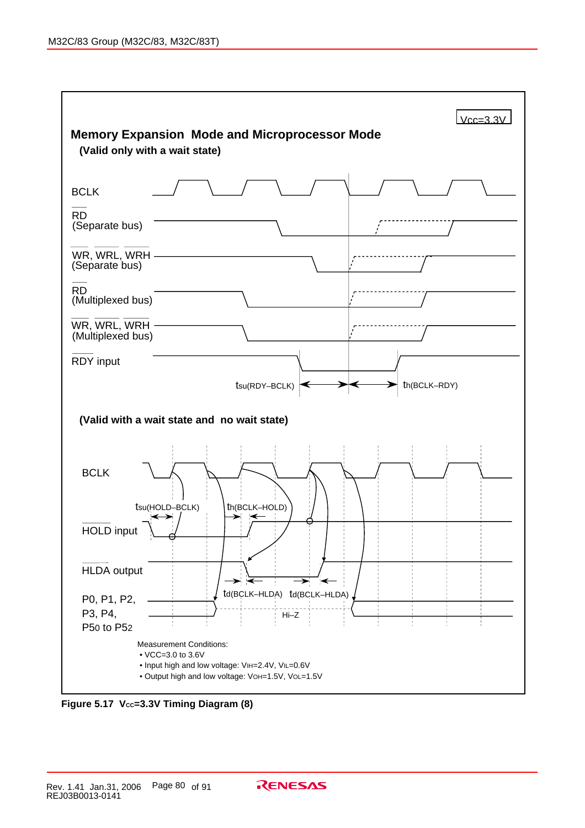

Figure 5.17 Vcc=3.3V Timing Diagram (8)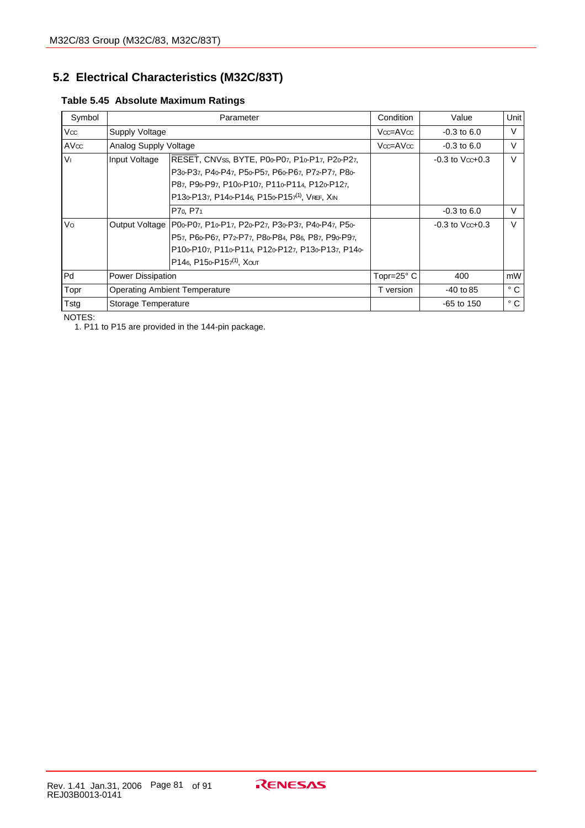## **5.2 Electrical Characteristics (M32C/83T)**

| Table 5.45 Absolute Maximum Ratings |  |  |
|-------------------------------------|--|--|
|                                     |  |  |

| Symbol         |                       | Parameter                                                          | Condition           | Value                | Unit <sup> </sup> |
|----------------|-----------------------|--------------------------------------------------------------------|---------------------|----------------------|-------------------|
| Vcc            | Supply Voltage        |                                                                    | Vcc=AVcc            | $-0.3$ to 6.0        | V                 |
| AVcc           | Analog Supply Voltage |                                                                    | $Vcc = AVcc$        | $-0.3$ to 6.0        | $\vee$            |
| V <sub>1</sub> | Input Voltage         | RESET, CNVss, BYTE, P00-P07, P10-P17, P20-P27,                     |                     | $-0.3$ to $V$ cc+0.3 | $\vee$            |
|                |                       | P30-P37, P40-P47, P50-P57, P60-P67, P72-P77, P80-                  |                     |                      |                   |
|                |                       | P87, P90-P97, P100-P107, P110-P114, P120-P127,                     |                     |                      |                   |
|                |                       | P130-P137, P140-P146, P150-P157 <sup>(1)</sup> , VREF, XIN         |                     |                      |                   |
|                |                       | P7 <sub>0</sub> , P7 <sub>1</sub>                                  |                     | $-0.3$ to 6.0        | $\vee$            |
| Vo             |                       | Output Voltage   P00-P07, P10-P17, P20-P27, P30-P37, P40-P47, P50- |                     | $-0.3$ to $V$ cc+0.3 | $\vee$            |
|                |                       | P57, P60-P67, P72-P77, P80-P84, P86, P87, P90-P97,                 |                     |                      |                   |
|                |                       | P100-P107, P110-P114, P120-P127, P130-P137, P140-                  |                     |                      |                   |
|                |                       | P146, P15 $o$ -P15 $7^{(1)}$ , Xout                                |                     |                      |                   |
| Pd             | Power Dissipation     |                                                                    | Topr=25 $\degree$ C | 400                  | mW                |
| Topr           |                       | <b>Operating Ambient Temperature</b>                               | T version           | $-40$ to 85          | $^{\circ}$ C      |
| Tstg           | Storage Temperature   |                                                                    |                     | $-65$ to 150         | $^{\circ}$ C      |

NOTES:

1. P11 to P15 are provided in the 144-pin package.

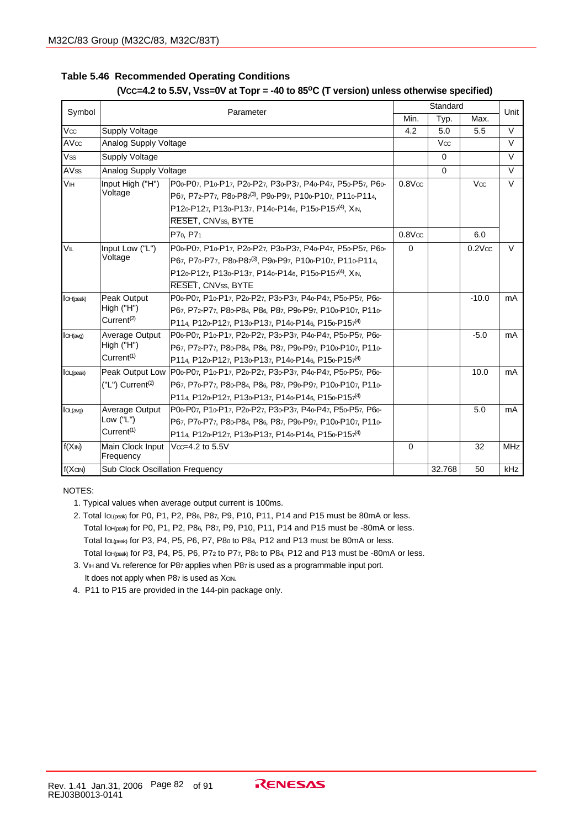### **Table 5.46 Recommended Operating Conditions (VCC=4.2 to 5.5V, VSS=0V at Topr = -40 to 85oC (T version) unless otherwise specified)**

|                   | Parameter                       |                                                                  | Standard         |             | Unit                  |            |
|-------------------|---------------------------------|------------------------------------------------------------------|------------------|-------------|-----------------------|------------|
| Symbol            |                                 |                                                                  |                  | Typ.        | Max.                  |            |
| $\overline{Vcc}$  | Supply Voltage                  |                                                                  | 4.2              | 5.0         | 5.5                   | $\vee$     |
| AVcc              | Analog Supply Voltage           |                                                                  |                  | Vœ          |                       | $\vee$     |
| Vss               | Supply Voltage                  |                                                                  |                  | $\Omega$    |                       | $\vee$     |
| AV <sub>ss</sub>  | Analog Supply Voltage           |                                                                  |                  | $\mathbf 0$ |                       | $\vee$     |
| VIH               | Input High ("H")                | P00-P07, P10-P17, P20-P27, P30-P37, P40-P47, P50-P57, P60-       | $0.8$ V $\infty$ |             | Vœ                    | $\vee$     |
|                   | Voltage                         | P67, P72-P77, P80-P87(3), P90-P97, P100-P107, P110-P114,         |                  |             |                       |            |
|                   |                                 | P120-P127, P130-P137, P140-P146, P150-P157 <sup>(4)</sup> , XIN, |                  |             |                       |            |
|                   |                                 | RESET, CNVss, BYTE                                               |                  |             |                       |            |
|                   |                                 | P70, P71                                                         | $0.8$ V $\alpha$ |             | 6.0                   |            |
| VIL               | Input Low ("L")                 | P00-P07, P10-P17, P20-P27, P30-P37, P40-P47, P50-P57, P60-       | $\Omega$         |             | $0.2$ V $\mathrm{cc}$ | $\vee$     |
|                   | Voltage                         | P67, P70-P77, P80-P87(3), P90-P97, P100-P107, P110-P114,         |                  |             |                       |            |
|                   |                                 | P120-P127, P130-P137, P140-P146, P150-P157 <sup>(4)</sup> , XIN, |                  |             |                       |            |
|                   |                                 | RESET, CNVss, BYTE                                               |                  |             |                       |            |
| <b>I</b> OH(peak) | Peak Output                     | P00-P07, P10-P17, P20-P27, P30-P37, P40-P47, P50-P57, P60-       |                  |             | $-10.0$               | mA         |
|                   | High (TH")                      | P67, P72-P77, P80-P84, P86, P87, P90-P97, P100-P107, P110-       |                  |             |                       |            |
|                   | Current <sup>(2)</sup>          | P114, P120-P127, P130-P137, P140-P146, P150-P157 <sup>(4)</sup>  |                  |             |                       |            |
| IOH(avg)          | Average Output                  | P00-P07, P10-P17, P20-P27, P30-P37, P40-P47, P50-P57, P60-       |                  |             | $-5.0$                | mA         |
|                   | High (TH")                      | P67, P72-P77, P80-P84, P86, P87, P90-P97, P100-P107, P110-       |                  |             |                       |            |
|                   | Current <sup>(1)</sup>          | P114, P12o-P127, P13o-P137, P14o-P146, P15o-P157 <sup>(4)</sup>  |                  |             |                       |            |
| <b>IOL(peak)</b>  | Peak Output Low                 | P00-P07, P10-P17, P20-P27, P30-P37, P40-P47, P50-P57, P60-       |                  |             | 10.0                  | mA         |
|                   | $('L")$ Current <sup>(2)</sup>  | P67, P70-P77, P80-P84, P86, P87, P90-P97, P100-P107, P110-       |                  |             |                       |            |
|                   |                                 | P114, P120-P127, P130-P137, P140-P146, P150-P157 <sup>(4)</sup>  |                  |             |                       |            |
| IOL(avg)          | Average Output                  | P00-P07, P10-P17, P20-P27, P30-P37, P40-P47, P50-P57, P60-       |                  |             | 5.0                   | mA         |
|                   | Low $("L")$                     | P67, P70-P77, P80-P84, P86, P87, P90-P97, P100-P107, P110-       |                  |             |                       |            |
|                   | Current <sup>(1)</sup>          | P114, P120-P127, P130-P137, P140-P146, P150-P157 <sup>(4)</sup>  |                  |             |                       |            |
| f(XIN)            | Main Clock Input<br>Frequency   | V <sub>∞</sub> =4.2 to 5.5V                                      | $\Omega$         |             | 32                    | <b>MHz</b> |
| $f(X \text{CIN})$ | Sub Clock Oscillation Frequency |                                                                  |                  | 32.768      | 50                    | kHz        |

NOTES:

- 1. Typical values when average output current is 100ms.
- 2. Total IoL(peak) for P0, P1, P2, P86, P87, P9, P10, P11, P14 and P15 must be 80mA or less. Total IOH(peak) for P0, P1, P2, P86, P87, P9, P10, P11, P14 and P15 must be -80mA or less. Total loupeak) for P3, P4, P5, P6, P7, P80 to P84, P12 and P13 must be 80mA or less. Total IOH(peak) for P3, P4, P5, P6, P72 to P77, P80 to P84, P12 and P13 must be -80mA or less.
- 3. V<sub>IH</sub> and V<sub>IL</sub> reference for P87 applies when P87 is used as a programmable input port. It does not apply when P87 is used as Xan.
- 4. P11 to P15 are provided in the 144-pin package only.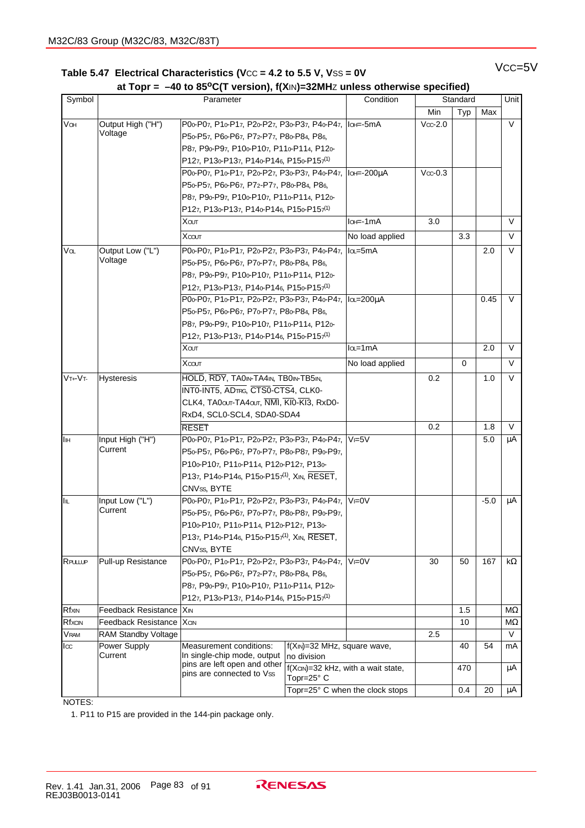### Table 5.47 Electrical Characteristics (Vcc = 4.2 to 5.5 V, Vss = 0V VCC=5V  **at Topr = –40 to 85oC(T version), f(X**IN**)=32MH**Z **unless otherwise specified)**

|                 |                            | at TOPI = $-40$ to 00 G(T version), (ABV)-0210112 unless otherwise specified) |                                                              |                                 | Standard  |          |        | Unit      |
|-----------------|----------------------------|-------------------------------------------------------------------------------|--------------------------------------------------------------|---------------------------------|-----------|----------|--------|-----------|
| Symbol          |                            | Parameter                                                                     |                                                              | Condition                       |           |          |        |           |
|                 |                            |                                                                               |                                                              |                                 | Min       | Typ      | Max    |           |
| VOH             | Output High ("H")          | P00-P07, P10-P17, P20-P27, P30-P37, P40-P47, Io+=-5mA                         |                                                              |                                 | $Vcc-2.0$ |          |        | V         |
|                 | Voltage                    | P50-P57, P60-P67, P72-P77, P80-P84, P86,                                      |                                                              |                                 |           |          |        |           |
|                 |                            | P87, P90-P97, P100-P107, P110-P114, P120-                                     |                                                              |                                 |           |          |        |           |
|                 |                            | P127, P130-P137, P140-P146, P150-P157 <sup>(1)</sup>                          |                                                              |                                 |           |          |        |           |
|                 |                            | P00-P07, P10-P17, P20-P27, P30-P37, P40-P47, Io+=-200µA                       |                                                              |                                 | $Vcc-0.3$ |          |        |           |
|                 |                            | P50-P57, P60-P67, P72-P77, P80-P84, P86,                                      |                                                              |                                 |           |          |        |           |
|                 |                            | P87, P90-P97, P100-P107, P110-P114, P120-                                     |                                                              |                                 |           |          |        |           |
|                 |                            | P127, P130-P137, P140-P146, P150-P157 <sup>(1)</sup>                          |                                                              |                                 |           |          |        |           |
|                 |                            | Хоит                                                                          |                                                              | lo + =- 1mA                     | 3.0       |          |        | V         |
|                 |                            | Xcour                                                                         |                                                              | No load applied                 |           | 3.3      |        | $\vee$    |
| $\sqrt{\alpha}$ | Output Low ("L")           | P00-P07, P10-P17, P20-P27, P30-P37, P40-P47, Ilou=5mA                         |                                                              |                                 |           |          | 2.0    | $\vee$    |
|                 | Voltage                    | P50-P57, P60-P67, P70-P77, P80-P84, P86,                                      |                                                              |                                 |           |          |        |           |
|                 |                            | P87, P90-P97, P100-P107, P110-P114, P120-                                     |                                                              |                                 |           |          |        |           |
|                 |                            | P127, P130-P137, P140-P146, P150-P157 <sup>(1)</sup>                          |                                                              |                                 |           |          |        |           |
|                 |                            | P0ο-P07, P1ο-P17, P2ο-P27, P3ο-P37, P4ο-P47,  Ια=200μA                        |                                                              |                                 |           |          | 0.45   | V         |
|                 |                            | P50-P57, P60-P67, P70-P77, P80-P84, P86,                                      |                                                              |                                 |           |          |        |           |
|                 |                            | P87, P90-P97, P100-P107, P110-P114, P120-                                     |                                                              |                                 |           |          |        |           |
|                 |                            | P127, P130-P137, P140-P146, P150-P157 <sup>(1)</sup>                          |                                                              |                                 |           |          |        |           |
|                 |                            | Холт                                                                          |                                                              | $l\alpha$ =1mA                  |           |          | 2.0    | $\vee$    |
|                 |                            | <b>Хсолт</b>                                                                  |                                                              | No load applied                 |           | $\Omega$ |        | $\vee$    |
| $VT+VT$         | Hysteresis                 | HOLD, RDY, TA0IN-TA4IN, TB0IN-TB5IN,                                          |                                                              |                                 | 0.2       |          | 1.0    | V         |
|                 |                            | INTO-INT5, ADTRG, CTSO-CTS4, CLKO-                                            |                                                              |                                 |           |          |        |           |
|                 |                            | CLK4, TA0out-TA4out, NMI, KI0-KI3, RxD0-                                      |                                                              |                                 |           |          |        |           |
|                 |                            | RxD4, SCL0-SCL4, SDA0-SDA4                                                    |                                                              |                                 |           |          |        |           |
|                 |                            | <b>RESET</b>                                                                  |                                                              |                                 | 0.2       |          | 1.8    | V         |
| Iн              | Input High ("H")           | P00-P07, P10-P17, P20-P27, P30-P37, P40-P47,                                  |                                                              | $V = 5V$                        |           |          | 5.0    | μA        |
|                 | Current                    |                                                                               |                                                              |                                 |           |          |        |           |
|                 |                            | P50-P57, P60-P67, P70-P77, P80-P87, P90-P97,                                  |                                                              |                                 |           |          |        |           |
|                 |                            | P100-P107, P110-P114, P120-P127, P130-                                        |                                                              |                                 |           |          |        |           |
|                 |                            | P137, P140-P146, P150-P157 <sup>(1)</sup> , XIN, RESET,                       |                                                              |                                 |           |          |        |           |
|                 |                            | CNVss, BYTE                                                                   |                                                              |                                 |           |          |        |           |
| I⊪              | Input Low ("L")<br>Current | P00-P07, P10-P17, P20-P27, P30-P37, P40-P47,                                  |                                                              | $V = 0V$                        |           |          | $-5.0$ | μA        |
|                 |                            | P50-P57, P60-P67, P70-P77, P80-P87, P90-P97,                                  |                                                              |                                 |           |          |        |           |
|                 |                            | P100-P107, P110-P114, P120-P127, P130-                                        |                                                              |                                 |           |          |        |           |
|                 |                            | P137, P140-P146, P150-P157 <sup>(1)</sup> , XIN, RESET,                       |                                                              |                                 |           |          |        |           |
|                 |                            | CNVss, BYTE                                                                   |                                                              |                                 |           |          |        |           |
| RPULLUP         | Pull-up Resistance         | P00-P07, P10-P17, P20-P27, P30-P37, P40-P47,                                  |                                                              | $V = 0V$                        | 30        | 50       | 167    | $k\Omega$ |
|                 |                            | P50-P57, P60-P67, P72-P77, P80-P84, P86,                                      |                                                              |                                 |           |          |        |           |
|                 |                            | P87, P90-P97, P100-P107, P110-P114, P120-                                     |                                                              |                                 |           |          |        |           |
|                 |                            | P127, P130-P137, P140-P146, P150-P157 <sup>(1)</sup>                          |                                                              |                                 |           |          |        |           |
| Rfxin           | <b>Feedback Resistance</b> | l Xin                                                                         |                                                              |                                 |           | 1.5      |        | ΜΩ        |
| Rfxcin          | <b>Feedback Resistance</b> | <b>X</b> CIN                                                                  |                                                              |                                 |           | 10       |        | МΩ        |
| VRAM            | RAM Standby Voltage        |                                                                               |                                                              |                                 | 2.5       |          |        | $\vee$    |
| I <sub>cc</sub> | Power Supply<br>Current    | Measurement conditions:<br>In single-chip mode, output                        | f(XIN)=32 MHz, square wave,<br>no division                   |                                 |           | 40       | 54     | mA        |
|                 |                            | pins are left open and other<br>pins are connected to Vss                     | $f(X \text{CIN}) = 32$ kHz, with a wait state,<br>Topr=25° C |                                 |           | 470      |        | μA        |
|                 |                            |                                                                               |                                                              | Topr=25° C when the clock stops |           | 0.4      | 20     | μA        |

NOTES:

1. P11 to P15 are provided in the 144-pin package only.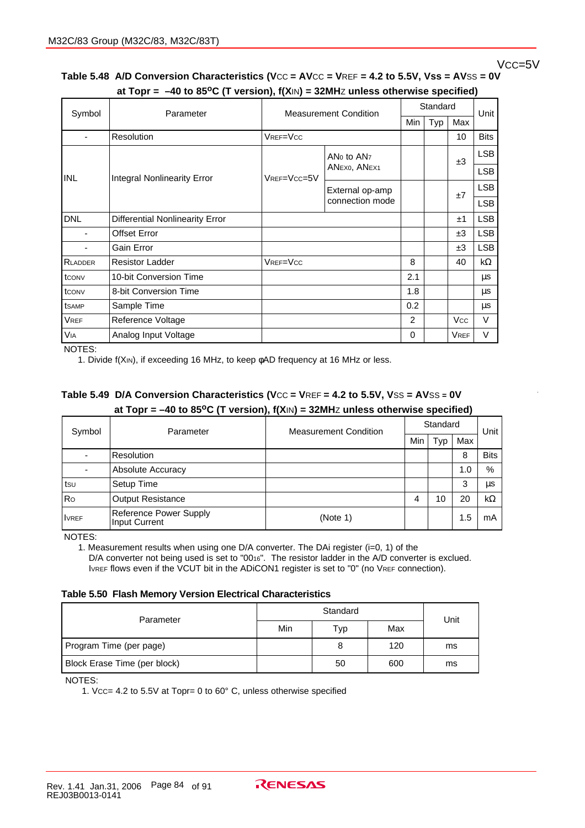### Vcc=5V

### Table 5.48 A/D Conversion Characteristics (Vcc = AVcc = VREF = 4.2 to 5.5V, Vss = AVSS = 0V  **at Topr = –40 to 85oC (T version), f(X**IN**) = 32MH**Z **unless otherwise specified)**

|                |                                                                                                                       | $\cdots$<br><b>Measurement Condition</b> |                 | Standard   |     |             |            |
|----------------|-----------------------------------------------------------------------------------------------------------------------|------------------------------------------|-----------------|------------|-----|-------------|------------|
| Symbol         | Parameter                                                                                                             |                                          |                 | <b>Min</b> | Typ | Max         | Unit       |
|                | Resolution                                                                                                            | VREF=VCC                                 |                 |            |     | 10          | Bits       |
|                | AN <sub>0</sub> to AN <sub>7</sub><br>ANEXO, ANEX1<br><b>INL</b><br><b>Integral Nonlinearity Error</b><br>VREF=VCC=5V |                                          |                 |            | ±3  | <b>LSB</b>  |            |
|                |                                                                                                                       |                                          |                 |            |     | <b>LSB</b>  |            |
|                |                                                                                                                       |                                          | External op-amp |            |     | ±7          | <b>LSB</b> |
|                |                                                                                                                       |                                          | connection mode |            |     |             | <b>LSB</b> |
| <b>DNL</b>     | Differential Nonlinearity Error                                                                                       |                                          |                 |            |     | ±1          | <b>LSB</b> |
|                | <b>Offset Error</b>                                                                                                   |                                          |                 |            |     | ±3          | <b>LSB</b> |
|                | Gain Error                                                                                                            |                                          |                 |            |     | ±3          | <b>LSB</b> |
| <b>RLADDER</b> | <b>Resistor Ladder</b>                                                                                                | VREF=VCC                                 |                 | 8          |     | 40          | kΩ         |
| tconv          | 10-bit Conversion Time                                                                                                |                                          |                 | 2.1        |     |             | μs         |
| tconv          | 8-bit Conversion Time                                                                                                 |                                          |                 | 1.8        |     |             | μs         |
| tsamp          | Sample Time                                                                                                           |                                          |                 | 0.2        |     |             | μs         |
| <b>VREF</b>    | Reference Voltage                                                                                                     |                                          |                 | 2          |     | <b>Vcc</b>  | $\vee$     |
| <b>VIA</b>     | Analog Input Voltage                                                                                                  |                                          |                 | 0          |     | <b>VREF</b> | V          |

NOTES:

1. Divide f(XIN), if exceeding 16 MHz, to keep φAD frequency at 16 MHz or less.

### **Table 5.49 D/A Conversion Characteristics (V**CC **= V**REF **= 4.2 to 5.5V, V**SS **= AV**SS **= 0V at Topr = –40 to 85oC (T version), f(X**IN**) = 32MH**Z **unless otherwise specified)**

| Symbol       | Parameter                               | <b>Measurement Condition</b> | Standard | Unit |     |             |
|--------------|-----------------------------------------|------------------------------|----------|------|-----|-------------|
|              |                                         |                              | Min      | Typ  | Max |             |
|              | Resolution                              |                              |          |      | 8   | <b>Bits</b> |
| ٠            | Absolute Accuracy                       |                              |          |      | 1.0 | %           |
| tsu          | Setup Time                              |                              |          |      | 3   | μs          |
| Ro           | <b>Output Resistance</b>                |                              | 4        | 10   | 20  | $k\Omega$   |
| <b>IVREF</b> | Reference Power Supply<br>Input Current | (Note 1)                     |          |      | 1.5 | mA          |

NOTES:

1. Measurement results when using one D/A converter. The DAi register (i=0, 1) of the D/A converter not being used is set to "0016". The resistor ladder in the A/D converter is exclued. IVREF flows even if the VCUT bit in the ADICON1 register is set to "0" (no VREF connection).

#### **Table 5.50 Flash Memory Version Electrical Characteristics**

| Parameter                    |     | Unit |     |    |
|------------------------------|-----|------|-----|----|
|                              | Min | Typ  | Max |    |
| Program Time (per page)      |     | 8    | 120 | ms |
| Block Erase Time (per block) |     | 50   | 600 | ms |

NOTES:

1. VCC= 4.2 to 5.5V at Topr= 0 to 60° C, unless otherwise specified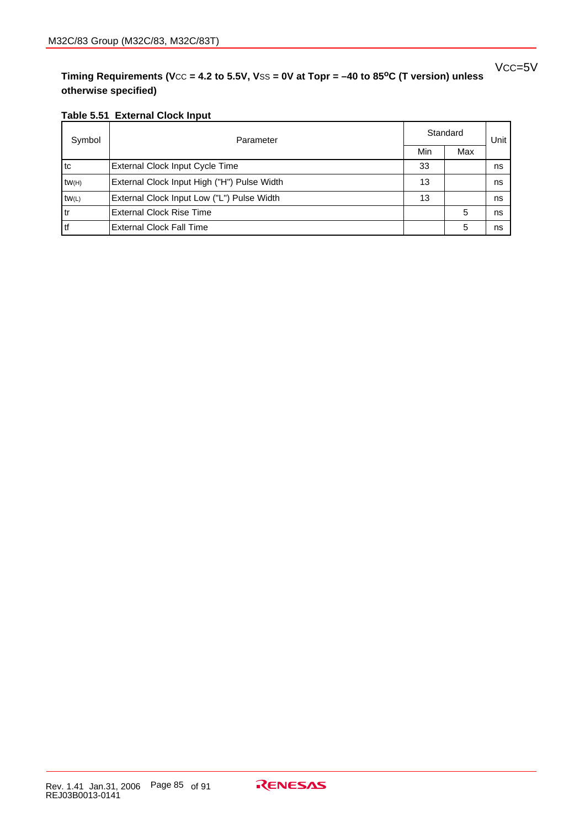**Timing Requirements (V**CC **= 4.2 to 5.5V, V**SS **= 0V at Topr = –40 to 85oC (T version) unless otherwise specified)**

### **Table 5.51 External Clock Input**

| Symbol | Parameter                                   | Standard | Unit |    |
|--------|---------------------------------------------|----------|------|----|
|        |                                             | Min      | Max  |    |
| l tc   | External Clock Input Cycle Time             | 33       |      | ns |
| tW(H)  | External Clock Input High ("H") Pulse Width | 13       |      | ns |
| tw(L)  | External Clock Input Low ("L") Pulse Width  | 13       |      | ns |
| l tr   | <b>External Clock Rise Time</b>             |          | 5    | ns |
| l tf   | <b>External Clock Fall Time</b>             |          | 5    | ns |

VCC=5V

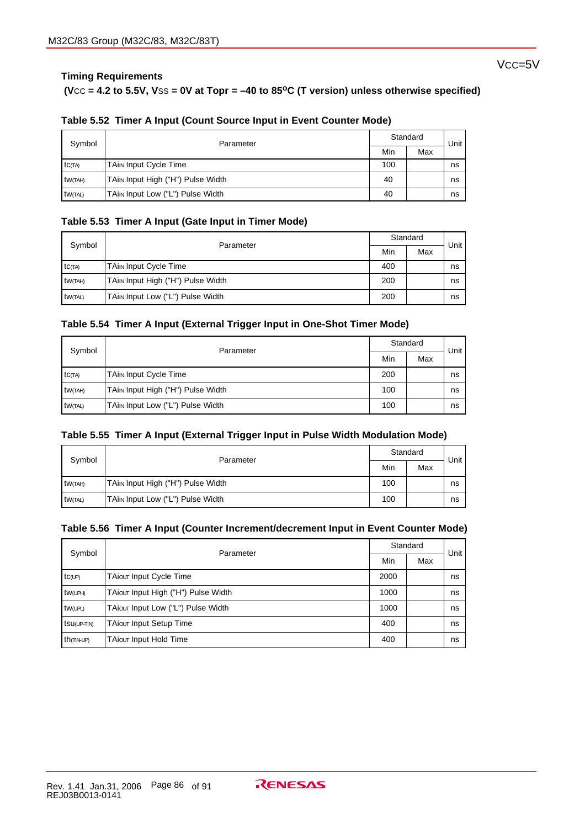### **Timing Requirements**

V<sub>CC</sub>=5V

#### **(V**CC **= 4.2 to 5.5V, V**SS **= 0V at Topr = –40 to 85oC (T version) unless otherwise specified)**

| Symbol              | Parameter                         | Standard | Unit |    |
|---------------------|-----------------------------------|----------|------|----|
|                     |                                   | Min      | Max  |    |
| tc(TA)              | <b>TAin Input Cycle Time</b>      | 100      |      | ns |
| tw <sub>(TAH)</sub> | TAim Input High ("H") Pulse Width | 40       |      | ns |
| <b>tw(TAL)</b>      | TAim Input Low ("L") Pulse Width  | 40       |      | ns |

### **Table 5.52 Timer A Input (Count Source Input in Event Counter Mode)**

#### **Table 5.53 Timer A Input (Gate Input in Timer Mode)**

| Symbol  |                                   |     | Standard |      |  |
|---------|-----------------------------------|-----|----------|------|--|
|         | Parameter                         | Min | Max      | Unit |  |
| tc(TA)  | <b>TAin Input Cycle Time</b>      | 400 |          | ns   |  |
| tW(TAH) | TAim Input High ("H") Pulse Width | 200 |          | ns   |  |
| tW(TAL) | TAin Input Low ("L") Pulse Width  | 200 |          | ns   |  |

#### **Table 5.54 Timer A Input (External Trigger Input in One-Shot Timer Mode)**

| Symbol              | Parameter                         | Standard | Unit ' |    |
|---------------------|-----------------------------------|----------|--------|----|
|                     |                                   | Min      | Max    |    |
| $tc$ $(TA)$         | <b>TAin Input Cycle Time</b>      | 200      |        | ns |
| tw <sub>(TAH)</sub> | TAim Input High ("H") Pulse Width | 100      |        | ns |
| <b>tw(TAL)</b>      | TAim Input Low ("L") Pulse Width  | 100      |        | ns |

#### **Table 5.55 Timer A Input (External Trigger Input in Pulse Width Modulation Mode)**

| Symbol              | Parameter                         |     | Standard |      |  |
|---------------------|-----------------------------------|-----|----------|------|--|
|                     |                                   | Min | Max      | Unit |  |
| tw <sub>(TAH)</sub> | TAim Input High ("H") Pulse Width | 100 |          | ns   |  |
| tw(TAL)             | TAim Input Low ("L") Pulse Width  | 100 |          | ns   |  |

#### **Table 5.56 Timer A Input (Counter Increment/decrement Input in Event Counter Mode)**

| Symbol                 | Parameter                           |      | Standard |      |
|------------------------|-------------------------------------|------|----------|------|
|                        |                                     |      | Max      | Unit |
| $tc$ <sub>(UP)</sub>   | TAiour Input Cycle Time             | 2000 |          | ns   |
| tw(UPH)                | TAiour Input High ("H") Pulse Width | 1000 |          | ns   |
| tw(UPL)                | TAiour Input Low ("L") Pulse Width  | 1000 |          | ns   |
| tsu(UP-TIN)            | TAiour Input Setup Time             | 400  |          | ns   |
| th <sub>(TIN-UP)</sub> | TAiour Input Hold Time              |      | ns       |      |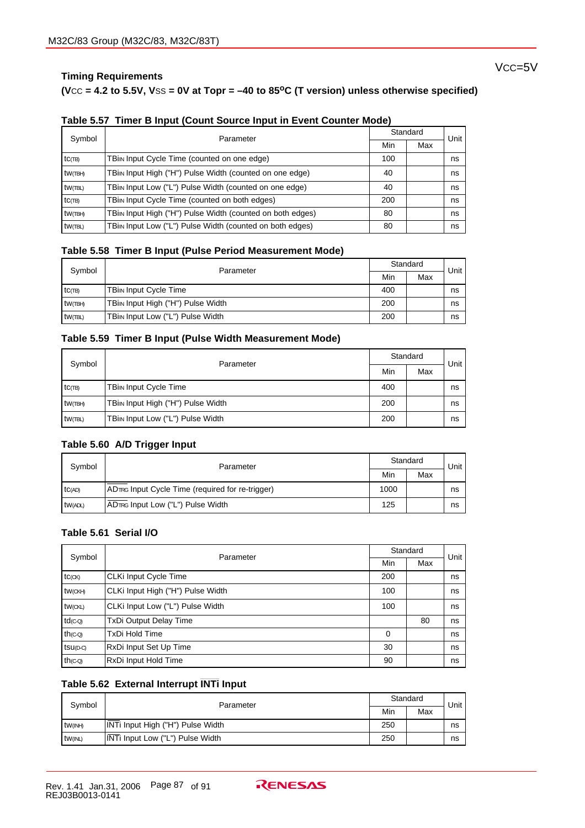### **Timing Requirements**

Vcc=5V

#### **(V**CC **= 4.2 to 5.5V, V**SS **= 0V at Topr = –40 to 85oC (T version) unless otherwise specified)**

|  |  | Table 5.57 Timer B Input (Count Source Input in Event Counter Mode) |  |
|--|--|---------------------------------------------------------------------|--|
|--|--|---------------------------------------------------------------------|--|

| Symbol     | Parameter                                                                         |  | Standard |      |  |  |  |
|------------|-----------------------------------------------------------------------------------|--|----------|------|--|--|--|
|            |                                                                                   |  | Max      | Unit |  |  |  |
| $tc$ (TB)  | TBim Input Cycle Time (counted on one edge)<br>100                                |  |          |      |  |  |  |
| tw(TBH)    | TBin Input High ("H") Pulse Width (counted on one edge)<br>40<br>ns               |  |          |      |  |  |  |
| tw(TBL)    | TBin Input Low ("L") Pulse Width (counted on one edge)<br>40<br>ns                |  |          |      |  |  |  |
| $tc$ (TB)  | TBin Input Cycle Time (counted on both edges)<br>200<br>ns                        |  |          |      |  |  |  |
| $tw$ (TBH) | TBi <sub>l</sub> Input High ("H") Pulse Width (counted on both edges)<br>80<br>ns |  |          |      |  |  |  |
| $tw$ (TBL) | TBin Input Low ("L") Pulse Width (counted on both edges)<br>80                    |  |          |      |  |  |  |

#### **Table 5.58 Timer B Input (Pulse Period Measurement Mode)**

| Symbol    | Parameter                                      |     | Standard |      |  |
|-----------|------------------------------------------------|-----|----------|------|--|
|           |                                                |     | Max      | Unit |  |
| $tc$ (TB) | <b>TBin Input Cycle Time</b>                   | 400 |          | ns   |  |
| tw(TBH)   | TBi <sub>IN</sub> Input High ("H") Pulse Width | 200 |          | ns   |  |
| tw(TBL)   | TBin Input Low ("L") Pulse Width               | 200 |          | ns   |  |

#### **Table 5.59 Timer B Input (Pulse Width Measurement Mode)**

| Symbol                     | Parameter                                      |     | Standard |      |
|----------------------------|------------------------------------------------|-----|----------|------|
|                            |                                                | Min | Max      | Unit |
| $\mathsf{tC}(\mathsf{TB})$ | TBiin Input Cycle Time                         | 400 |          | ns   |
| $tw$ (TBH)                 | TBi <sub>IN</sub> Input High ("H") Pulse Width | 200 |          | ns   |
| tW(TBL)                    | TBin Input Low ("L") Pulse Width               | 200 |          | ns   |

#### **Table 5.60 A/D Trigger Input**

| Symbol         | Parameter                                        |      | Standard |      |  |
|----------------|--------------------------------------------------|------|----------|------|--|
|                |                                                  | Min  | Max      | Unit |  |
| TC(AD)         | ADTRG Input Cycle Time (required for re-trigger) | 1000 |          | ns   |  |
| <b>tW(ADL)</b> | ADTRG Input Low ("L") Pulse Width                | 125  |          | ns   |  |

### **Table 5.61 Serial I/O**

| Symbol               | Parameter                         |     | Standard | Unit |  |  |  |
|----------------------|-----------------------------------|-----|----------|------|--|--|--|
|                      |                                   |     | Max      |      |  |  |  |
| tc(x)                | CLKi Input Cycle Time             | 200 |          | ns   |  |  |  |
| tw <sub>(CKH)</sub>  | CLKi Input High ("H") Pulse Width | 100 |          | ns   |  |  |  |
| tw(CKL)              | CLKi Input Low ("L") Pulse Width  | 100 |          | ns   |  |  |  |
| td <sub>(C-Q)</sub>  | <b>TxDi Output Delay Time</b>     |     | 80       | ns   |  |  |  |
| th <sub>(C-Q)</sub>  | <b>TxDi Hold Time</b><br>$\Omega$ |     |          |      |  |  |  |
| tsu <sub>(D-C)</sub> | RxDi Input Set Up Time            | 30  |          | ns   |  |  |  |
| th <sub>(C-Q)</sub>  | RxDi Input Hold Time<br>90        |     |          |      |  |  |  |

## **\_\_\_\_\_\_\_ Table 5.62 External Interrupt INTi Input**

| Symbol        | Parameter                               |     | Standard |      |  |
|---------------|-----------------------------------------|-----|----------|------|--|
|               |                                         | Min | Max      | Unit |  |
| $tw$ ( $N$ H) | INTi Input High ("H") Pulse Width       | 250 |          | ns   |  |
| tw(INL)       | INTi Input Low ("L") Pulse Width<br>250 |     |          |      |  |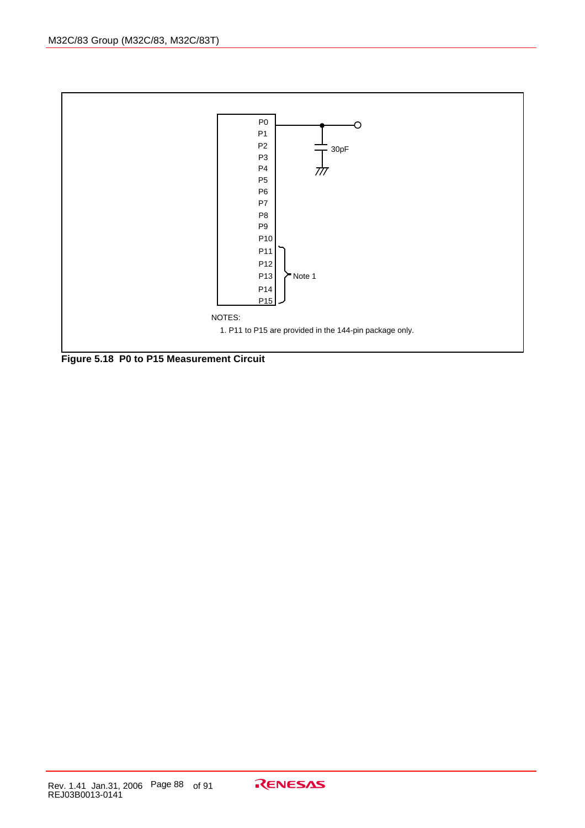

**Figure 5.18 P0 to P15 Measurement Circuit**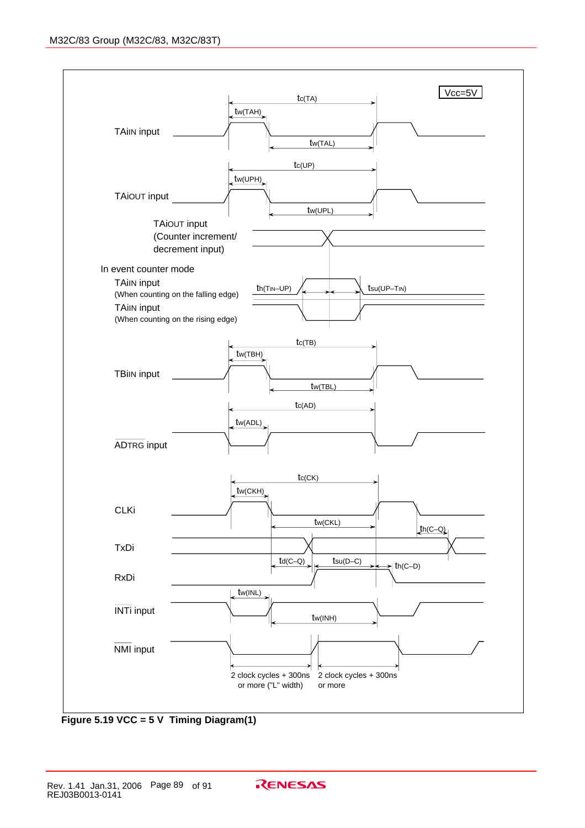

**Figure 5.19 VCC = 5 V Timing Diagram(1)**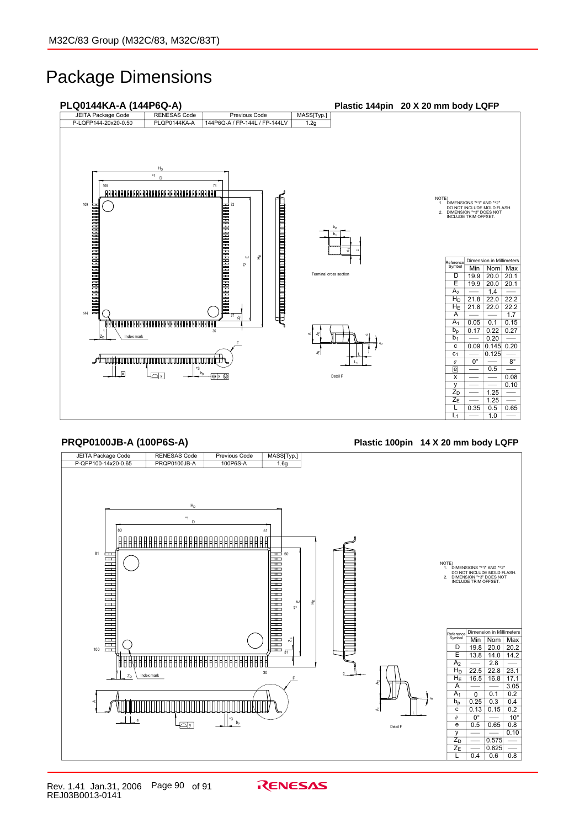# Package Dimensions



**PRQP0100JB-A (100P6S-A) Plastic 100pin 14 X 20 mm body LQFP**

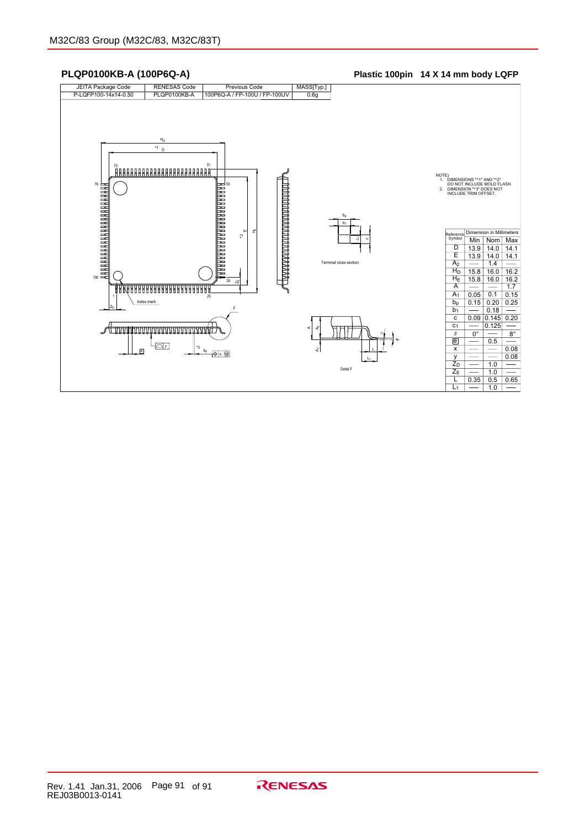

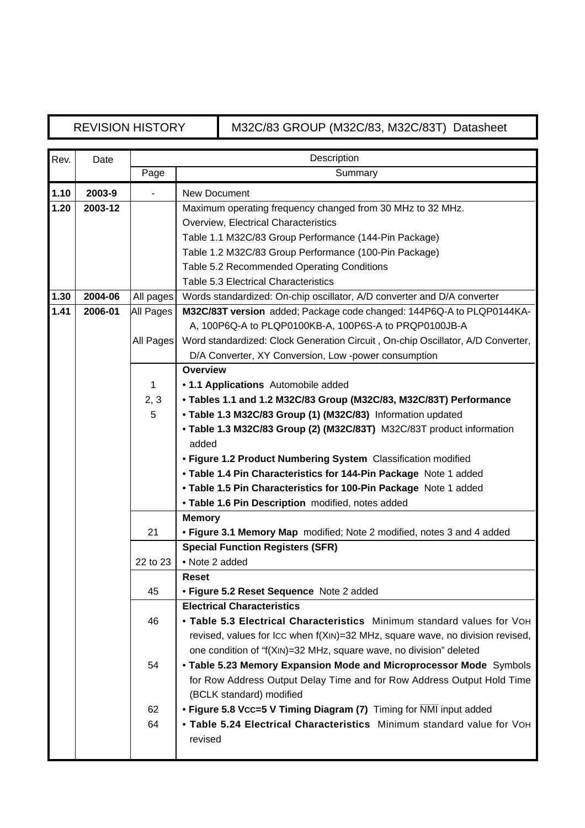# REVISION HISTORY M32C/83 GROUP (M32C/83, M32C/83T) Datasheet

| Rev. | Date    |           | Description                                                                     |
|------|---------|-----------|---------------------------------------------------------------------------------|
|      |         | Page      | Summary                                                                         |
| 1.10 | 2003-9  |           | <b>New Document</b>                                                             |
| 1.20 | 2003-12 |           | Maximum operating frequency changed from 30 MHz to 32 MHz.                      |
|      |         |           | Overview, Electrical Characteristics                                            |
|      |         |           | Table 1.1 M32C/83 Group Performance (144-Pin Package)                           |
|      |         |           | Table 1.2 M32C/83 Group Performance (100-Pin Package)                           |
|      |         |           | Table 5.2 Recommended Operating Conditions                                      |
|      |         |           | <b>Table 5.3 Electrical Characteristics</b>                                     |
| 1.30 | 2004-06 | All pages | Words standardized: On-chip oscillator, A/D converter and D/A converter         |
| 1.41 | 2006-01 | All Pages | M32C/83T version added; Package code changed: 144P6Q-A to PLQP0144KA-           |
|      |         |           | A, 100P6Q-A to PLQP0100KB-A, 100P6S-A to PRQP0100JB-A                           |
|      |         | All Pages | Word standardized: Clock Generation Circuit, On-chip Oscillator, A/D Converter, |
|      |         |           | D/A Converter, XY Conversion, Low -power consumption                            |
|      |         |           | Overview                                                                        |
|      |         | 1         | .1.1 Applications Automobile added                                              |
|      |         | 2, 3      | • Tables 1.1 and 1.2 M32C/83 Group (M32C/83, M32C/83T) Performance              |
|      |         | 5         | • Table 1.3 M32C/83 Group (1) (M32C/83) Information updated                     |
|      |         |           | • Table 1.3 M32C/83 Group (2) (M32C/83T) M32C/83T product information           |
|      |         |           | added                                                                           |
|      |         |           | . Figure 1.2 Product Numbering System Classification modified                   |
|      |         |           | . Table 1.4 Pin Characteristics for 144-Pin Package Note 1 added                |
|      |         |           | . Table 1.5 Pin Characteristics for 100-Pin Package Note 1 added                |
|      |         |           | . Table 1.6 Pin Description modified, notes added<br><b>Memory</b>              |
|      |         | 21        | . Figure 3.1 Memory Map modified; Note 2 modified, notes 3 and 4 added          |
|      |         |           | <b>Special Function Registers (SFR)</b>                                         |
|      |         | 22 to 23  | • Note 2 added                                                                  |
|      |         |           | <b>Reset</b>                                                                    |
|      |         | 45        | • Figure 5.2 Reset Sequence Note 2 added                                        |
|      |         |           | <b>Electrical Characteristics</b>                                               |
|      |         | 46        | • Table 5.3 Electrical Characteristics Minimum standard values for VOH          |
|      |         |           | revised, values for Icc when f(XIN)=32 MHz, square wave, no division revised,   |
|      |         |           | one condition of "f(XIN)=32 MHz, square wave, no division" deleted              |
|      |         | 54        | • Table 5.23 Memory Expansion Mode and Microprocessor Mode Symbols              |
|      |         |           | for Row Address Output Delay Time and for Row Address Output Hold Time          |
|      |         |           | (BCLK standard) modified                                                        |
|      |         | 62        | • Figure 5.8 Vcc=5 V Timing Diagram (7) Timing for NMI input added              |
|      |         | 64        | . Table 5.24 Electrical Characteristics Minimum standard value for VOH          |
|      |         |           | revised                                                                         |
|      |         |           |                                                                                 |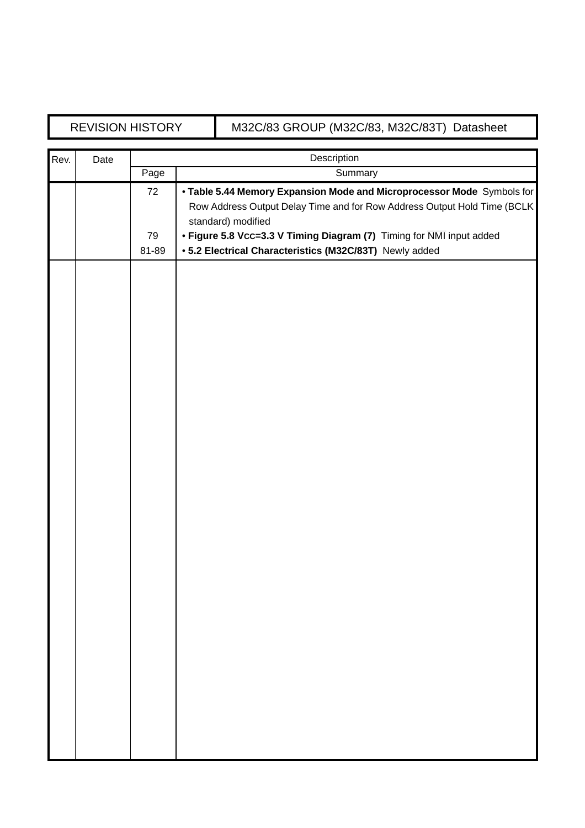# REVISION HISTORY M32C/83 GROUP (M32C/83, M32C/83T) Datasheet

| Rev. | Date | Description |                                                                                                |  |
|------|------|-------------|------------------------------------------------------------------------------------------------|--|
|      |      | Page        | Summary                                                                                        |  |
|      |      | 72          | . Table 5.44 Memory Expansion Mode and Microprocessor Mode Symbols for                         |  |
|      |      |             | Row Address Output Delay Time and for Row Address Output Hold Time (BCLK<br>standard) modified |  |
|      |      | 79          | • Figure 5.8 Vcc=3.3 V Timing Diagram (7) Timing for NMI input added                           |  |
|      |      | 81-89       | • 5.2 Electrical Characteristics (M32C/83T) Newly added                                        |  |
|      |      |             |                                                                                                |  |
|      |      |             |                                                                                                |  |
|      |      |             |                                                                                                |  |
|      |      |             |                                                                                                |  |
|      |      |             |                                                                                                |  |
|      |      |             |                                                                                                |  |
|      |      |             |                                                                                                |  |
|      |      |             |                                                                                                |  |
|      |      |             |                                                                                                |  |
|      |      |             |                                                                                                |  |
|      |      |             |                                                                                                |  |
|      |      |             |                                                                                                |  |
|      |      |             |                                                                                                |  |
|      |      |             |                                                                                                |  |
|      |      |             |                                                                                                |  |
|      |      |             |                                                                                                |  |
|      |      |             |                                                                                                |  |
|      |      |             |                                                                                                |  |
|      |      |             |                                                                                                |  |
|      |      |             |                                                                                                |  |
|      |      |             |                                                                                                |  |
|      |      |             |                                                                                                |  |
|      |      |             |                                                                                                |  |
|      |      |             |                                                                                                |  |
|      |      |             |                                                                                                |  |
|      |      |             |                                                                                                |  |
|      |      |             |                                                                                                |  |
|      |      |             |                                                                                                |  |